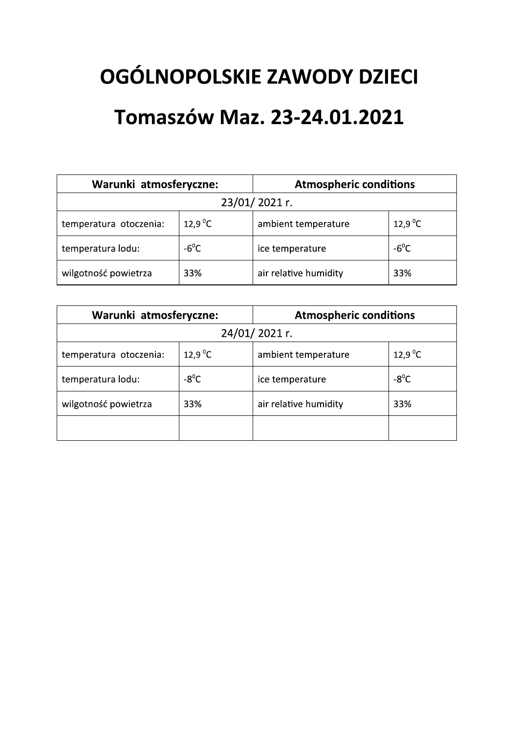# OGÓLNOPOLSKIE ZAWODY DZIECI **Tomaszów Maz. 23-24.01.2021**

| OGÓLNOPOLSKIE ZAWODY DZIECI<br><b>Tomaszów Maz. 23-24.01.2021</b> |                     |                                                               |  |  |  |  |
|-------------------------------------------------------------------|---------------------|---------------------------------------------------------------|--|--|--|--|
| Warunki atmosferyczne:<br><b>Atmospheric conditions</b>           |                     |                                                               |  |  |  |  |
|                                                                   |                     | 12,9 $^{\circ}$ C                                             |  |  |  |  |
| $-6^{\circ}$ C                                                    | ice temperature     | $-6^{\circ}$ C                                                |  |  |  |  |
| wilgotność powietrza<br>33%                                       |                     | 33%                                                           |  |  |  |  |
|                                                                   | 12.9 <sup>o</sup> C | 23/01/2021 r.<br>ambient temperature<br>air relative humidity |  |  |  |  |

| 23/01/2021 r.                                           |                     |                       |                     |  |  |  |
|---------------------------------------------------------|---------------------|-----------------------|---------------------|--|--|--|
| temperatura otoczenia:                                  | 12,9 $\mathrm{^0C}$ | ambient temperature   | 12,9 $^{\circ}$ C   |  |  |  |
| temperatura lodu:                                       | $-6^{\circ}$ C      | ice temperature       | $-6^{\circ}$ C      |  |  |  |
| wilgotność powietrza                                    | 33%                 | air relative humidity | 33%                 |  |  |  |
|                                                         |                     |                       |                     |  |  |  |
| <b>Atmospheric conditions</b><br>Warunki atmosferyczne: |                     |                       |                     |  |  |  |
|                                                         |                     | 24/01/2021 r.         |                     |  |  |  |
| temperatura otoczenia:                                  | 12,9 $^{\circ}$ C   | ambient temperature   | 12,9 $\mathrm{^0C}$ |  |  |  |
| temperatura lodu:                                       | $-8^{\circ}$ C      | ice temperature       | $-8^{\circ}$ C      |  |  |  |
| 33%<br>wilgotność powietrza                             |                     |                       |                     |  |  |  |
|                                                         |                     | air relative humidity | 33%                 |  |  |  |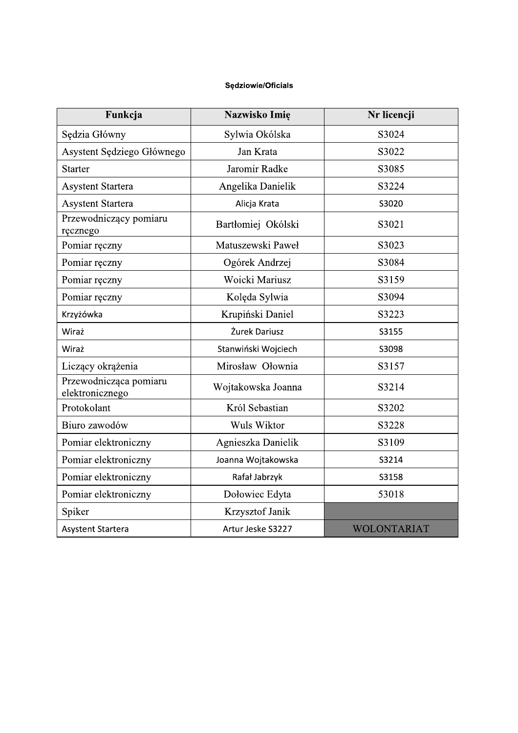#### Sędziowie/Oficials

| Funkcja                                   | Nazwisko Imię       | Nr licencji        |
|-------------------------------------------|---------------------|--------------------|
| Sędzia Główny                             | Sylwia Okólska      | S3024              |
| Asystent Sędziego Głównego                | Jan Krata           | S3022              |
| <b>Starter</b>                            | Jaromir Radke       | S3085              |
| <b>Asystent Startera</b>                  | Angelika Danielik   | S3224              |
| <b>Asystent Startera</b>                  | Alicja Krata        | S3020              |
| Przewodniczący pomiaru<br>ręcznego        | Bartłomiej Okólski  | S3021              |
| Pomiar ręczny                             | Matuszewski Paweł   | S3023              |
| Pomiar ręczny                             | Ogórek Andrzej      | S3084              |
| Pomiar reczny                             | Woicki Mariusz      | S3159              |
| Pomiar reczny                             | Kolęda Sylwia       | S3094              |
| Krzyżówka                                 | Krupiński Daniel    | S3223              |
| Wiraż                                     | Żurek Dariusz       | S3155              |
| Wiraż                                     | Stanwiński Wojciech | S3098              |
| Liczący okrążenia                         | Mirosław Ołownia    | S3157              |
| Przewodnicząca pomiaru<br>elektronicznego | Wojtakowska Joanna  | S3214              |
| Protokolant                               | Król Sebastian      | S3202              |
| Biuro zawodów                             | Wuls Wiktor         | S3228              |
| Pomiar elektroniczny                      | Agnieszka Danielik  | S3109              |
| Pomiar elektroniczny                      | Joanna Wojtakowska  | S3214              |
| Pomiar elektroniczny                      | Rafał Jabrzyk       | S3158              |
| Pomiar elektroniczny                      | Dołowiec Edyta      | 53018              |
| Spiker                                    | Krzysztof Janik     |                    |
| Asystent Startera                         | Artur Jeske S3227   | <b>WOLONTARIAT</b> |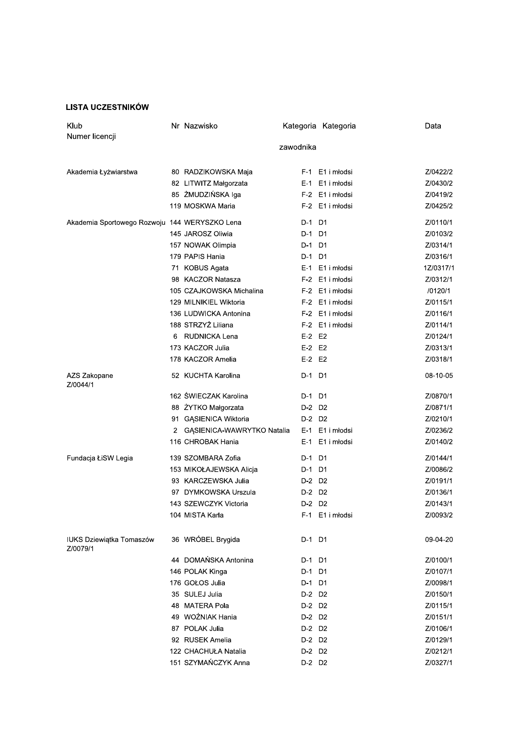#### **LISTA UCZESTNIKÓW**

| Klub                                          |   | Nr Nazwisko                  |            | Kategoria Kategoria | Data      |
|-----------------------------------------------|---|------------------------------|------------|---------------------|-----------|
| Numer licencji                                |   |                              |            |                     |           |
|                                               |   |                              | zawodnika  |                     |           |
| Akademia Łyżwiarstwa                          |   | 80 RADZIKOWSKA Maja          |            | F-1 E1 i młodsi     | Z/0422/2  |
|                                               |   | 82 LITWITZ Małgorzata        |            | E-1 E1 i młodsi     | Z/0430/2  |
|                                               |   | 85 ZMUDZIŃSKA Iga            |            | F-2 E1 i młodsi     | Z/0419/2  |
|                                               |   | 119 MOSKWA Maria             |            | F-2 E1 i młodsi     | Z/0425/2  |
| Akademia Sportowego Rozwoju 144 WERYSZKO Lena |   |                              | D-1 D1     |                     | Z/0110/1  |
|                                               |   | 145 JAROSZ Oliwia            | D-1 D1     |                     | Z/0103/2  |
|                                               |   | 157 NOWAK Olimpia            | D-1 D1     |                     | Z/0314/1  |
|                                               |   | 179 PAPIS Hania              | D-1 D1     |                     | Z/0316/1  |
|                                               |   | 71 KOBUS Agata               |            | E-1 E1 i młodsi     | 1Z/0317/1 |
|                                               |   | 98 KACZOR Natasza            |            | F-2 E1 i młodsi     | Z/0312/1  |
|                                               |   | 105 CZAJKOWSKA Michalina     |            | F-2 E1 i młodsi     | /0120/1   |
|                                               |   | 129 MILNIKIEL Wiktoria       |            | F-2 E1 i młodsi     | Z/0115/1  |
|                                               |   | 136 LUDWICKA Antonina        |            | F-2 E1 i młodsi     | Z/0116/1  |
|                                               |   | 188 STRZYŻ Liliana           |            | F-2 E1 i młodsi     | Z/0114/1  |
|                                               | 6 | RUDNICKA Lena                | $E-2$ $E2$ |                     | Z/0124/1  |
|                                               |   | 173 KACZOR Julia             | $E-2$ $E2$ |                     | Z/0313/1  |
|                                               |   | 178 KACZOR Amelia            | $E-2$ $E2$ |                     | Z/0318/1  |
| AZS Zakopane<br>Z/0044/1                      |   | 52 KUCHTA Karolina           | D-1 D1     |                     | 08-10-05  |
|                                               |   | 162 SWIECZAK Karolina        | D-1 D1     |                     | Z/0870/1  |
|                                               |   | 88 ŻYTKO Małgorzata          | D-2 D2     |                     | Z/0871/1  |
|                                               |   | 91 GASIENICA Wiktoria        | D-2 D2     |                     | Z/0210/1  |
|                                               |   | 2 GĄSIENICA-WAWRYTKO Natalia |            | E-1 E1 i młodsi     | Z/0236/2  |
|                                               |   | 116 CHROBAK Hania            |            | E-1 E1 i młodsi     | Z/0140/2  |
| Fundacja ŁiSW Legia                           |   | 139 SZOMBARA Zofia           | D-1 D1     |                     | Z/0144/1  |
|                                               |   | 153 MIKOŁAJEWSKA Alicja      | D-1 D1     |                     | Z/0086/2  |
|                                               |   | 93 KARCZEWSKA Julia          | D-2 D2     |                     | Z/0191/1  |
|                                               |   | 97 DYMKOWSKA Urszula         | D-2 D2     |                     | Z/0136/1  |
|                                               |   | 143 SZEWCZYK Victoria        | D-2 D2     |                     | Z/0143/1  |
|                                               |   | 104 MISTA Karla              |            | F-1 E1 i młodsi     | Z/0093/2  |
| <b>IUKS Dziewiątka Tomaszów</b><br>Z/0079/1   |   | 36 WRÓBEL Brygida            | D-1 D1     |                     | 09-04-20  |
|                                               |   | 44 DOMAŃSKA Antonina         | D-1 D1     |                     | Z/0100/1  |
|                                               |   | 146 POLAK Kinga              | D-1 D1     |                     | Z/0107/1  |
|                                               |   | 176 GOŁOS Julia              | D-1 D1     |                     | Z/0098/1  |
|                                               |   | 35 SULEJ Julia               | D-2 D2     |                     | Z/0150/1  |
|                                               |   | 48 MATERA Pola               | D-2 D2     |                     | Z/0115/1  |
|                                               |   | 49 WOŹNIAK Hania             | D-2 D2     |                     | Z/0151/1  |
|                                               |   | 87 POLAK Julia               | D-2 D2     |                     | Z/0106/1  |
|                                               |   | 92 RUSEK Amelia              | D-2 D2     |                     | Z/0129/1  |
|                                               |   | 122 CHACHUŁA Natalia         | D-2 D2     |                     | Z/0212/1  |
|                                               |   | 151 SZYMAŃCZYK Anna          | D-2 D2     |                     | Z/0327/1  |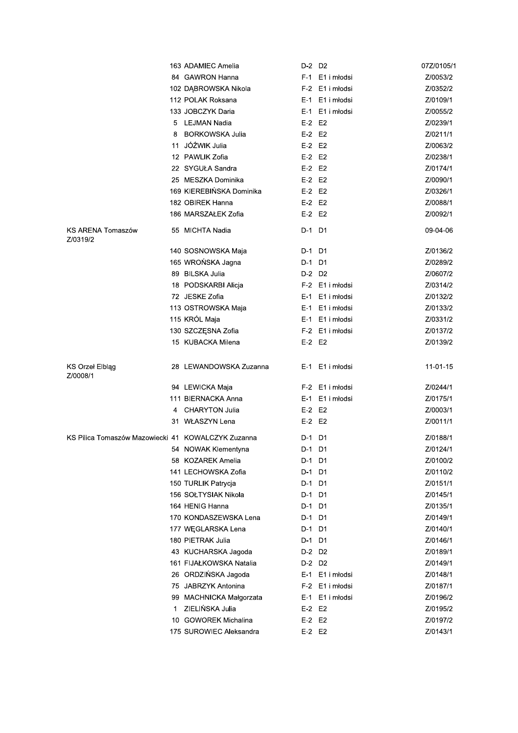|                                                    |   | 163 ADAMIEC Amelia       | D-2 D2     |                 | 07Z/0105/1 |
|----------------------------------------------------|---|--------------------------|------------|-----------------|------------|
|                                                    |   | 84 GAWRON Hanna          |            | F-1 E1 i młodsi | Z/0053/2   |
|                                                    |   | 102 DĄBROWSKA Nikola     |            | F-2 E1 i młodsi | Z/0352/2   |
|                                                    |   | 112 POLAK Roksana        |            | E-1 E1 i młodsi | Z/0109/1   |
|                                                    |   | 133 JOBCZYK Daria        |            | E-1 E1 i młodsi | Z/0055/2   |
|                                                    |   | 5 LEJMAN Nadia           | $E-2$ $E2$ |                 | Z/0239/1   |
|                                                    | 8 | <b>BORKOWSKA Julia</b>   | $E-2$ $E2$ |                 | Z/0211/1   |
|                                                    |   | 11 JÓŹWIK Julia          | E-2 E2     |                 | Z/0063/2   |
|                                                    |   | 12 PAWLIK Zofia          | $E-2$ $E2$ |                 | Z/0238/1   |
|                                                    |   | 22 SYGUŁA Sandra         | $E-2$ $E2$ |                 | Z/0174/1   |
|                                                    |   | 25 MESZKA Dominika       | E-2 E2     |                 | Z/0090/1   |
|                                                    |   | 169 KIEREBIŃSKA Dominika | $E-2$ $E2$ |                 | Z/0326/1   |
|                                                    |   | 182 OBIREK Hanna         | $E-2$ $E2$ |                 | Z/0088/1   |
|                                                    |   | 186 MARSZAŁEK Zofia      | $E-2$ $E2$ |                 | Z/0092/1   |
| KS ARENA Tomaszów<br>Z/0319/2                      |   | 55 MICHTA Nadia          | D-1 D1     |                 | 09-04-06   |
|                                                    |   | 140 SOSNOWSKA Maja       | D-1 D1     |                 | Z/0136/2   |
|                                                    |   | 165 WROŃSKA Jagna        | D-1        | D1              | Z/0289/2   |
|                                                    |   | 89 BILSKA Julia          | D-2 D2     |                 | Z/0607/2   |
|                                                    |   | 18 PODSKARBI Alicja      |            | F-2 E1 i młodsi | Z/0314/2   |
|                                                    |   | 72 JESKE Zofia           |            | E-1 E1 i młodsi | Z/0132/2   |
|                                                    |   | 113 OSTROWSKA Maja       |            | E-1 E1 i młodsi | Z/0133/2   |
|                                                    |   | 115 KRÓL Maja            |            | E-1 E1 i młodsi | Z/0331/2   |
|                                                    |   | 130 SZCZĘSNA Zofia       |            | F-2 E1 i młodsi | Z/0137/2   |
|                                                    |   | 15 KUBACKA Milena        | E-2 E2     |                 | Z/0139/2   |
| <b>KS Orzel Elbląg</b><br>Z/0008/1                 |   | 28 LEWANDOWSKA Zuzanna   |            | E-1 E1 i młodsi | 11-01-15   |
|                                                    |   | 94 LEWICKA Maja          |            | F-2 E1 i młodsi | Z/0244/1   |
|                                                    |   | 111 BIERNACKA Anna       |            | E-1 E1 i młodsi | Z/0175/1   |
|                                                    | 4 | <b>CHARYTON Julia</b>    | E-2 E2     |                 | Z/0003/1   |
|                                                    |   | 31 WŁASZYN Lena          | $E-2$ $E2$ |                 | Z/0011/1   |
| KS Pilica Tomaszów Mazowiecki 41 KOWALCZYK Zuzanna |   |                          | D-1 D1     |                 | Z/0188/1   |
|                                                    |   | 54 NOWAK Klementyna      | D-1 D1     |                 | Z/0124/1   |
|                                                    |   | 58 KOZAREK Amelia        | D-1 D1     |                 | Z/0100/2   |
|                                                    |   | 141 LECHOWSKA Zofia      | D-1        | D1              | Z/0110/2   |
|                                                    |   | 150 TURLIK Patrycja      | D-1 D1     |                 | Z/0151/1   |
|                                                    |   | 156 SOŁTYSIAK Nikola     | D-1 D1     |                 | Z/0145/1   |
|                                                    |   | 164 HENIG Hanna          | D-1 D1     |                 | Z/0135/1   |
|                                                    |   | 170 KONDASZEWSKA Lena    | D-1 D1     |                 | Z/0149/1   |
|                                                    |   | 177 WEGLARSKA Lena       | D-1        | D1              | Z/0140/1   |
|                                                    |   | 180 PIETRAK Julia        | D-1 D1     |                 | Z/0146/1   |
|                                                    |   | 43 KUCHARSKA Jagoda      | D-2 D2     |                 | Z/0189/1   |
|                                                    |   | 161 FIJAŁKOWSKA Natalia  | D-2 D2     |                 | Z/0149/1   |
|                                                    |   | 26 ORDZIŃSKA Jagoda      |            | E-1 E1 i młodsi | Z/0148/1   |
|                                                    |   | 75 JABRZYK Antonina      |            | F-2 E1 i młodsi | Z/0187/1   |
|                                                    |   | 99 MACHNICKA Małgorzata  |            | E-1 E1 i młodsi | Z/0196/2   |
|                                                    | 1 | ZIELIŃSKA Julia          | E-2 E2     |                 | Z/0195/2   |
|                                                    |   |                          |            |                 |            |
|                                                    |   | 10 GOWOREK Michalina     | $E-2$ $E2$ |                 | Z/0197/2   |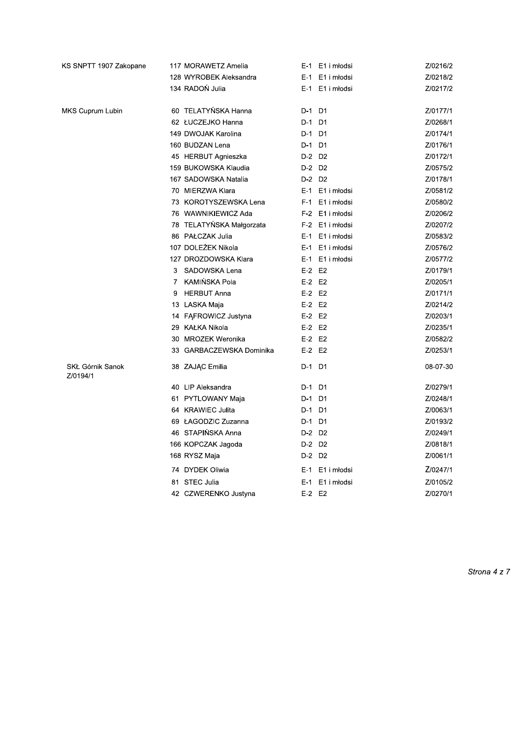| KS SNPTT 1907 Zakopane       | 117 MORAWETZ Amelia             | E-1 E1 i młodsi    | Z/0216/2 |
|------------------------------|---------------------------------|--------------------|----------|
|                              | 128 WYROBEK Aleksandra          | E1 i młodsi<br>E-1 | Z/0218/2 |
|                              | 134 RADOŃ Julia                 | E-1 E1 i młodsi    | Z/0217/2 |
| MKS Cuprum Lubin             | 60 TELATYŃSKA Hanna             | D-1 D1             | Z/0177/1 |
|                              | 62 ŁUCZEJKO Hanna               | D-1 D1             | Z/0268/1 |
|                              | 149 DWOJAK Karolina             | D-1 D1             | Z/0174/1 |
|                              | 160 BUDZAN Lena                 | D-1 D1             | Z/0176/1 |
|                              | 45 HERBUT Agnieszka             | D-2 D2             | Z/0172/1 |
|                              | 159 BUKOWSKA Klaudia            | D-2 D2             | Z/0575/2 |
|                              | 167 SADOWSKA Natalia            | D-2 D2             | Z/0178/1 |
|                              | 70 MIERZWA Klara                | E-1 E1 i młodsi    | Z/0581/2 |
|                              | 73 KOROTYSZEWSKA Lena           | F-1 E1 i młodsi    | Z/0580/2 |
|                              | 76 WAWNIKIEWICZ Ada             | F-2 E1 i młodsi    | Z/0206/2 |
|                              | 78 TELATYNSKA Małgorzata        | F-2 E1 i młodsi    | Z/0207/2 |
|                              | 86 PAŁCZAK Julia                | E-1 E1 i młodsi    | Z/0583/2 |
|                              | 107 DOLEZEK Nikola              | E-1 E1 i młodsi    | Z/0576/2 |
|                              | 127 DROZDOWSKA Klara            | E-1 E1 i młodsi    | Z/0577/2 |
|                              | SADOWSKA Lena<br>3              | $E-2$ $E2$         | Z/0179/1 |
|                              | KAMIŃSKA Pola<br>$\overline{7}$ | $E-2$ $E2$         | Z/0205/1 |
|                              | <b>HERBUT Anna</b><br>9         | $E-2$ $E2$         | Z/0171/1 |
|                              | 13 LASKA Maja                   | $E-2$ $E2$         | Z/0214/2 |
|                              | 14 FĄFROWICZ Justyna            | $E-2$ $E2$         | Z/0203/1 |
|                              | 29 KAŁKA Nikola                 | $E-2$ $E2$         | Z/0235/1 |
|                              | 30 MROZEK Weronika              | $E-2$ $E2$         | Z/0582/2 |
|                              | 33 GARBACZEWSKA Dominika        | $E-2$ $E2$         | Z/0253/1 |
| SKŁ Górnik Sanok<br>Z/0194/1 | 38 ZAJĄC Emilia                 | D-1 D1             | 08-07-30 |
|                              | 40 LIP Aleksandra               | D-1 D1             | Z/0279/1 |
|                              | 61 PYTLOWANY Maja               | D-1 D1             | Z/0248/1 |
|                              | 64 KRAWIEC Julita               | D-1 D1             | Z/0063/1 |
|                              | 69 ŁAGODZIC Zuzanna             | D-1 D1             | Z/0193/2 |
|                              | 46 STAPIŃSKA Anna               | D-2 D2             | Z/0249/1 |
|                              | 166 KOPCZAK Jagoda              | D-2 D2             | Z/0818/1 |
|                              | 168 RYSZ Maja                   | D-2 D2             | Z/0061/1 |
|                              | 74 DYDEK Oliwia                 | E-1 E1 i młodsi    | Z/0247/1 |
|                              | 81 STEC Julia                   | E1 i młodsi<br>E-1 | Z/0105/2 |
|                              | 42 CZWERENKO Justyna            | $E-2$ $E2$         | Z/0270/1 |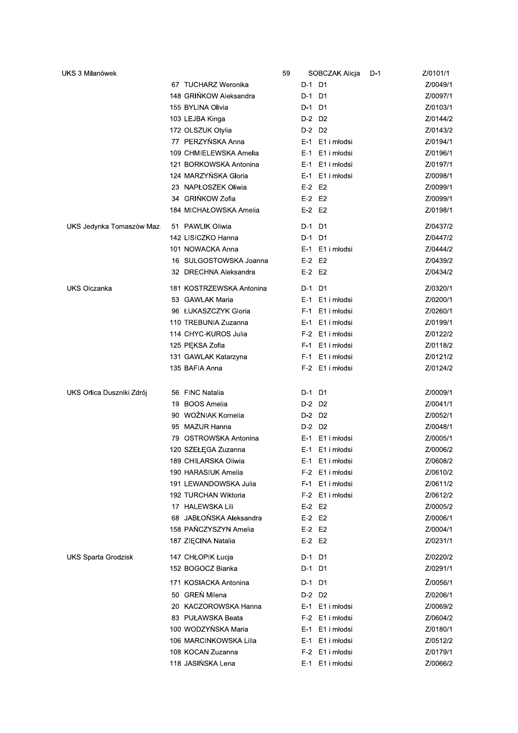| UKS 3 Milanówek            |                          | 59 | SOBCZAK Alicja     | D-1 | Z/0101/1 |
|----------------------------|--------------------------|----|--------------------|-----|----------|
|                            | 67 TUCHARZ Weronika      |    | D-1 D1             |     | Z/0049/1 |
|                            | 148 GRIŃKOW Aleksandra   |    | D-1 D1             |     | Z/0097/1 |
|                            | 155 BYLINA Olivia        |    | D-1 D1             |     | Z/0103/1 |
|                            | 103 LEJBA Kinga          |    | D-2 D2             |     | Z/0144/2 |
|                            | 172 OLSZUK Otylia        |    | D-2 D2             |     | Z/0143/2 |
|                            | 77 PERZYŃSKA Anna        |    | E-1 E1 i młodsi    |     | Z/0194/1 |
|                            | 109 CHMIELEWSKA Amelia   |    | E-1 E1 i młodsi    |     | Z/0196/1 |
|                            | 121 BORKOWSKA Antonina   |    | E-1 E1 i młodsi    |     | Z/0197/1 |
|                            | 124 MARZYŃSKA Gloria     |    | E-1 E1 i młodsi    |     | Z/0098/1 |
|                            | 23 NAPŁOSZEK Oliwia      |    | $E-2$ $E2$         |     | Z/0099/1 |
|                            | 34 GRIŃKOW Zofia         |    | $E-2$ $E2$         |     | Z/0099/1 |
|                            | 184 MICHAŁOWSKA Amelia   |    | E-2 E2             |     | Z/0198/1 |
| UKS Jedynka Tomaszów Maz.  | 51 PAWLIK Oliwia         |    | D-1 D1             |     | Z/0437/2 |
|                            | 142 LISICZKO Hanna       |    | D-1 D1             |     | Z/0447/2 |
|                            | 101 NOWACKA Anna         |    | E-1 E1 i młodsi    |     | Z/0444/2 |
|                            | 16 SULGOSTOWSKA Joanna   |    | $E-2$ $E2$         |     | Z/0439/2 |
|                            | 32 DRECHNA Aleksandra    |    | $E-2$ $E2$         |     | Z/0434/2 |
| UKS Olczanka               | 181 KOSTRZEWSKA Antonina |    | D-1 D1             |     | Z/0320/1 |
|                            | 53 GAWLAK Maria          |    | E-1 E1 i młodsi    |     | Z/0200/1 |
|                            | 96 ŁUKASZCZYK Gloria     |    | F-1 E1 i młodsi    |     | Z/0260/1 |
|                            | 110 TREBUNIA Zuzanna     |    | E-1 E1 i młodsi    |     | Z/0199/1 |
|                            | 114 CHYC-KUROS Julia     |    | F-2 E1 i młodsi    |     | Z/0122/2 |
|                            | 125 PĘKSA Zofia          |    | F-1 E1 i młodsi    |     | Z/0118/2 |
|                            | 131 GAWLAK Katarzyna     |    | F-1 E1 i młodsi    |     | Z/0121/2 |
|                            | 135 BAFIA Anna           |    | F-2 E1 i młodsi    |     | Z/0124/2 |
| UKS Orlica Duszniki Zdrój  | 56 FINC Natalia          |    | D-1 D1             |     | Z/0009/1 |
|                            | 19 BOOS Amelia           |    | D-2 D2             |     | Z/0041/1 |
|                            | 90 WOŹNIAK Kornelia      |    | D-2 D2             |     | Z/0052/1 |
|                            | 95 MAZUR Hanna           |    | D-2 D2             |     | Z/0048/1 |
|                            | 79 OSTROWSKA Antonina    |    | E-1 E1 i młodsi    |     | Z/0005/1 |
|                            | 120 SZEŁĘGA Zuzanna      |    | E-1 E1 i młodsi    |     | Z/0006/2 |
|                            | 189 CHILARSKA Oliwia     |    | E-1 E1 i młodsi    |     | Z/0608/2 |
|                            | 190 HARASIUK Amelia      |    | F-2 E1 i młodsi    |     | Z/0610/2 |
|                            | 191 LEWANDOWSKA Julia    |    | F-1 E1 i młodsi    |     | Z/0611/2 |
|                            | 192 TURCHAN Wiktoria     |    | F-2 E1 i młodsi    |     | Z/0612/2 |
|                            | 17 HALEWSKA Lili         |    | $E-2$ $E2$         |     | Z/0005/2 |
|                            | 68 JABŁOŃSKA Aleksandra  |    | E-2 E2             |     | Z/0006/1 |
|                            | 158 PANCZYSZYN Amelia    |    | $E-2$ $E2$         |     | Z/0004/1 |
|                            | 187 ZIECINA Natalia      |    | $E-2$ $E2$         |     | Z/0231/1 |
| <b>UKS Sparta Grodzisk</b> | 147 CHŁOPIK Łucja        |    | D-1 D1             |     | Z/0220/2 |
|                            | 152 BOGOCZ Bianka        |    | D-1 D1             |     | Z/0291/1 |
|                            | 171 KOSIACKA Antonina    |    | D-1 D1             |     | Z/0056/1 |
|                            | 50 GREŃ Milena           |    | D-2 D2             |     | Z/0206/1 |
|                            | 20 KACZOROWSKA Hanna     |    | E-1 E1 i młodsi    |     | Z/0069/2 |
|                            | 83 PUŁAWSKA Beata        |    | F-2 E1 i młodsi    |     | Z/0604/2 |
|                            | 100 WODZYŃSKA Maria      |    | E1 i młodsi<br>E-1 |     | Z/0180/1 |
|                            | 106 MARCINKOWSKA Lilla   |    | E-1 E1 i młodsi    |     | Z/0512/2 |
|                            | 108 KOCAN Zuzanna        |    | F-2 E1 i młodsi    |     | Z/0179/1 |
|                            | 118 JASIŃSKA Lena        |    | E-1 E1 i młodsi    |     | Z/0066/2 |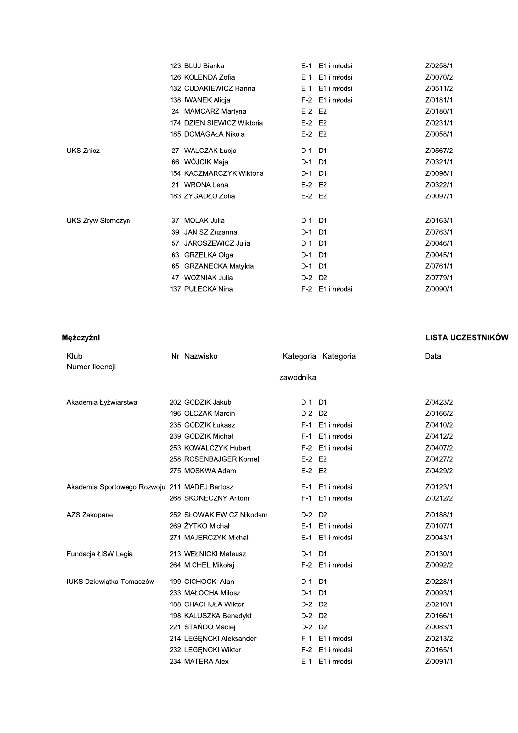|                   | 123 BLUJ Bianka                | E-1 E1 i młodsi         | Z/0258/1 |
|-------------------|--------------------------------|-------------------------|----------|
|                   | 126 KOLENDA Zofia              | E-1 E1 i młodsi         | Z/0070/2 |
|                   | 132 CUDAKIEWICZ Hanna          | E-1 E1 i młodsi         | Z/0511/2 |
|                   | 138 IWANEK Alicja              | E1 i młodsi<br>$F-2$    | Z/0181/1 |
|                   | 24 MAMCARZ Martyna             | $E-2$ $E2$              | Z/0180/1 |
|                   | 174 DZIENISIEWICZ Wiktoria     | $E-2$ $E2$              | Z/0231/1 |
|                   | 185 DOMAGAŁA Nikola            | $E-2$ $E2$              | Z/0058/1 |
| <b>UKS Znicz</b>  | 27 WALCZAK Łucja               | D-1 D1                  | Z/0567/2 |
|                   | 66 WÓJCIK Maja                 | D-1 D1                  | Z/0321/1 |
|                   | 154 KACZMARCZYK Wiktoria       | D-1 D1                  | Z/0098/1 |
|                   | 21 WRONA Lena                  | $E-2$ $E2$              | Z/0322/1 |
|                   | 183 ZYGADŁO Zofia              | $E-2$ $E2$              | Z/0097/1 |
| UKS Zryw Słomczyn | <b>MOLAK Julia</b><br>37       | D-1 D1                  | Z/0163/1 |
|                   | JANISZ Zuzanna<br>39           | D-1 D1                  | Z/0763/1 |
|                   | JAROSZEWICZ Julia<br>57        | $D-1$<br>D <sub>1</sub> | Z/0046/1 |
|                   | 63 GRZELKA Olga                | D-1 D1                  | Z/0045/1 |
|                   | <b>GRZANECKA Matylda</b><br>65 | D-1 D1                  | Z/0761/1 |
|                   | 47 WOŹNIAK Julia               | D-2 D2                  | Z/0779/1 |
|                   | 137 PUŁECKA Nina               | F-2 E1 i młodsi         | Z/0090/1 |

Mężczyźni

| Klub                                          | Nr Nazwisko              |            | Kategoria Kategoria | Data     |
|-----------------------------------------------|--------------------------|------------|---------------------|----------|
| Numer licencji                                |                          |            |                     |          |
|                                               |                          | zawodnika  |                     |          |
|                                               |                          |            |                     |          |
| Akademia Łyżwiarstwa                          | 202 GODZIK Jakub         | D-1 D1     |                     | Z/0423/2 |
|                                               | 196 OLCZAK Marcin        | D-2 D2     |                     | Z/0166/2 |
|                                               | 235 GODZIK Łukasz        |            | F-1 E1 i młodsi     | Z/0410/2 |
|                                               | 239 GODZIK Michał        | F-1        | E1 i młodsi         | Z/0412/2 |
|                                               | 253 KOWALCZYK Hubert     |            | F-2 E1 i młodsi     | Z/0407/2 |
|                                               | 258 ROSENBAJGER Kornel   | $E-2$ $E2$ |                     | Z/0427/2 |
|                                               | 275 MOSKWA Adam          | E-2 E2     |                     | Z/0429/2 |
| Akademia Sportowego Rozwoju 211 MADEJ Bartosz |                          |            | E-1 E1 i młodsi     | Z/0123/1 |
|                                               | 268 SKONECZNY Antoni     |            | F-1 E1 i młodsi     | Z/0212/2 |
| AZS Zakopane                                  | 252 SŁOWAKIEWICZ Nikodem | D-2 D2     |                     | Z/0188/1 |
|                                               | 269 ŻYTKO Michał         |            | E-1 E1 i młodsi     | Z/0107/1 |
|                                               | 271 MAJERCZYK Michał     |            | E-1 E1 i młodsi     | Z/0043/1 |
| Fundacja ŁiSW Legia                           | 213 WEŁNICKI Mateusz     | D-1 D1     |                     | Z/0130/1 |
|                                               | 264 MICHEL Mikołaj       |            | F-2 E1 i młodsi     | Z/0092/2 |
| IUKS Dziewiątka Tomaszów                      | 199 CICHOCKI Alan        | D-1 D1     |                     | Z/0228/1 |
|                                               | 233 MAŁOCHA Miłosz       | D-1 D1     |                     | Z/0093/1 |
|                                               | 188 CHACHUŁA Wiktor      | D-2 D2     |                     | Z/0210/1 |
|                                               | 198 KALUSZKA Benedykt    | D-2 D2     |                     | Z/0166/1 |
|                                               | 221 STAŃDO Maciej        | D-2 D2     |                     | Z/0083/1 |
|                                               | 214 LEGENCKI Aleksander  |            | F-1 E1 i młodsi     | Z/0213/2 |
|                                               | 232 LEGENCKI Wiktor      |            | F-2 E1 i młodsi     | Z/0165/1 |

234 MATERA Alex

E-1 E1 i młodsi

#### **LISTA UCZESTNIKÓW**

Z/0091/1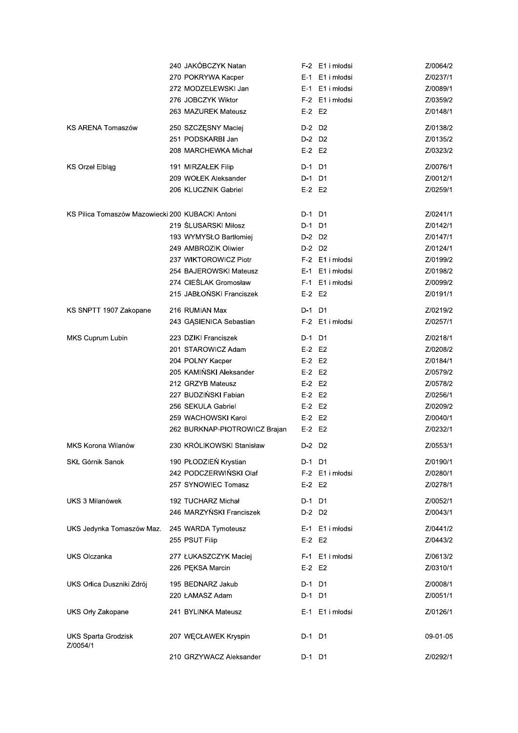|                                                  | 240 JAKÓBCZYK Natan           |            | F-2 E1 i młodsi | Z/0064/2 |
|--------------------------------------------------|-------------------------------|------------|-----------------|----------|
|                                                  | 270 POKRYWA Kacper            |            | E-1 E1 i młodsi | Z/0237/1 |
|                                                  | 272 MODZELEWSKI Jan           |            | E-1 E1 i młodsi | Z/0089/1 |
|                                                  | 276 JOBCZYK Wiktor            |            | F-2 E1 i młodsi | Z/0359/2 |
|                                                  | 263 MAZUREK Mateusz           | $E-2$ $E2$ |                 | Z/0148/1 |
| KS ARENA Tomaszów                                | 250 SZCZĘSNY Maciej           | D-2 D2     |                 | Z/0138/2 |
|                                                  | 251 PODSKARBI Jan             | D-2 D2     |                 | Z/0135/2 |
|                                                  | 208 MARCHEWKA Michał          | $E-2$ $E2$ |                 | Z/0323/2 |
| <b>KS Orzel Elbląg</b>                           | 191 MIRZAŁEK Filip            | D-1 D1     |                 | Z/0076/1 |
|                                                  | 209 WOŁEK Aleksander          | D-1 D1     |                 | Z/0012/1 |
|                                                  | 206 KLUCZNIK Gabriel          | $E-2$ $E2$ |                 | Z/0259/1 |
|                                                  |                               |            |                 |          |
| KS Pilica Tomaszów Mazowiecki 200 KUBACKI Antoni |                               | D-1 D1     |                 | Z/0241/1 |
|                                                  | 219 ŚLUSARSKI Miłosz          | D-1 D1     |                 | Z/0142/1 |
|                                                  | 193 WYMYSŁO Bartłomiej        | D-2 D2     |                 | Z/0147/1 |
|                                                  | 249 AMBROZIK Oliwier          | D-2 D2     |                 | Z/0124/1 |
|                                                  | 237 WIKTOROWICZ Piotr         |            | F-2 E1 i młodsi | Z/0199/2 |
|                                                  | 254 BAJEROWSKI Mateusz        |            | E-1 E1 i młodsi | Z/0198/2 |
|                                                  | 274 CIEŚLAK Gromosław         |            | F-1 E1 i młodsi | Z/0099/2 |
|                                                  | 215 JABŁOŃSKI Franciszek      | $E-2$ $E2$ |                 | Z/0191/1 |
| KS SNPTT 1907 Zakopane                           | 216 RUMIAN Max                | D-1 D1     |                 | Z/0219/2 |
|                                                  | 243 GĄSIENICA Sebastian       |            | F-2 E1 i młodsi | Z/0257/1 |
| MKS Cuprum Lubin                                 | 223 DZIKI Franciszek          | D-1 D1     |                 | Z/0218/1 |
|                                                  | 201 STAROWICZ Adam            | $E-2$ $E2$ |                 | Z/0208/2 |
|                                                  | 204 POLNY Kacper              | $E-2$ $E2$ |                 | Z/0184/1 |
|                                                  | 205 KAMIŃSKI Aleksander       | $E-2$ $E2$ |                 | Z/0579/2 |
|                                                  | 212 GRZYB Mateusz             | $E-2$ $E2$ |                 | Z/0578/2 |
|                                                  | 227 BUDZIŃSKI Fabian          | $E-2$ $E2$ |                 | Z/0256/1 |
|                                                  | 256 SEKULA Gabriel            | $E-2$ $E2$ |                 | Z/0209/2 |
|                                                  | 259 WACHOWSKI Karol           | $E-2$ $E2$ |                 | Z/0040/1 |
|                                                  | 262 BURKNAP-PIOTROWICZ Brajan | $E-2$ $E2$ |                 | Z/0232/1 |
| MKS Korona Wilanów                               | 230 KRÓLIKOWSKI Stanisław     | D-2 D2     |                 | Z/0553/1 |
| SKŁ Górnik Sanok                                 | 190 PŁODZIEŃ Krystian         | D-1 D1     |                 | Z/0190/1 |
|                                                  | 242 PODCZERWIŃSKI Olaf        |            | F-2 E1 i młodsi | Z/0280/1 |
|                                                  | 257 SYNOWIEC Tomasz           | $E-2$ $E2$ |                 | Z/0278/1 |
|                                                  |                               |            |                 |          |
| UKS 3 Milanówek                                  | 192 TUCHARZ Michał            | D-1 D1     |                 | Z/0052/1 |
|                                                  | 246 MARZYNSKI Franciszek      | D-2 D2     |                 | Z/0043/1 |
| UKS Jedynka Tomaszów Maz.                        | 245 WARDA Tymoteusz           |            | E-1 E1 i młodsi | Z/0441/2 |
|                                                  | 255 PSUT Filip                | $E-2$ $E2$ |                 | Z/0443/2 |
| UKS Olczanka                                     | 277 ŁUKASZCZYK Maciej         |            | F-1 E1 i młodsi | Z/0613/2 |
|                                                  | 226 PEKSA Marcin              | E-2 E2     |                 | Z/0310/1 |
| UKS Orlica Duszniki Zdrój                        | 195 BEDNARZ Jakub             | D-1 D1     |                 | Z/0008/1 |
|                                                  | 220 ŁAMASZ Adam               | D-1 D1     |                 | Z/0051/1 |
| UKS Orly Zakopane                                | 241 BYLINKA Mateusz           |            | E-1 E1 i młodsi | Z/0126/1 |
| <b>UKS Sparta Grodzisk</b><br>Z/0054/1           | 207 WECŁAWEK Kryspin          | D-1 D1     |                 | 09-01-05 |
|                                                  | 210 GRZYWACZ Aleksander       | D-1 D1     |                 | Z/0292/1 |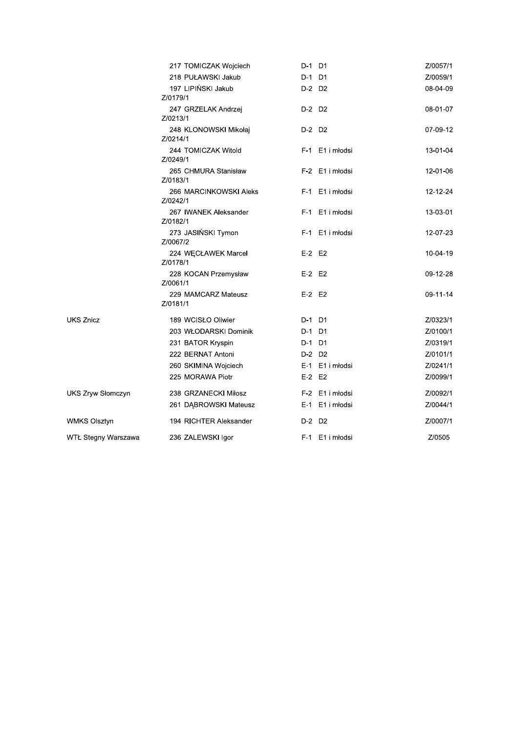|                          | 217 TOMICZAK Wojciech              | D-1 D1          | Z/0057/1 |
|--------------------------|------------------------------------|-----------------|----------|
|                          | 218 PUŁAWSKI Jakub                 | D-1 D1          | Z/0059/1 |
|                          | 197 LIPIŃSKI Jakub<br>Z/0179/1     | D-2 D2          | 08-04-09 |
|                          | 247 GRZELAK Andrzej<br>Z/0213/1    | D-2 D2          | 08-01-07 |
|                          | 248 KLONOWSKI Mikołaj<br>Z/0214/1  | D-2 D2          | 07-09-12 |
|                          | 244 TOMICZAK Witold<br>Z/0249/1    | F-1 E1 i młodsi | 13-01-04 |
|                          | 265 CHMURA Stanisław<br>Z/0183/1   | F-2 E1 i młodsi | 12-01-06 |
|                          | 266 MARCINKOWSKI Aleks<br>Z/0242/1 | F-1 E1 i młodsi | 12-12-24 |
|                          | 267 IWANEK Aleksander<br>Z/0182/1  | F-1 E1 i młodsi | 13-03-01 |
|                          | 273 JASIŃSKI Tymon<br>Z/0067/2     | F-1 E1 i młodsi | 12-07-23 |
|                          | 224 WECŁAWEK Marcel<br>Z/0178/1    | $E-2$ $E2$      | 10-04-19 |
|                          | 228 KOCAN Przemysław<br>Z/0061/1   | $E-2$ $E2$      | 09-12-28 |
|                          | 229 MAMCARZ Mateusz<br>Z/0181/1    | $E-2$ $E2$      | 09-11-14 |
| <b>UKS Znicz</b>         | 189 WCISŁO Oliwier                 | D-1 D1          | Z/0323/1 |
|                          | 203 WŁODARSKI Dominik              | D-1 D1          | Z/0100/1 |
|                          | 231 BATOR Kryspin                  | D-1 D1          | Z/0319/1 |
|                          | 222 BERNAT Antoni                  | D-2 D2          | Z/0101/1 |
|                          | 260 SKIMINA Wojciech               | E-1 E1 i młodsi | Z/0241/1 |
|                          | 225 MORAWA Piotr                   | $E-2$ $E2$      | Z/0099/1 |
| <b>UKS Zryw Słomczyn</b> | 238 GRZANECKI Miłosz               | F-2 E1 i młodsi | Z/0092/1 |
|                          | 261 DĄBROWSKI Mateusz              | E-1 E1 i młodsi | Z/0044/1 |
| <b>WMKS Olsztyn</b>      | 194 RICHTER Aleksander             | D-2 D2          | Z/0007/1 |
| WTŁ Stegny Warszawa      | 236 ZALEWSKI Igor                  | F-1 E1 i młodsi | Z/0505   |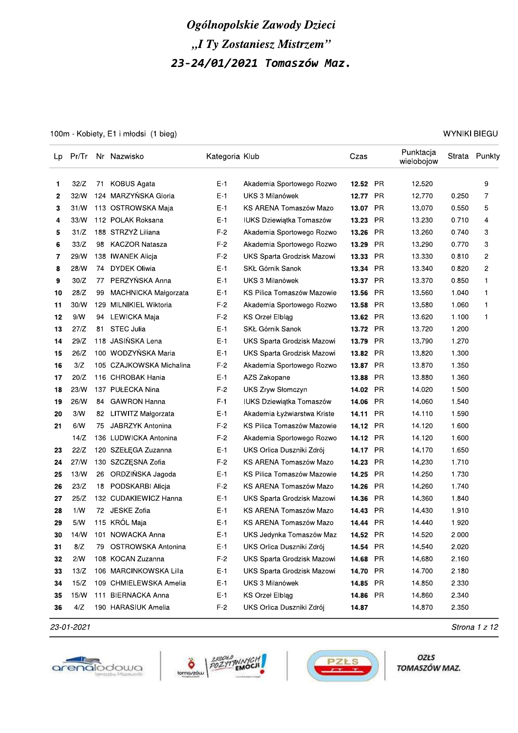# Ogolnopolskie Zawody Dzieci "I Ty Zostaniesz Mistrzem

|          |              |          |                                         |                | Ogólnopolskie Zawody Dzieci                          |                      |           |                         |                     |               |
|----------|--------------|----------|-----------------------------------------|----------------|------------------------------------------------------|----------------------|-----------|-------------------------|---------------------|---------------|
|          |              |          |                                         |                | "I Ty Zostaniesz Mistrzem"                           |                      |           |                         |                     |               |
|          |              |          |                                         |                |                                                      |                      |           |                         |                     |               |
|          |              |          |                                         |                | 23-24/01/2021 Tomaszów Maz.                          |                      |           |                         |                     |               |
|          |              |          |                                         |                |                                                      |                      |           |                         |                     |               |
|          |              |          |                                         |                |                                                      |                      |           |                         |                     |               |
|          |              |          |                                         |                |                                                      |                      |           |                         |                     |               |
|          |              |          |                                         |                |                                                      |                      |           |                         |                     |               |
|          |              |          | 100m - Kobiety, E1 i młodsi (1 bieg)    |                |                                                      |                      |           |                         | <b>WYNIKI BIEGU</b> |               |
| Lp       | Pr/Tr        |          | Nr Nazwisko                             | Kategoria Klub |                                                      | Czas                 |           | Punktacja<br>wielobojow |                     | Strata Punkty |
| 1.       | 32/Z         | 71       | <b>KOBUS Agata</b>                      | $E-1$          | Akademia Sportowego Rozwo                            | 12.52                | <b>PR</b> | 12.520                  |                     | 9             |
| 2        | 32/W         |          | 124 MARZYŃSKA Gloria                    | $E-1$          | UKS 3 Milanówek                                      | 12.77                | <b>PR</b> | 12.770                  | 0.250               | 7             |
| 3        | 31/N         |          | 113 OSTROWSKA Maja                      | $E-1$          | KS ARENA Tomaszów Mazo                               | 13.07                | <b>PR</b> | 13.070                  | 0.550               | 5             |
| 4        | 33/N         |          | 112 POLAK Roksana                       | $E-1$          | IUKS Dziewiątka Tomaszów                             | 13.23                | <b>PR</b> | 13.230                  | 0.710               | 4             |
| 5        | 31/Z         |          | 188 STRZYŻ Liliana                      | $F-2$          | Akademia Sportowego Rozwo                            | 13.26                | PR        | 13.260                  | 0.740               | 3             |
| 6        | 33/Z         | 98       | KACZOR Natasza                          | $F-2$          | Akademia Sportowego Rozwo                            | 13.29                | PR        | 13.290                  | 0.770               | 3             |
| 7        | 29/W         |          | 138 IWANEK Alicja                       | $F-2$          | UKS Sparta Grodzisk Mazowi                           | 13.33                | PR        | 13.330                  | 0.810               | 2             |
| 8        | 28/W         | 74       | DYDEK Oliwia                            | $E-1$          | SKŁ Górnik Sanok                                     | 13.34                | PR        | 13.340                  | 0.820               | 2             |
| 9        | 30/Z         | 77       | PERZYŃSKA Anna                          | $E-1$          | UKS 3 Milanówek                                      | 13.37                | <b>PR</b> | 13.370                  | 0.850               | 1             |
| 10       | 28/Z         | 99       | MACHNICKA Małgorzata                    | $E-1$          | KS Pilica Tomaszów Mazowie                           | 13.56                | <b>PR</b> | 13.560                  | 1.040               | 1             |
| 11       | 30/W         | 129      | MILNIKIEL Wiktoria                      | $F-2$          | Akademia Sportowego Rozwo                            | 13.58                | <b>PR</b> | 13.580                  | 1.060               | 1             |
| 12       | 9/N          | 94       | LEWICKA Maja                            | $F-2$          | <b>KS Orzel Elbląg</b>                               | 13.62                | <b>PR</b> | 13.620                  | 1.100               | 1             |
| 13       | 27/Z         | 81       | STEC Julia                              | $E-1$          | SKŁ Górnik Sanok                                     | 13.72 PR             |           | 13.720                  | 1.200               |               |
| 14       | 29/Z         |          | 118 JASIŃSKA Lena                       | $E-1$          | UKS Sparta Grodzisk Mazowi                           | 13.79                | PR        | 13.790                  | 1.270               |               |
| 15       | 26/Z         |          | 100 WODZYŃSKA Maria                     | $E-1$          | UKS Sparta Grodzisk Mazowi                           | 13.82                | PR        | 13.820                  | 1.300               |               |
| 16       | 3/Z          |          | 105 CZAJKOWSKA Michalina                | $F-2$          | Akademia Sportowego Rozwo                            | 13.87 PR             |           | 13.870                  | 1.350               |               |
| 17       | 20/Z         |          | 116 CHROBAK Hania                       | $E-1$          | AZS Zakopane                                         | 13.88                | PR        | 13.880                  | 1.360               |               |
| 18       | 23/W<br>26/W |          | 137 PUŁECKA Nina<br><b>GAWRON Hanna</b> | $F-2$<br>$F-1$ | UKS Zryw Słomczyn<br><b>IUKS Dziewiątka Tomaszów</b> | 14.02 PR<br>14.06 PR |           | 14.020<br>14.060        | 1.500<br>1.540      |               |
| 19<br>20 | 3/N          | 84<br>82 | LITWITZ Małgorzata                      | $E-1$          | Akademia Łyżwiarstwa Kriste                          | 14.11                | PR        | 14.110                  | 1.590               |               |
| 21       | 6/N          | 75       | JABRZYK Antonina                        | $F-2$          | KS Pilica Tomaszów Mazowie                           | 14.12                | PR        | 14.120                  | 1.600               |               |
|          | 14/Z         |          | 136 LUDWICKA Antonina                   | $F-2$          | Akademia Sportowego Rozwo                            | 14.12 PR             |           | 14.120                  | 1.600               |               |
| 23       | 22/Z         |          | 120 SZEŁĘGA Zuzanna                     | E-1            | UKS Orlica Duszniki Zdrój                            | 14.17 PR             |           | 14.170                  | 1.650               |               |
| 24       | 27/W         |          | 130 SZCZESNA Zofia                      | $F-2$          | KS ARENA Tomaszów Mazo                               | 14.23                | PR        | 14.230                  | 1.710               |               |
| 25       | 13/W         | 26       | ORDZIŃSKA Jagoda                        | $E-1$          | KS Pilica Tomaszów Mazowie                           | 14.25 PR             |           | 14.250                  | 1.730               |               |
| 26       | 23/Z         | 18       | PODSKARBI Alicja                        | $F-2$          | KS ARENA Tomaszów Mazo                               | 14.26                | PR        | 14.260                  | 1.740               |               |
| 27       | 25/Z         |          | 132 CUDAKIEWICZ Hanna                   | $E-1$          | UKS Sparta Grodzisk Mazowi                           | 14.36                | PR        | 14.360                  | 1.840               |               |
| 28       | 1/N          |          | 72 JESKE Zofia                          | $E-1$          | KS ARENA Tomaszów Mazo                               | 14.43                | PR        | 14.430                  | 1.910               |               |
| 29       | 5/N          |          | 115 KRÓL Maja                           | $E-1$          | KS ARENA Tomaszów Mazo                               | 14.44                | PR        | 14.440                  | 1.920               |               |
| 30       | 14/W         |          | 101 NOWACKA Anna                        | $E-1$          | UKS Jedynka Tomaszów Maz                             | 14.52                | PR        | 14.520                  | 2.000               |               |
| 31       | 8/Z          | 79       | OSTROWSKA Antonina                      | $E-1$          | UKS Orlica Duszniki Zdrój                            | 14.54                | PR        | 14.540                  | 2.020               |               |
| 32       | 2/N          |          | 108 KOCAN Zuzanna                       | $F-2$          | UKS Sparta Grodzisk Mazowi                           | 14.68                | PR        | 14.680                  | 2.160               |               |
| 33       | 13/Z         |          | 106 MARCINKOWSKA Lilla                  | $E-1$          | UKS Sparta Grodzisk Mazowi                           | 14.70                | PR        | 14.700                  | 2.180               |               |
| 34       | 15/Z         |          | 109 CHMIELEWSKA Amelia                  | $E-1$          | UKS 3 Milanówek                                      | 14.85 PR             |           | 14.850                  | 2.330               |               |
| 35       | 15/W         |          | 111 BIERNACKA Anna                      | $E-1$          | <b>KS Orzel Elbląg</b>                               | 14.86 PR             |           | 14.860                  | 2.340               |               |
| 36       | 4/Z          |          | 190 HARASIUK Amelia                     | $F-2$          | UKS Orlica Duszniki Zdrój                            | 14.87                |           | 14.870                  | 2.350               |               |







OZŁS TOMASZÓW MAZ.

 $23-01-2021$  Strona 1 2 12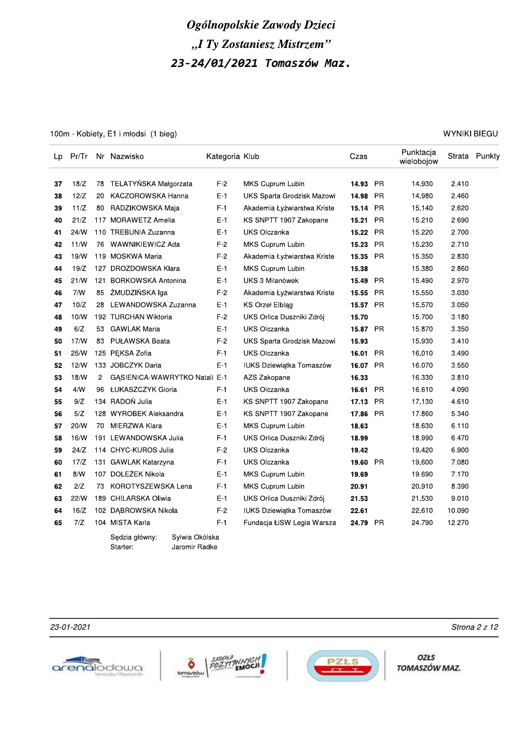100m - Kobiety, E1 i młodsi (1 bieg)

| Lp | Pr/Tr |     | Nr Nazwisko                      | Kategoria Klub |                                 | Czas     |           | Punktacja<br>wielobojow |        | Strata Punkty |
|----|-------|-----|----------------------------------|----------------|---------------------------------|----------|-----------|-------------------------|--------|---------------|
| 37 | 18/Z  |     | 78 TELATYNSKA Małgorzata         | $F-2$          | MKS Cuprum Lubin                | 14.93    | <b>PR</b> | 14.930                  | 2.410  |               |
| 38 | 12/Z  | 20  | KACZOROWSKA Hanna                | $E-1$          | UKS Sparta Grodzisk Mazowi      | 14.98    | <b>PR</b> | 14.980                  | 2.460  |               |
| 39 | 11/Z  | 80  | RADZIKOWSKA Maja                 | F-1            | Akademia Łyżwiarstwa Kriste     | 15.14    | <b>PR</b> | 15.140                  | 2.620  |               |
| 40 | 21/Z  |     | 117 MORAWETZ Amelia              | $E-1$          | KS SNPTT 1907 Zakopane          | 15.21    | <b>PR</b> | 15.210                  | 2.690  |               |
| 41 | 24/W  |     | 110 TREBUNIA Zuzanna             | $E-1$          | <b>UKS Olczanka</b>             | 15.22    | <b>PR</b> | 15.220                  | 2.700  |               |
| 42 | 11/N  | 76  | WAWNIKIEWICZ Ada                 | $F-2$          | MKS Cuprum Lubin                | 15.23    | <b>PR</b> | 15.230                  | 2.710  |               |
| 43 | 19/N  |     | 119 MOSKWA Maria                 | $F-2$          | Akademia Łyżwiarstwa Kriste     | 15.35    | <b>PR</b> | 15.350                  | 2.830  |               |
| 44 | 19/Z  |     | 127 DROZDOWSKA Klara             | $E-1$          | MKS Cuprum Lubin                | 15.38    |           | 15.380                  | 2.860  |               |
| 45 | 21/N  | 121 | <b>BORKOWSKA Antonina</b>        | $E-1$          | UKS 3 Milanówek                 | 15.49    | <b>PR</b> | 15.490                  | 2.970  |               |
| 46 | 7/N   | 85  | ŻMUDZIŃSKA Iga                   | F-2            | Akademia Łyżwiarstwa Kriste     | 15.55    | <b>PR</b> | 15.550                  | 3.030  |               |
| 47 | 10/Z  | 28  | LEWANDOWSKA Zuzanna              | $E-1$          | <b>KS Orzel Elbląg</b>          | 15.57    | <b>PR</b> | 15.570                  | 3.050  |               |
| 48 | 10/W  |     | 192 TURCHAN Wiktoria             | $F-2$          | UKS Orlica Duszniki Zdrój       | 15.70    |           | 15.700                  | 3.180  |               |
| 49 | 6/Z   | 53  | <b>GAWLAK Maria</b>              | $E-1$          | <b>UKS Olczanka</b>             | 15.87    | <b>PR</b> | 15.870                  | 3.350  |               |
| 50 | 17/N  | 83  | PUŁAWSKA Beata                   | $F-2$          | UKS Sparta Grodzisk Mazowi      | 15.93    |           | 15.930                  | 3.410  |               |
| 51 | 25/W  |     | 125 PEKSA Zofia                  | F-1            | UKS Olczanka                    | 16.01    | <b>PR</b> | 16.010                  | 3.490  |               |
| 52 | 12/N  |     | 133 JOBCZYK Daria                | E-1            | <b>IUKS Dziewiątka Tomaszów</b> | 16.07    | <b>PR</b> | 16.070                  | 3.550  |               |
| 53 | 18/N  | 2   | GASIENICA-WAWRYTKO Natali E-1    |                | AZS Zakopane                    | 16.33    |           | 16.330                  | 3.810  |               |
| 54 | 4/N   | 96  | ŁUKASZCZYK Gloria                | F-1            | UKS Olczanka                    | 16.61    | <b>PR</b> | 16.610                  | 4.090  |               |
| 55 | 9/Z   |     | 134 RADOŃ Julia                  | $E-1$          | KS SNPTT 1907 Zakopane          | 17.13    | <b>PR</b> | 17.130                  | 4.610  |               |
| 56 | 5/Z   |     | 128 WYROBEK Aleksandra           | $E-1$          | KS SNPTT 1907 Zakopane          | 17.86    | <b>PR</b> | 17.860                  | 5.340  |               |
| 57 | 20/W  | 70  | MIERZWA Klara                    | $E-1$          | MKS Cuprum Lubin                | 18.63    |           | 18.630                  | 6.110  |               |
| 58 | 16/W  |     | 191 LEWANDOWSKA Julia            | $F-1$          | UKS Orlica Duszniki Zdrój       | 18.99    |           | 18.990                  | 6.470  |               |
| 59 | 24/Z  |     | 114 CHYC-KUROS Julia             | $F-2$          | UKS Olczanka                    | 19.42    |           | 19.420                  | 6.900  |               |
| 60 | 17/Z  |     | 131 GAWLAK Katarzyna             | $F-1$          | <b>UKS Olczanka</b>             | 19.60    | <b>PR</b> | 19.600                  | 7.080  |               |
| 61 | 8/N   |     | 107 DOLEŻEK Nikola               | $E-1$          | MKS Cuprum Lubin                | 19.69    |           | 19.690                  | 7.170  |               |
| 62 | 2/Z   | 73  | KOROTYSZEWSKA Lena               | $F-1$          | MKS Cuprum Lubin                | 20.91    |           | 20.910                  | 8.390  |               |
| 63 | 22/N  |     | 189 CHILARSKA Oliwia             | $E-1$          | UKS Orlica Duszniki Zdrój       | 21.53    |           | 21.530                  | 9.010  |               |
| 64 | 16/Z  |     | 102 DABROWSKA Nikola             | $F-2$          | <b>IUKS Dziewiątka Tomaszów</b> | 22.61    |           | 22.610                  | 10.090 |               |
| 65 | 7/Z   |     | 104 MISTA Karla                  | $F-1$          | Fundacja ŁiSW Legia Warsza      | 24.79 PR |           | 24.790                  | 12.270 |               |
|    |       |     | Sylwia Okólska<br>Sedzia główny: |                |                                 |          |           |                         |        |               |

#### 23-01-2021



Starter:



Jaromir Radke



**OZŁS** TOMASZÓW MAZ.

**WYNIKI BIEGU** 

Strona 2 z 12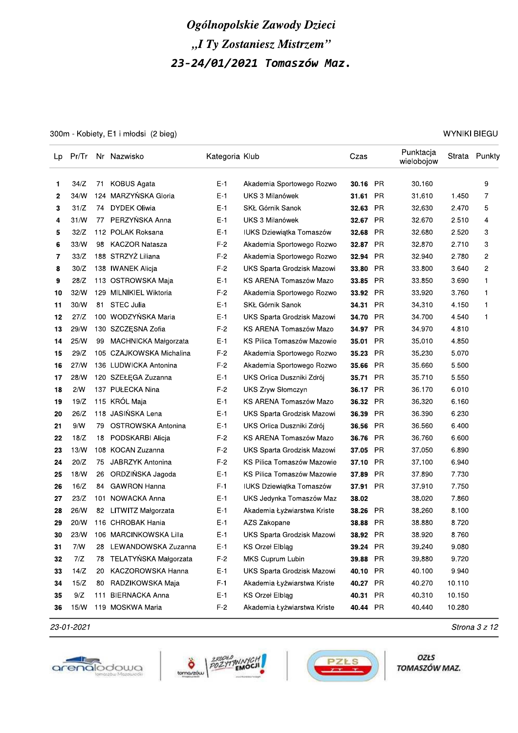300m - Kobiety, E1 i młodsi (2 bieg)

| Lp | Pr/Tr |     | Nr Nazwisko              | Kategoria Klub |                                 | Czas     |           | Punktacja<br>wielobojow |        | Strata Punkty |
|----|-------|-----|--------------------------|----------------|---------------------------------|----------|-----------|-------------------------|--------|---------------|
| 1  | 34/Z  | 71  | <b>KOBUS Agata</b>       | E-1            | Akademia Sportowego Rozwo       | 30.16 PR |           | 30.160                  |        | 9             |
| 2  | 34/W  | 124 | MARZYŃSKA Gloria         | $E-1$          | UKS 3 Milanówek                 | 31.61    | <b>PR</b> | 31.610                  | 1.450  | 7             |
| 3  | 31/Z  | 74  | <b>DYDEK Oliwia</b>      | $E-1$          | SKŁ Górnik Sanok                | 32.63    | PR        | 32.630                  | 2.470  | 5             |
| 4  | 31/N  | 77  | PERZYŃSKA Anna           | E-1            | UKS 3 Milanówek                 | 32.67    | <b>PR</b> | 32.670                  | 2.510  | 4             |
| 5  | 32/Z  |     | 112 POLAK Roksana        | E-1            | IUKS Dziewiątka Tomaszów        | 32.68    | <b>PR</b> | 32.680                  | 2.520  | 3             |
| 6  | 33/N  | 98  | <b>KACZOR Natasza</b>    | $F-2$          | Akademia Sportowego Rozwo       | 32.87    | <b>PR</b> | 32.870                  | 2.710  | 3             |
| 7  | 33/Z  |     | 188 STRZYŻ Liliana       | $F-2$          | Akademia Sportowego Rozwo       | 32.94    | <b>PR</b> | 32.940                  | 2.780  | 2             |
| 8  | 30/Z  |     | 138 IWANEK Alicja        | F-2            | UKS Sparta Grodzisk Mazowi      | 33.80    | <b>PR</b> | 33.800                  | 3.640  | 2             |
| 9  | 28/Z  |     | 113 OSTROWSKA Maja       | E-1            | KS ARENA Tomaszów Mazo          | 33.85    | <b>PR</b> | 33.850                  | 3.690  | 1             |
| 10 | 32/W  |     | 129 MILNIKIEL Wiktoria   | $F-2$          | Akademia Sportowego Rozwo       | 33.92    | <b>PR</b> | 33.920                  | 3.760  | 1             |
| 11 | 30/W  | 81  | <b>STEC Julia</b>        | $E-1$          | SKŁ Górnik Sanok                | 34.31    | <b>PR</b> | 34.310                  | 4.150  | 1             |
| 12 | 27/Z  |     | 100 WODZYNSKA Maria      | $E-1$          | UKS Sparta Grodzisk Mazowi      | 34.70    | <b>PR</b> | 34.700                  | 4.540  | 1             |
| 13 | 29/W  |     | 130 SZCZĘSNA Zofia       | $F-2$          | KS ARENA Tomaszów Mazo          | 34.97    | <b>PR</b> | 34.970                  | 4.810  |               |
| 14 | 25/W  | 99  | MACHNICKA Małgorzata     | $E-1$          | KS Pilica Tomaszów Mazowie      | 35.01    | <b>PR</b> | 35.010                  | 4.850  |               |
| 15 | 29/Z  |     | 105 CZAJKOWSKA Michalina | $F-2$          | Akademia Sportowego Rozwo       | 35.23    | PR.       | 35.230                  | 5.070  |               |
| 16 | 27/N  |     | 136 LUDWICKA Antonina    | $F-2$          | Akademia Sportowego Rozwo       | 35.66    | <b>PR</b> | 35.660                  | 5.500  |               |
| 17 | 28/W  |     | 120 SZEŁĘGA Zuzanna      | E-1            | UKS Orlica Duszniki Zdrój       | 35.71    | PR.       | 35.710                  | 5.550  |               |
| 18 | 2/N   |     | 137 PUŁECKA Nina         | F-2            | UKS Zryw Słomczyn               | 36.17    | PR        | 36.170                  | 6.010  |               |
| 19 | 19/Z  |     | 115 KRÓL Maja            | E-1            | KS ARENA Tomaszów Mazo          | 36.32    | <b>PR</b> | 36.320                  | 6.160  |               |
| 20 | 26/Z  |     | 118 JASIŃSKA Lena        | E-1            | UKS Sparta Grodzisk Mazowi      | 36.39    | <b>PR</b> | 36.390                  | 6.230  |               |
| 21 | 9/N   | 79  | OSTROWSKA Antonina       | E-1            | UKS Orlica Duszniki Zdrój       | 36.56    | <b>PR</b> | 36.560                  | 6.400  |               |
| 22 | 18/Z  | 18  | PODSKARBI Alicja         | $F-2$          | KS ARENA Tomaszów Mazo          | 36.76    | <b>PR</b> | 36.760                  | 6.600  |               |
| 23 | 13/W  |     | 108 KOCAN Zuzanna        | F-2            | UKS Sparta Grodzisk Mazowi      | 37.05    | <b>PR</b> | 37.050                  | 6.890  |               |
| 24 | 20/Z  | 75  | <b>JABRZYK Antonina</b>  | $F-2$          | KS Pilica Tomaszów Mazowie      | 37.10    | <b>PR</b> | 37.100                  | 6.940  |               |
| 25 | 18/W  | 26  | ORDZIŃSKA Jagoda         | $E-1$          | KS Pilica Tomaszów Mazowie      | 37.89    | <b>PR</b> | 37.890                  | 7.730  |               |
| 26 | 16/Z  | 84  | <b>GAWRON Hanna</b>      | $F-1$          | <b>IUKS Dziewiątka Tomaszów</b> | 37.91    | <b>PR</b> | 37.910                  | 7.750  |               |
| 27 | 23/Z  | 101 | NOWACKA Anna             | E-1            | UKS Jedynka Tomaszów Maz        | 38.02    |           | 38.020                  | 7.860  |               |
| 28 | 26/W  | 82  | LITWITZ Małgorzata       | E-1            | Akademia Łyżwiarstwa Kriste     | 38.26    | PR.       | 38.260                  | 8.100  |               |
| 29 | 20/W  |     | 116 CHROBAK Hania        | E-1            | AZS Zakopane                    | 38.88 PR |           | 38.880                  | 8.720  |               |
| 30 | 23/W  |     | 106 MARCINKOWSKA Lilla   | $E-1$          | UKS Sparta Grodzisk Mazowi      | 38.92 PR |           | 38.920                  | 8.760  |               |
| 31 | 7/N   | 28  | LEWANDOWSKA Zuzanna      | $E-1$          | <b>KS Orzel Elblag</b>          | 39.24    | <b>PR</b> | 39.240                  | 9.080  |               |
| 32 | 7/Z   | 78  | TELATYŃSKA Małgorzata    | $F-2$          | MKS Cuprum Lubin                | 39.88 PR |           | 39.880                  | 9.720  |               |
| 33 | 14/Z  | 20  | KACZOROWSKA Hanna        | $E-1$          | UKS Sparta Grodzisk Mazowi      | 40.10 PR |           | 40.100                  | 9.940  |               |
| 34 | 15/Z  | 80  | RADZIKOWSKA Maja         | $F-1$          | Akademia Łyżwiarstwa Kriste     | 40.27    | PR        | 40.270                  | 10.110 |               |
| 35 | 9/Z   | 111 | <b>BIERNACKA Anna</b>    | $E-1$          | KS Orzeł Elbląg                 | 40.31    | PR        | 40.310                  | 10.150 |               |
| 36 | 15/W  |     | 119 MOSKWA Maria         | $F-2$          | Akademia Łyżwiarstwa Kriste     | 40.44 PR |           | 40.440                  | 10.280 |               |

23-01-2021







OZŁS TOMASZÓW MAZ.

**WYNIKI BIEGU** 

Strona 3 z 12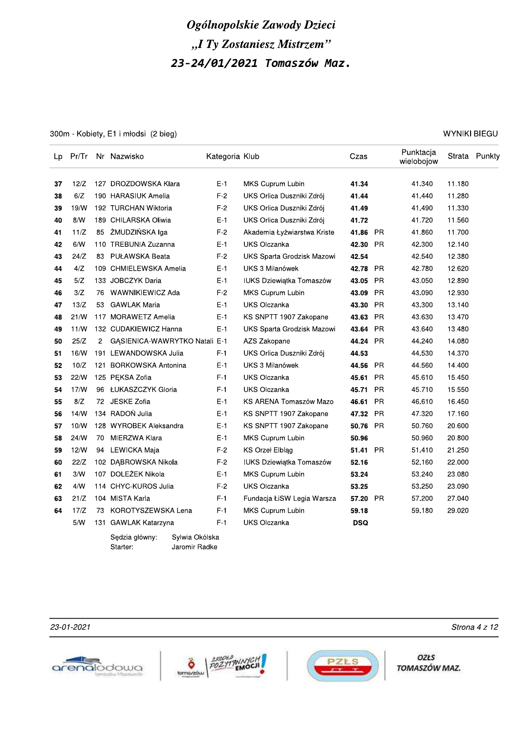300m - Kobiety, E1 i młodsi (2 bieg)

| Lp | Pr/Tr |                | Nr Nazwisko                   | Kategoria Klub |                                 | Czas       |           | Punktacja<br>wielobojow |        | Strata Punkty |
|----|-------|----------------|-------------------------------|----------------|---------------------------------|------------|-----------|-------------------------|--------|---------------|
| 37 | 12/Z  |                | 127 DROZDOWSKA Klara          | $E-1$          | MKS Cuprum Lubin                | 41.34      |           | 41.340                  | 11.180 |               |
| 38 | 6/Z   |                | 190 HARASIUK Amelia           | $F-2$          | UKS Orlica Duszniki Zdrój       | 41.44      |           | 41.440                  | 11.280 |               |
| 39 | 19/N  |                | 192 TURCHAN Wiktoria          | $F-2$          | UKS Orlica Duszniki Zdrój       | 41.49      |           | 41.490                  | 11.330 |               |
| 40 | 8/N   |                | 189 CHILARSKA Oliwia          | $E-1$          | UKS Orlica Duszniki Zdrój       | 41.72      |           | 41.720                  | 11.560 |               |
| 41 | 11/Z  | 85             | ŻMUDZIŃSKA Iga                | $F-2$          | Akademia Łyżwiarstwa Kriste     | 41.86      | - PR      | 41.860                  | 11.700 |               |
| 42 | 6/N   |                | 110 TREBUNIA Zuzanna          | E-1            | <b>UKS Olczanka</b>             | 42.30      | <b>PR</b> | 42.300                  | 12.140 |               |
| 43 | 24/Z  | 83             | PUŁAWSKA Beata                | $F-2$          | UKS Sparta Grodzisk Mazowi      | 42.54      |           | 42.540                  | 12.380 |               |
| 44 | 4/Z   |                | 109 CHMIELEWSKA Amelia        | $E-1$          | UKS 3 Milanówek                 | 42.78      | PR.       | 42.780                  | 12.620 |               |
| 45 | 5/Z   |                | 133 JOBCZYK Daria             | $E-1$          | IUKS Dziewiątka Tomaszów        | 43.05 PR   |           | 43.050                  | 12.890 |               |
| 46 | 3/Z   | 76             | WAWNIKIEWICZ Ada              | $F-2$          | MKS Cuprum Lubin                | 43.09      | <b>PR</b> | 43.090                  | 12.930 |               |
| 47 | 13/Z  | 53             | <b>GAWLAK Maria</b>           | $E-1$          | <b>UKS Olczanka</b>             | 43.30      | <b>PR</b> | 43.300                  | 13.140 |               |
| 48 | 21/N  |                | 117 MORAWETZ Amelia           | $E-1$          | KS SNPTT 1907 Zakopane          | 43.63      | <b>PR</b> | 43.630                  | 13.470 |               |
| 49 | 11/N  |                | 132 CUDAKIEWICZ Hanna         | $E-1$          | UKS Sparta Grodzisk Mazowi      | 43.64      | <b>PR</b> | 43.640                  | 13.480 |               |
| 50 | 25/Z  | $\overline{2}$ | GĄSIENICA-WAWRYTKO Natali E-1 |                | AZS Zakopane                    | 44.24      | <b>PR</b> | 44.240                  | 14.080 |               |
| 51 | 16/N  |                | 191 LEWANDOWSKA Julia         | $F-1$          | UKS Orlica Duszniki Zdrój       | 44.53      |           | 44.530                  | 14.370 |               |
| 52 | 10/Z  |                | 121 BORKOWSKA Antonina        | $E-1$          | UKS 3 Milanówek                 | 44.56      | <b>PR</b> | 44.560                  | 14.400 |               |
| 53 | 22/N  |                | 125 PEKSA Zofia               | $F-1$          | <b>UKS Olczanka</b>             | 45.61      | PR.       | 45.610                  | 15.450 |               |
| 54 | 17/N  |                | 96 ŁUKASZCZYK Gloria          | $F-1$          | <b>UKS Olczanka</b>             | 45.71      | <b>PR</b> | 45.710                  | 15.550 |               |
| 55 | 8/Z   |                | 72 JESKE Zofia                | $E-1$          | KS ARENA Tomaszów Mazo          | 46.61      | <b>PR</b> | 46.610                  | 16.450 |               |
| 56 | 14/N  |                | 134 RADOŃ Julia               | $E-1$          | KS SNPTT 1907 Zakopane          | 47.32 PR   |           | 47.320                  | 17.160 |               |
| 57 | 10/N  |                | 128 WYROBEK Aleksandra        | E-1            | KS SNPTT 1907 Zakopane          | 50.76      | <b>PR</b> | 50.760                  | 20.600 |               |
| 58 | 24/W  | 70             | MIERZWA Klara                 | $E-1$          | MKS Cuprum Lubin                | 50.96      |           | 50.960                  | 20.800 |               |
| 59 | 12/N  | 94             | LEWICKA Maja                  | $F-2$          | <b>KS Orzel Elblag</b>          | 51.41      | <b>PR</b> | 51.410                  | 21.250 |               |
| 60 | 22/Z  |                | 102 DABROWSKA Nikola          | $F-2$          | <b>IUKS Dziewiątka Tomaszów</b> | 52.16      |           | 52.160                  | 22.000 |               |
| 61 | 3/N   |                | 107 DOLEŻEK Nikola            | $E-1$          | MKS Cuprum Lubin                | 53.24      |           | 53.240                  | 23.080 |               |
| 62 | 4/N   |                | 114 CHYC-KUROS Julia          | $F-2$          | <b>UKS Olczanka</b>             | 53.25      |           | 53.250                  | 23.090 |               |
| 63 | 21/Z  |                | 104 MISTA Karla               | $F-1$          | Fundacja ŁiSW Legia Warsza      | 57.20 PR   |           | 57.200                  | 27.040 |               |
| 64 | 17/Z  | 73             | KOROTYSZEWSKA Lena            | F-1            | MKS Cuprum Lubin                | 59.18      |           | 59.180                  | 29.020 |               |
|    | 5/N   |                | 131 GAWLAK Katarzyna          | $F-1$          | <b>UKS Olczanka</b>             | <b>DSQ</b> |           |                         |        |               |
|    |       |                | Sodzia akumu — Suluia Okóleka |                |                                 |            |           |                         |        |               |

Sędzia główny: Sylwia Okólska Jaromir Radke

Starter:

**OZŁS** TOMASZÓW MAZ.









Strona 4 z 12

**WYNIKI BIEGU**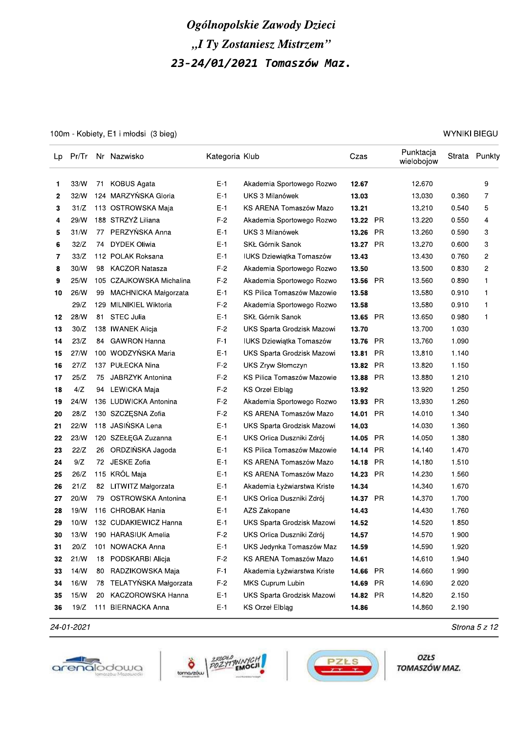100m - Kobiety, E1 i młodsi (3 bieg)

| Lp | Pr/Tr |    | Nr Nazwisko              | Kategoria Klub |                                 | Czas     |           | Punktacja<br>wielobojow |       | Strata Punkty |
|----|-------|----|--------------------------|----------------|---------------------------------|----------|-----------|-------------------------|-------|---------------|
| 1  | 33/W  | 71 | KOBUS Agata              | $E-1$          | Akademia Sportowego Rozwo       | 12.67    |           | 12.670                  |       | 9             |
| 2  | 32/W  |    | 124 MARZYŃSKA Gloria     | $E-1$          | UKS 3 Milanówek                 | 13.03    |           | 13.030                  | 0.360 | 7             |
| 3  | 31/Z  |    | 113 OSTROWSKA Maja       | E-1            | KS ARENA Tomaszów Mazo          | 13.21    |           | 13.210                  | 0.540 | 5             |
| 4  | 29/W  |    | 188 STRZYŻ Liliana       | $F-2$          | Akademia Sportowego Rozwo       | 13.22    | PR.       | 13.220                  | 0.550 | 4             |
| 5  | 31/N  | 77 | PERZYŃSKA Anna           | E-1            | UKS 3 Milanówek                 | 13.26    | <b>PR</b> | 13.260                  | 0.590 | 3             |
| 6  | 32/Z  | 74 | <b>DYDEK Oliwia</b>      | $E-1$          | SKŁ Górnik Sanok                | 13.27 PR |           | 13.270                  | 0.600 | 3             |
| 7  | 33/Z  |    | 112 POLAK Roksana        | E-1            | IUKS Dziewiątka Tomaszów        | 13.43    |           | 13.430                  | 0.760 | 2             |
| 8  | 30/W  | 98 | KACZOR Natasza           | F-2            | Akademia Sportowego Rozwo       | 13.50    |           | 13.500                  | 0.830 | 2             |
| 9  | 25/W  |    | 105 CZAJKOWSKA Michalina | $F-2$          | Akademia Sportowego Rozwo       | 13.56    | <b>PR</b> | 13.560                  | 0.890 | 1             |
| 10 | 26/W  | 99 | MACHNICKA Małgorzata     | $E-1$          | KS Pilica Tomaszów Mazowie      | 13.58    |           | 13.580                  | 0.910 | 1             |
|    | 29/Z  |    | 129 MILNIKIEL Wiktoria   | $F-2$          | Akademia Sportowego Rozwo       | 13.58    |           | 13.580                  | 0.910 | 1             |
| 12 | 28/W  | 81 | <b>STEC Julia</b>        | E-1            | SKŁ Górnik Sanok                | 13.65    | <b>PR</b> | 13.650                  | 0.980 | 1             |
| 13 | 30/Z  |    | 138 IWANEK Alicja        | F-2            | UKS Sparta Grodzisk Mazowi      | 13.70    |           | 13.700                  | 1.030 |               |
| 14 | 23/Z  | 84 | <b>GAWRON Hanna</b>      | $F-1$          | <b>IUKS Dziewiątka Tomaszów</b> | 13.76    | <b>PR</b> | 13.760                  | 1.090 |               |
| 15 | 27/N  |    | 100 WODZYŃSKA Maria      | E-1            | UKS Sparta Grodzisk Mazowi      | 13.81    | <b>PR</b> | 13.810                  | 1.140 |               |
| 16 | 27/Z  |    | 137 PUŁECKA Nina         | F-2            | <b>UKS Zryw Słomczyn</b>        | 13.82    | PR        | 13.820                  | 1.150 |               |
| 17 | 25/Z  | 75 | JABRZYK Antonina         | F-2            | KS Pilica Tomaszów Mazowie      | 13.88    | <b>PR</b> | 13.880                  | 1.210 |               |
| 18 | 4/Z   |    | 94 LEWICKA Maja          | F-2            | <b>KS Orzel Elbląg</b>          | 13.92    |           | 13.920                  | 1.250 |               |
| 19 | 24/W  |    | 136 LUDWICKA Antonina    | F-2            | Akademia Sportowego Rozwo       | 13.93    | PR        | 13.930                  | 1.260 |               |
| 20 | 28/Z  |    | 130 SZCZĘSNA Zofia       | $F-2$          | KS ARENA Tomaszów Mazo          | 14.01    | <b>PR</b> | 14.010                  | 1.340 |               |
| 21 | 22/W  |    | 118 JASIŃSKA Lena        | E-1            | UKS Sparta Grodzisk Mazowi      | 14.03    |           | 14.030                  | 1.360 |               |
| 22 | 23/W  |    | 120 SZEŁĘGA Zuzanna      | $E-1$          | UKS Orlica Duszniki Zdrój       | 14.05    | <b>PR</b> | 14.050                  | 1.380 |               |
| 23 | 22/Z  | 26 | ORDZIŃSKA Jagoda         | E-1            | KS Pilica Tomaszów Mazowie      | 14.14    | <b>PR</b> | 14.140                  | 1.470 |               |
| 24 | 9/Z   | 72 | JESKE Zofia              | E-1            | KS ARENA Tomaszów Mazo          | 14.18    | <b>PR</b> | 14.180                  | 1.510 |               |
| 25 | 26/Z  |    | 115 KRÓL Maja            | E-1            | KS ARENA Tomaszów Mazo          | 14.23    | <b>PR</b> | 14.230                  | 1.560 |               |
| 26 | 21/Z  | 82 | LITWITZ Małgorzata       | $E-1$          | Akademia Łyżwiarstwa Kriste     | 14.34    |           | 14.340                  | 1.670 |               |
| 27 | 20/W  | 79 | OSTROWSKA Antonina       | $E-1$          | UKS Orlica Duszniki Zdrój       | 14.37 PR |           | 14.370                  | 1.700 |               |
| 28 | 19/W  |    | 116 CHROBAK Hania        | E-1            | AZS Zakopane                    | 14.43    |           | 14.430                  | 1.760 |               |
| 29 | 10/N  |    | 132 CUDAKIEWICZ Hanna    | E-1            | UKS Sparta Grodzisk Mazowi      | 14.52    |           | 14.520                  | 1.850 |               |
| 30 | 13/W  |    | 190 HARASIUK Amelia      | $F-2$          | UKS Orlica Duszniki Zdrój       | 14.57    |           | 14.570                  | 1.900 |               |
| 31 | 20/Z  |    | 101 NOWACKA Anna         | $E-1$          | UKS Jedynka Tomaszów Maz        | 14.59    |           | 14.590                  | 1.920 |               |
| 32 | 21/W  | 18 | PODSKARBI Alicja         | $F-2$          | KS ARENA Tomaszów Mazo          | 14.61    |           | 14.610                  | 1.940 |               |
| 33 | 14/W  | 80 | RADZIKOWSKA Maja         | $F-1$          | Akademia Łyżwiarstwa Kriste     | 14.66    | PR        | 14.660                  | 1.990 |               |
| 34 | 16/W  | 78 | TELATYŃSKA Małgorzata    | $F-2$          | MKS Cuprum Lubin                | 14.69 PR |           | 14.690                  | 2.020 |               |
| 35 | 15/N  | 20 | KACZOROWSKA Hanna        | $E-1$          | UKS Sparta Grodzisk Mazowi      | 14.82 PR |           | 14.820                  | 2.150 |               |
| 36 | 19/Z  |    | 111 BIERNACKA Anna       | $E-1$          | KS Orzeł Elbląg                 | 14.86    |           | 14.860                  | 2.190 |               |

24-01-2021







OZŁS TOMASZÓW MAZ.

**WYNIKI BIEGU** 

Strona 5 z 12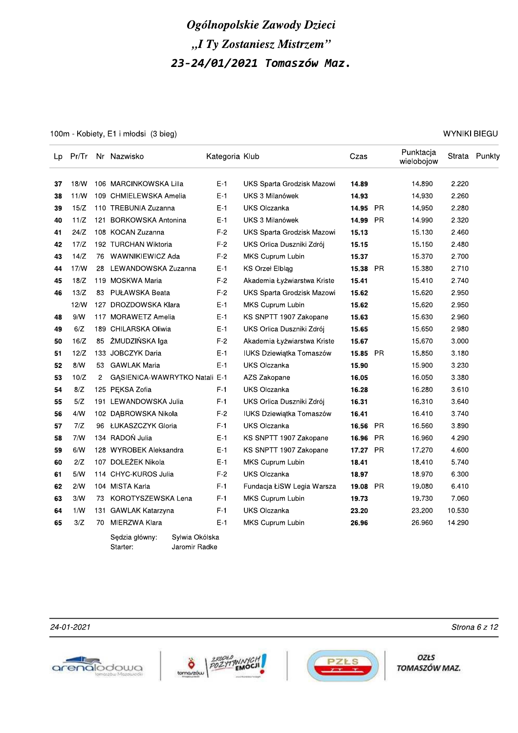100m - Kobiety, E1 i młodsi (3 bieg)

| Lp | Pr/Tr |                | Nr Nazwisko                      | Kategoria Klub |                                 | Czas     |           | Punktacja<br>wielobojow |        | Strata Punkty |
|----|-------|----------------|----------------------------------|----------------|---------------------------------|----------|-----------|-------------------------|--------|---------------|
| 37 | 18/W  |                | 106 MARCINKOWSKA Lilla           | $E-1$          | UKS Sparta Grodzisk Mazowi      | 14.89    |           | 14.890                  | 2.220  |               |
| 38 | 11/N  |                | 109 CHMIELEWSKA Amelia           | $E-1$          | UKS 3 Milanówek                 | 14.93    |           | 14.930                  | 2.260  |               |
| 39 | 15/Z  |                | 110 TREBUNIA Zuzanna             | $E-1$          | <b>UKS Olczanka</b>             | 14.95    | PR        | 14.950                  | 2.280  |               |
| 40 | 11/Z  | 121            | <b>BORKOWSKA Antonina</b>        | $E-1$          | UKS 3 Milanówek                 | 14.99    | <b>PR</b> | 14.990                  | 2.320  |               |
| 41 | 24/Z  |                | 108 KOCAN Zuzanna                | $F-2$          | UKS Sparta Grodzisk Mazowi      | 15.13    |           | 15.130                  | 2.460  |               |
| 42 | 17/Z  |                | 192 TURCHAN Wiktoria             | $F-2$          | UKS Orlica Duszniki Zdrój       | 15.15    |           | 15.150                  | 2.480  |               |
| 43 | 14/Z  | 76             | WAWNIKIEWICZ Ada                 | $F-2$          | MKS Cuprum Lubin                | 15.37    |           | 15.370                  | 2.700  |               |
| 44 | 17/N  | 28             | LEWANDOWSKA Zuzanna              | E-1            | <b>KS Orzel Elblag</b>          | 15.38    | <b>PR</b> | 15.380                  | 2.710  |               |
| 45 | 18/Z  |                | 119 MOSKWA Maria                 | $F-2$          | Akademia Łyżwiarstwa Kriste     | 15.41    |           | 15.410                  | 2.740  |               |
| 46 | 13/Z  | 83             | PUŁAWSKA Beata                   | $F-2$          | UKS Sparta Grodzisk Mazowi      | 15.62    |           | 15.620                  | 2.950  |               |
|    | 12/N  |                | 127 DROZDOWSKA Klara             | $E-1$          | MKS Cuprum Lubin                | 15.62    |           | 15.620                  | 2.950  |               |
| 48 | 9/N   |                | 117 MORAWETZ Amelia              | $E-1$          | KS SNPTT 1907 Zakopane          | 15.63    |           | 15.630                  | 2.960  |               |
| 49 | 6/Z   |                | 189 CHILARSKA Oliwia             | $E-1$          | UKS Orlica Duszniki Zdrój       | 15.65    |           | 15.650                  | 2.980  |               |
| 50 | 16/Z  | 85             | ZMUDZIŃSKA Iga                   | $F-2$          | Akademia Łyżwiarstwa Kriste     | 15.67    |           | 15.670                  | 3.000  |               |
| 51 | 12/Z  |                | 133 JOBCZYK Daria                | $E-1$          | IUKS Dziewiątka Tomaszów        | 15.85    | <b>PR</b> | 15.850                  | 3.180  |               |
| 52 | 8/N   | 53             | GAWLAK Maria                     | $E-1$          | <b>UKS Olczanka</b>             | 15.90    |           | 15.900                  | 3.230  |               |
| 53 | 10/Z  | $\overline{c}$ | GĄSIENICA-WAWRYTKO Natali E-1    |                | AZS Zakopane                    | 16.05    |           | 16.050                  | 3.380  |               |
| 54 | 8/Z   |                | 125 PEKSA Zofia                  | $F-1$          | <b>UKS Olczanka</b>             | 16.28    |           | 16.280                  | 3.610  |               |
| 55 | 5/Z   |                | 191 LEWANDOWSKA Julia            | F-1            | UKS Orlica Duszniki Zdrój       | 16.31    |           | 16.310                  | 3.640  |               |
| 56 | 4/N   |                | 102 DABROWSKA Nikola             | F-2            | <b>IUKS Dziewiątka Tomaszów</b> | 16.41    |           | 16.410                  | 3.740  |               |
| 57 | 7/Z   | 96             | ŁUKASZCZYK Gloria                | $F-1$          | UKS Olczanka                    | 16.56    | PR        | 16.560                  | 3.890  |               |
| 58 | 7/N   |                | 134 RADOŃ Julia                  | $E-1$          | KS SNPTT 1907 Zakopane          | 16.96    | <b>PR</b> | 16.960                  | 4.290  |               |
| 59 | 6/N   |                | 128 WYROBEK Aleksandra           | E-1            | KS SNPTT 1907 Zakopane          | 17.27 PR |           | 17.270                  | 4.600  |               |
| 60 | 2/Z   |                | 107 DOLEŻEK Nikola               | E-1            | MKS Cuprum Lubin                | 18.41    |           | 18.410                  | 5.740  |               |
| 61 | 5/N   |                | 114 CHYC-KUROS Julia             | $F-2$          | <b>UKS Olczanka</b>             | 18.97    |           | 18.970                  | 6.300  |               |
| 62 | 2/N   |                | 104 MISTA Karla                  | $F-1$          | Fundacja ŁiSW Legia Warsza      | 19.08    | <b>PR</b> | 19.080                  | 6.410  |               |
| 63 | 3/N   | 73             | KOROTYSZEWSKA Lena               | $F-1$          | MKS Cuprum Lubin                | 19.73    |           | 19.730                  | 7.060  |               |
| 64 | 1/W   |                | 131 GAWLAK Katarzyna             | $F-1$          | <b>UKS Olczanka</b>             | 23.20    |           | 23.200                  | 10.530 |               |
| 65 | 3/Z   | 70             | MIERZWA Klara                    | $E-1$          | MKS Cuprum Lubin                | 26.96    |           | 26.960                  | 14.290 |               |
|    |       |                | Sylwia Okólska<br>Sędzia główny: |                |                                 |          |           |                         |        |               |

Starter: Jaromir Radke



24-01-2021





**OZŁS** TOMASZÓW MAZ.

Strona 6 z 12

**WYNIKI BIEGU**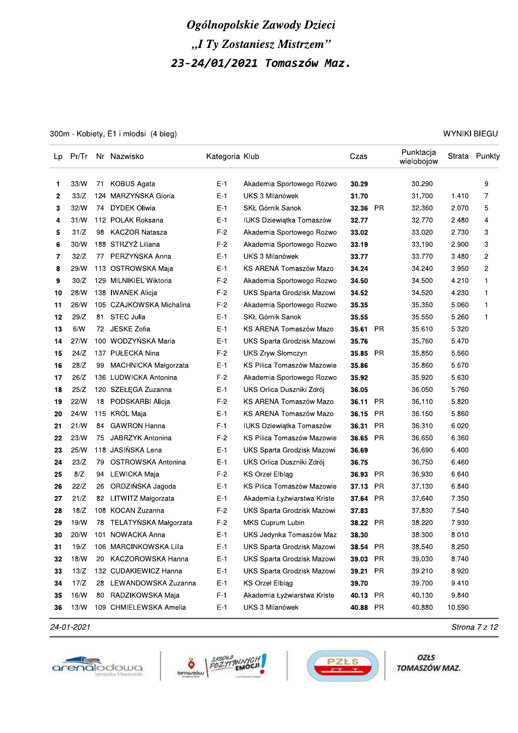300m - Kobiety, E1 i młodsi (4 bieg)

| Lp | Pr/Tr |    | Nr Nazwisko                 | Kategoria Klub |                                 | Czas     |           | Punktacja<br>wielobojow |        | Strata Punkty |
|----|-------|----|-----------------------------|----------------|---------------------------------|----------|-----------|-------------------------|--------|---------------|
| 1  | 33/W  | 71 | KOBUS Agata                 | $E-1$          | Akademia Sportowego Rozwo       | 30.29    |           | 30.290                  |        | 9             |
| 2  | 33/Z  |    | 124 MARZYŃSKA Gloria        | $E-1$          | UKS 3 Milanówek                 | 31.70    |           | 31.700                  | 1.410  | 7             |
| 3  | 32/W  | 74 | <b>DYDEK Oliwia</b>         | E-1            | SKŁ Górnik Sanok                | 32.36    | PR.       | 32.360                  | 2.070  | 5             |
| 4  | 31/N  |    | 112 POLAK Roksana           | E-1            | <b>IUKS Dziewiątka Tomaszów</b> | 32.77    |           | 32.770                  | 2.480  | 4             |
| 5  | 31/Z  | 98 | <b>KACZOR Natasza</b>       | F-2            | Akademia Sportowego Rozwo       | 33.02    |           | 33.020                  | 2.730  | 3             |
| 6  | 30/W  |    | 188 STRZYŻ Liliana          | $F-2$          | Akademia Sportowego Rozwo       | 33.19    |           | 33.190                  | 2.900  | 3             |
| 7  | 32/Z  | 77 | PERZYŃSKA Anna              | E-1            | UKS 3 Milanówek                 | 33.77    |           | 33.770                  | 3.480  | 2             |
| 8  | 29/W  |    | 113 OSTROWSKA Maja          | E-1            | KS ARENA Tomaszów Mazo          | 34.24    |           | 34.240                  | 3.950  | 2             |
| 9  | 30/Z  |    | 129 MILNIKIEL Wiktoria      | $F-2$          | Akademia Sportowego Rozwo       | 34.50    |           | 34.500                  | 4.210  | 1             |
| 10 | 28/W  |    | 138 IWANEK Alicja           | $F-2$          | UKS Sparta Grodzisk Mazowi      | 34.52    |           | 34.520                  | 4.230  | 1             |
| 11 | 26/W  |    | 105 CZAJKOWSKA Michalina    | $F-2$          | Akademia Sportowego Rozwo       | 35.35    |           | 35.350                  | 5.060  | 1             |
| 12 | 29/Z  | 81 | <b>STEC Julia</b>           | $E-1$          | SKŁ Górnik Sanok                | 35.55    |           | 35.550                  | 5.260  | 1             |
| 13 | 6/N   |    | 72 JESKE Zofia              | $E-1$          | KS ARENA Tomaszów Mazo          | 35.61    | <b>PR</b> | 35.610                  | 5.320  |               |
| 14 | 27/N  |    | 100 WODZYŃSKA Maria         | E-1            | UKS Sparta Grodzisk Mazowi      | 35.76    |           | 35.760                  | 5.470  |               |
| 15 | 24/Z  |    | 137 PUŁECKA Nina            | F-2            | <b>UKS Zryw Słomczyn</b>        | 35.85    | <b>PR</b> | 35.850                  | 5.560  |               |
| 16 | 28/Z  | 99 | <b>MACHNICKA Małgorzata</b> | E-1            | KS Pilica Tomaszów Mazowie      | 35.86    |           | 35.860                  | 5.570  |               |
| 17 | 26/Z  |    | 136 LUDWICKA Antonina       | F-2            | Akademia Sportowego Rozwo       | 35.92    |           | 35.920                  | 5.630  |               |
| 18 | 25/Z  |    | 120 SZEŁĘGA Zuzanna         | E-1            | UKS Orlica Duszniki Zdrój       | 36.05    |           | 36.050                  | 5.760  |               |
| 19 | 22/N  | 18 | PODSKARBI Alicja            | F-2            | KS ARENA Tomaszów Mazo          | 36.11    | PR        | 36.110                  | 5.820  |               |
| 20 | 24/W  |    | 115 KRÓL Maja               | E-1            | KS ARENA Tomaszów Mazo          | 36.15    | <b>PR</b> | 36.150                  | 5.860  |               |
| 21 | 21/W  | 84 | <b>GAWRON Hanna</b>         | F-1            | IUKS Dziewiątka Tomaszów        | 36.31    | <b>PR</b> | 36.310                  | 6.020  |               |
| 22 | 23/W  | 75 | JABRZYK Antonina            | $F-2$          | KS Pilica Tomaszów Mazowie      | 36.65    | <b>PR</b> | 36.650                  | 6.360  |               |
| 23 | 25/W  |    | 118 JASIŃSKA Lena           | $E-1$          | UKS Sparta Grodzisk Mazowi      | 36.69    |           | 36.690                  | 6.400  |               |
| 24 | 23/Z  | 79 | OSTROWSKA Antonina          | E-1            | UKS Orlica Duszniki Zdrój       | 36.75    |           | 36.750                  | 6.460  |               |
| 25 | 8/Z   | 94 | LEWICKA Maja                | $F-2$          | <b>KS Orzel Elblag</b>          | 36.93    | <b>PR</b> | 36.930                  | 6.640  |               |
| 26 | 22/Z  | 26 | ORDZIŃSKA Jagoda            | $E-1$          | KS Pilica Tomaszów Mazowie      | 37.13    | <b>PR</b> | 37.130                  | 6.840  |               |
| 27 | 21/Z  | 82 | LITWITZ Małgorzata          | E-1            | Akademia Łyżwiarstwa Kriste     | 37.64    | <b>PR</b> | 37.640                  | 7.350  |               |
| 28 | 18/Z  |    | 108 KOCAN Zuzanna           | $F-2$          | UKS Sparta Grodzisk Mazowi      | 37.83    |           | 37.830                  | 7.540  |               |
| 29 | 19/W  |    | 78 TELATYŃSKA Małgorzata    | F-2            | MKS Cuprum Lubin                | 38.22 PR |           | 38.220                  | 7.930  |               |
| 30 | 20/W  |    | 101 NOWACKA Anna            | $E-1$          | UKS Jedynka Tomaszów Maz        | 38.30    |           | 38.300                  | 8.010  |               |
| 31 | 19/Z  |    | 106 MARCINKOWSKA Lilla      | $E-1$          | UKS Sparta Grodzisk Mazowi      | 38.54 PR |           | 38.540                  | 8.250  |               |
| 32 | 18/W  |    | 20 KACZOROWSKA Hanna        | $E-1$          | UKS Sparta Grodzisk Mazowi      | 39.03 PR |           | 39.030                  | 8.740  |               |
| 33 | 13/Z  |    | 132 CUDAKIEWICZ Hanna       | $E-1$          | UKS Sparta Grodzisk Mazowi      | 39.21    | PR        | 39.210                  | 8.920  |               |
| 34 | 17/Z  | 28 | LEWANDOWSKA Zuzanna         | $E-1$          | KS Orzeł Elbląg                 | 39.70    |           | 39.700                  | 9.410  |               |
| 35 | 16/W  |    | 80 RADZIKOWSKA Maja         | $F-1$          | Akademia Łyżwiarstwa Kriste     | 40.13 PR |           | 40.130                  | 9.840  |               |
| 36 | 13/W  |    | 109 CHMIELEWSKA Amelia      | $E-1$          | UKS 3 Milanówek                 | 40.88 PR |           | 40.880                  | 10.590 |               |

24-01-2021







OZŁS TOMASZÓW MAZ.

#### **WYNIKI BIEGU**

Strona 7 z 12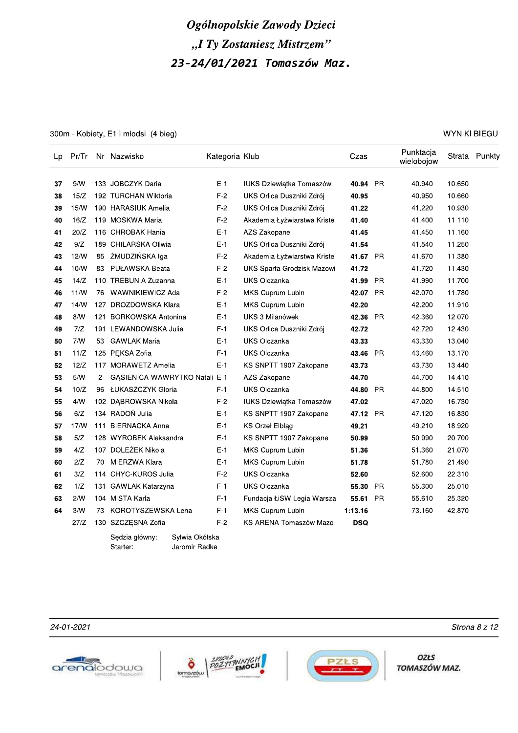300m - Kobiety, E1 i młodsi (4 bieg)

 $\overline{\phantom{a}}$ 

 $\overline{ }$ 

|    | Lp Pr/Tr |    | Nr Nazwisko                      | Kategoria Klub |                             | Czas       |           | Punktacja<br>wielobojow |        | Strata Punkty |
|----|----------|----|----------------------------------|----------------|-----------------------------|------------|-----------|-------------------------|--------|---------------|
| 37 | 9/N      |    | 133 JOBCZYK Daria                | $E-1$          | IUKS Dziewiątka Tomaszów    | 40.94 PR   |           | 40.940                  | 10.650 |               |
| 38 | 15/Z     |    | 192 TURCHAN Wiktoria             | $F-2$          | UKS Orlica Duszniki Zdrój   | 40.95      |           | 40.950                  | 10.660 |               |
| 39 | 15/W     |    | 190 HARASIUK Amelia              | $F-2$          | UKS Orlica Duszniki Zdrój   | 41.22      |           | 41.220                  | 10.930 |               |
| 40 | 16/Z     |    | 119 MOSKWA Maria                 | $F-2$          | Akademia Łyżwiarstwa Kriste | 41.40      |           | 41.400                  | 11.110 |               |
| 41 | 20/Z     |    | 116 CHROBAK Hania                | $E-1$          | AZS Zakopane                | 41.45      |           | 41.450                  | 11.160 |               |
| 42 | 9/Z      |    | 189 CHILARSKA Oliwia             | $E-1$          | UKS Orlica Duszniki Zdrój   | 41.54      |           | 41.540                  | 11.250 |               |
| 43 | 12/W     |    | 85 ŻMUDZIŃSKA Iga                | $F-2$          | Akademia Łyżwiarstwa Kriste | 41.67 PR   |           | 41.670                  | 11.380 |               |
| 44 | 10/W     |    | 83 PUŁAWSKA Beata                | $F-2$          | UKS Sparta Grodzisk Mazowi  | 41.72      |           | 41.720                  | 11.430 |               |
| 45 | 14/Z     |    | 110 TREBUNIA Zuzanna             | $E-1$          | <b>UKS Olczanka</b>         | 41.99      | <b>PR</b> | 41.990                  | 11.700 |               |
| 46 | 11/W     |    | 76 WAWNIKIEWICZ Ada              | $F-2$          | MKS Cuprum Lubin            | 42.07 PR   |           | 42.070                  | 11.780 |               |
| 47 | 14/N     |    | 127 DROZDOWSKA Klara             | $E-1$          | MKS Cuprum Lubin            | 42.20      |           | 42.200                  | 11.910 |               |
| 48 | 8/N      |    | 121 BORKOWSKA Antonina           | $E-1$          | UKS 3 Milanówek             | 42.36      | - PR      | 42.360                  | 12.070 |               |
| 49 | 7/Z      |    | 191 LEWANDOWSKA Julia            | $F-1$          | UKS Orlica Duszniki Zdrój   | 42.72      |           | 42.720                  | 12.430 |               |
| 50 | 7/N      | 53 | <b>GAWLAK Maria</b>              | $E-1$          | <b>UKS Olczanka</b>         | 43.33      |           | 43.330                  | 13.040 |               |
| 51 | 11/Z     |    | 125 PEKSA Zofia                  | $F-1$          | <b>UKS Olczanka</b>         | 43.46 PR   |           | 43.460                  | 13.170 |               |
| 52 | 12/Z     |    | 117 MORAWETZ Amelia              | $E-1$          | KS SNPTT 1907 Zakopane      | 43.73      |           | 43.730                  | 13.440 |               |
| 53 | 5/N      | 2  | GĄSIENICA-WAWRYTKO Natali E-1    |                | AZS Zakopane                | 44.70      |           | 44.700                  | 14.410 |               |
| 54 | 10/Z     |    | 96 ŁUKASZCZYK Gloria             | $F-1$          | <b>UKS Olczanka</b>         | 44.80 PR   |           | 44.800                  | 14.510 |               |
| 55 | 4/N      |    | 102 DĄBROWSKA Nikola             | $F-2$          | IUKS Dziewiątka Tomaszów    | 47.02      |           | 47.020                  | 16.730 |               |
| 56 | 6/Z      |    | 134 RADOŃ Julia                  | $E-1$          | KS SNPTT 1907 Zakopane      | 47.12 PR   |           | 47.120                  | 16.830 |               |
| 57 | 17/W     |    | 111 BIERNACKA Anna               | $E-1$          | KS Orzeł Elbląg             | 49.21      |           | 49.210                  | 18.920 |               |
| 58 | $5/Z$    |    | 128 WYROBEK Aleksandra           | $E-1$          | KS SNPTT 1907 Zakopane      | 50.99      |           | 50.990                  | 20.700 |               |
| 59 | 4/Z      |    | 107 DOLEŻEK Nikola               | $E-1$          | MKS Cuprum Lubin            | 51.36      |           | 51.360                  | 21.070 |               |
| 60 | 2/Z      | 70 | MIERZWA Klara                    | $E-1$          | MKS Cuprum Lubin            | 51.78      |           | 51.780                  | 21.490 |               |
| 61 | 3/Z      |    | 114 CHYC-KUROS Julia             | $F-2$          | UKS Olczanka                | 52.60      |           | 52.600                  | 22.310 |               |
| 62 | 1/Z      |    | 131 GAWLAK Katarzyna             | $F-1$          | UKS Olczanka                | 55.30      | <b>PR</b> | 55.300                  | 25.010 |               |
| 63 | 2/N      |    | 104 MISTA Karla                  | $F-1$          | Fundacja ŁiSW Legia Warsza  | 55.61 PR   |           | 55.610                  | 25.320 |               |
| 64 | 3/N      | 73 | KOROTYSZEWSKA Lena               | $F-1$          | MKS Cuprum Lubin            | 1:13.16    |           | 73.160                  | 42.870 |               |
|    | 27/Z     |    | 130 SZCZĘSNA Zofia               | $F-2$          | KS ARENA Tomaszów Mazo      | <b>DSQ</b> |           |                         |        |               |
|    |          |    | Sylwia Okólska<br>Sedzia główny: |                |                             |            |           |                         |        |               |

Starter: Jaromir Radke

24-01-2021







**OZŁS** TOMASZÓW MAZ.

**WYNIKI BIEGU** 

Strona 8 z 12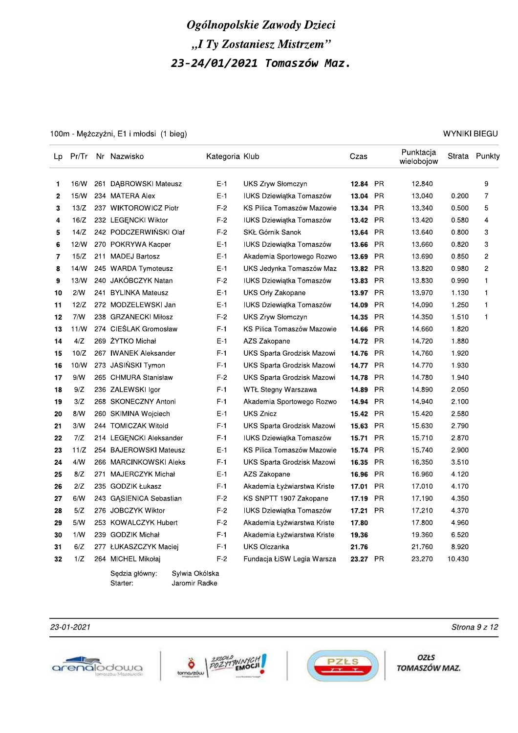100m - Mężczyźni, E1 i młodsi (1 bieg)

| Lp | Pr/Tr |     | Nr Nazwisko             | Kategoria Klub |                                 | Czas     |           | Punktacja<br>wielobojow | Strata | Punkty         |
|----|-------|-----|-------------------------|----------------|---------------------------------|----------|-----------|-------------------------|--------|----------------|
| 1  | 16/W  |     | 261 DABROWSKI Mateusz   | $E-1$          | UKS Zryw Słomczyn               | 12.84    | <b>PR</b> | 12.840                  |        | 9              |
| 2  | 15/W  |     | 234 MATERA Alex         | $E-1$          | <b>IUKS Dziewiątka Tomaszów</b> | 13.04    | <b>PR</b> | 13.040                  | 0.200  | $\overline{7}$ |
| 3  | 13/Z  |     | 237 WIKTOROWICZ Piotr   | $F-2$          | KS Pilica Tomaszów Mazowie      | 13.34    | <b>PR</b> | 13.340                  | 0.500  | 5              |
| 4  | 16/Z  |     | 232 LEGENCKI Wiktor     | $F-2$          | <b>IUKS Dziewiatka Tomaszów</b> | 13.42    | <b>PR</b> | 13.420                  | 0.580  | 4              |
| 5  | 14/Z  |     | 242 PODCZERWIŃSKI Olaf  | $F-2$          | SKŁ Górnik Sanok                | 13.64    | <b>PR</b> | 13.640                  | 0.800  | 3              |
| 6  | 12/W  |     | 270 POKRYWA Kacper      | $E-1$          | IUKS Dziewiątka Tomaszów        | 13.66    | <b>PR</b> | 13.660                  | 0.820  | 3              |
| 7  | 15/Z  |     | 211 MADEJ Bartosz       | $E-1$          | Akademia Sportowego Rozwo       | 13.69    | <b>PR</b> | 13.690                  | 0.850  | $\overline{c}$ |
| 8  | 14/W  |     | 245 WARDA Tymoteusz     | $E-1$          | UKS Jedynka Tomaszów Maz        | 13.82    | PR        | 13.820                  | 0.980  | $\overline{c}$ |
| 9  | 13/N  |     | 240 JAKÓBCZYK Natan     | $F-2$          | <b>IUKS Dziewiątka Tomaszów</b> | 13.83    | <b>PR</b> | 13.830                  | 0.990  | 1              |
| 10 | 2/N   |     | 241 BYLINKA Mateusz     | $E-1$          | UKS Orly Zakopane               | 13.97    | <b>PR</b> | 13.970                  | 1.130  | $\mathbf{1}$   |
| 11 | 12/Z  |     | 272 MODZELEWSKI Jan     | $E-1$          | <b>IUKS Dziewiątka Tomaszów</b> | 14.09    | <b>PR</b> | 14.090                  | 1.250  | $\mathbf{1}$   |
| 12 | 7/N   |     | 238 GRZANECKI Miłosz    | $F-2$          | <b>UKS Zryw Słomczyn</b>        | 14.35    | <b>PR</b> | 14.350                  | 1.510  | $\mathbf{1}$   |
| 13 | 11/N  |     | 274 CIEŚLAK Gromosław   | $F-1$          | KS Pilica Tomaszów Mazowie      | 14.66    | <b>PR</b> | 14.660                  | 1.820  |                |
| 14 | 4/Z   |     | 269 ZYTKO Michał        | $E-1$          | AZS Zakopane                    | 14.72    | <b>PR</b> | 14.720                  | 1.880  |                |
| 15 | 10/Z  |     | 267 IWANEK Aleksander   | $F-1$          | UKS Sparta Grodzisk Mazowi      | 14.76    | <b>PR</b> | 14.760                  | 1.920  |                |
| 16 | 10/W  |     | 273 JASIŃSKI Tymon      | $F-1$          | UKS Sparta Grodzisk Mazowi      | 14.77    | <b>PR</b> | 14.770                  | 1.930  |                |
| 17 | 9/N   |     | 265 CHMURA Stanisław    | $F-2$          | UKS Sparta Grodzisk Mazowi      | 14.78    | PR        | 14.780                  | 1.940  |                |
| 18 | 9/Z   |     | 236 ZALEWSKI Igor       | $F-1$          | WTŁ Stegny Warszawa             | 14.89    | <b>PR</b> | 14.890                  | 2.050  |                |
| 19 | 3/Z   |     | 268 SKONECZNY Antoni    | $F-1$          | Akademia Sportowego Rozwo       | 14.94    | <b>PR</b> | 14.940                  | 2.100  |                |
| 20 | 8/N   |     | 260 SKIMINA Wojciech    | $E-1$          | <b>UKS Znicz</b>                | 15.42    | <b>PR</b> | 15.420                  | 2.580  |                |
| 21 | 3/N   |     | 244 TOMICZAK Witold     | $F-1$          | UKS Sparta Grodzisk Mazowi      | 15.63    | <b>PR</b> | 15.630                  | 2.790  |                |
| 22 | 7/Z   |     | 214 LEGENCKI Aleksander | $F-1$          | <b>IUKS Dziewiątka Tomaszów</b> | 15.71    | <b>PR</b> | 15.710                  | 2.870  |                |
| 23 | 11/Z  |     | 254 BAJEROWSKI Mateusz  | $E-1$          | KS Pilica Tomaszów Mazowie      | 15.74    | <b>PR</b> | 15.740                  | 2.900  |                |
| 24 | 4/N   |     | 266 MARCINKOWSKI Aleks  | $F-1$          | UKS Sparta Grodzisk Mazowi      | 16.35    | PR        | 16.350                  | 3.510  |                |
| 25 | 8/Z   | 271 | MAJERCZYK Michał        | $E-1$          | AZS Zakopane                    | 16.96    | <b>PR</b> | 16.960                  | 4.120  |                |
| 26 | 2/Z   |     | 235 GODZIK Łukasz       | F-1            | Akademia Łyżwiarstwa Kriste     | 17.01    | <b>PR</b> | 17.010                  | 4.170  |                |
| 27 | 6/N   |     | 243 GĄSIENICA Sebastian | $F-2$          | KS SNPTT 1907 Zakopane          | 17.19    | <b>PR</b> | 17.190                  | 4.350  |                |
| 28 | 5/Z   |     | 276 JOBCZYK Wiktor      | $F-2$          | <b>IUKS Dziewiątka Tomaszów</b> | 17.21    | <b>PR</b> | 17.210                  | 4.370  |                |
| 29 | 5/N   |     | 253 KOWALCZYK Hubert    | $F-2$          | Akademia Łyżwiarstwa Kriste     | 17.80    |           | 17.800                  | 4.960  |                |
| 30 | 1/N   |     | 239 GODZIK Michał       | $F-1$          | Akademia Łyżwiarstwa Kriste     | 19.36    |           | 19.360                  | 6.520  |                |
| 31 | 6/Z   |     | 277 ŁUKASZCZYK Maciej   | $F-1$          | <b>UKS Olczanka</b>             | 21.76    |           | 21.760                  | 8.920  |                |
| 32 | 1/Z   |     | 264 MICHEL Mikołaj      | $F-2$          | Fundacja ŁiSW Legia Warsza      | 23.27 PR |           | 23.270                  | 10.430 |                |
|    |       |     |                         |                |                                 |          |           |                         |        |                |

Sędzia główny: Sylwia Okólska Starter: Jaromir Radke

23-01-2021







**OZŁS** TOMASZÓW MAZ.

**WYNIKI BIEGU** 

Strona 9 z 12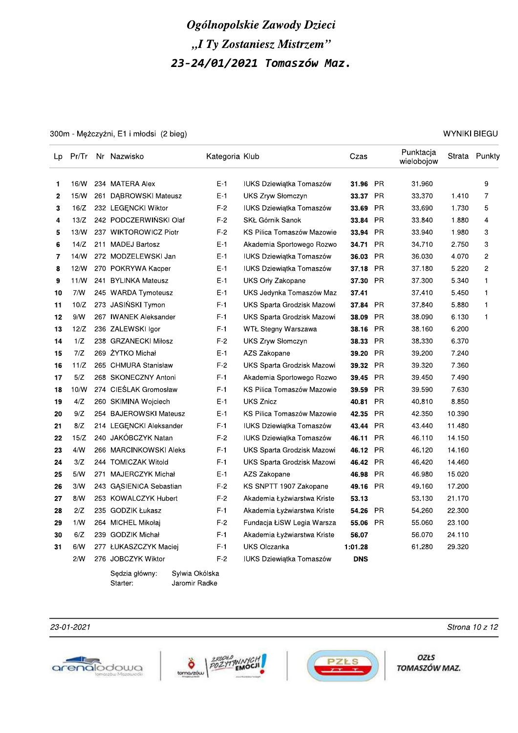300m - Mężczyźni, E1 i młodsi (2 bieg)

| Lp             | Pr/Tr | Nr Nazwisko             | Kategoria Klub |                                 | Czas       |           | Punktacja<br>wielobojow | Strata | Punkty         |
|----------------|-------|-------------------------|----------------|---------------------------------|------------|-----------|-------------------------|--------|----------------|
| $\mathbf{1}$   | 16/W  | 234 MATERA Alex         | $E-1$          | <b>IUKS Dziewiątka Tomaszów</b> | 31.96      | <b>PR</b> | 31.960                  |        | 9              |
| $\overline{2}$ | 15/W  | 261 DABROWSKI Mateusz   | E-1            | <b>UKS Zryw Słomczyn</b>        | 33.37      | <b>PR</b> | 33.370                  | 1.410  | $\overline{7}$ |
| 3              | 16/Z  | 232 LEGENCKI Wiktor     | F-2            | <b>IUKS Dziewiątka Tomaszów</b> | 33.69      | <b>PR</b> | 33.690                  | 1.730  | 5              |
| 4              | 13/Z  | 242 PODCZERWIŃSKI Olaf  | F-2            | SKŁ Górnik Sanok                | 33.84      | <b>PR</b> | 33.840                  | 1.880  | $\overline{4}$ |
| 5              | 13/N  | 237 WIKTOROWICZ Piotr   | $F-2$          | KS Pilica Tomaszów Mazowie      | 33.94      | <b>PR</b> | 33.940                  | 1.980  | 3              |
| 6              | 14/Z  | 211 MADEJ Bartosz       | E-1            | Akademia Sportowego Rozwo       | 34.71      | <b>PR</b> | 34.710                  | 2.750  | 3              |
| 7              | 14/N  | 272 MODZELEWSKI Jan     | E-1            | IUKS Dziewiątka Tomaszów        | 36.03      | <b>PR</b> | 36.030                  | 4.070  | $\overline{c}$ |
| 8              | 12/N  | 270 POKRYWA Kacper      | $E-1$          | <b>IUKS Dziewiątka Tomaszów</b> | 37.18      | <b>PR</b> | 37.180                  | 5.220  | $\overline{c}$ |
| 9              | 11/N  | 241 BYLINKA Mateusz     | $E-1$          | UKS Orly Zakopane               | 37.30      | <b>PR</b> | 37.300                  | 5.340  | $\mathbf{1}$   |
| 10             | 7/N   | 245 WARDA Tymoteusz     | E-1            | UKS Jedynka Tomaszów Maz        | 37.41      |           | 37.410                  | 5.450  | $\mathbf{1}$   |
| 11             | 10/Z  | 273 JASIŃSKI Tymon      | $F-1$          | UKS Sparta Grodzisk Mazowi      | 37.84      | <b>PR</b> | 37.840                  | 5.880  | $\mathbf{1}$   |
| 12             | 9/N   | 267 IWANEK Aleksander   | F-1            | UKS Sparta Grodzisk Mazowi      | 38.09      | <b>PR</b> | 38.090                  | 6.130  | $\mathbf{1}$   |
| 13             | 12/Z  | 236 ZALEWSKI Igor       | F-1            | WTŁ Stegny Warszawa             | 38.16      | <b>PR</b> | 38.160                  | 6.200  |                |
| 14             | 1/Z   | 238 GRZANECKI Miłosz    | $F-2$          | UKS Zryw Słomczyn               | 38.33      | <b>PR</b> | 38.330                  | 6.370  |                |
| 15             | 7/Z   | 269 ŻYTKO Michał        | E-1            | AZS Zakopane                    | 39.20      | <b>PR</b> | 39.200                  | 7.240  |                |
| 16             | 11/Z  | 265 CHMURA Stanisław    | $F-2$          | UKS Sparta Grodzisk Mazowi      | 39.32      | <b>PR</b> | 39.320                  | 7.360  |                |
| 17             | 5/Z   | 268 SKONECZNY Antoni    | F-1            | Akademia Sportowego Rozwo       | 39.45      | <b>PR</b> | 39.450                  | 7.490  |                |
| 18             | 10/W  | 274 CIESLAK Gromosław   | $F-1$          | KS Pilica Tomaszów Mazowie      | 39.59      | <b>PR</b> | 39.590                  | 7.630  |                |
| 19             | 4/Z   | 260 SKIMINA Wojciech    | E-1            | <b>UKS Znicz</b>                | 40.81      | <b>PR</b> | 40.810                  | 8.850  |                |
| 20             | 9/Z   | 254 BAJEROWSKI Mateusz  | E-1            | KS Pilica Tomaszów Mazowie      | 42.35      | PR        | 42.350                  | 10.390 |                |
| 21             | 8/Z   | 214 LEGENCKI Aleksander | $F-1$          | IUKS Dziewiątka Tomaszów        | 43.44      | <b>PR</b> | 43.440                  | 11.480 |                |
| 22             | 15/Z  | 240 JAKÓBCZYK Natan     | $F-2$          | IUKS Dziewiątka Tomaszów        | 46.11      | <b>PR</b> | 46.110                  | 14.150 |                |
| 23             | 4/N   | 266 MARCINKOWSKI Aleks  | $F-1$          | UKS Sparta Grodzisk Mazowi      | 46.12      | <b>PR</b> | 46.120                  | 14.160 |                |
| 24             | 3/Z   | 244 TOMICZAK Witold     | $F-1$          | UKS Sparta Grodzisk Mazowi      | 46.42      | <b>PR</b> | 46.420                  | 14.460 |                |
| 25             | 5/N   | 271 MAJERCZYK Michał    | E-1            | AZS Zakopane                    | 46.98      | <b>PR</b> | 46.980                  | 15.020 |                |
| 26             | 3/N   | 243 GASIENICA Sebastian | F-2            | KS SNPTT 1907 Zakopane          | 49.16      | <b>PR</b> | 49.160                  | 17.200 |                |
| 27             | 8/N   | 253 KOWALCZYK Hubert    | $F-2$          | Akademia Łyżwiarstwa Kriste     | 53.13      |           | 53.130                  | 21.170 |                |
| 28             | 2/Z   | 235 GODZIK Łukasz       | $F-1$          | Akademia Łyżwiarstwa Kriste     | 54.26      | <b>PR</b> | 54.260                  | 22.300 |                |
| 29             | 1/N   | 264 MICHEL Mikołaj      | F-2            | Fundacja ŁiSW Legia Warsza      | 55.06      | <b>PR</b> | 55.060                  | 23.100 |                |
| 30             | 6/Z   | 239 GODZIK Michał       | F-1            | Akademia Łyżwiarstwa Kriste     | 56.07      |           | 56.070                  | 24.110 |                |
| 31             | 6/N   | 277 ŁUKASZCZYK Maciej   | F-1            | <b>UKS Olczanka</b>             | 1:01.28    |           | 61.280                  | 29.320 |                |
|                | 2/N   | 276 JOBCZYK Wiktor      | F-2            | <b>IUKS Dziewiątka Tomaszów</b> | <b>DNS</b> |           |                         |        |                |

Sędzia główny: Sylwia Okólska Starter: Jaromir Radke

#### 23-01-2021







**OZŁS** TOMASZÓW MAZ.

#### **WYNIKI BIEGU**

Strona 10 z 12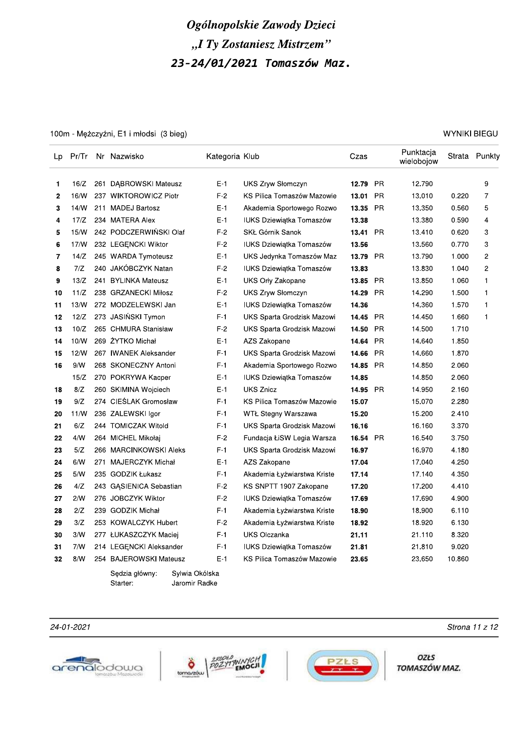# Ogolnopolskie Zawody Dzieci "I Ty Zostaniesz Mistrzem

|          |            |     |                                              |                | Ogólnopolskie Zawody Dzieci                           |                |           |                         |                     |               |
|----------|------------|-----|----------------------------------------------|----------------|-------------------------------------------------------|----------------|-----------|-------------------------|---------------------|---------------|
|          |            |     |                                              |                | "I Ty Zostaniesz Mistrzem"                            |                |           |                         |                     |               |
|          |            |     |                                              |                |                                                       |                |           |                         |                     |               |
|          |            |     |                                              |                | 23-24/01/2021 Tomaszów Maz.                           |                |           |                         |                     |               |
|          |            |     |                                              |                |                                                       |                |           |                         |                     |               |
|          |            |     |                                              |                |                                                       |                |           |                         |                     |               |
|          |            |     |                                              |                |                                                       |                |           |                         |                     |               |
|          |            |     |                                              |                |                                                       |                |           |                         |                     |               |
|          |            |     | 100m - Mężczyźni, E1 i młodsi (3 bieg)       |                |                                                       |                |           |                         | <b>WYNIKI BIEGU</b> |               |
| Lp       | Pr/Tr      |     | Nr Nazwisko                                  | Kategoria Klub |                                                       | Czas           |           | Punktacja<br>wielobojow |                     | Strata Punkty |
| 1.       | 16/Z       | 261 | <b>DABROWSKI Mateusz</b>                     | $E-1$          | <b>UKS Zryw Słomczyn</b>                              | 12.79          | <b>PR</b> | 12.790                  |                     | 9             |
| 2        | 16/N       |     | 237 WIKTOROWICZ Piotr                        | $F-2$          | KS Pilica Tomaszów Mazowie                            | 13.01          | <b>PR</b> | 13.010                  | 0.220               | 7             |
| 3        | 14/N       |     | 211 MADEJ Bartosz                            | $E-1$          | Akademia Sportowego Rozwo                             | 13.35          | <b>PR</b> | 13.350                  | 0.560               | 5             |
| 4        | 17/Z       |     | 234 MATERA Alex                              | $E-1$          | <b>IUKS Dziewiątka Tomaszów</b>                       | 13.38          |           | 13.380                  | 0.590               | 4             |
| 5        | 15/W       |     | 242 PODCZERWIŃSKI Olaf                       | $F-2$          | SKŁ Górnik Sanok                                      | 13.41          | <b>PR</b> | 13.410                  | 0.620               | 3             |
| 6        | 17/N       |     | 232 LEGĘNCKI Wiktor                          | $F-2$          | IUKS Dziewiątka Tomaszów                              | 13.56          |           | 13.560                  | 0.770               | 3             |
| 7        | 14/Z       |     | 245 WARDA Tymoteusz                          | E-1            | UKS Jedynka Tomaszów Maz                              | 13.79          | PR        | 13.790                  | 1.000               | 2             |
| 8        | 7/Z        |     | 240 JAKÓBCZYK Natan                          | $F-2$          | IUKS Dziewiątka Tomaszów                              | 13.83          |           | 13.830                  | 1.040               | 2             |
| 9        | 13/Z       |     | 241 BYLINKA Mateusz                          | $E-1$          | UKS Orly Zakopane                                     | 13.85          | <b>PR</b> | 13.850                  | 1.060               | 1             |
| 10       | 11/Z       |     | 238 GRZANECKI Miłosz                         | $F-2$          | UKS Zryw Słomczyn                                     | 14.29          | <b>PR</b> | 14.290                  | 1.500               | 1             |
| 11       | 13/W       |     | 272 MODZELEWSKI Jan                          | $E-1$          | IUKS Dziewiątka Tomaszów                              | 14.36          |           | 14.360                  | 1.570               | 1             |
| 12       | 12/Z       |     | 273 JASIŃSKI Tymon                           | $F-1$          | UKS Sparta Grodzisk Mazowi                            | 14.45          | <b>PR</b> | 14.450                  | 1.660               | 1             |
| 13       | 10/Z       |     | 265 CHMURA Stanisław                         | $F-2$          | UKS Sparta Grodzisk Mazowi                            | 14.50 PR       |           | 14.500                  | 1.710               |               |
| 14       | 10/W       |     | 269 ZYTKO Michał                             | $E-1$          | AZS Zakopane                                          | 14.64          | PR        | 14.640                  | 1.850               |               |
| 15       | 12/W       |     | 267 IWANEK Aleksander                        | $F-1$          | UKS Sparta Grodzisk Mazowi                            | 14.66          | <b>PR</b> | 14.660                  | 1.870               |               |
| 16       | 9/N        |     | 268 SKONECZNY Antoni                         | $F-1$          | Akademia Sportowego Rozwo                             | 14.85 PR       |           | 14.850                  | 2.060               |               |
|          | 15/Z       |     | 270 POKRYWA Kacper                           | $E-1$          | IUKS Dziewiątka Tomaszów                              | 14.85          |           | 14.850                  | 2.060               |               |
| 18       | 8/Z        |     | 260 SKIMINA Wojciech                         | $E-1$          | <b>UKS Znicz</b>                                      | 14.95          | PR        | 14.950                  | 2.160               |               |
| 19       | 9/Z        |     | 274 CIEŚLAK Gromosław                        | $F-1$          | KS Pilica Tomaszów Mazowie                            | 15.07          |           | 15.070                  | 2.280               |               |
| 20       | 11/W       |     | 236 ZALEWSKI Igor                            | $F-1$          | WTŁ Stegny Warszawa                                   | 15.20          |           | 15.200                  | 2.410               |               |
| 21       | 6/Z        |     | 244 TOMICZAK Witold                          | $F-1$          | UKS Sparta Grodzisk Mazowi                            | 16.16          |           | 16.160                  | 3.370               |               |
| 22       | 4/N<br>5/Z |     | 264 MICHEL Mikołaj                           | $F-2$<br>$F-1$ | Fundacja ŁiSW Legia Warsza                            | 16.54 PR       |           | 16.540                  | 3.750<br>4.180      |               |
| 23       |            |     | 266 MARCINKOWSKI Aleks                       |                | UKS Sparta Grodzisk Mazowi                            | 16.97          |           | 16.970                  |                     |               |
| 24       | 6/N<br>5/N | 271 | MAJERCZYK Michał                             | $E-1$<br>$F-1$ | AZS Zakopane                                          | 17.04          |           | 17.040                  | 4.250<br>4.350      |               |
| 25<br>26 | 4/Z        |     | 235 GODZIK Łukasz<br>243 GĄSIENICA Sebastian | $F-2$          | Akademia Łyżwiarstwa Kriste<br>KS SNPTT 1907 Zakopane | 17.14<br>17.20 |           | 17.140<br>17.200        | 4.410               |               |
| 27       | 2/N        |     | 276 JOBCZYK Wiktor                           | $F-2$          | <b>IUKS Dziewiątka Tomaszów</b>                       | 17.69          |           | 17.690                  | 4.900               |               |
| 28       | 2/Z        |     | 239 GODZIK Michał                            | F-1            | Akademia Łyżwiarstwa Kriste                           | 18.90          |           | 18.900                  | 6.110               |               |
| 29       | 3/Z        |     | 253 KOWALCZYK Hubert                         | $F-2$          | Akademia Łyżwiarstwa Kriste                           | 18.92          |           | 18.920                  | 6.130               |               |
| 30       | 3/N        |     | 277 ŁUKASZCZYK Maciej                        | $F-1$          | UKS Olczanka                                          | 21.11          |           | 21.110                  | 8.320               |               |
| 31       | 7/W        |     | 214 LEGĘNCKI Aleksander                      | $F-1$          | IUKS Dziewiątka Tomaszów                              | 21.81          |           | 21.810                  | 9.020               |               |
| 32       | 8/N        |     | 254 BAJEROWSKI Mateusz                       | $E-1$          | KS Pilica Tomaszów Mazowie                            | 23.65          |           | 23.650                  | 10.860              |               |
|          |            |     |                                              |                |                                                       |                |           |                         |                     |               |

Sędzia główny:<br>Starter: Sylwia Okólska<br>Jaromir Radke

24-01-2021 Strona 11 2 12







**OZŁS** TOMASZÓW MAZ.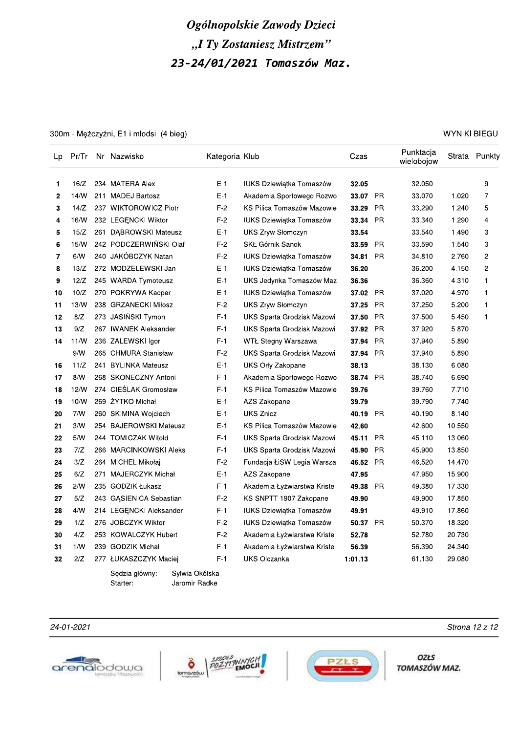300m - Mężczyźni, E1 i młodsi (4 bieg)

| Lp           | Pr/Tr | Nr Nazwisko             | Kategoria Klub |                                 | Czas     |           | Punktacja<br>wielobojow |        | Strata Punkty           |
|--------------|-------|-------------------------|----------------|---------------------------------|----------|-----------|-------------------------|--------|-------------------------|
| 1            | 16/Z  | 234 MATERA Alex         | $E-1$          | <b>IUKS Dziewiątka Tomaszów</b> | 32.05    |           | 32.050                  |        | 9                       |
| $\mathbf{2}$ | 14/N  | 211 MADEJ Bartosz       | E-1            | Akademia Sportowego Rozwo       | 33.07 PR |           | 33.070                  | 1.020  | 7                       |
| 3            | 14/Z  | 237 WIKTOROWICZ Piotr   | $F-2$          | KS Pilica Tomaszów Mazowie      | 33.29    | <b>PR</b> | 33.290                  | 1.240  | 5                       |
| 4            | 16/W  | 232 LEGENCKI Wiktor     | F-2            | <b>IUKS Dziewiątka Tomaszów</b> | 33.34    | <b>PR</b> | 33.340                  | 1.290  | 4                       |
| 5            | 15/Z  | 261 DABROWSKI Mateusz   | $E-1$          | UKS Zryw Słomczyn               | 33.54    |           | 33.540                  | 1.490  | 3                       |
| 6            | 15/N  | 242 PODCZERWIŃSKI Olaf  | $F-2$          | <b>SKŁ Górnik Sanok</b>         | 33.59    | <b>PR</b> | 33.590                  | 1.540  | 3                       |
| 7            | 6/N   | 240 JAKÓBCZYK Natan     | $F-2$          | IUKS Dziewiątka Tomaszów        | 34.81    | <b>PR</b> | 34.810                  | 2.760  | $\overline{\mathbf{c}}$ |
| 8            | 13/Z  | 272 MODZELEWSKI Jan     | $E-1$          | <b>IUKS Dziewiątka Tomaszów</b> | 36.20    |           | 36.200                  | 4.150  | $\overline{c}$          |
| 9            | 12/Z  | 245 WARDA Tymoteusz     | $E-1$          | UKS Jedynka Tomaszów Maz        | 36.36    |           | 36.360                  | 4.310  | $\mathbf{1}$            |
| 10           | 10/Z  | 270 POKRYWA Kacper      | $E-1$          | <b>IUKS Dziewiątka Tomaszów</b> | 37.02    | <b>PR</b> | 37.020                  | 4.970  | $\mathbf{1}$            |
| 11           | 13/W  | 238 GRZANECKI Miłosz    | $F-2$          | UKS Zryw Słomczyn               | 37.25    | <b>PR</b> | 37.250                  | 5.200  | 1                       |
| 12           | 8/Z   | 273 JASIŃSKI Tymon      | $F-1$          | UKS Sparta Grodzisk Mazowi      | 37.50    | <b>PR</b> | 37.500                  | 5.450  | 1                       |
| 13           | 9/Z   | 267 IWANEK Aleksander   | $F-1$          | UKS Sparta Grodzisk Mazowi      | 37.92    | <b>PR</b> | 37.920                  | 5.870  |                         |
| 14           | 11/N  | 236 ZALEWSKI Igor       | $F-1$          | WTŁ Stegny Warszawa             | 37.94    | <b>PR</b> | 37.940                  | 5.890  |                         |
|              | 9/N   | 265 CHMURA Stanisław    | $F-2$          | UKS Sparta Grodzisk Mazowi      | 37.94    | PR        | 37.940                  | 5.890  |                         |
| 16           | 11/Z  | 241 BYLINKA Mateusz     | $E-1$          | UKS Orly Zakopane               | 38.13    |           | 38.130                  | 6.080  |                         |
| 17           | 8/N   | 268 SKONECZNY Antoni    | $F-1$          | Akademia Sportowego Rozwo       | 38.74 PR |           | 38.740                  | 6.690  |                         |
| 18           | 12/N  | 274 CIESLAK Gromosław   | $F-1$          | KS Pilica Tomaszów Mazowie      | 39.76    |           | 39.760                  | 7.710  |                         |
| 19           | 10/W  | 269 ŻYTKO Michał        | E-1            | AZS Zakopane                    | 39.79    |           | 39.790                  | 7.740  |                         |
| 20           | 7/N   | 260 SKIMINA Wojciech    | E-1            | <b>UKS Znicz</b>                | 40.19    | PR        | 40.190                  | 8.140  |                         |
| 21           | 3/N   | 254 BAJEROWSKI Mateusz  | $E-1$          | KS Pilica Tomaszów Mazowie      | 42.60    |           | 42.600                  | 10.550 |                         |
| 22           | 5/N   | 244 TOMICZAK Witold     | $F-1$          | UKS Sparta Grodzisk Mazowi      | 45.11    | <b>PR</b> | 45.110                  | 13.060 |                         |
| 23           | 7/Z   | 266 MARCINKOWSKI Aleks  | $F-1$          | UKS Sparta Grodzisk Mazowi      | 45.90    | <b>PR</b> | 45.900                  | 13.850 |                         |
| 24           | 3/Z   | 264 MICHEL Mikołaj      | $F-2$          | Fundacja ŁiSW Legia Warsza      | 46.52    | <b>PR</b> | 46.520                  | 14.470 |                         |
| 25           | 6/Z   | 271 MAJERCZYK Michał    | $E-1$          | AZS Zakopane                    | 47.95    |           | 47.950                  | 15.900 |                         |
| 26           | 2/N   | 235 GODZIK Łukasz       | $F-1$          | Akademia Łyżwiarstwa Kriste     | 49.38    | <b>PR</b> | 49.380                  | 17.330 |                         |
| 27           | 5/Z   | 243 GASIENICA Sebastian | $F-2$          | KS SNPTT 1907 Zakopane          | 49.90    |           | 49.900                  | 17.850 |                         |
| 28           | 4/N   | 214 LEGENCKI Aleksander | $F-1$          | <b>IUKS Dziewiątka Tomaszów</b> | 49.91    |           | 49.910                  | 17.860 |                         |
| 29           | 1/Z   | 276 JOBCZYK Wiktor      | $F-2$          | <b>IUKS Dziewiątka Tomaszów</b> | 50.37 PR |           | 50.370                  | 18.320 |                         |
| 30           | 4/Z   | 253 KOWALCZYK Hubert    | $F-2$          | Akademia Łyżwiarstwa Kriste     | 52.78    |           | 52.780                  | 20.730 |                         |
| 31           | 1/N   | 239 GODZIK Michał       | $F-1$          | Akademia Łyżwiarstwa Kriste     | 56.39    |           | 56.390                  | 24.340 |                         |
| 32           | 2/Z   | 277 ŁUKASZCZYK Maciej   | $F-1$          | <b>UKS Olczanka</b>             | 1:01.13  |           | 61.130                  | 29.080 |                         |

Sędzia główny: Sylwia Okólska Starter: Jaromir Radke

24-01-2021







**OZŁS** TOMASZÓW MAZ.

#### **WYNIKI BIEGU**

Strona 12 z 12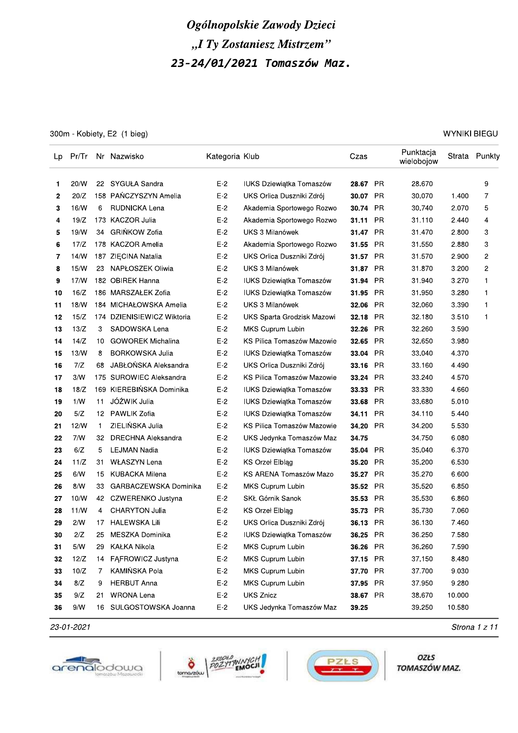300m - Kobiety, E2 (1 bieg)

WYNIKI BIEGU

| Lp |      |              | Pr/Tr Nr Nazwisko        | Kategoria Klub |                                 | Czas     |           | Punktacja<br>wielobojow |        | Strata Punkty  |
|----|------|--------------|--------------------------|----------------|---------------------------------|----------|-----------|-------------------------|--------|----------------|
| 1  | 20/W | 22           | SYGUŁA Sandra            | $E-2$          | IUKS Dziewiątka Tomaszów        | 28.67 PR |           | 28.670                  |        | 9              |
| 2  | 20/Z |              | 158 PANCZYSZYN Amelia    | $E-2$          | UKS Orlica Duszniki Zdrój       | 30.07 PR |           | 30.070                  | 1.400  | 7              |
| 3  | 16/W | 6            | RUDNICKA Lena            | $E-2$          | Akademia Sportowego Rozwo       | 30.74    | PR        | 30.740                  | 2.070  | 5              |
| 4  | 19/Z |              | 173 KACZOR Julia         | $E-2$          | Akademia Sportowego Rozwo       | 31.11    | PR        | 31.110                  | 2.440  | 4              |
| 5  | 19/W | 34           | GRIŃKOW Zofia            | $E-2$          | UKS 3 Milanówek                 | 31.47 PR |           | 31.470                  | 2.800  | 3              |
| 6  | 17/Z |              | 178 KACZOR Amelia        | $E-2$          | Akademia Sportowego Rozwo       | 31.55    | <b>PR</b> | 31.550                  | 2.880  | 3              |
| 7  | 14/W |              | 187 ZIECINA Natalia      | E-2            | UKS Orlica Duszniki Zdrój       | 31.57    | <b>PR</b> | 31.570                  | 2.900  | 2              |
| 8  | 15/N | 23           | NAPŁOSZEK Oliwia         | $E-2$          | UKS 3 Milanówek                 | 31.87 PR |           | 31.870                  | 3.200  | $\overline{c}$ |
| 9  | 17/N |              | 182 OBIREK Hanna         | $E-2$          | IUKS Dziewiątka Tomaszów        | 31.94    | <b>PR</b> | 31.940                  | 3.270  | 1              |
| 10 | 16/Z |              | 186 MARSZAŁEK Zofia      | E-2            | IUKS Dziewiątka Tomaszów        | 31.95    | <b>PR</b> | 31.950                  | 3.280  | $\mathbf 1$    |
| 11 | 18/W |              | 184 MICHAŁOWSKA Amelia   | $E-2$          | UKS 3 Milanówek                 | 32.06    | <b>PR</b> | 32.060                  | 3.390  | 1              |
| 12 | 15/Z | 174          | DZIENISIEWICZ Wiktoria   | $E-2$          | UKS Sparta Grodzisk Mazowi      | 32.18    | <b>PR</b> | 32.180                  | 3.510  | $\mathbf 1$    |
| 13 | 13/Z | 3            | SADOWSKA Lena            | $E-2$          | MKS Cuprum Lubin                | 32.26    | <b>PR</b> | 32.260                  | 3.590  |                |
| 14 | 14/Z | 10           | <b>GOWOREK Michalina</b> | $E-2$          | KS Pilica Tomaszów Mazowie      | 32.65    | <b>PR</b> | 32.650                  | 3.980  |                |
| 15 | 13/W | 8            | <b>BORKOWSKA Julia</b>   | $E-2$          | <b>IUKS Dziewiątka Tomaszów</b> | 33.04    | PR        | 33.040                  | 4.370  |                |
| 16 | 7/Z  | 68           | JABŁOŃSKA Aleksandra     | $E-2$          | UKS Orlica Duszniki Zdrój       | 33.16    | PR        | 33.160                  | 4.490  |                |
| 17 | 3/N  |              | 175 SUROWIEC Aleksandra  | $E-2$          | KS Pilica Tomaszów Mazowie      | 33.24    | PR        | 33.240                  | 4.570  |                |
| 18 | 18/Z | 169          | KIEREBIŃSKA Dominika     | $E-2$          | IUKS Dziewiątka Tomaszów        | 33.33    | PR        | 33.330                  | 4.660  |                |
| 19 | 1/N  | 11           | JÓŹWIK Julia             | $E-2$          | IUKS Dziewiątka Tomaszów        | 33.68    | PR.       | 33.680                  | 5.010  |                |
| 20 | 5/Z  | 12           | <b>PAWLIK Zofia</b>      | $E-2$          | IUKS Dziewiątka Tomaszów        | 34.11    | <b>PR</b> | 34.110                  | 5.440  |                |
| 21 | 12/W | $\mathbf{1}$ | ZIELIŃSKA Julia          | $E-2$          | KS Pilica Tomaszów Mazowie      | 34.20    | <b>PR</b> | 34.200                  | 5.530  |                |
| 22 | 7/W  | 32           | DRECHNA Aleksandra       | $E-2$          | UKS Jedynka Tomaszów Maz        | 34.75    |           | 34.750                  | 6.080  |                |
| 23 | 6/Z  | 5            | <b>LEJMAN Nadia</b>      | $E-2$          | IUKS Dziewiątka Tomaszów        | 35.04    | PR        | 35.040                  | 6.370  |                |
| 24 | 11/Z | 31           | <b>WŁASZYN Lena</b>      | $E-2$          | <b>KS Orzel Elblag</b>          | 35.20    | PR        | 35.200                  | 6.530  |                |
| 25 | 6/N  | 15           | KUBACKA Milena           | $E-2$          | KS ARENA Tomaszów Mazo          | 35.27    | <b>PR</b> | 35.270                  | 6.600  |                |
| 26 | 8/N  | 33           | GARBACZEWSKA Dominika    | $E-2$          | MKS Cuprum Lubin                | 35.52    | <b>PR</b> | 35.520                  | 6.850  |                |
| 27 | 10/W |              | 42 CZWERENKO Justyna     | $E-2$          | SKŁ Górnik Sanok                | 35.53    | <b>PR</b> | 35.530                  | 6.860  |                |
| 28 | 11/W | 4            | <b>CHARYTON Julia</b>    | $E-2$          | <b>KS Orzel Elbląg</b>          | 35.73    | <b>PR</b> | 35.730                  | 7.060  |                |
| 29 | 2/N  | 17           | <b>HALEWSKA Lili</b>     | $E-2$          | UKS Orlica Duszniki Zdrój       | 36.13    | PR        | 36.130                  | 7.460  |                |
| 30 | 2/Z  | 25           | MESZKA Dominika          | $E-2$          | IUKS Dziewiątka Tomaszów        | 36.25 PR |           | 36.250                  | 7.580  |                |
| 31 | 5/N  | 29           | KAŁKA Nikola             | $E-2$          | MKS Cuprum Lubin                | 36.26 PR |           | 36.260                  | 7.590  |                |
| 32 | 12/Z | 14           | FAFROWICZ Justyna        | $E-2$          | MKS Cuprum Lubin                | 37.15 PR |           | 37.150                  | 8.480  |                |
| 33 | 10/Z | 7            | KAMIŃSKA Pola            | $E-2$          | MKS Cuprum Lubin                | 37.70 PR |           | 37.700                  | 9.030  |                |
| 34 | 8/Z  | 9            | <b>HERBUT Anna</b>       | $E-2$          | MKS Cuprum Lubin                | 37.95 PR |           | 37.950                  | 9.280  |                |
| 35 | 9/Z  | 21           | WRONA Lena               | $E-2$          | <b>UKS Znicz</b>                | 38.67 PR |           | 38.670                  | 10.000 |                |
| 36 | 9/N  |              | 16 SULGOSTOWSKA Joanna   | $E-2$          | UKS Jedynka Tomaszów Maz        | 39.25    |           | 39.250                  | 10.580 |                |

23-01-2021







OZŁS TOMASZÓW MAZ.

Strona 1 z 11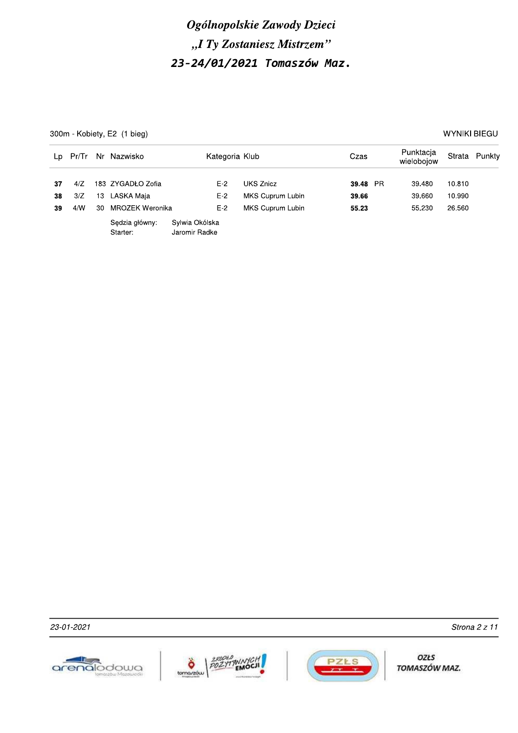300m - Kobiety, E2 (1 bieg)

WYNIKI BIEGU

| Lp       | Pr/Tr      |    | Nr Nazwisko                     | Kategoria Klub                  |                               | Czas              | Punktacja<br>wielobojow |                  | Strata Punkty |
|----------|------------|----|---------------------------------|---------------------------------|-------------------------------|-------------------|-------------------------|------------------|---------------|
| 37<br>38 | 4/Z<br>3/Z | 13 | 183 ZYGADŁO Zofia<br>LASKA Maia | $E-2$<br>$E-2$                  | UKS Znicz<br>MKS Cuprum Lubin | 39.48 PR<br>39.66 | 39.480<br>39.660        | 10.810<br>10.990 |               |
| 39       | 4/N        | 30 | MROZEK Weronika                 | $E-2$                           | <b>MKS Cuprum Lubin</b>       | 55.23             | 55.230                  | 26.560           |               |
|          |            |    | Sędzia główny:<br>Starter:      | Sylwia Okólska<br>Jaromir Radke |                               |                   |                         |                  |               |

23-01-2021





OZŁS TOMASZÓW MAZ.

Strona 2 z 11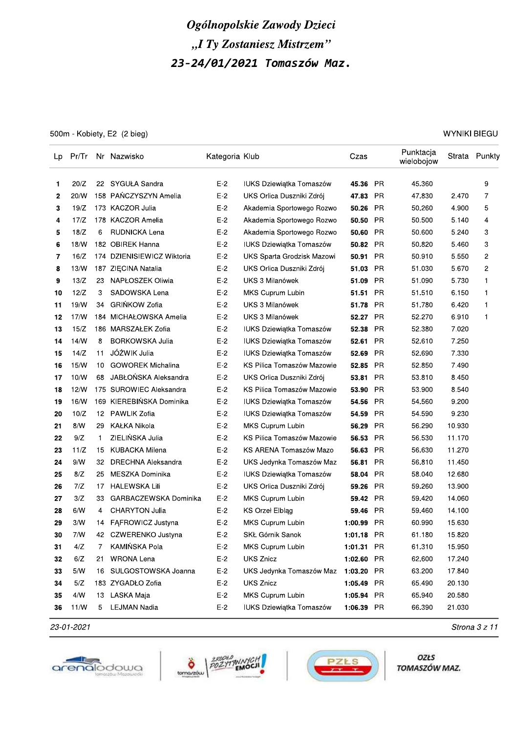500m - Kobiety, E2 (2 bieg)

**WYNIKI BIEGU** 

| Lp | Pr/Tr |              | Nr Nazwisko               | Kategoria Klub |                                 | Czas       |           | Punktacja<br>wielobojow |        | Strata Punkty |
|----|-------|--------------|---------------------------|----------------|---------------------------------|------------|-----------|-------------------------|--------|---------------|
| 1  | 20/Z  | 22           | SYGUŁA Sandra             | $E-2$          | <b>IUKS Dziewiątka Tomaszów</b> | 45.36      | PR.       | 45.360                  |        | 9             |
| 2  | 20/W  |              | 158 PAŃCZYSZYN Amelia     | $E-2$          | UKS Orlica Duszniki Zdrój       | 47.83      | <b>PR</b> | 47.830                  | 2.470  | 7             |
| 3  | 19/Z  |              | 173 KACZOR Julia          | $E-2$          | Akademia Sportowego Rozwo       | 50.26      | <b>PR</b> | 50.260                  | 4.900  | 5             |
| 4  | 17/Z  |              | 178 KACZOR Amelia         | $E-2$          | Akademia Sportowego Rozwo       | 50.50      | <b>PR</b> | 50.500                  | 5.140  | 4             |
| 5  | 18/Z  | 6            | RUDNICKA Lena             | $E-2$          | Akademia Sportowego Rozwo       | 50.60      | <b>PR</b> | 50.600                  | 5.240  | 3             |
| 6  | 18/W  |              | 182 OBIREK Hanna          | $E-2$          | IUKS Dziewiątka Tomaszów        | 50.82 PR   |           | 50.820                  | 5.460  | 3             |
| 7  | 16/Z  | 174          | DZIENISIEWICZ Wiktoria    | $E-2$          | UKS Sparta Grodzisk Mazowi      | 50.91      | PR        | 50.910                  | 5.550  | 2             |
| 8  | 13/N  |              | 187 ZIECINA Natalia       | $E-2$          | UKS Orlica Duszniki Zdrój       | 51.03      | PR        | 51.030                  | 5.670  | 2             |
| 9  | 13/Z  | 23           | NAPŁOSZEK Oliwia          | $E-2$          | UKS 3 Milanówek                 | 51.09      | <b>PR</b> | 51.090                  | 5.730  | 1             |
| 10 | 12/Z  | 3            | SADOWSKA Lena             | $E-2$          | MKS Cuprum Lubin                | 51.51      | PR        | 51.510                  | 6.150  | 1             |
| 11 | 19/W  | 34           | <b>GRIŃKOW Zofia</b>      | E-2            | UKS 3 Milanówek                 | 51.78      | <b>PR</b> | 51.780                  | 6.420  | 1             |
| 12 | 17/N  |              | 184 MICHAŁOWSKA Amelia    | $E-2$          | UKS 3 Milanówek                 | 52.27 PR   |           | 52.270                  | 6.910  | 1             |
| 13 | 15/Z  |              | 186 MARSZAŁEK Zofia       | $E-2$          | <b>IUKS Dziewiątka Tomaszów</b> | 52.38      | <b>PR</b> | 52.380                  | 7.020  |               |
| 14 | 14/N  | 8            | <b>BORKOWSKA Julia</b>    | $E-2$          | IUKS Dziewiątka Tomaszów        | 52.61      | <b>PR</b> | 52.610                  | 7.250  |               |
| 15 | 14/Z  | 11           | JÓŹWIK Julia              | $E-2$          | <b>IUKS Dziewiątka Tomaszów</b> | 52.69      | <b>PR</b> | 52.690                  | 7.330  |               |
| 16 | 15/N  | 10           | <b>GOWOREK Michalina</b>  | $E-2$          | KS Pilica Tomaszów Mazowie      | 52.85      | PR        | 52.850                  | 7.490  |               |
| 17 | 10/N  | 68           | JABŁOŃSKA Aleksandra      | $E-2$          | UKS Orlica Duszniki Zdrój       | 53.81      | PR        | 53.810                  | 8.450  |               |
| 18 | 12/N  |              | 175 SUROWIEC Aleksandra   | $E-2$          | KS Pilica Tomaszów Mazowie      | 53.90      | <b>PR</b> | 53.900                  | 8.540  |               |
| 19 | 16/W  |              | 169 KIEREBIŃSKA Dominika  | $E-2$          | <b>IUKS Dziewiątka Tomaszów</b> | 54.56      | PR        | 54.560                  | 9.200  |               |
| 20 | 10/Z  | 12           | PAWLIK Zofia              | $E-2$          | <b>IUKS Dziewiątka Tomaszów</b> | 54.59      | PR.       | 54.590                  | 9.230  |               |
| 21 | 8/N   | 29           | <b>KAŁKA Nikola</b>       | $E-2$          | MKS Cuprum Lubin                | 56.29      | <b>PR</b> | 56.290                  | 10.930 |               |
| 22 | 9/Z   | $\mathbf{1}$ | ZIELIŃSKA Julia           | $E-2$          | KS Pilica Tomaszów Mazowie      | 56.53      | <b>PR</b> | 56.530                  | 11.170 |               |
| 23 | 11/Z  | 15           | <b>KUBACKA Milena</b>     | $E-2$          | KS ARENA Tomaszów Mazo          | 56.63      | <b>PR</b> | 56.630                  | 11.270 |               |
| 24 | 9/N   | 32           | <b>DRECHNA Aleksandra</b> | $E-2$          | UKS Jedynka Tomaszów Maz        | 56.81      | <b>PR</b> | 56.810                  | 11.450 |               |
| 25 | 8/Z   | 25           | MESZKA Dominika           | $E-2$          | IUKS Dziewiątka Tomaszów        | 58.04      | <b>PR</b> | 58.040                  | 12.680 |               |
| 26 | 7/Z   | 17           | <b>HALEWSKA Lili</b>      | $E-2$          | UKS Orlica Duszniki Zdrój       | 59.26      | <b>PR</b> | 59.260                  | 13.900 |               |
| 27 | 3/Z   | 33           | GARBACZEWSKA Dominika     | $E-2$          | MKS Cuprum Lubin                | 59.42      | <b>PR</b> | 59.420                  | 14.060 |               |
| 28 | 6/N   | 4            | CHARYTON Julia            | $E-2$          | <b>KS Orzel Elblag</b>          | 59.46      | <b>PR</b> | 59.460                  | 14.100 |               |
| 29 | 3/N   | 14           | FAFROWICZ Justyna         | $E-2$          | MKS Cuprum Lubin                | 1:00.99    | PR        | 60.990                  | 15.630 |               |
| 30 | 7/N   | 42           | CZWERENKO Justyna         | $E-2$          | SKŁ Górnik Sanok                | 1:01.18 PR |           | 61.180                  | 15.820 |               |
| 31 | 4/Z   | 7            | KAMIŃSKA Pola             | $E-2$          | MKS Cuprum Lubin                | 1:01.31 PR |           | 61.310                  | 15.950 |               |
| 32 | 6/Z   | 21           | <b>WRONA Lena</b>         | $E-2$          | <b>UKS Znicz</b>                | 1:02.60 PR |           | 62.600                  | 17.240 |               |
| 33 | $5/N$ | 16           | SULGOSTOWSKA Joanna       | $E-2$          | UKS Jedynka Tomaszów Maz        | 1:03.20 PR |           | 63.200                  | 17.840 |               |
| 34 | 5/Z   |              | 183 ZYGADŁO Zofia         | $E-2$          | <b>UKS Znicz</b>                | 1:05.49 PR |           | 65.490                  | 20.130 |               |
| 35 | $4/M$ | 13           | LASKA Maja                | $E-2$          | MKS Cuprum Lubin                | 1:05.94 PR |           | 65.940                  | 20.580 |               |
| 36 | 11/N  | 5            | <b>LEJMAN Nadia</b>       | $E-2$          | IUKS Dziewiątka Tomaszów        | 1:06.39 PR |           | 66.390                  | 21.030 |               |

23-01-2021







OZŁS TOMASZÓW MAZ.

Strona 3 z 11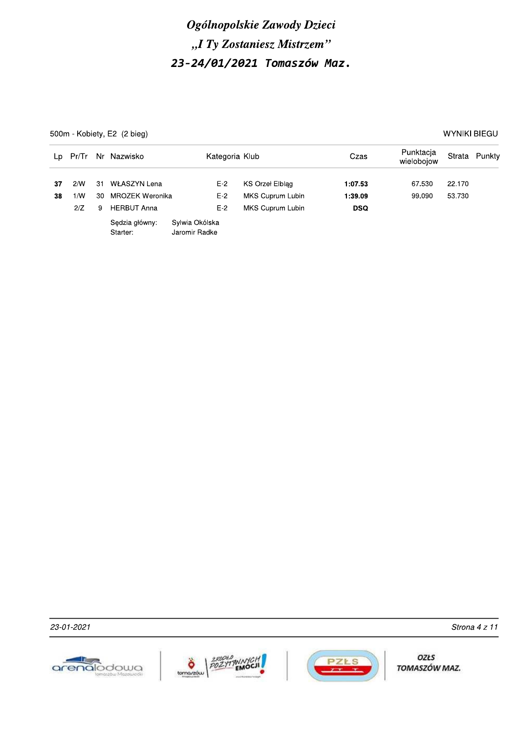500m - Kobiety, E2 (2 bieg)

**WYNIKI BIEGU** 

| Lp.      | Pr/Tr      |          | Nr Nazwisko                     | Kategoria Klub                  |                                     | Czas               | Punktacja<br>wielobojow |                  | Strata Punkty |
|----------|------------|----------|---------------------------------|---------------------------------|-------------------------------------|--------------------|-------------------------|------------------|---------------|
| 37<br>38 | 2/N<br>1/N | 31<br>30 | WŁASZYN Lena<br>MROZEK Weronika | $E-2$<br>$E-2$                  | KS Orzeł Elblag<br>MKS Cuprum Lubin | 1:07.53<br>1:39.09 | 67.530<br>99.090        | 22.170<br>53.730 |               |
|          | 2/Z        | 9        | <b>HERBUT Anna</b>              | $E-2$                           | MKS Cuprum Lubin                    | <b>DSQ</b>         |                         |                  |               |
|          |            |          | Sedzia główny:<br>Starter:      | Sylwia Okólska<br>Jaromir Radke |                                     |                    |                         |                  |               |







OZŁS TOMASZÓW MAZ.

Strona 4 z 11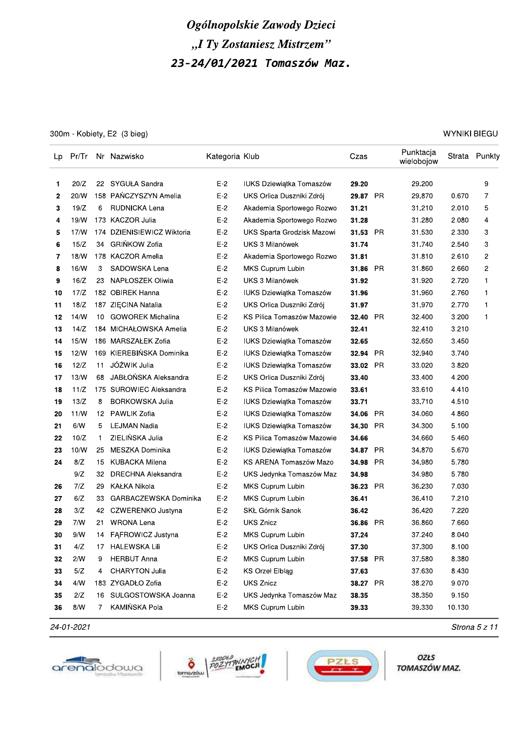300m - Kobiety, E2 (3 bieg)

**WYNIKI BIEGU** 

| Lp |      |    | Pr/Tr Nr Nazwisko          | Kategoria Klub |                                 | Czas     |           | Punktacja<br>wielobojow |        | Strata Punkty  |
|----|------|----|----------------------------|----------------|---------------------------------|----------|-----------|-------------------------|--------|----------------|
| 1  | 20/Z | 22 | SYGUŁA Sandra              | $E-2$          | IUKS Dziewiątka Tomaszów        | 29.20    |           | 29.200                  |        | 9              |
| 2  | 20/W |    | 158 PAŃCZYSZYN Amelia      | $E-2$          | UKS Orlica Duszniki Zdrój       | 29.87 PR |           | 29.870                  | 0.670  | 7              |
| 3  | 19/Z | 6  | RUDNICKA Lena              | $E-2$          | Akademia Sportowego Rozwo       | 31.21    |           | 31.210                  | 2.010  | 5              |
| 4  | 19/W |    | 173 KACZOR Julia           | $E-2$          | Akademia Sportowego Rozwo       | 31.28    |           | 31.280                  | 2.080  | 4              |
| 5  | 17/N |    | 174 DZIENISIEWICZ Wiktoria | $E-2$          | UKS Sparta Grodzisk Mazowi      | 31.53    | <b>PR</b> | 31.530                  | 2.330  | 3              |
| 6  | 15/Z | 34 | <b>GRIŃKOW Zofia</b>       | $E-2$          | UKS 3 Milanówek                 | 31.74    |           | 31.740                  | 2.540  | 3              |
| 7  | 18/N |    | 178 KACZOR Amelia          | E-2            | Akademia Sportowego Rozwo       | 31.81    |           | 31.810                  | 2.610  | 2              |
| 8  | 16/W | 3  | SADOWSKA Lena              | $E-2$          | MKS Cuprum Lubin                | 31.86    | <b>PR</b> | 31.860                  | 2.660  | $\overline{c}$ |
| 9  | 16/Z | 23 | NAPŁOSZEK Oliwia           | $E-2$          | <b>UKS 3 Milanówek</b>          | 31.92    |           | 31.920                  | 2.720  | 1              |
| 10 | 17/Z |    | 182 OBIREK Hanna           | E-2            | IUKS Dziewiątka Tomaszów        | 31.96    |           | 31.960                  | 2.760  | $\mathbf 1$    |
| 11 | 18/Z |    | 187 ZIECINA Natalia        | $E-2$          | UKS Orlica Duszniki Zdrój       | 31.97    |           | 31.970                  | 2.770  | 1              |
| 12 | 14/N | 10 | <b>GOWOREK Michalina</b>   | $E-2$          | KS Pilica Tomaszów Mazowie      | 32.40    | PR        | 32.400                  | 3.200  | $\mathbf 1$    |
| 13 | 14/Z |    | 184 MICHAŁOWSKA Amelia     | $E-2$          | UKS 3 Milanówek                 | 32.41    |           | 32.410                  | 3.210  |                |
| 14 | 15/N |    | 186 MARSZAŁEK Zofia        | $E-2$          | <b>IUKS Dziewiątka Tomaszów</b> | 32.65    |           | 32.650                  | 3.450  |                |
| 15 | 12/N |    | 169 KIEREBIŃSKA Dominika   | $E-2$          | <b>IUKS Dziewiątka Tomaszów</b> | 32.94    | PR        | 32.940                  | 3.740  |                |
| 16 | 12/Z | 11 | JÓŹWIK Julia               | $E-2$          | IUKS Dziewiątka Tomaszów        | 33.02    | <b>PR</b> | 33.020                  | 3.820  |                |
| 17 | 13/W | 68 | JABŁOŃSKA Aleksandra       | $E-2$          | UKS Orlica Duszniki Zdrój       | 33.40    |           | 33.400                  | 4.200  |                |
| 18 | 11/Z |    | 175 SUROWIEC Aleksandra    | $E-2$          | KS Pilica Tomaszów Mazowie      | 33.61    |           | 33.610                  | 4.410  |                |
| 19 | 13/Z | 8  | <b>BORKOWSKA Julia</b>     | $E-2$          | IUKS Dziewiątka Tomaszów        | 33.71    |           | 33.710                  | 4.510  |                |
| 20 | 11/N | 12 | PAWLIK Zofia               | $E-2$          | IUKS Dziewiątka Tomaszów        | 34.06    | PR        | 34.060                  | 4.860  |                |
| 21 | 6/N  | 5  | <b>LEJMAN Nadia</b>        | $E-2$          | IUKS Dziewiątka Tomaszów        | 34.30    | PR.       | 34.300                  | 5.100  |                |
| 22 | 10/Z | 1  | ZIELIŃSKA Julia            | $E-2$          | KS Pilica Tomaszów Mazowie      | 34.66    |           | 34.660                  | 5.460  |                |
| 23 | 10/W | 25 | MESZKA Dominika            | $E-2$          | IUKS Dziewiątka Tomaszów        | 34.87    | PR        | 34.870                  | 5.670  |                |
| 24 | 8/Z  | 15 | <b>KUBACKA Milena</b>      | $E-2$          | KS ARENA Tomaszów Mazo          | 34.98    | PR        | 34.980                  | 5.780  |                |
|    | 9/Z  | 32 | DRECHNA Aleksandra         | $E-2$          | UKS Jedynka Tomaszów Maz        | 34.98    |           | 34.980                  | 5.780  |                |
| 26 | 7/Z  | 29 | KAŁKA Nikola               | $E-2$          | MKS Cuprum Lubin                | 36.23    | <b>PR</b> | 36.230                  | 7.030  |                |
| 27 | 6/Z  | 33 | GARBACZEWSKA Dominika      | $E-2$          | MKS Cuprum Lubin                | 36.41    |           | 36.410                  | 7.210  |                |
| 28 | 3/Z  | 42 | CZWERENKO Justyna          | $E-2$          | SKŁ Górnik Sanok                | 36.42    |           | 36.420                  | 7.220  |                |
| 29 | 7/N  | 21 | <b>WRONA Lena</b>          | $E-2$          | <b>UKS Znicz</b>                | 36.86    | PR        | 36.860                  | 7.660  |                |
| 30 | 9/N  | 14 | FAFROWICZ Justyna          | $E-2$          | MKS Cuprum Lubin                | 37.24    |           | 37.240                  | 8.040  |                |
| 31 | 4/Z  |    | 17 HALEWSKA Lili           | $E-2$          | UKS Orlica Duszniki Zdrój       | 37.30    |           | 37.300                  | 8.100  |                |
| 32 | 2/N  | 9  | <b>HERBUT Anna</b>         | $E-2$          | MKS Cuprum Lubin                | 37.58 PR |           | 37.580                  | 8.380  |                |
| 33 | 5/Z  | 4  | <b>CHARYTON Julia</b>      | $E-2$          | KS Orzeł Elbląg                 | 37.63    |           | 37.630                  | 8.430  |                |
| 34 | 4/N  |    | 183 ZYGADŁO Zofia          | $E-2$          | <b>UKS Znicz</b>                | 38.27 PR |           | 38.270                  | 9.070  |                |
| 35 | 2/Z  | 16 | SULGOSTOWSKA Joanna        | $E-2$          | UKS Jedynka Tomaszów Maz        | 38.35    |           | 38.350                  | 9.150  |                |
| 36 | 8/N  | 7  | KAMIŃSKA Pola              | $E-2$          | MKS Cuprum Lubin                | 39.33    |           | 39.330                  | 10.130 |                |

24-01-2021







OZŁS TOMASZÓW MAZ.

Strona 5 z 11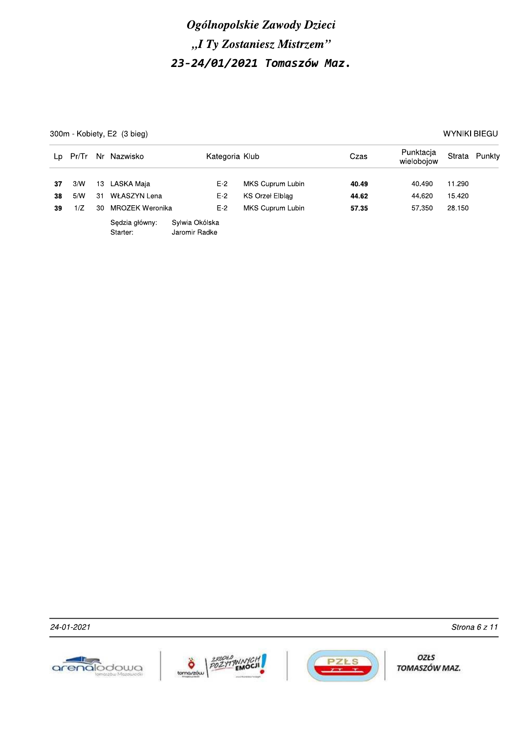300m - Kobiety, E2 (3 bieg)

**WYNIKI BIEGU** 

| Lp       | Pr/Tr      |          | Nr Nazwisko                | Kategoria Klub                  |                                     | Czas           | Punktacja<br>wielobojow |                  | Strata Punkty |
|----------|------------|----------|----------------------------|---------------------------------|-------------------------------------|----------------|-------------------------|------------------|---------------|
| 37<br>38 | 3/N<br>5/N | 13<br>31 | LASKA Maia<br>WŁASZYN Lena | $E-2$<br>$E-2$                  | MKS Cuprum Lubin<br>KS Orzeł Elblag | 40.49<br>44.62 | 40.490<br>44.620        | 11.290<br>15.420 |               |
| 39       | 1/Z        | 30       | MROZEK Weronika            | $E-2$                           | MKS Cuprum Lubin                    | 57.35          | 57.350                  | 28.150           |               |
|          |            |          | Sedzia główny:<br>Starter: | Sylwia Okólska<br>Jaromir Radke |                                     |                |                         |                  |               |

24-01-2021







OZŁS TOMASZÓW MAZ.

Strona 6 z 11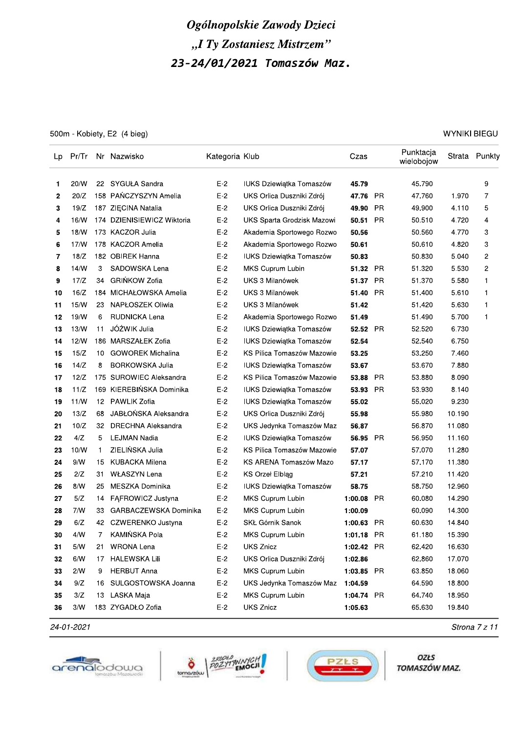500m - Kobiety, E2 (4 bieg)

**WYNIKI BIEGU** 

| Lp |      |    | Pr/Tr Nr Nazwisko          | Kategoria Klub |                                 | Czas       |           | Punktacja<br>wielobojow |        | Strata Punkty  |
|----|------|----|----------------------------|----------------|---------------------------------|------------|-----------|-------------------------|--------|----------------|
| 1  | 20/W | 22 | SYGUŁA Sandra              | $E-2$          | IUKS Dziewiątka Tomaszów        | 45.79      |           | 45.790                  |        | 9              |
| 2  | 20/Z |    | 158 PAŃCZYSZYN Amelia      | $E-2$          | UKS Orlica Duszniki Zdrój       | 47.76      | - PR      | 47.760                  | 1.970  | 7              |
| 3  | 19/Z |    | 187 ZIECINA Natalia        | $E-2$          | UKS Orlica Duszniki Zdrój       | 49.90      | PR        | 49.900                  | 4.110  | 5              |
| 4  | 16/W |    | 174 DZIENISIEWICZ Wiktoria | $E-2$          | UKS Sparta Grodzisk Mazowi      | 50.51      | <b>PR</b> | 50.510                  | 4.720  | 4              |
| 5  | 18/N |    | 173 KACZOR Julia           | $E-2$          | Akademia Sportowego Rozwo       | 50.56      |           | 50.560                  | 4.770  | 3              |
| 6  | 17/N |    | 178 KACZOR Amelia          | $E-2$          | Akademia Sportowego Rozwo       | 50.61      |           | 50.610                  | 4.820  | 3              |
| 7  | 18/Z |    | 182 OBIREK Hanna           | $E-2$          | IUKS Dziewiątka Tomaszów        | 50.83      |           | 50.830                  | 5.040  | $\overline{c}$ |
| 8  | 14/N | 3  | SADOWSKA Lena              | $E-2$          | MKS Cuprum Lubin                | 51.32 PR   |           | 51.320                  | 5.530  | $\overline{c}$ |
| 9  | 17/Z | 34 | <b>GRIŃKOW Zofia</b>       | $E-2$          | UKS 3 Milanówek                 | 51.37 PR   |           | 51.370                  | 5.580  | 1              |
| 10 | 16/Z |    | 184 MICHAŁOWSKA Amelia     | E-2            | UKS 3 Milanówek                 | 51.40      | <b>PR</b> | 51.400                  | 5.610  | $\mathbf 1$    |
| 11 | 15/W | 23 | NAPŁOSZEK Oliwia           | $E-2$          | UKS 3 Milanówek                 | 51.42      |           | 51.420                  | 5.630  | 1              |
| 12 | 19/N | 6  | RUDNICKA Lena              | $E-2$          | Akademia Sportowego Rozwo       | 51.49      |           | 51.490                  | 5.700  | 1              |
| 13 | 13/N | 11 | JÓŹWIK Julia               | $E-2$          | IUKS Dziewiątka Tomaszów        | 52.52      | PR        | 52.520                  | 6.730  |                |
| 14 | 12/N |    | 186 MARSZAŁEK Zofia        | $E-2$          | <b>IUKS Dziewiątka Tomaszów</b> | 52.54      |           | 52.540                  | 6.750  |                |
| 15 | 15/Z | 10 | <b>GOWOREK Michalina</b>   | $E-2$          | KS Pilica Tomaszów Mazowie      | 53.25      |           | 53.250                  | 7.460  |                |
| 16 | 14/Z | 8  | <b>BORKOWSKA Julia</b>     | $E-2$          | <b>IUKS Dziewiątka Tomaszów</b> | 53.67      |           | 53.670                  | 7.880  |                |
| 17 | 12/Z |    | 175 SUROWIEC Aleksandra    | $E-2$          | KS Pilica Tomaszów Mazowie      | 53.88      | PR        | 53.880                  | 8.090  |                |
| 18 | 11/Z |    | 169 KIEREBIŃSKA Dominika   | $E-2$          | IUKS Dziewiątka Tomaszów        | 53.93      | PR.       | 53.930                  | 8.140  |                |
| 19 | 11/N | 12 | PAWLIK Zofia               | $E-2$          | IUKS Dziewiątka Tomaszów        | 55.02      |           | 55.020                  | 9.230  |                |
| 20 | 13/Z | 68 | JABŁOŃSKA Aleksandra       | $E-2$          | UKS Orlica Duszniki Zdrój       | 55.98      |           | 55.980                  | 10.190 |                |
| 21 | 10/Z | 32 | DRECHNA Aleksandra         | $E-2$          | UKS Jedynka Tomaszów Maz        | 56.87      |           | 56.870                  | 11.080 |                |
| 22 | 4/Z  | 5  | <b>LEJMAN Nadia</b>        | $E-2$          | IUKS Dziewiątka Tomaszów        | 56.95      | PR        | 56.950                  | 11.160 |                |
| 23 | 10/W | 1  | ZIELIŃSKA Julia            | $E-2$          | KS Pilica Tomaszów Mazowie      | 57.07      |           | 57.070                  | 11.280 |                |
| 24 | 9/N  | 15 | <b>KUBACKA Milena</b>      | $E-2$          | KS ARENA Tomaszów Mazo          | 57.17      |           | 57.170                  | 11.380 |                |
| 25 | 2/Z  | 31 | <b>WŁASZYN Lena</b>        | $E-2$          | KS Orzeł Elbląg                 | 57.21      |           | 57.210                  | 11.420 |                |
| 26 | 8/N  | 25 | MESZKA Dominika            | $E-2$          | <b>IUKS Dziewiątka Tomaszów</b> | 58.75      |           | 58.750                  | 12.960 |                |
| 27 | 5/Z  | 14 | FAFROWICZ Justyna          | $E-2$          | MKS Cuprum Lubin                | 1:00.08    | PR.       | 60.080                  | 14.290 |                |
| 28 | 7/N  | 33 | GARBACZEWSKA Dominika      | $E-2$          | MKS Cuprum Lubin                | 1:00.09    |           | 60.090                  | 14.300 |                |
| 29 | 6/Z  |    | 42 CZWERENKO Justyna       | $E-2$          | SKŁ Górnik Sanok                | 1:00.63    | PR        | 60.630                  | 14.840 |                |
| 30 | 4/N  | 7  | KAMIŃSKA Pola              | $E-2$          | MKS Cuprum Lubin                | 1:01.18 PR |           | 61.180                  | 15.390 |                |
| 31 | 5/N  |    | 21 WRONA Lena              | $E-2$          | UKS Znicz                       | 1:02.42 PR |           | 62.420                  | 16.630 |                |
| 32 | 6/N  | 17 | HALEWSKA Lili              | $E-2$          | UKS Orlica Duszniki Zdrój       | 1:02.86    |           | 62.860                  | 17.070 |                |
| 33 | 2/N  | 9  | <b>HERBUT Anna</b>         | $E-2$          | MKS Cuprum Lubin                | 1:03.85 PR |           | 63.850                  | 18.060 |                |
| 34 | 9/Z  | 16 | SULGOSTOWSKA Joanna        | $E-2$          | UKS Jedynka Tomaszów Maz        | 1:04.59    |           | 64.590                  | 18.800 |                |
| 35 | 3/Z  |    | 13 LASKA Maja              | $E-2$          | MKS Cuprum Lubin                | 1:04.74 PR |           | 64.740                  | 18.950 |                |
| 36 | 3/W  |    | 183 ZYGADŁO Zofia          | $E-2$          | UKS Znicz                       | 1:05.63    |           | 65.630                  | 19.840 |                |

24-01-2021







OZŁS TOMASZÓW MAZ.

Strona 7 z 11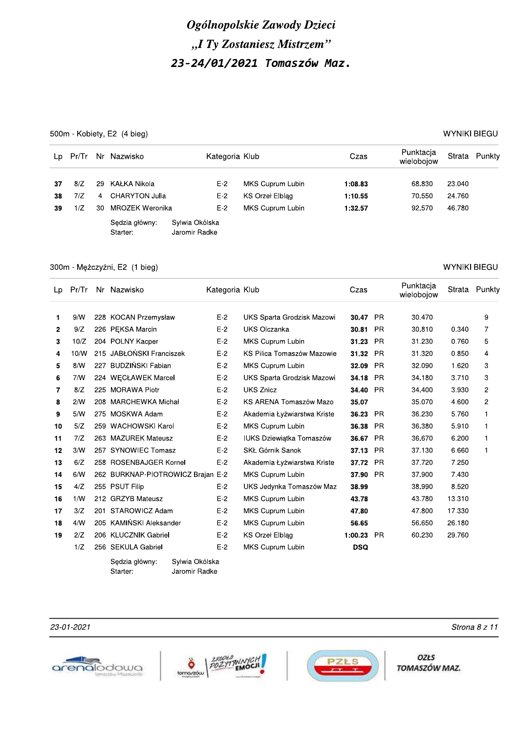500m - Kobiety, E2 (4 bieg)

**WYNIKI BIEGU** 

| Lp | Pr/Tr |                | Nr Nazwisko                | Kategoria Klub                  |                  | Czas    | Punktacja<br>wielobojow |        | Strata Punkty |
|----|-------|----------------|----------------------------|---------------------------------|------------------|---------|-------------------------|--------|---------------|
| 37 | 8/Z   | 29             | KAŁKA Nikola               | $E-2$                           | MKS Cuprum Lubin | 1:08.83 | 68.830                  | 23.040 |               |
| 38 | 7/Z   | $\overline{4}$ | CHARYTON Julia             | $E-2$                           | KS Orzeł Elblag  | 1:10.55 | 70.550                  | 24.760 |               |
| 39 | 1/Z   | 30.            | MROZEK Weronika            | $E-2$                           | MKS Cuprum Lubin | 1:32.57 | 92.570                  | 46.780 |               |
|    |       |                | Sedzia główny:<br>Starter: | Sylwia Okólska<br>Jaromir Radke |                  |         |                         |        |               |

#### 300m - Mężczyźni, E2 (1 bieg)

#### Punktacja Strata Punkty Lp Pr/Tr Nr Nazwisko Kategoria Klub Czas wielobojow  $\mathbf{1}$  $9/N$ 228 KOCAN Przemysław  $E-2$ UKS Sparta Grodzisk Mazowi 30.47 PR 30.470  $\boldsymbol{9}$  $\overline{7}$  $\overline{2}$  $9/Z$ 226 PEKSA Marcin  $E-2$ **UKS Olczanka** 30.81 PR 30.810 0.340 204 POLNY Kacper  $E-2$ MKS Cuprum Lubin 31.230 0.760  $\overline{5}$ 3  $10/Z$ 31.23 PR 215 JABŁOŃSKI Franciszek  $E-2$ KS Pilica Tomaszów Mazowie 31.32 PR 31.320 0.850  $\overline{4}$  $10/N$  $\overline{4}$ 5  $8/N$ 227 BUDZIŃSKI Fabian  $E-2$ MKS Cuprum Lubin 32.090 32.09 PR 1.620 3 224 WECŁAWEK Marcel  $E-2$ 6  $7/N$ UKS Sparta Grodzisk Mazowi 34.18 PR 34.180 3.710 3  $\overline{7}$ 225 MORAWA Piotr  $E-2$ **UKS Znicz**  $\overline{c}$  $R/7$ 34.40 PR 34.400 3.930  $E-2$  $2/M$ 208 MARCHEWKA Michał KS ARENA Tomaszów Mazo 35.070 4.600  $\overline{c}$ 8 35.07  $E-2$  $\overline{9}$  $5/M$ 275 MOSKWA Adam Akademia Łyżwiarstwa Kriste 36.23 PR 36.230 5.760  $\mathbf{1}$ 259 WACHOWSKI Karol  $F-2$ 36.38 PR  $10$  $5/7$ MKS Cuprum Lubin 36.380 5.910  $\mathbf{1}$  $7/Z$ 263 MAZUREK Mateusz  $E-2$ **IUKS Dziewiatka Tomaszów** 36.67 PR 36.670 6.200  $11$  $\mathbf{1}$  $3/N$ 257 SYNOWIEC Tomasz  $E-2$ SKŁ Górnik Sanok 37.13 PR 6.660 12 37.130  $\mathbf{1}$  $13$  $6/Z$ 258 ROSENBAJGER Kornel  $E-2$ Akademia Łyżwiarstwa Kriste 37.72 PR 37.720 7.250  $14$  $6/N$ 262 BURKNAP-PIOTROWICZ Braian E-2 MKS Cuprum Lubin 37.90 PR 37.900 7.430 255 PSUT Filip 15  $4/Z$  $E-2$ UKS Jedynka Tomaszów Maz 38.99 38.990 8.520 16  $1/W$ 212 GRZYB Mateusz  $E-2$ MKS Cuprum Lubin 43.78 43.780 13.310  $3/Z$ 201 STAROWICZ Adam  $E-2$ MKS Cuprum Lubin 47.800 17.330  $17$ 47.80  $4/N$ 205 KAMIŃSKI Aleksander  $E-2$ MKS Cuprum Lubin 56.650 26.180  $18$ 56.65 19  $2/Z$ 206 KLUCZNIK Gabriel  $E-2$ **KS Orzel Elblag** 1:00.23 PR 60.230 29.760  $1/Z$ 256 SEKULA Gabriel  $E-2$ MKS Cuprum Lubin **DSQ** Sylwia Okólska

Sędzia główny: Starter:

Jaromir Radke



23-01-2021





OZŁS TOMASZÓW MAZ.

Strona 8 z 11

#### **WYNIKI BIEGU**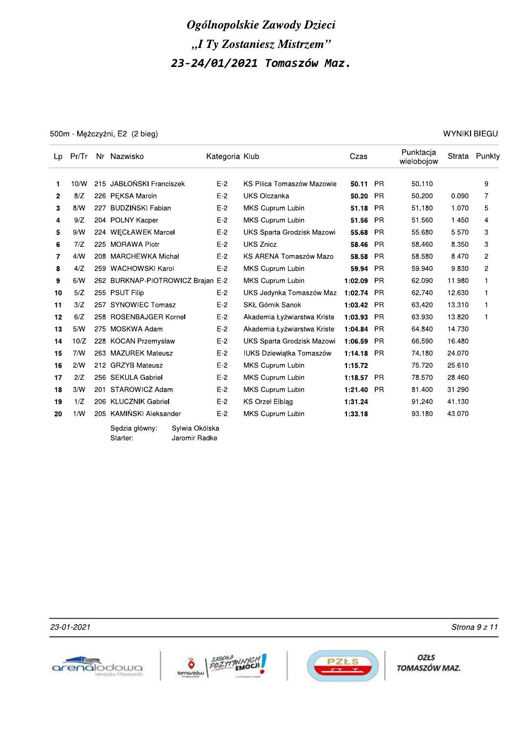500m - Mężczyźni, E2 (2 bieg)

**WYNIKI BIEGU** 

| Lp | Pr/Tr |     | Nr Nazwisko                       | Kategoria Klub |                                 | Czas    |           | Punktacja<br>wielobojow |        | Strata Punkty  |
|----|-------|-----|-----------------------------------|----------------|---------------------------------|---------|-----------|-------------------------|--------|----------------|
| 1  | 10/W  |     | 215 JABŁOŃSKI Franciszek          | $E-2$          | KS Pilica Tomaszów Mazowie      | 50.11   | <b>PR</b> | 50.110                  |        | 9              |
| 2  | 8/Z   |     | 226 PEKSA Marcin                  | $E-2$          | <b>UKS Olczanka</b>             | 50.20   | <b>PR</b> | 50.200                  | 0.090  | 7              |
| 3  | 8/N   | 227 | BUDZIŃSKI Fabian                  | $E-2$          | MKS Cuprum Lubin                | 51.18   | <b>PR</b> | 51.180                  | 1.070  | 5              |
| 4  | 9/Z   |     | 204 POLNY Kacper                  | $E-2$          | MKS Cuprum Lubin                | 51.56   | <b>PR</b> | 51.560                  | 1.450  | 4              |
| 5  | 9/N   |     | 224 WECŁAWEK Marcel               | $E-2$          | UKS Sparta Grodzisk Mazowi      | 55.68   | <b>PR</b> | 55.680                  | 5.570  | 3              |
| 6  | 7/Z   |     | 225 MORAWA Piotr                  | $E-2$          | <b>UKS Znicz</b>                | 58.46   | <b>PR</b> | 58.460                  | 8.350  | 3              |
| 7  | 4/N   |     | 208 MARCHEWKA Michał              | $E-2$          | KS ARENA Tomaszów Mazo          | 58.58   | <b>PR</b> | 58.580                  | 8.470  | $\overline{c}$ |
| 8  | 4/Z   |     | 259 WACHOWSKI Karol               | $E-2$          | MKS Cuprum Lubin                | 59.94   | <b>PR</b> | 59.940                  | 9.830  | 2              |
| 9  | 6/N   |     | 262 BURKNAP-PIOTROWICZ Brajan E-2 |                | MKS Cuprum Lubin                | 1:02.09 | <b>PR</b> | 62.090                  | 11.980 | 1              |
| 10 | 5/Z   |     | 255 PSUT Filip                    | $E-2$          | UKS Jedynka Tomaszów Maz        | 1:02.74 | <b>PR</b> | 62.740                  | 12.630 | 1              |
| 11 | 3/Z   | 257 | <b>SYNOWIEC Tomasz</b>            | $E-2$          | SKŁ Górnik Sanok                | 1:03.42 | <b>PR</b> | 63.420                  | 13.310 | 1              |
| 12 | 6/Z   |     | 258 ROSENBAJGER Kornel            | $E-2$          | Akademia Łyżwiarstwa Kriste     | 1:03.93 | <b>PR</b> | 63.930                  | 13.820 | 1              |
| 13 | 5/N   |     | 275 MOSKWA Adam                   | $E-2$          | Akademia Łyżwiarstwa Kriste     | 1:04.84 | <b>PR</b> | 64.840                  | 14.730 |                |
| 14 | 10/Z  |     | 228 KOCAN Przemysław              | $E-2$          | UKS Sparta Grodzisk Mazowi      | 1:06.59 | <b>PR</b> | 66.590                  | 16.480 |                |
| 15 | 7/N   |     | 263 MAZUREK Mateusz               | $E-2$          | <b>IUKS Dziewiatka Tomaszów</b> | 1:14.18 | <b>PR</b> | 74.180                  | 24.070 |                |
| 16 | 2/N   |     | 212 GRZYB Mateusz                 | $E-2$          | MKS Cuprum Lubin                | 1:15.72 |           | 75.720                  | 25.610 |                |
| 17 | 2/Z   |     | 256 SEKULA Gabriel                | $E-2$          | MKS Cuprum Lubin                | 1:18.57 | <b>PR</b> | 78.570                  | 28.460 |                |
| 18 | 3/N   |     | 201 STAROWICZ Adam                | $E-2$          | MKS Cuprum Lubin                | 1:21.40 | <b>PR</b> | 81.400                  | 31.290 |                |
| 19 | 1/Z   |     | 206 KLUCZNIK Gabriel              | $E-2$          | <b>KS Orzel Elblag</b>          | 1:31.24 |           | 91.240                  | 41.130 |                |
| 20 | 1/N   |     | 205 KAMIŃSKI Aleksander           | $E-2$          | <b>MKS Cuprum Lubin</b>         | 1:33.18 |           | 93.180                  | 43.070 |                |
|    |       |     | Svlwia Okólska<br>Sedzia główny:  |                |                                 |         |           |                         |        |                |

Starter: Jaromir Radke

23-01-2021







OZŁS TOMASZÓW MAZ.

Strona 9 z 11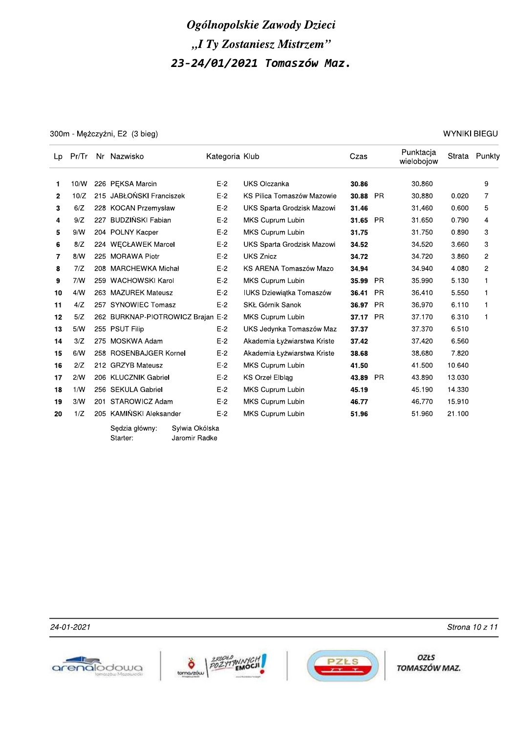300m - Mężczyźni, E2 (3 bieg)

**WYNIKI BIEGU** 

| Lp           | Pr/Tr |     | Nr Nazwisko                       | Kategoria Klub |                                 | Czas  |           | Punktacja<br>wielobojow |        | Strata Punkty  |
|--------------|-------|-----|-----------------------------------|----------------|---------------------------------|-------|-----------|-------------------------|--------|----------------|
| 1            | 10/N  |     | 226 PEKSA Marcin                  | $E-2$          | <b>UKS Olczanka</b>             | 30.86 |           | 30.860                  |        | 9              |
| $\mathbf{2}$ | 10/Z  |     | 215 JABŁOŃSKI Franciszek          | $E-2$          | KS Pilica Tomaszów Mazowie      | 30.88 | <b>PR</b> | 30.880                  | 0.020  | $\overline{7}$ |
| 3            | 6/Z   |     | 228 KOCAN Przemysław              | $E-2$          | UKS Sparta Grodzisk Mazowi      | 31.46 |           | 31.460                  | 0.600  | 5              |
| 4            | 9/Z   |     | 227 BUDZIŃSKI Fabian              | $E-2$          | MKS Cuprum Lubin                | 31.65 | <b>PR</b> | 31.650                  | 0.790  | 4              |
| 5            | 9/N   |     | 204 POLNY Kacper                  | $E-2$          | MKS Cuprum Lubin                | 31.75 |           | 31.750                  | 0.890  | 3              |
| 6            | 8/Z   | 224 | <b>WECŁAWEK Marcel</b>            | $E-2$          | UKS Sparta Grodzisk Mazowi      | 34.52 |           | 34.520                  | 3.660  | 3              |
| 7            | 8/N   |     | 225 MORAWA Piotr                  | $E-2$          | <b>UKS Znicz</b>                | 34.72 |           | 34.720                  | 3.860  | $\overline{c}$ |
| 8            | 7/Z   |     | 208 MARCHEWKA Michał              | $E-2$          | KS ARENA Tomaszów Mazo          | 34.94 |           | 34.940                  | 4.080  | $\overline{c}$ |
| 9            | 7/N   |     | 259 WACHOWSKI Karol               | $E-2$          | MKS Cuprum Lubin                | 35.99 | <b>PR</b> | 35.990                  | 5.130  | $\mathbf{1}$   |
| 10           | 4/N   |     | 263 MAZUREK Mateusz               | $E-2$          | <b>IUKS Dziewiatka Tomaszów</b> | 36.41 | <b>PR</b> | 36.410                  | 5.550  | $\mathbf{1}$   |
| 11           | 4/Z   | 257 | <b>SYNOWIEC Tomasz</b>            | $E-2$          | SKŁ Górnik Sanok                | 36.97 | <b>PR</b> | 36.970                  | 6.110  | $\mathbf{1}$   |
| 12           | 5/Z   |     | 262 BURKNAP-PIOTROWICZ Brajan E-2 |                | MKS Cuprum Lubin                | 37.17 | <b>PR</b> | 37.170                  | 6.310  | $\mathbf{1}$   |
| 13           | 5/N   |     | 255 PSUT Filip                    | $E-2$          | UKS Jedynka Tomaszów Maz        | 37.37 |           | 37.370                  | 6.510  |                |
| 14           | 3/Z   |     | 275 MOSKWA Adam                   | $E-2$          | Akademia Łyżwiarstwa Kriste     | 37.42 |           | 37.420                  | 6.560  |                |
| 15           | 6/N   |     | 258 ROSENBAJGER Kornel            | $E-2$          | Akademia Łyżwiarstwa Kriste     | 38.68 |           | 38.680                  | 7.820  |                |
| 16           | 2/Z   |     | 212 GRZYB Mateusz                 | $E-2$          | MKS Cuprum Lubin                | 41.50 |           | 41.500                  | 10.640 |                |
| 17           | 2/N   |     | 206 KLUCZNIK Gabriel              | $E-2$          | <b>KS Orzel Elblag</b>          | 43.89 | <b>PR</b> | 43.890                  | 13.030 |                |
| 18           | 1/N   |     | 256 SEKULA Gabriel                | $E-2$          | MKS Cuprum Lubin                | 45.19 |           | 45.190                  | 14.330 |                |
| 19           | 3/N   | 201 | STAROWICZ Adam                    | $E-2$          | MKS Cuprum Lubin                | 46.77 |           | 46.770                  | 15.910 |                |
| 20           | 1/Z   |     | 205 KAMIŃSKI Aleksander           | $E-2$          | MKS Cuprum Lubin                | 51.96 |           | 51.960                  | 21.100 |                |
|              |       |     | Svlwia Okólska<br>Sedzia główny:  |                |                                 |       |           |                         |        |                |

Starter: Jaromir Radke

24-01-2021







**OZŁS** TOMASZÓW MAZ.

Strona 10 z 11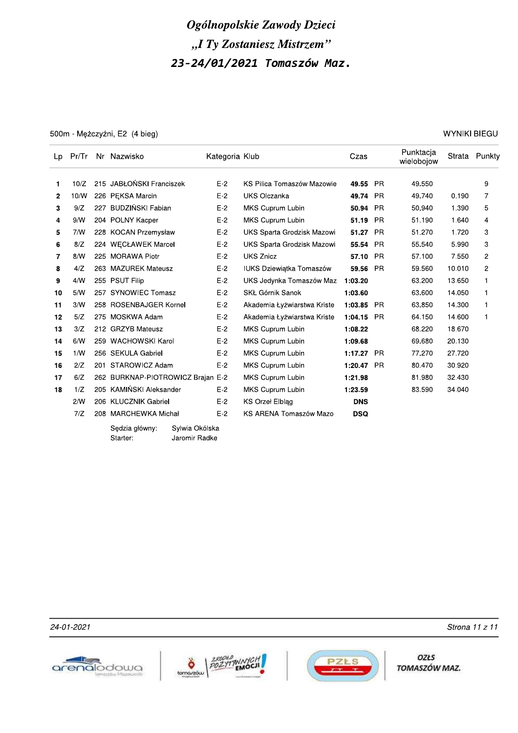500m - Mężczyźni, E2 (4 bieg)

**WYNIKI BIEGU** 

| Lp | Pr/Tr |     | Nr Nazwisko                       | Kategoria Klub |                             | Czas         |           | Punktacja<br>wielobojow |        | Strata Punkty |
|----|-------|-----|-----------------------------------|----------------|-----------------------------|--------------|-----------|-------------------------|--------|---------------|
| 1  | 10/Z  |     | 215 JABŁOŃSKI Franciszek          | $E-2$          | KS Pilica Tomaszów Mazowie  | 49.55        | - PR      | 49.550                  |        | 9             |
| 2  | 10/W  |     | 226 PEKSA Marcin                  | $E-2$          | <b>UKS Olczanka</b>         | 49.74 PR     |           | 49.740                  | 0.190  | 7             |
| 3  | 9/Z   | 227 | <b>BUDZIŃSKI Fabian</b>           | $E-2$          | MKS Cuprum Lubin            | 50.94        | <b>PR</b> | 50.940                  | 1.390  | 5             |
| 4  | 9/N   |     | 204 POLNY Kacper                  | $E-2$          | <b>MKS Cuprum Lubin</b>     | 51.19        | <b>PR</b> | 51.190                  | 1.640  | 4             |
| 5  | 7/N   |     | 228 KOCAN Przemysław              | $E-2$          | UKS Sparta Grodzisk Mazowi  | 51.27        | - PR      | 51.270                  | 1.720  | 3             |
| 6  | 8/Z   |     | 224 WECŁAWEK Marcel               | $E-2$          | UKS Sparta Grodzisk Mazowi  | 55.54        | <b>PR</b> | 55.540                  | 5.990  | 3             |
| 7  | 8/N   |     | 225 MORAWA Piotr                  | $E-2$          | <b>UKS Znicz</b>            | 57.10 PR     |           | 57.100                  | 7.550  | 2             |
| 8  | 4/Z   |     | 263 MAZUREK Mateusz               | $E-2$          | IUKS Dziewiątka Tomaszów    | 59.56        | <b>PR</b> | 59.560                  | 10.010 | 2             |
| 9  | 4/N   |     | 255 PSUT Filip                    | $E-2$          | UKS Jedynka Tomaszów Maz    | 1:03.20      |           | 63.200                  | 13.650 | $\mathbf{1}$  |
| 10 | 5/N   |     | 257 SYNOWIEC Tomasz               | $E-2$          | SKŁ Górnik Sanok            | 1:03.60      |           | 63.600                  | 14.050 | $\mathbf{1}$  |
| 11 | 3/N   |     | 258 ROSENBAJGER Kornel            | $E-2$          | Akademia Łyżwiarstwa Kriste | 1:03.85      | <b>PR</b> | 63.850                  | 14.300 | $\mathbf{1}$  |
| 12 | 5/Z   |     | 275 MOSKWA Adam                   | $E-2$          | Akademia Łyżwiarstwa Kriste | $1:04.15$ PR |           | 64.150                  | 14.600 | 1             |
| 13 | 3/Z   |     | 212 GRZYB Mateusz                 | $E-2$          | MKS Cuprum Lubin            | 1:08.22      |           | 68.220                  | 18.670 |               |
| 14 | 6/N   |     | 259 WACHOWSKI Karol               | $E-2$          | MKS Cuprum Lubin            | 1:09.68      |           | 69.680                  | 20.130 |               |
| 15 | 1/W   |     | 256 SEKULA Gabriel                | $E-2$          | MKS Cuprum Lubin            | 1:17.27 PR   |           | 77.270                  | 27.720 |               |
| 16 | 2/Z   |     | 201 STAROWICZ Adam                | $E-2$          | MKS Cuprum Lubin            | 1:20.47      | - PR      | 80.470                  | 30.920 |               |
| 17 | 6/Z   |     | 262 BURKNAP-PIOTROWICZ Brajan E-2 |                | MKS Cuprum Lubin            | 1:21.98      |           | 81.980                  | 32.430 |               |
| 18 | 1/Z   |     | 205 KAMIŃSKI Aleksander           | $E-2$          | MKS Cuprum Lubin            | 1:23.59      |           | 83.590                  | 34.040 |               |
|    | 2/N   |     | 206 KLUCZNIK Gabriel              | $E-2$          | KS Orzeł Elbląg             | <b>DNS</b>   |           |                         |        |               |
|    | 7/Z   |     | 208 MARCHEWKA Michał              | $E-2$          | KS ARENA Tomaszów Mazo      | <b>DSQ</b>   |           |                         |        |               |
|    |       |     | Sylwia Okólska<br>Sedzia główny:  |                |                             |              |           |                         |        |               |

}ędzia główny: Sylwia Okólska Starter: Jaromir Radke

24-01-2021







OZŁS TOMASZÓW MAZ.

Strona 11 z 11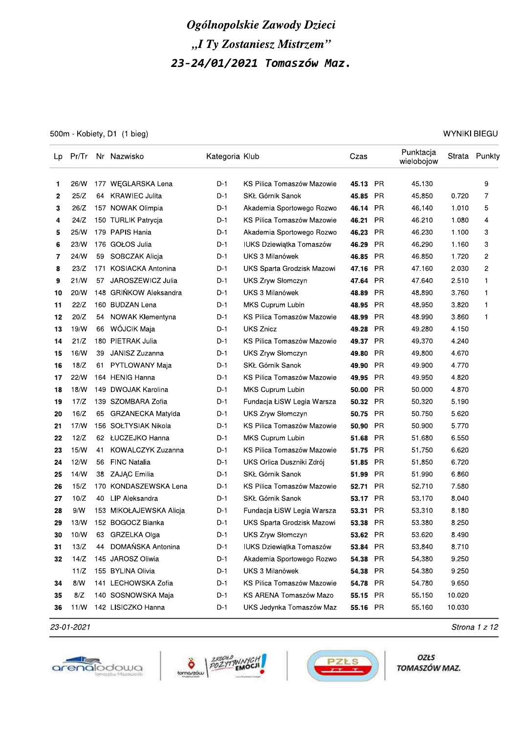# Ogolnopolskie Zawody Dzieci "I Ty Zostaniesz Mistrzem

|          |              |     |                                        |                | Ogólnopolskie Zawody Dzieci                  |                |           |                         |                     |               |
|----------|--------------|-----|----------------------------------------|----------------|----------------------------------------------|----------------|-----------|-------------------------|---------------------|---------------|
|          |              |     |                                        |                | "I Ty Zostaniesz Mistrzem"                   |                |           |                         |                     |               |
|          |              |     |                                        |                | 23-24/01/2021 Tomaszów Maz.                  |                |           |                         |                     |               |
|          |              |     |                                        |                |                                              |                |           |                         |                     |               |
|          |              |     |                                        |                |                                              |                |           |                         |                     |               |
|          |              |     |                                        |                |                                              |                |           |                         |                     |               |
|          |              |     |                                        |                |                                              |                |           |                         |                     |               |
|          |              |     | 500m - Kobiety, D1 (1 bieg)            |                |                                              |                |           |                         | <b>WYNIKI BIEGU</b> |               |
| Lp       | Pr/Tr        |     | Nr Nazwisko                            | Kategoria Klub |                                              | Czas           |           | Punktacja<br>wielobojow |                     | Strata Punkty |
| 1        | 26/W         |     | 177 WEGLARSKA Lena                     | $D-1$          | KS Pilica Tomaszów Mazowie                   | 45.13          | <b>PR</b> | 45.130                  |                     | 9             |
| 2        | 25/Z         | 64  | <b>KRAWIEC Julita</b>                  | D-1            | SKŁ Górnik Sanok                             | 45.85          | PR        | 45.850                  | 0.720               | 7             |
| 3        | 26/Z         |     | 157 NOWAK Olimpia                      | D-1            | Akademia Sportowego Rozwo                    | 46.14          | <b>PR</b> | 46.140                  | 1.010               | 5             |
| 4        | 24/Z         |     | 150 TURLIK Patrycja                    | $D-1$          | KS Pilica Tomaszów Mazowie                   | 46.21          | PR        | 46.210                  | 1.080               | 4             |
| 5        | 25/W         |     | 179 PAPIS Hania                        | D-1            | Akademia Sportowego Rozwo                    | 46.23          | <b>PR</b> | 46.230                  | 1.100               | 3             |
| 6        | 23/W         |     | 176 GOŁOS Julia                        | D-1            | IUKS Dziewiątka Tomaszów                     | 46.29          | <b>PR</b> | 46.290                  | 1.160               | 3             |
| 7        | 24/W         | 59  | SOBCZAK Alicja                         | D-1            | UKS 3 Milanówek                              | 46.85          | PR        | 46.850                  | 1.720               | 2             |
| 8        | 23/Z         | 171 | <b>KOSIACKA Antonina</b>               | D-1            | UKS Sparta Grodzisk Mazowi                   | 47.16          | PR        | 47.160                  | 2.030               | 2             |
| 9        | 21/N         | 57  | JAROSZEWICZ Julia                      | D-1            | UKS Zryw Słomczyn                            | 47.64          | <b>PR</b> | 47.640                  | 2.510               | 1             |
| 10       | 20/W         |     | 148 GRIŃKOW Aleksandra                 | D-1            | UKS 3 Milanówek                              | 48.89          | <b>PR</b> | 48.890                  | 3.760               | 1             |
| 11       | 22/Z         |     | 160 BUDZAN Lena                        | D-1            | MKS Cuprum Lubin                             | 48.95          | <b>PR</b> | 48.950                  | 3.820               | 1             |
| 12       | 20/Z         | 54  | NOWAK Klementyna                       | D-1            | KS Pilica Tomaszów Mazowie                   | 48.99          | <b>PR</b> | 48.990                  | 3.860               | 1             |
| 13       | 19/W         | 66  | WÓJCIK Maja                            | D-1            | <b>UKS Znicz</b>                             | 49.28          | PR        | 49.280                  | 4.150               |               |
| 14       | 21/Z         |     | 180 PIETRAK Julia                      | $D-1$          | KS Pilica Tomaszów Mazowie                   | 49.37          | PR        | 49.370                  | 4.240               |               |
| 15       | 16/W         | 39  | JANISZ Zuzanna                         | $D-1$          | <b>UKS Zryw Słomczyn</b>                     | 49.80          | <b>PR</b> | 49.800                  | 4.670               |               |
| 16       | 18/Z         |     | 61 PYTLOWANY Maja                      | D-1            | SKŁ Górnik Sanok                             | 49.90          | PR        | 49.900                  | 4.770               |               |
| 17       | 22/W         |     | 164 HENIG Hanna                        | D-1            | KS Pilica Tomaszów Mazowie                   | 49.95          | <b>PR</b> | 49.950                  | 4.820               |               |
| 18       | 18/W         |     | 149 DWOJAK Karolina                    | $D-1$          | MKS Cuprum Lubin                             | 50.00          | <b>PR</b> | 50.000                  | 4.870               |               |
| 19       | 17/Z         |     | 139 SZOMBARA Zofia                     | D-1            | Fundacja ŁiSW Legia Warsza                   | 50.32 PR       |           | 50.320                  | 5.190               |               |
| 20       | 16/Z         | 65  | GRZANECKA Matylda                      | D-1            | <b>UKS Zryw Słomczyn</b>                     | 50.75          | PR        | 50.750                  | 5.620               |               |
| 21       | 17/W         |     | 156 SOŁTYSIAK Nikola                   | $D-1$          | KS Pilica Tomaszów Mazowie                   | 50.90          | <b>PR</b> | 50.900                  | 5.770               |               |
| 22       | 12/Z         |     | 62 ŁUCZEJKO Hanna                      | $D-1$          | MKS Cuprum Lubin                             | 51.68          | PR        | 51.680                  | 6.550               |               |
| 23       | 15/W         | 41  | KOWALCZYK Zuzanna                      | D-1            | KS Pilica Tomaszów Mazowie                   | 51.75          | PR        | 51.750                  | 6.620               |               |
| 24       | 12/W         | 56  | <b>FINC Natalia</b>                    | D-1            | UKS Orlica Duszniki Zdrój                    | 51.85          | PR        | 51.850                  | 6.720               |               |
| 25       | 14/N         | 38  | ZAJĄC Emilia                           | D-1            | SKŁ Górnik Sanok                             | 51.99          | PR        | 51.990                  | 6.860               |               |
| 26       | 15/Z         |     | 170 KONDASZEWSKA Lena                  | D-1            | KS Pilica Tomaszów Mazowie                   | 52.71          | <b>PR</b> | 52.710                  | 7.580               |               |
| 27       | 10/Z         | 40  | LIP Aleksandra                         | D-1            | SKŁ Górnik Sanok                             | 53.17          | PR        | 53.170                  | 8.040               |               |
| 28       | 9/N          |     | 153 MIKOŁAJEWSKA Alicja                | D-1            | Fundacja ŁiSW Legia Warsza                   | 53.31          | <b>PR</b> | 53.310                  | 8.180               |               |
| 29       | 13/N         |     | 152 BOGOCZ Bianka                      | D-1            | UKS Sparta Grodzisk Mazowi                   | 53.38          | PR        | 53.380                  | 8.250               |               |
| 30       | 10/W         | 63  | GRZELKA Olga                           | D-1            | UKS Zryw Słomczyn                            | 53.62          | PR        | 53.620                  | 8.490               |               |
| 31       | 13/Z         | 44  | DOMAŃSKA Antonina                      | $D-1$          | IUKS Dziewiątka Tomaszów                     | 53.84          | <b>PR</b> | 53.840                  | 8.710               |               |
| 32       | 14/Z<br>11/Z |     | 145 JAROSZ Oliwia<br>155 BYLINA Olivia | D-1<br>D-1     | Akademia Sportowego Rozwo<br>UKS 3 Milanówek | 54.38<br>54.38 | PR<br>PR  | 54.380<br>54.380        | 9.250<br>9.250      |               |
|          | 8/N          |     | 141 LECHOWSKA Zofia                    | $D-1$          | KS Pilica Tomaszów Mazowie                   | 54.78          | <b>PR</b> | 54.780                  | 9.650               |               |
| 34<br>35 | 8/Z          |     | 140 SOSNOWSKA Maja                     | D-1            | KS ARENA Tomaszów Mazo                       | 55.15 PR       |           | 55.150                  | 10.020              |               |
| 36       | 11/W         |     | 142 LISICZKO Hanna                     | D-1            | UKS Jedynka Tomaszów Maz                     | 55.16 PR       |           | 55.160                  | 10.030              |               |
|          |              |     |                                        |                |                                              |                |           |                         |                     |               |

 $23-01-2021$  Strona 1 2 12







OZŁS TOMASZÓW MAZ.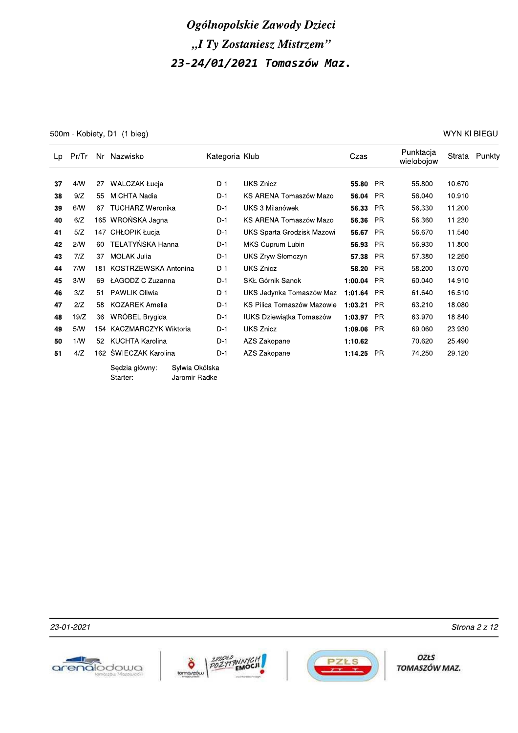500m - Kobiety, D1 (1 bieg)

**WYNIKI BIEGU** 

| Lp | Pr/Tr |     | Nr Nazwisko                |                                 | Kategoria Klub |                                 | Czas    |           | Punktacja<br>wielobojow |        | Strata Punkty |
|----|-------|-----|----------------------------|---------------------------------|----------------|---------------------------------|---------|-----------|-------------------------|--------|---------------|
|    |       |     |                            |                                 |                |                                 |         |           |                         |        |               |
| 37 | 4/N   | 27  | <b>WALCZAK Łucja</b>       |                                 | $D-1$          | UKS Znicz                       | 55.80   | <b>PR</b> | 55.800                  | 10.670 |               |
| 38 | 9/Z   | 55  | <b>MICHTA Nadia</b>        |                                 | $D-1$          | KS ARENA Tomaszów Mazo          | 56.04   | <b>PR</b> | 56.040                  | 10.910 |               |
| 39 | 6/N   | 67  | <b>TUCHARZ Weronika</b>    |                                 | $D-1$          | UKS 3 Milanówek                 | 56.33   | <b>PR</b> | 56.330                  | 11.200 |               |
| 40 | 6/Z   | 165 | WROŃSKA Jagna              |                                 | $D-1$          | KS ARENA Tomaszów Mazo          | 56.36   | <b>PR</b> | 56.360                  | 11.230 |               |
| 41 | 5/Z   | 147 | CHŁOPIK Łucja              |                                 | D-1            | UKS Sparta Grodzisk Mazowi      | 56.67   | <b>PR</b> | 56.670                  | 11.540 |               |
| 42 | 2/N   | 60  | TELATYŃSKA Hanna           |                                 | $D-1$          | MKS Cuprum Lubin                | 56.93   | <b>PR</b> | 56.930                  | 11.800 |               |
| 43 | 7/Z   | 37  | <b>MOLAK Julia</b>         |                                 | D-1            | UKS Zryw Słomczyn               | 57.38   | <b>PR</b> | 57.380                  | 12.250 |               |
| 44 | 7/N   | 181 | KOSTRZEWSKA Antonina       |                                 | $D-1$          | <b>UKS Znicz</b>                | 58.20   | <b>PR</b> | 58.200                  | 13.070 |               |
| 45 | 3/N   | 69  | ŁAGODZIC Zuzanna           |                                 | $D-1$          | SKŁ Górnik Sanok                | 1:00.04 | <b>PR</b> | 60.040                  | 14.910 |               |
| 46 | 3/Z   | 51  | <b>PAWLIK Oliwia</b>       |                                 | $D-1$          | UKS Jedynka Tomaszów Maz        | 1:01.64 | <b>PR</b> | 61.640                  | 16.510 |               |
| 47 | 2/Z   | 58  | <b>KOZAREK Amelia</b>      |                                 | $D-1$          | KS Pilica Tomaszów Mazowie      | 1:03.21 | <b>PR</b> | 63.210                  | 18.080 |               |
| 48 | 19/Z  | 36  | WRÓBEL Brygida             |                                 | D-1            | <b>IUKS Dziewiątka Tomaszów</b> | 1:03.97 | <b>PR</b> | 63.970                  | 18.840 |               |
| 49 | 5/N   |     | 154 KACZMARCZYK Wiktoria   |                                 | $D-1$          | <b>UKS Znicz</b>                | 1:09.06 | <b>PR</b> | 69.060                  | 23.930 |               |
| 50 | 1/N   | 52  | KUCHTA Karolina            |                                 | $D-1$          | AZS Zakopane                    | 1:10.62 |           | 70.620                  | 25.490 |               |
| 51 | 4/Z   |     | 162 ŚWIECZAK Karolina      |                                 | $D-1$          | AZS Zakopane                    | 1:14.25 | <b>PR</b> | 74.250                  | 29.120 |               |
|    |       |     | Sedzia główny:<br>Starter: | Sylwia Okólska<br>Jaromir Radke |                |                                 |         |           |                         |        |               |

23-01-2021







OZŁS TOMASZÓW MAZ.

Strona 2 z 12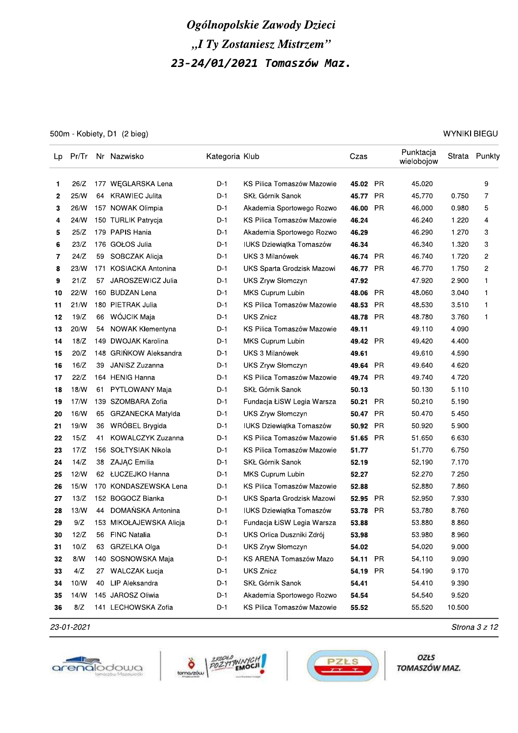500m - Kobiety, D1 (2 bieg)

**WYNIKI BIEGU** 

| Lp |      |     | Pr/Tr Nr Nazwisko        | Kategoria Klub |                            | Czas     |           | Punktacja<br>wielobojow |        | Strata Punkty  |
|----|------|-----|--------------------------|----------------|----------------------------|----------|-----------|-------------------------|--------|----------------|
| 1  | 26/Z |     | 177 WEGLARSKA Lena       | D-1            | KS Pilica Tomaszów Mazowie | 45.02 PR |           | 45.020                  |        | 9              |
| 2  | 25/W | 64  | <b>KRAWIEC Julita</b>    | D-1            | SKŁ Górnik Sanok           | 45.77    | <b>PR</b> | 45.770                  | 0.750  | 7              |
| 3  | 26/W |     | 157 NOWAK Olimpia        | D-1            | Akademia Sportowego Rozwo  | 46.00    | <b>PR</b> | 46.000                  | 0.980  | 5              |
| 4  | 24/W |     | 150 TURLIK Patrycja      | D-1            | KS Pilica Tomaszów Mazowie | 46.24    |           | 46.240                  | 1.220  | 4              |
| 5  | 25/Z |     | 179 PAPIS Hania          | D-1            | Akademia Sportowego Rozwo  | 46.29    |           | 46.290                  | 1.270  | 3              |
| 6  | 23/Z |     | 176 GOŁOS Julia          | D-1            | IUKS Dziewiątka Tomaszów   | 46.34    |           | 46.340                  | 1.320  | 3              |
| 7  | 24/Z | 59  | SOBCZAK Alicja           | D-1            | UKS 3 Milanówek            | 46.74 PR |           | 46.740                  | 1.720  | 2              |
| 8  | 23/W | 171 | <b>KOSIACKA Antonina</b> | D-1            | UKS Sparta Grodzisk Mazowi | 46.77    | <b>PR</b> | 46.770                  | 1.750  | $\overline{c}$ |
| 9  | 21/Z | 57  | JAROSZEWICZ Julia        | D-1            | UKS Zryw Słomczyn          | 47.92    |           | 47.920                  | 2.900  | 1              |
| 10 | 22/N |     | 160 BUDZAN Lena          | D-1            | MKS Cuprum Lubin           | 48.06    | <b>PR</b> | 48.060                  | 3.040  | 1              |
| 11 | 21/N |     | 180 PIETRAK Julia        | D-1            | KS Pilica Tomaszów Mazowie | 48.53    | <b>PR</b> | 48.530                  | 3.510  | 1              |
| 12 | 19/Z | 66  | WÓJCIK Maja              | D-1            | <b>UKS Znicz</b>           | 48.78    | PR        | 48.780                  | 3.760  | 1              |
| 13 | 20/W | 54  | NOWAK Klementyna         | D-1            | KS Pilica Tomaszów Mazowie | 49.11    |           | 49.110                  | 4.090  |                |
| 14 | 18/Z |     | 149 DWOJAK Karolina      | D-1            | MKS Cuprum Lubin           | 49.42    | PR        | 49.420                  | 4.400  |                |
| 15 | 20/Z |     | 148 GRIŃKOW Aleksandra   | D-1            | UKS 3 Milanówek            | 49.61    |           | 49.610                  | 4.590  |                |
| 16 | 16/Z | 39  | JANISZ Zuzanna           | D-1            | <b>UKS Zryw Słomczyn</b>   | 49.64    | <b>PR</b> | 49.640                  | 4.620  |                |
| 17 | 22/Z |     | 164 HENIG Hanna          | D-1            | KS Pilica Tomaszów Mazowie | 49.74    | - PR      | 49.740                  | 4.720  |                |
| 18 | 18/N | 61  | <b>PYTLOWANY Maja</b>    | D-1            | SKŁ Górnik Sanok           | 50.13    |           | 50.130                  | 5.110  |                |
| 19 | 17/N |     | 139 SZOMBARA Zofia       | D-1            | Fundacja ŁiSW Legia Warsza | 50.21    | <b>PR</b> | 50.210                  | 5.190  |                |
| 20 | 16/W | 65  | GRZANECKA Matylda        | D-1            | <b>UKS Zryw Słomczyn</b>   | 50.47 PR |           | 50.470                  | 5.450  |                |
| 21 | 19/N | 36  | WROBEL Brygida           | D-1            | IUKS Dziewiątka Tomaszów   | 50.92    | PR        | 50.920                  | 5.900  |                |
| 22 | 15/Z | 41  | KOWALCZYK Zuzanna        | D-1            | KS Pilica Tomaszów Mazowie | 51.65    | <b>PR</b> | 51.650                  | 6.630  |                |
| 23 | 17/Z |     | 156 SOŁTYSIAK Nikola     | D-1            | KS Pilica Tomaszów Mazowie | 51.77    |           | 51.770                  | 6.750  |                |
| 24 | 14/Z |     | 38 ZAJĄC Emilia          | D-1            | SKŁ Górnik Sanok           | 52.19    |           | 52.190                  | 7.170  |                |
| 25 | 12/N |     | 62 ŁUCZEJKO Hanna        | D-1            | MKS Cuprum Lubin           | 52.27    |           | 52.270                  | 7.250  |                |
| 26 | 15/N |     | 170 KONDASZEWSKA Lena    | $D-1$          | KS Pilica Tomaszów Mazowie | 52.88    |           | 52.880                  | 7.860  |                |
| 27 | 13/Z |     | 152 BOGOCZ Bianka        | D-1            | UKS Sparta Grodzisk Mazowi | 52.95    | PR.       | 52.950                  | 7.930  |                |
| 28 | 13/N | 44  | DOMAŃSKA Antonina        | D-1            | IUKS Dziewiątka Tomaszów   | 53.78    | PR        | 53.780                  | 8.760  |                |
| 29 | 9/Z  |     | 153 MIKOŁAJEWSKA Alicja  | D-1            | Fundacja ŁiSW Legia Warsza | 53.88    |           | 53.880                  | 8.860  |                |
| 30 | 12/Z |     | 56 FINC Natalia          | D-1            | UKS Orlica Duszniki Zdrój  | 53.98    |           | 53.980                  | 8.960  |                |
| 31 | 10/Z | 63  | GRZELKA Olga             | D-1            | UKS Zryw Słomczyn          | 54.02    |           | 54.020                  | 9.000  |                |
| 32 | 8/N  |     | 140 SOSNOWSKA Maja       | D-1            | KS ARENA Tomaszów Mazo     | 54.11 PR |           | 54.110                  | 9.090  |                |
| 33 | 4/Z  | 27  | <b>WALCZAK Łucja</b>     | $D-1$          | <b>UKS Znicz</b>           | 54.19    | PR.       | 54.190                  | 9.170  |                |
| 34 | 10/W | 40  | LIP Aleksandra           | D-1            | SKŁ Górnik Sanok           | 54.41    |           | 54.410                  | 9.390  |                |
| 35 | 14/W |     | 145 JAROSZ Oliwia        | D-1            | Akademia Sportowego Rozwo  | 54.54    |           | 54.540                  | 9.520  |                |
| 36 | 8/Z  |     | 141 LECHOWSKA Zofia      | D-1            | KS Pilica Tomaszów Mazowie | 55.52    |           | 55.520                  | 10.500 |                |

23-01-2021







OZŁS TOMASZÓW MAZ.

Strona 3 z 12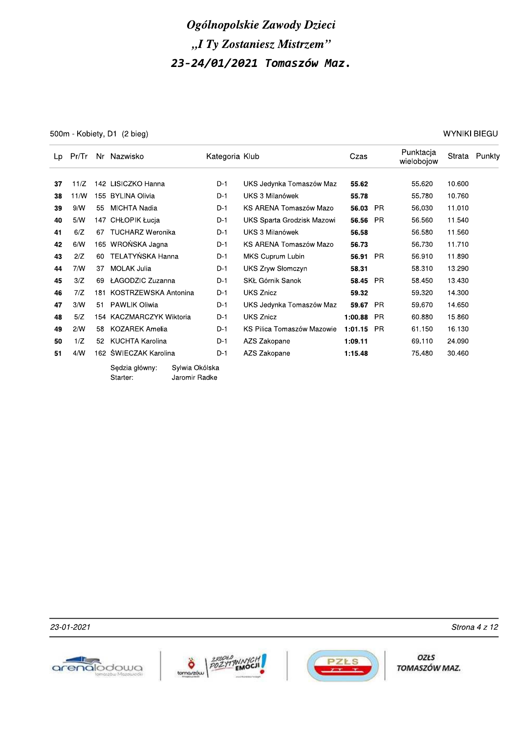500m - Kobiety, D1 (2 bieg)

**WYNIKI BIEGU** 

| Lp | Pr/Tr |     | Nr Nazwisko                |                                 | Kategoria Klub |                            | Czas    |           | Punktacja<br>wielobojow |        | Strata Punkty |
|----|-------|-----|----------------------------|---------------------------------|----------------|----------------------------|---------|-----------|-------------------------|--------|---------------|
| 37 | 11/Z  |     | 142 LISICZKO Hanna         |                                 | $D-1$          | UKS Jedynka Tomaszów Maz   | 55.62   |           | 55.620                  | 10.600 |               |
| 38 | 11/N  |     | 155 BYLINA Olivia          |                                 | D-1            | UKS 3 Milanówek            | 55.78   |           | 55.780                  | 10.760 |               |
| 39 | 9/N   | 55  | MICHTA Nadia               |                                 | $D-1$          | KS ARENA Tomaszów Mazo     | 56.03   | <b>PR</b> | 56.030                  | 11.010 |               |
| 40 | 5/N   |     | 147 CHŁOPIK Łucja          |                                 | $D-1$          | UKS Sparta Grodzisk Mazowi | 56.56   | <b>PR</b> | 56.560                  | 11.540 |               |
| 41 | 6/Z   | 67  | <b>TUCHARZ Weronika</b>    |                                 | D-1            | UKS 3 Milanówek            | 56.58   |           | 56.580                  | 11.560 |               |
| 42 | 6/N   |     | 165 WROŃSKA Jagna          |                                 | $D-1$          | KS ARENA Tomaszów Mazo     | 56.73   |           | 56.730                  | 11.710 |               |
| 43 | 2/Z   | 60  | TELATYŃSKA Hanna           |                                 | $D-1$          | MKS Cuprum Lubin           | 56.91   | <b>PR</b> | 56.910                  | 11.890 |               |
| 44 | 7/N   | 37  | <b>MOLAK Julia</b>         |                                 | $D-1$          | UKS Zryw Słomczyn          | 58.31   |           | 58.310                  | 13.290 |               |
| 45 | 3/Z   | 69  | ŁAGODZIC Zuzanna           |                                 | $D-1$          | SKŁ Górnik Sanok           | 58.45   | <b>PR</b> | 58.450                  | 13.430 |               |
| 46 | 7/Z   | 181 | KOSTRZEWSKA Antonina       |                                 | $D-1$          | <b>UKS Znicz</b>           | 59.32   |           | 59.320                  | 14.300 |               |
| 47 | 3/N   | 51  | <b>PAWLIK Oliwia</b>       |                                 | $D-1$          | UKS Jedynka Tomaszów Maz   | 59.67   | <b>PR</b> | 59.670                  | 14.650 |               |
| 48 | 5/Z   |     | 154 KACZMARCZYK Wiktoria   |                                 | D-1            | <b>UKS Znicz</b>           | 1:00.88 | <b>PR</b> | 60.880                  | 15.860 |               |
| 49 | 2/N   | 58  | KOZAREK Amelia             |                                 | $D-1$          | KS Pilica Tomaszów Mazowie | 1:01.15 | <b>PR</b> | 61.150                  | 16.130 |               |
| 50 | 1/Z   | 52  | KUCHTA Karolina            |                                 | $D-1$          | AZS Zakopane               | 1:09.11 |           | 69.110                  | 24.090 |               |
| 51 | 4/N   |     | 162 ŚWIECZAK Karolina      |                                 | D-1            | AZS Zakopane               | 1:15.48 |           | 75.480                  | 30.460 |               |
|    |       |     | Sedzia główny:<br>Starter: | Sylwia Okólska<br>Jaromir Radke |                |                            |         |           |                         |        |               |

23-01-2021







**OZŁS** TOMASZÓW MAZ.

Strona 4 z 12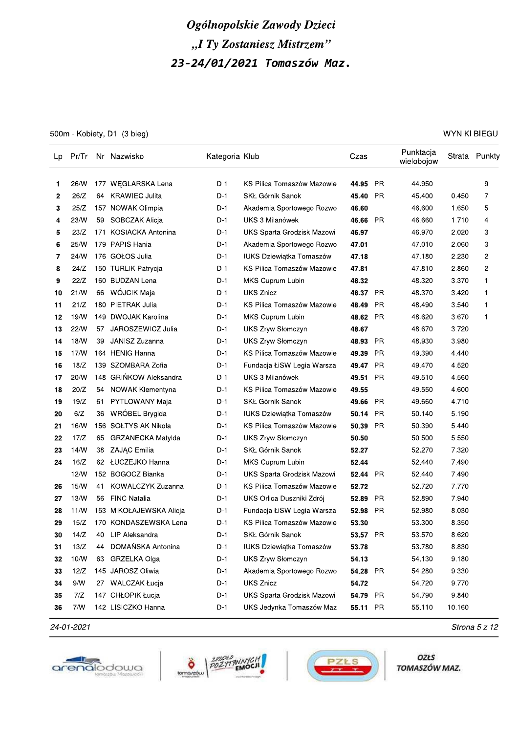500m - Kobiety, D1 (3 bieg)

**WYNIKI BIEGU** 

| Lp | Pr/Tr |     | Nr Nazwisko             | Kategoria Klub |                                 | Czas     |           | Punktacja<br>wielobojow |        | Strata Punkty |
|----|-------|-----|-------------------------|----------------|---------------------------------|----------|-----------|-------------------------|--------|---------------|
| 1. | 26/W  |     | 177 WEGLARSKA Lena      | $D-1$          | KS Pilica Tomaszów Mazowie      | 44.95    | PR        | 44.950                  |        | 9             |
| 2  | 26/Z  |     | 64 KRAWIEC Julita       | D-1            | SKŁ Górnik Sanok                | 45.40    | <b>PR</b> | 45.400                  | 0.450  | 7             |
| 3  | 25/Z  |     | 157 NOWAK Olimpia       | D-1            | Akademia Sportowego Rozwo       | 46.60    |           | 46.600                  | 1.650  | 5             |
| 4  | 23/W  |     | 59 SOBCZAK Alicja       | D-1            | UKS 3 Milanówek                 | 46.66    | <b>PR</b> | 46.660                  | 1.710  | 4             |
| 5  | 23/Z  |     | 171 KOSIACKA Antonina   | $D-1$          | UKS Sparta Grodzisk Mazowi      | 46.97    |           | 46.970                  | 2.020  | 3             |
| 6  | 25/W  |     | 179 PAPIS Hania         | $D-1$          | Akademia Sportowego Rozwo       | 47.01    |           | 47.010                  | 2.060  | 3             |
| 7  | 24/W  |     | 176 GOŁOS Julia         | D-1            | <b>IUKS Dziewiatka Tomaszów</b> | 47.18    |           | 47.180                  | 2.230  | 2             |
| 8  | 24/Z  |     | 150 TURLIK Patrycja     | D-1            | KS Pilica Tomaszów Mazowie      | 47.81    |           | 47.810                  | 2.860  | 2             |
| 9  | 22/Z  |     | 160 BUDZAN Lena         | D-1            | MKS Cuprum Lubin                | 48.32    |           | 48.320                  | 3.370  | 1             |
| 10 | 21/N  |     | 66 WÓJCIK Maja          | D-1            | <b>UKS Znicz</b>                | 48.37    | <b>PR</b> | 48.370                  | 3.420  | 1             |
| 11 | 21/Z  |     | 180 PIETRAK Julia       | D-1            | KS Pilica Tomaszów Mazowie      | 48.49    | <b>PR</b> | 48.490                  | 3.540  | 1             |
| 12 | 19/W  |     | 149 DWOJAK Karolina     | D-1            | MKS Cuprum Lubin                | 48.62    | <b>PR</b> | 48.620                  | 3.670  | 1             |
| 13 | 22/N  |     | 57 JAROSZEWICZ Julia    | D-1            | UKS Zryw Słomczyn               | 48.67    |           | 48.670                  | 3.720  |               |
| 14 | 18/W  | 39  | JANISZ Zuzanna          | D-1            | <b>UKS Zryw Słomczyn</b>        | 48.93    | PR        | 48.930                  | 3.980  |               |
| 15 | 17/N  |     | 164 HENIG Hanna         | D-1            | KS Pilica Tomaszów Mazowie      | 49.39    | PR        | 49.390                  | 4.440  |               |
| 16 | 18/Z  |     | 139 SZOMBARA Zofia      | D-1            | Fundacja ŁiSW Legia Warsza      | 49.47 PR |           | 49.470                  | 4.520  |               |
| 17 | 20/W  |     | 148 GRIŃKOW Aleksandra  | D-1            | UKS 3 Milanówek                 | 49.51    | <b>PR</b> | 49.510                  | 4.560  |               |
| 18 | 20/Z  |     | 54 NOWAK Klementyna     | D-1            | KS Pilica Tomaszów Mazowie      | 49.55    |           | 49.550                  | 4.600  |               |
| 19 | 19/Z  | 61. | PYTLOWANY Maja          | D-1            | SKŁ Górnik Sanok                | 49.66    | <b>PR</b> | 49.660                  | 4.710  |               |
| 20 | 6/Z   | 36  | WRÓBEL Brygida          | $D-1$          | IUKS Dziewiątka Tomaszów        | 50.14    | PR        | 50.140                  | 5.190  |               |
| 21 | 16/W  |     | 156 SOŁTYSIAK Nikola    | D-1            | KS Pilica Tomaszów Mazowie      | 50.39    | <b>PR</b> | 50.390                  | 5.440  |               |
| 22 | 17/Z  |     | 65 GRZANECKA Matylda    | D-1            | UKS Zryw Słomczyn               | 50.50    |           | 50.500                  | 5.550  |               |
| 23 | 14/N  | 38  | ZAJĄC Emilia            | D-1            | SKŁ Górnik Sanok                | 52.27    |           | 52.270                  | 7.320  |               |
| 24 | 16/Z  |     | 62 ŁUCZEJKO Hanna       | D-1            | MKS Cuprum Lubin                | 52.44    |           | 52.440                  | 7.490  |               |
|    | 12/N  |     | 152 BOGOCZ Bianka       | D-1            | UKS Sparta Grodzisk Mazowi      | 52.44 PR |           | 52.440                  | 7.490  |               |
| 26 | 15/N  | 41  | KOWALCZYK Zuzanna       | D-1            | KS Pilica Tomaszów Mazowie      | 52.72    |           | 52.720                  | 7.770  |               |
| 27 | 13/W  | 56  | <b>FINC Natalia</b>     | D-1            | UKS Orlica Duszniki Zdrój       | 52.89    | <b>PR</b> | 52.890                  | 7.940  |               |
| 28 | 11/N  |     | 153 MIKOŁAJEWSKA Alicja | D-1            | Fundacja ŁiSW Legia Warsza      | 52.98 PR |           | 52.980                  | 8.030  |               |
| 29 | 15/Z  |     | 170 KONDASZEWSKA Lena   | D-1            | KS Pilica Tomaszów Mazowie      | 53.30    |           | 53.300                  | 8.350  |               |
| 30 | 14/Z  |     | 40 LIP Aleksandra       | $D-1$          | SKŁ Górnik Sanok                | 53.57 PR |           | 53.570                  | 8.620  |               |
| 31 | 13/Z  | 44  | DOMAŃSKA Antonina       | $D-1$          | IUKS Dziewiątka Tomaszów        | 53.78    |           | 53.780                  | 8.830  |               |
| 32 | 10/W  |     | 63 GRZELKA Olga         | $D-1$          | <b>UKS Zryw Słomczyn</b>        | 54.13    |           | 54.130                  | 9.180  |               |
| 33 | 12/Z  |     | 145 JAROSZ Oliwia       | $D-1$          | Akademia Sportowego Rozwo       | 54.28 PR |           | 54.280                  | 9.330  |               |
| 34 | 9/N   |     | 27 WALCZAK Łucja        | $D-1$          | <b>UKS Znicz</b>                | 54.72    |           | 54.720                  | 9.770  |               |
| 35 | 7/Z   |     | 147 CHŁOPIK Łucja       | $D-1$          | UKS Sparta Grodzisk Mazowi      | 54.79 PR |           | 54.790                  | 9.840  |               |
| 36 | 7/N   |     | 142 LISICZKO Hanna      | D-1            | UKS Jedynka Tomaszów Maz        | 55.11 PR |           | 55.110                  | 10.160 |               |

24-01-2021







OZŁS TOMASZÓW MAZ.

Strona 5 z 12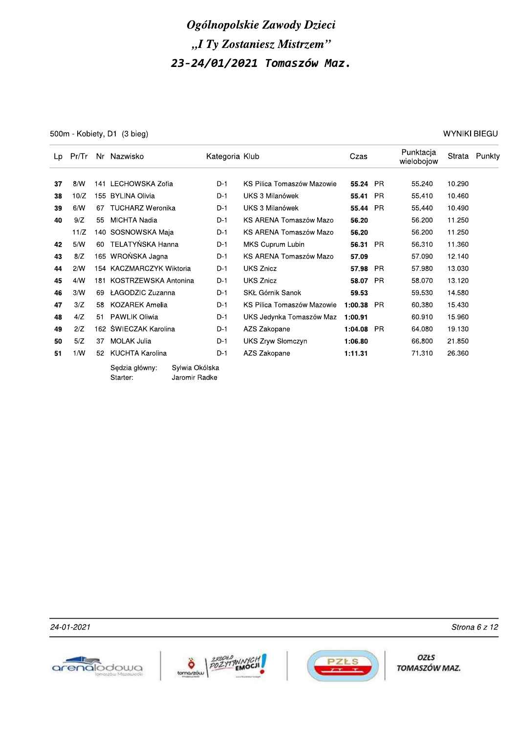500m - Kobiety, D1 (3 bieg)

**WYNIKI BIEGU** 

| Lp | Pr/Tr |     | Nr Nazwisko                |                                 | Kategoria Klub |                            | Czas     |           | Punktacja<br>wielobojow | Strata | Punkty |
|----|-------|-----|----------------------------|---------------------------------|----------------|----------------------------|----------|-----------|-------------------------|--------|--------|
|    |       |     |                            |                                 |                |                            |          |           |                         |        |        |
| 37 | 8/N   | 141 | LECHOWSKA Zofia            |                                 | $D-1$          | KS Pilica Tomaszów Mazowie | 55.24 PR |           | 55.240                  | 10.290 |        |
| 38 | 10/Z  | 155 | <b>BYLINA Olivia</b>       |                                 | $D-1$          | UKS 3 Milanówek            | 55.41    | <b>PR</b> | 55.410                  | 10.460 |        |
| 39 | 6/N   | 67  | <b>TUCHARZ Weronika</b>    |                                 | $D-1$          | UKS 3 Milanówek            | 55.44    | <b>PR</b> | 55.440                  | 10.490 |        |
| 40 | 9/Z   | 55  | MICHTA Nadia               |                                 |                | KS ARENA Tomaszów Mazo     | 56.20    |           | 56.200                  | 11.250 |        |
|    | 11/Z  |     |                            | 140 SOSNOWSKA Maja              |                | KS ARENA Tomaszów Mazo     | 56.20    |           | 56.200                  | 11.250 |        |
| 42 | 5/N   | 60  | TELATYŃSKA Hanna           |                                 | $D-1$          | MKS Cuprum Lubin           | 56.31 PR |           | 56.310                  | 11.360 |        |
| 43 | 8/Z   |     | 165 WROŃSKA Jagna          |                                 | $D-1$          | KS ARENA Tomaszów Mazo     | 57.09    |           | 57.090                  | 12.140 |        |
| 44 | 2/N   |     | 154 KACZMARCZYK Wiktoria   |                                 | $D-1$          | <b>UKS Znicz</b>           | 57.98    | PR.       | 57.980                  | 13.030 |        |
| 45 | 4/N   | 181 | KOSTRZEWSKA Antonina       |                                 | $D-1$          | <b>UKS Znicz</b>           | 58.07    | <b>PR</b> | 58.070                  | 13.120 |        |
| 46 | 3/N   | 69  | ŁAGODZIC Zuzanna           |                                 | $D-1$          | SKŁ Górnik Sanok           | 59.53    |           | 59.530                  | 14.580 |        |
| 47 | 3/Z   | 58  | <b>KOZAREK Amelia</b>      |                                 | $D-1$          | KS Pilica Tomaszów Mazowie | 1:00.38  | <b>PR</b> | 60.380                  | 15.430 |        |
| 48 | 4/Z   | 51  | <b>PAWLIK Oliwia</b>       |                                 | $D-1$          | UKS Jedynka Tomaszów Maz   | 1:00.91  |           | 60.910                  | 15.960 |        |
| 49 | 2/Z   |     | 162 ŚWIECZAK Karolina      |                                 | $D-1$          | AZS Zakopane               | 1:04.08  | <b>PR</b> | 64.080                  | 19.130 |        |
| 50 | 5/Z   | 37  | <b>MOLAK Julia</b>         |                                 | $D-1$          | <b>UKS Zryw Słomczyn</b>   | 1:06.80  |           | 66.800                  | 21.850 |        |
| 51 | 1/W   | 52  | <b>KUCHTA Karolina</b>     |                                 | $D-1$          | AZS Zakopane               | 1:11.31  |           | 71.310                  | 26.360 |        |
|    |       |     | Sedzia główny:<br>Starter: | Sylwia Okólska<br>Jaromir Radke |                |                            |          |           |                         |        |        |







**OZŁS** TOMASZÓW MAZ.

Strona 6 z 12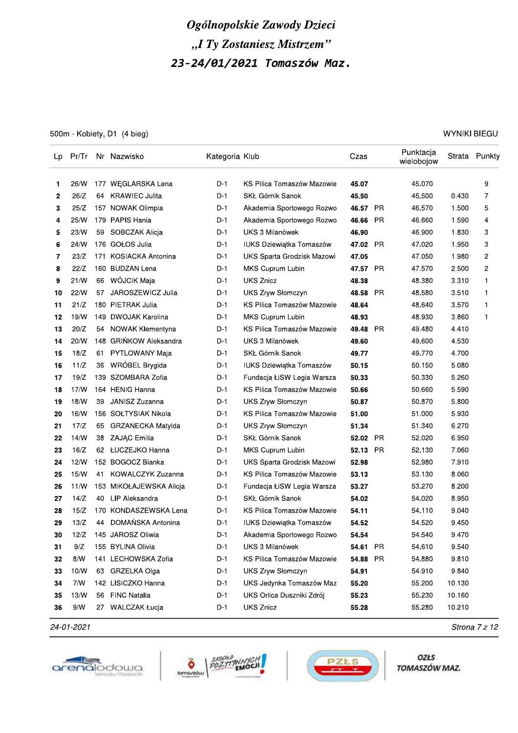500m - Kobiety, D1 (4 bieg)

| WYNIKI BIEGU |  |
|--------------|--|
|--------------|--|

| Lp | Pr/Tr |     | Nr Nazwisko              | Kategoria Klub |                                 | Czas     |           | Punktacja<br>wielobojow |        | Strata Punkty  |
|----|-------|-----|--------------------------|----------------|---------------------------------|----------|-----------|-------------------------|--------|----------------|
| 1  | 26/W  |     | 177 WEGLARSKA Lena       | D-1            | KS Pilica Tomaszów Mazowie      | 45.07    |           | 45.070                  |        | 9              |
| 2  | 26/Z  | 64  | <b>KRAWIEC Julita</b>    | D-1            | SKŁ Górnik Sanok                | 45.50    |           | 45.500                  | 0.430  | 7              |
| 3  | 25/Z  |     | 157 NOWAK Olimpia        | D-1            | Akademia Sportowego Rozwo       | 46.57    | PR        | 46.570                  | 1.500  | 5              |
| 4  | 25/W  |     | 179 PAPIS Hania          | D-1            | Akademia Sportowego Rozwo       | 46.66    | PR.       | 46.660                  | 1.590  | 4              |
| 5  | 23/W  |     | 59 SOBCZAK Alicja        | D-1            | <b>UKS 3 Milanówek</b>          | 46.90    |           | 46.900                  | 1.830  | 3              |
| 6  | 24/W  |     | 176 GOŁOS Julia          | D-1            | <b>IUKS Dziewiatka Tomaszów</b> | 47.02 PR |           | 47.020                  | 1.950  | 3              |
| 7  | 23/Z  | 171 | <b>KOSIACKA Antonina</b> | D-1            | UKS Sparta Grodzisk Mazowi      | 47.05    |           | 47.050                  | 1.980  | 2              |
| 8  | 22/Z  |     | 160 BUDZAN Lena          | D-1            | MKS Cuprum Lubin                | 47.57    | <b>PR</b> | 47.570                  | 2.500  | $\overline{c}$ |
| 9  | 21/W  |     | 66 WÓJCIK Maja           | D-1            | <b>UKS Znicz</b>                | 48.38    |           | 48.380                  | 3.310  | 1              |
| 10 | 22/W  | 57  | JAROSZEWICZ Julia        | D-1            | UKS Zryw Słomczyn               | 48.58    | <b>PR</b> | 48.580                  | 3.510  | 1              |
| 11 | 21/Z  |     | 180 PIETRAK Julia        | D-1            | KS Pilica Tomaszów Mazowie      | 48.64    |           | 48.640                  | 3.570  | 1              |
| 12 | 19/N  |     | 149 DWOJAK Karolina      | D-1            | MKS Cuprum Lubin                | 48.93    |           | 48.930                  | 3.860  | 1              |
| 13 | 20/Z  | 54  | NOWAK Klementyna         | D-1            | KS Pilica Tomaszów Mazowie      | 49.48    | <b>PR</b> | 49.480                  | 4.410  |                |
| 14 | 20/W  |     | 148 GRINKOW Aleksandra   | D-1            | UKS 3 Milanówek                 | 49.60    |           | 49.600                  | 4.530  |                |
| 15 | 18/Z  | 61  | PYTLOWANY Maja           | D-1            | SKŁ Górnik Sanok                | 49.77    |           | 49.770                  | 4.700  |                |
| 16 | 11/Z  | 36  | WRÓBEL Brygida           | D-1            | <b>IUKS Dziewiątka Tomaszów</b> | 50.15    |           | 50.150                  | 5.080  |                |
| 17 | 19/Z  |     | 139 SZOMBARA Zofia       | D-1            | Fundacja ŁiSW Legia Warsza      | 50.33    |           | 50.330                  | 5.260  |                |
| 18 | 17/N  |     | 164 HENIG Hanna          | D-1            | KS Pilica Tomaszów Mazowie      | 50.66    |           | 50.660                  | 5.590  |                |
| 19 | 18/W  | 39  | JANISZ Zuzanna           | D-1            | UKS Zryw Słomczyn               | 50.87    |           | 50.870                  | 5.800  |                |
| 20 | 16/W  |     | 156 SOŁTYSIAK Nikola     | D-1            | KS Pilica Tomaszów Mazowie      | 51.00    |           | 51.000                  | 5.930  |                |
| 21 | 17/Z  | 65  | GRZANECKA Matylda        | D-1            | <b>UKS Zryw Słomczyn</b>        | 51.34    |           | 51.340                  | 6.270  |                |
| 22 | 14/N  | 38  | ZAJĄC Emilia             | $D-1$          | SKŁ Górnik Sanok                | 52.02    | <b>PR</b> | 52.020                  | 6.950  |                |
| 23 | 16/Z  |     | 62 ŁUCZEJKO Hanna        | D-1            | MKS Cuprum Lubin                | 52.13 PR |           | 52.130                  | 7.060  |                |
| 24 | 12/W  |     | 152 BOGOCZ Bianka        | D-1            | UKS Sparta Grodzisk Mazowi      | 52.98    |           | 52.980                  | 7.910  |                |
| 25 | 15/N  | 41  | KOWALCZYK Zuzanna        | D-1            | KS Pilica Tomaszów Mazowie      | 53.13    |           | 53.130                  | 8.060  |                |
| 26 | 11/N  |     | 153 MIKOŁAJEWSKA Alicja  | D-1            | Fundacja ŁiSW Legia Warsza      | 53.27    |           | 53.270                  | 8.200  |                |
| 27 | 14/Z  | 40  | LIP Aleksandra           | D-1            | SKŁ Górnik Sanok                | 54.02    |           | 54.020                  | 8.950  |                |
| 28 | 15/Z  |     | 170 KONDASZEWSKA Lena    | D-1            | KS Pilica Tomaszów Mazowie      | 54.11    |           | 54.110                  | 9.040  |                |
| 29 | 13/Z  |     | 44 DOMAŃSKA Antonina     | D-1            | <b>IUKS Dziewiątka Tomaszów</b> | 54.52    |           | 54.520                  | 9.450  |                |
| 30 | 12/Z  |     | 145 JAROSZ Oliwia        | $D-1$          | Akademia Sportowego Rozwo       | 54.54    |           | 54.540                  | 9.470  |                |
| 31 | 9/Z   |     | 155 BYLINA Olivia        | D-1            | UKS 3 Milanówek                 | 54.61    | <b>PR</b> | 54.610                  | 9.540  |                |
| 32 | 8/N   | 141 | LECHOWSKA Zofia          | $D-1$          | KS Pilica Tomaszów Mazowie      | 54.88    | PR.       | 54.880                  | 9.810  |                |
| 33 | 10/W  | 63  | GRZELKA Olga             | $D-1$          | UKS Zryw Słomczyn               | 54.91    |           | 54.910                  | 9.840  |                |
| 34 | 7/N   |     | 142 LISICZKO Hanna       | $D-1$          | UKS Jedynka Tomaszów Maz        | 55.20    |           | 55.200                  | 10.130 |                |
| 35 | 13/W  | 56  | <b>FINC Natalia</b>      | D-1            | UKS Orlica Duszniki Zdrój       | 55.23    |           | 55.230                  | 10.160 |                |
| 36 | 9/N   | 27  | <b>WALCZAK Łucja</b>     | $D-1$          | <b>UKS Znicz</b>                | 55.28    |           | 55.280                  | 10.210 |                |

24-01-2021







OZŁS TOMASZÓW MAZ.

Strona 7 z 12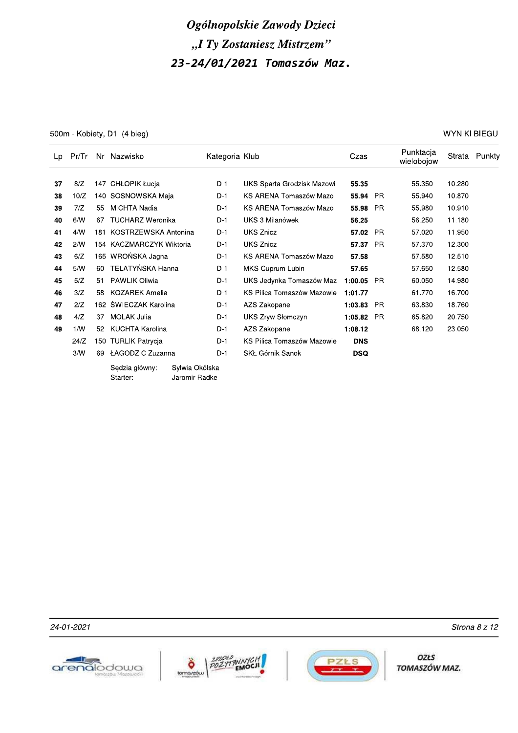500m - Kobiety, D1 (4 bieg)

**WYNIKI BIEGU** 

| Lp | Pr/Tr |     | Nr Nazwisko                |                                 | Kategoria Klub |                            | Czas       |           | Punktacja<br>wielobojow | Strata | Punkty |
|----|-------|-----|----------------------------|---------------------------------|----------------|----------------------------|------------|-----------|-------------------------|--------|--------|
| 37 | 8/Z   | 147 | CHŁOPIK Łucja              |                                 | $D-1$          | UKS Sparta Grodzisk Mazowi | 55.35      |           | 55.350                  | 10.280 |        |
| 38 | 10/Z  |     | 140 SOSNOWSKA Maja         |                                 | D-1            | KS ARENA Tomaszów Mazo     | 55.94      | - PR      | 55.940                  | 10.870 |        |
| 39 | 7/Z   | 55  | MICHTA Nadia               |                                 | $D-1$          | KS ARENA Tomaszów Mazo     | 55.98      | <b>PR</b> | 55.980                  | 10.910 |        |
| 40 | 6/N   | 67  |                            | <b>TUCHARZ Weronika</b>         |                | UKS 3 Milanówek            | 56.25      |           | 56.250                  | 11.180 |        |
| 41 | 4/N   |     | 181 KOSTRZEWSKA Antonina   |                                 | D-1            | <b>UKS Znicz</b>           | 57.02      | <b>PR</b> | 57.020                  | 11.950 |        |
| 42 | 2/N   |     | 154 KACZMARCZYK Wiktoria   |                                 | $D-1$          | <b>UKS Znicz</b>           | 57.37      | <b>PR</b> | 57.370                  | 12.300 |        |
| 43 | 6/Z   | 165 | WROŃSKA Jagna              |                                 | $D-1$          | KS ARENA Tomaszów Mazo     | 57.58      |           | 57.580                  | 12.510 |        |
| 44 | 5/N   | 60  | TELATYŃSKA Hanna           |                                 | $D-1$          | MKS Cuprum Lubin           | 57.65      |           | 57.650                  | 12.580 |        |
| 45 | 5/Z   | 51  | <b>PAWLIK Oliwia</b>       |                                 | $D-1$          | UKS Jedynka Tomaszów Maz   | 1:00.05    | <b>PR</b> | 60.050                  | 14.980 |        |
| 46 | 3/Z   | 58  | <b>KOZAREK Amelia</b>      |                                 | $D-1$          | KS Pilica Tomaszów Mazowie | 1:01.77    |           | 61.770                  | 16.700 |        |
| 47 | 2/Z   |     | 162 ŚWIECZAK Karolina      |                                 | $D-1$          | AZS Zakopane               | 1:03.83    | <b>PR</b> | 63.830                  | 18.760 |        |
| 48 | 4/Z   | 37  | MOLAK Julia                |                                 | $D-1$          | <b>UKS Zryw Słomczyn</b>   | 1:05.82    | <b>PR</b> | 65.820                  | 20.750 |        |
| 49 | 1/N   | 52  | KUCHTA Karolina            |                                 | $D-1$          | AZS Zakopane               | 1:08.12    |           | 68.120                  | 23.050 |        |
|    | 24/Z  |     | 150 TURLIK Patrycja        |                                 | $D-1$          | KS Pilica Tomaszów Mazowie | <b>DNS</b> |           |                         |        |        |
|    | 3/N   | 69  | ŁAGODZIC Zuzanna           |                                 | $D-1$          | SKŁ Górnik Sanok           | <b>DSQ</b> |           |                         |        |        |
|    |       |     | Sedzia główny:<br>Starter: | Sylwia Okólska<br>Jaromir Radke |                |                            |            |           |                         |        |        |

24-01-2021





**OZŁS** TOMASZÓW MAZ.

Strona 8 z 12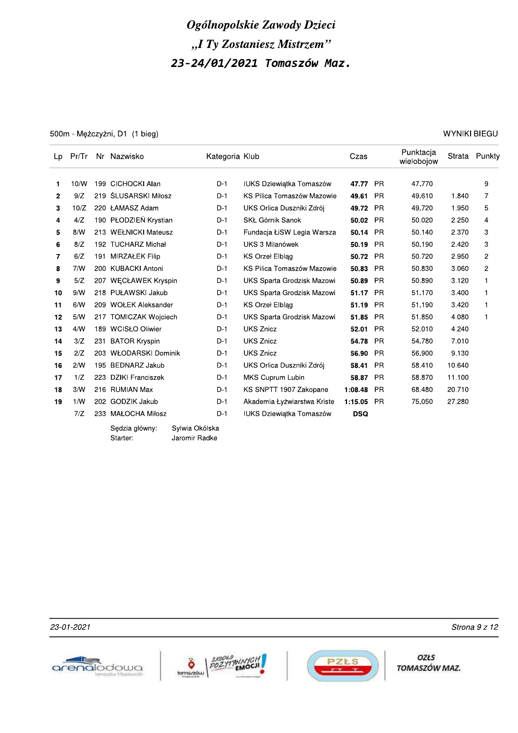# Ogolnopolskie Zawody Dzieci "I Ty Zostaniesz Mistrzem

(2) *Ogólnopolskie Zawody Dzieci*<br>
23 − 24 /01/2021 Tomaszów Maz<br>
23 − 24 /01/2021 Tomaszów Maz<br>
23 − 24 /01/2021 Tomaszów Maz<br>
220 MYNIKI BIEGU<br>
220 MYNIKI BIEGU<br>
220 MYNIKI BIEGU<br>
220 MYNIKI BIEGU<br>
220 MYNIKI BIEGU<br>
22 2 9/Z 219 ŚLUSARSKI Miłosz b. D-1 KS Pilica Tomaszów Mazowie 49.61 PR 49.610 1.840 7 w ?0Io pp0 xc4cWo2cyL1 ^QW2bHR<7L2>SN8;<O<2oyHeV >3? fffgsihn Gj2 k`mlp0 ?m`/0 / 4 4/Z 190 PŁODZIEŃ Krystian b D-1 SKŁ Górnik Sanok 50.02 PR 50.020 2.250 4 5 8/W 213 WEŁNICKI Mateusz b-1 Fundacja ŁiSW Legia Warsza 50.14 PR 50.140 2.370 3 **b** 8/2 192 TUCHARZ-MIChał – D-T UKS-3 Millahowek – **50.19** PR – 50.190 2.420 3 h b/2 i91 Min $\chi$ AŁEK Filip  $L$  by the D-1 kS Orzer Eibiag  $L$  borzer pm. Azive pm  $\chi$  pm  $\chi$  pm  $\chi$  pm  $\chi$ 8 7/W 200 KUBACKI Antoni LD-1 KS Pilica Tomaszów Mazowie 50.83 PR 50.830 3.060 2 9 5/Z 207 WECŁAWEK Kryspin b-1 UKS Sparta Grodzisk Mazowi 50.89 PR 50.890 3.120 1 \_| `IX p?v G^xcXWQZ2LOSA ^QW2WFLHUL2]HPy8<NO24L8PM< >3? fff{\_i\_h Gj2 /?m?l0 }mk00 ? 11 6/W 209 WOŁEK Aleksander D-1 KS Orzeł Elblag 51.19 51.190 3.420 1 12 5/W 217 TOMICZAK Wojciech b-1 UKS Sparta Grodzisk Mazowi 51.85 PR 51.850 4.080 1 \_w kIX ?v` XTZWxb2bR<M<BH ^QW2o;<78 >3? fff{ni|\_ Gj2 /pm0?0 kmpk0 14 3/Z 231 BATOR Kryspin D-1 UKS Znicz 54.78 PR 54.780 7.010 \_{ pIo p0} Xxb>cjWQZ2>P1<;<O ^QW2o;<78 >3? fff{tis| Gj2 /um`00 `m?}0 \_t pIX ?`/ [\>Kcjo2LOSA ^QW2bHR<7L2>SN8;<O<2oyHeV >3? fff{ig\_ Gj2 /vmk?0 ?0muk0 17 1/Z 223 DZIKI Franciszek b-1 MKS Cuprum Lubin 58.87 PR 58.870 11.100 18 3/W 216 RUMIAN Max **D-1 KS SNPTT 1907 Zakopane** 1:08.48 PR 68.480 20.710 19 1/W 202 GODZIK Jakub D-1 Akademia Łyżwiarstwa Kriste 1:15.05 PR 75.050 27.280 7/Z 233 MAŁOCHA Miłosz **D-1** IUKS Dziewiątka Tomaszów **DSQ** 

Sędzia główny:<br>Starter:

Sylwia Okólska<br>Jaromir Radke







OZŁS TOMASZÓW MAZ.

 $23-01-2021$  Strona 9 2 12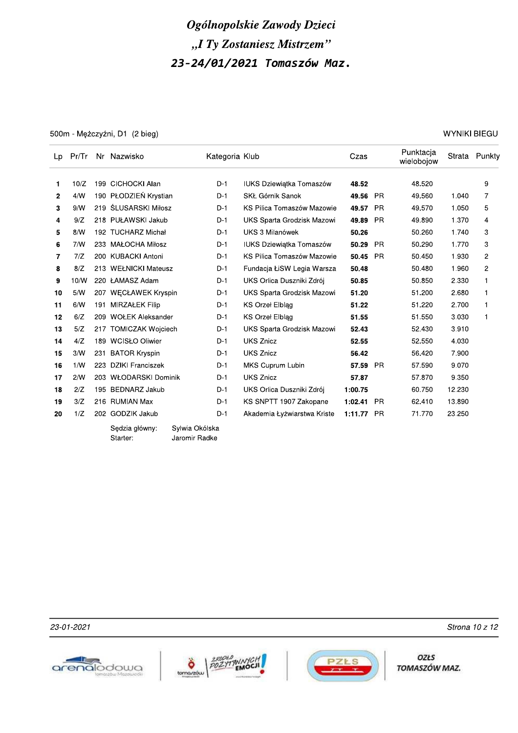500m - Mężczyźni, D1 (2 bieg)

| WYNIKI BIEGU |  |
|--------------|--|
|--------------|--|

| Lp | Pr/Tr |     | Nr Nazwisko                      | Kategoria Klub |                                 | Czas    |           | Punktacja<br>wielobojow | Strata | Punkty         |
|----|-------|-----|----------------------------------|----------------|---------------------------------|---------|-----------|-------------------------|--------|----------------|
| 1. | 10/Z  |     | 199 CICHOCKI Alan                | $D-1$          | <b>IUKS Dziewiątka Tomaszów</b> | 48.52   |           | 48.520                  |        | 9              |
| 2  | 4/N   |     | 190 PŁODZIEŃ Krystian            | $D-1$          | SKŁ Górnik Sanok                | 49.56   | <b>PR</b> | 49.560                  | 1.040  | 7              |
| 3  | 9/N   |     | 219 ŚLUSARSKI Miłosz             | $D-1$          | KS Pilica Tomaszów Mazowie      | 49.57   | <b>PR</b> | 49.570                  | 1.050  | 5              |
| 4  | 9/Z   |     | 218 PUŁAWSKI Jakub               | $D-1$          | UKS Sparta Grodzisk Mazowi      | 49.89   | <b>PR</b> | 49.890                  | 1.370  | 4              |
| 5  | 8/N   |     | 192 TUCHARZ Michał               | $D-1$          | UKS 3 Milanówek                 | 50.26   |           | 50.260                  | 1.740  | 3              |
| 6  | 7/N   |     | 233 MAŁOCHA Miłosz               | $D-1$          | <b>IUKS Dziewiatka Tomaszów</b> | 50.29   | <b>PR</b> | 50.290                  | 1.770  | 3              |
| 7  | 7/Z   |     | 200 KUBACKI Antoni               | $D-1$          | KS Pilica Tomaszów Mazowie      | 50.45   | <b>PR</b> | 50.450                  | 1.930  | $\overline{c}$ |
| 8  | 8/Z   |     | 213 WEŁNICKI Mateusz             | $D-1$          | Fundacja ŁiSW Legia Warsza      | 50.48   |           | 50.480                  | 1.960  | $\overline{c}$ |
| 9  | 10/N  |     | 220 ŁAMASZ Adam                  | $D-1$          | UKS Orlica Duszniki Zdrój       | 50.85   |           | 50.850                  | 2.330  | 1              |
| 10 | 5/N   |     | 207 WECŁAWEK Kryspin             | $D-1$          | UKS Sparta Grodzisk Mazowi      | 51.20   |           | 51.200                  | 2.680  | 1              |
| 11 | 6/N   | 191 | <b>MIRZAŁEK Filip</b>            | $D-1$          | KS Orzeł Elblag                 | 51.22   |           | 51.220                  | 2.700  | 1              |
| 12 | 6/Z   |     | 209 WOŁEK Aleksander             | $D-1$          | <b>KS Orzel Elblag</b>          | 51.55   |           | 51.550                  | 3.030  | 1              |
| 13 | 5/Z   |     | 217 TOMICZAK Wojciech            | $D-1$          | UKS Sparta Grodzisk Mazowi      | 52.43   |           | 52.430                  | 3.910  |                |
| 14 | 4/Z   |     | 189 WCISŁO Oliwier               | $D-1$          | <b>UKS Znicz</b>                | 52.55   |           | 52.550                  | 4.030  |                |
| 15 | 3/W   | 231 | <b>BATOR Kryspin</b>             | D-1            | <b>UKS Znicz</b>                | 56.42   |           | 56.420                  | 7.900  |                |
| 16 | 1/W   | 223 | DZIKI Franciszek                 | $D-1$          | MKS Cuprum Lubin                | 57.59   | <b>PR</b> | 57.590                  | 9.070  |                |
| 17 | 2/N   |     | 203 WŁODARSKI Dominik            | D-1            | <b>UKS Znicz</b>                | 57.87   |           | 57.870                  | 9.350  |                |
| 18 | 2/Z   |     | 195 BEDNARZ Jakub                | $D-1$          | UKS Orlica Duszniki Zdrój       | 1:00.75 |           | 60.750                  | 12.230 |                |
| 19 | 3/Z   |     | 216 RUMIAN Max                   | $D-1$          | KS SNPTT 1907 Zakopane          | 1:02.41 | <b>PR</b> | 62.410                  | 13.890 |                |
| 20 | 1/Z   |     | 202 GODZIK Jakub                 | $D-1$          | Akademia Łyżwiarstwa Kriste     | 1:11.77 | <b>PR</b> | 71.770                  | 23.250 |                |
|    |       |     | Sylwia Okólska<br>Sedzia główny: |                |                                 |         |           |                         |        |                |

Sędzia główny∶ Starter:

Sylwia Okólska Jaromir Radke

23-01-2021







OZŁS TOMASZÓW MAZ.

Strona 10 z 12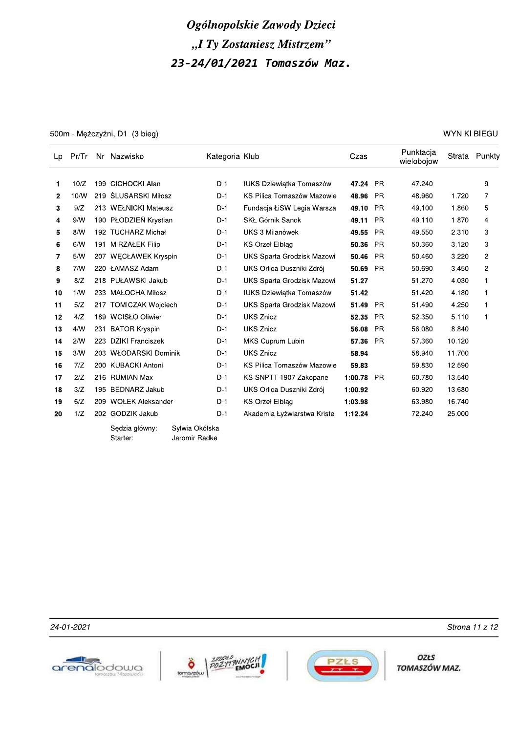500m - Mężczyźni, D1 (3 bieg)

**WYNIKI BIEGU** 

| Lp           | Pr/Tr |     | Nr Nazwisko                      | Kategoria Klub |                                 | Czas    |           | Punktacja<br>wielobojow |        | Strata Punkty  |
|--------------|-------|-----|----------------------------------|----------------|---------------------------------|---------|-----------|-------------------------|--------|----------------|
| 1            | 10/Z  |     | 199 CICHOCKI Alan                | $D-1$          | <b>IUKS Dziewiątka Tomaszów</b> | 47.24   | - PR      | 47.240                  |        | 9              |
| $\mathbf{2}$ | 10/W  |     | 219 ŚLUSARSKI Miłosz             | $D-1$          | KS Pilica Tomaszów Mazowie      | 48.96   | <b>PR</b> | 48.960                  | 1.720  | 7              |
| 3            | 9/Z   |     | 213 WEŁNICKI Mateusz             | $D-1$          | Fundacja ŁiSW Legia Warsza      | 49.10   | <b>PR</b> | 49.100                  | 1.860  | 5              |
| 4            | 9/N   |     | 190 PŁODZIEŃ Krystian            | $D-1$          | SKŁ Górnik Sanok                | 49.11   | <b>PR</b> | 49.110                  | 1.870  | 4              |
| 5            | 8/N   | 192 | <b>TUCHARZ Michał</b>            | $D-1$          | UKS 3 Milanówek                 | 49.55   | <b>PR</b> | 49.550                  | 2.310  | 3              |
| 6            | 6/N   | 191 | <b>MIRZAŁEK Filip</b>            | $D-1$          | <b>KS Orzel Elblag</b>          | 50.36   | <b>PR</b> | 50.360                  | 3.120  | 3              |
| 7            | 5/N   | 207 | <b>WECŁAWEK Kryspin</b>          | $D-1$          | UKS Sparta Grodzisk Mazowi      | 50.46   | <b>PR</b> | 50.460                  | 3.220  | $\overline{2}$ |
| 8            | 7/N   |     | 220 ŁAMASZ Adam                  | $D-1$          | UKS Orlica Duszniki Zdrój       | 50.69   | <b>PR</b> | 50.690                  | 3.450  | 2              |
| 9            | 8/Z   |     | 218 PUŁAWSKI Jakub               | $D-1$          | UKS Sparta Grodzisk Mazowi      | 51.27   |           | 51.270                  | 4.030  | 1              |
| 10           | 1/N   |     | 233 MAŁOCHA Miłosz               | $D-1$          | <b>IUKS Dziewiątka Tomaszów</b> | 51.42   |           | 51.420                  | 4.180  | $\mathbf{1}$   |
| 11           | 5/Z   | 217 | <b>TOMICZAK Wojciech</b>         | $D-1$          | UKS Sparta Grodzisk Mazowi      | 51.49   | <b>PR</b> | 51.490                  | 4.250  | 1              |
| 12           | 4/Z   | 189 | <b>WCISŁO Oliwier</b>            | $D-1$          | <b>UKS Znicz</b>                | 52.35   | <b>PR</b> | 52.350                  | 5.110  | 1              |
| 13           | 4/N   | 231 | <b>BATOR Kryspin</b>             | $D-1$          | <b>UKS Znicz</b>                | 56.08   | <b>PR</b> | 56.080                  | 8.840  |                |
| 14           | 2/N   | 223 | DZIKI Franciszek                 | $D-1$          | MKS Cuprum Lubin                | 57.36   | <b>PR</b> | 57.360                  | 10.120 |                |
| 15           | 3/N   |     | 203 WŁODARSKI Dominik            | $D-1$          | <b>UKS Znicz</b>                | 58.94   |           | 58.940                  | 11.700 |                |
| 16           | 7/Z   |     | 200 KUBACKI Antoni               | $D-1$          | KS Pilica Tomaszów Mazowie      | 59.83   |           | 59.830                  | 12.590 |                |
| 17           | 2/Z   |     | 216 RUMIAN Max                   | $D-1$          | KS SNPTT 1907 Zakopane          | 1:00.78 | <b>PR</b> | 60.780                  | 13.540 |                |
| 18           | 3/Z   | 195 | <b>BEDNARZ Jakub</b>             | $D-1$          | UKS Orlica Duszniki Zdrój       | 1:00.92 |           | 60.920                  | 13.680 |                |
| 19           | 6/Z   | 209 | <b>WOŁEK Aleksander</b>          | $D-1$          | <b>KS Orzel Elblag</b>          | 1:03.98 |           | 63.980                  | 16.740 |                |
| 20           | 1/Z   |     | 202 GODZIK Jakub                 | $D-1$          | Akademia Łyżwiarstwa Kriste     | 1:12.24 |           | 72.240                  | 25.000 |                |
|              |       |     | Sedzia główny:<br>Sylwia Okólska |                |                                 |         |           |                         |        |                |

Starter:

Jaromir Radke

24-01-2021







**OZŁS** TOMASZÓW MAZ.

Strona 11 z 12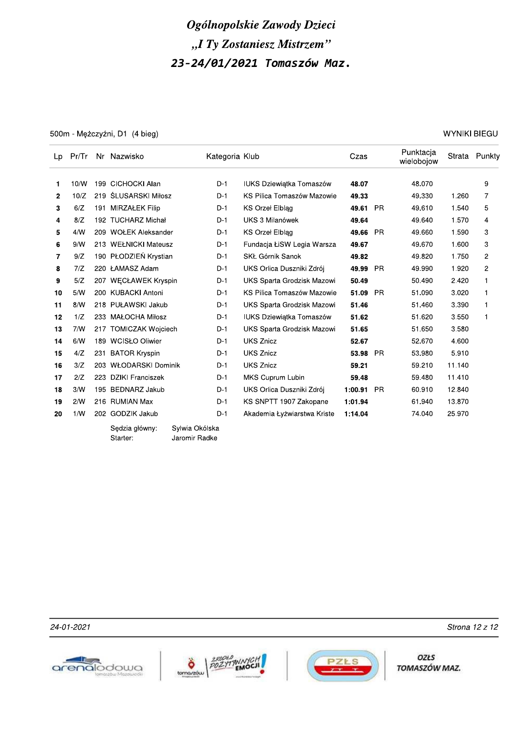500m - Mężczyźni, D1 (4 bieg)

**WYNIKI BIEGU** 

| Lp           | Pr/Tr |     | Nr Nazwisko                         | Kategoria Klub |                                 | Czas     |           | Punktacja<br>wielobojow |        | Strata Punkty  |
|--------------|-------|-----|-------------------------------------|----------------|---------------------------------|----------|-----------|-------------------------|--------|----------------|
| 1            | 10/W  | 199 | CICHOCKI Alan                       | $D-1$          | <b>IUKS Dziewiątka Tomaszów</b> | 48.07    |           | 48.070                  |        | 9              |
| $\mathbf{2}$ | 10/Z  |     | 219 ŚLUSARSKI Miłosz                | $D-1$          | KS Pilica Tomaszów Mazowie      | 49.33    |           | 49.330                  | 1.260  | 7              |
| 3            | 6/Z   |     | 191 MIRZAŁEK Filip                  | $D-1$          | <b>KS Orzel Elblag</b>          | 49.61 PR |           | 49.610                  | 1.540  | 5              |
| 4            | 8/Z   |     | 192 TUCHARZ Michał                  | $D-1$          | UKS 3 Milanówek                 | 49.64    |           | 49.640                  | 1.570  | 4              |
| 5            | 4/N   |     | 209 WOŁEK Aleksander                | $D-1$          | <b>KS Orzel Elblag</b>          | 49.66    | <b>PR</b> | 49.660                  | 1.590  | 3              |
| 6            | 9/N   |     | 213 WEŁNICKI Mateusz                | $D-1$          | Fundacja ŁiSW Legia Warsza      | 49.67    |           | 49.670                  | 1.600  | 3              |
| 7            | 9/Z   |     | 190 PŁODZIEŃ Krystian               | $D-1$          | SKŁ Górnik Sanok                | 49.82    |           | 49.820                  | 1.750  | $\overline{2}$ |
| 8            | 7/Z   |     | 220 ŁAMASZ Adam                     | $D-1$          | UKS Orlica Duszniki Zdrój       | 49.99    | <b>PR</b> | 49.990                  | 1.920  | 2              |
| 9            | 5/Z   |     | 207 WECŁAWEK Kryspin                | $D-1$          | UKS Sparta Grodzisk Mazowi      | 50.49    |           | 50.490                  | 2.420  | $\mathbf{1}$   |
| 10           | 5/N   |     | 200 KUBACKI Antoni                  | $D-1$          | KS Pilica Tomaszów Mazowie      | 51.09    | <b>PR</b> | 51.090                  | 3.020  | 1              |
| 11           | 8/N   |     | 218 PUŁAWSKI Jakub                  | $D-1$          | UKS Sparta Grodzisk Mazowi      | 51.46    |           | 51.460                  | 3.390  | $\mathbf{1}$   |
| 12           | 1/Z   |     | 233 MAŁOCHA Miłosz                  | $D-1$          | <b>IUKS Dziewiatka Tomaszów</b> | 51.62    |           | 51.620                  | 3.550  | 1              |
| 13           | 7/N   |     | 217 TOMICZAK Wojciech               | $D-1$          | UKS Sparta Grodzisk Mazowi      | 51.65    |           | 51.650                  | 3.580  |                |
| 14           | 6/N   |     | 189 WCISŁO Oliwier                  | $D-1$          | <b>UKS Znicz</b>                | 52.67    |           | 52.670                  | 4.600  |                |
| 15           | 4/Z   |     | 231 BATOR Kryspin                   | $D-1$          | <b>UKS Znicz</b>                | 53.98    | <b>PR</b> | 53.980                  | 5.910  |                |
| 16           | 3/Z   |     | 203 WŁODARSKI Dominik               | $D-1$          | <b>UKS Znicz</b>                | 59.21    |           | 59.210                  | 11.140 |                |
| 17           | 2/Z   |     | 223 DZIKI Franciszek                | $D-1$          | MKS Cuprum Lubin                | 59.48    |           | 59.480                  | 11.410 |                |
| 18           | 3/N   |     | 195 BEDNARZ Jakub                   | $D-1$          | UKS Orlica Duszniki Zdrój       | 1:00.91  | <b>PR</b> | 60.910                  | 12.840 |                |
| 19           | 2/N   |     | 216 RUMIAN Max                      | D-1            | KS SNPTT 1907 Zakopane          | 1:01.94  |           | 61.940                  | 13.870 |                |
| 20           | 1/N   |     | 202 GODZIK Jakub                    | $D-1$          | Akademia Łyżwiarstwa Kriste     | 1:14.04  |           | 74.040                  | 25.970 |                |
|              |       |     | Culturia Oliálaka<br>Cadzia alámoni |                |                                 |          |           |                         |        |                |

Sędzia główny: Starter:

Sylwia Okólska Jaromir Radke

24-01-2021







**OZŁS** TOMASZÓW MAZ.

Strona 12 z 12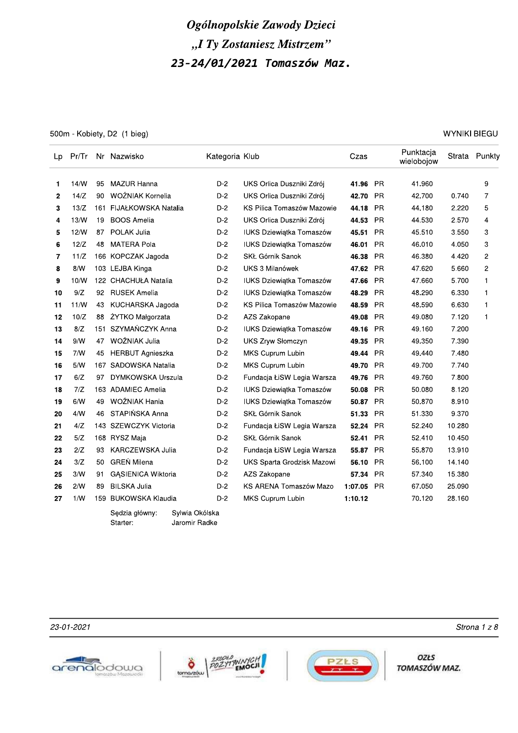500m - Kobiety, D2 (1 bieg)

WYNIKI BIEGU

| Lp             |      |     | Pr/Tr Nr Nazwisko          |                                 | Kategoria Klub                  | Czas                                |           | Punktacja<br>wielobojow |        | Strata Punkty  |
|----------------|------|-----|----------------------------|---------------------------------|---------------------------------|-------------------------------------|-----------|-------------------------|--------|----------------|
| 1              | 14/N | 95  | <b>MAZUR Hanna</b>         | $D-2$                           | UKS Orlica Duszniki Zdrój       | 41.96                               | <b>PR</b> | 41.960                  |        | 9              |
| $\overline{2}$ | 14/Z | 90  | WOŻNIAK Kornelia           | $D-2$                           | UKS Orlica Duszniki Zdrój       | 42.70                               | <b>PR</b> | 42.700                  | 0.740  | 7              |
| 3              | 13/Z |     | 161 FIJAŁKOWSKA Natalia    | $D-2$                           |                                 | KS Pilica Tomaszów Mazowie<br>44.18 | <b>PR</b> | 44.180                  | 2.220  | 5              |
| 4              | 13/W | 19  | <b>BOOS Amelia</b>         | $D-2$                           | UKS Orlica Duszniki Zdrój       | 44.53                               | <b>PR</b> | 44.530                  | 2.570  | 4              |
| 5              | 12/W | 87  | POLAK Julia                | $D-2$                           | <b>IUKS Dziewiątka Tomaszów</b> | 45.51                               | <b>PR</b> | 45.510                  | 3.550  | 3              |
| 6              | 12/Z | 48  | <b>MATERA Pola</b>         | $D-2$                           | <b>IUKS Dziewiątka Tomaszów</b> | 46.01                               | <b>PR</b> | 46.010                  | 4.050  | 3              |
| $\overline{7}$ | 11/Z |     | 166 KOPCZAK Jagoda         | $D-2$                           | SKŁ Górnik Sanok                | 46.38                               | <b>PR</b> | 46.380                  | 4.420  | $\overline{c}$ |
| 8              | 8/N  |     | 103 LEJBA Kinga            | $D-2$                           | UKS 3 Milanówek                 | 47.62                               | <b>PR</b> | 47.620                  | 5.660  | 2              |
| 9              | 10/N |     | 122 CHACHUŁA Natalia       | $D-2$                           | <b>IUKS Dziewiątka Tomaszów</b> | 47.66                               | <b>PR</b> | 47.660                  | 5.700  | 1              |
| 10             | 9/Z  | 92  | <b>RUSEK Amelia</b>        | $D-2$                           | <b>IUKS Dziewiątka Tomaszów</b> | 48.29                               | <b>PR</b> | 48.290                  | 6.330  | $\mathbf{1}$   |
| 11             | 11/N | 43  | KUCHARSKA Jagoda           | $D-2$                           |                                 | KS Pilica Tomaszów Mazowie<br>48.59 | <b>PR</b> | 48.590                  | 6.630  | $\mathbf{1}$   |
| 12             | 10/Z | 88  | ŻYTKO Małgorzata           | $D-2$                           | AZS Zakopane                    | 49.08                               | <b>PR</b> | 49.080                  | 7.120  | $\mathbf{1}$   |
| 13             | 8/Z  | 151 | SZYMAŃCZYK Anna            | $D-2$                           | <b>IUKS Dziewiątka Tomaszów</b> | 49.16                               | <b>PR</b> | 49.160                  | 7.200  |                |
| 14             | 9/N  | 47  | WOŹNIAK Julia              | $D-2$                           | <b>UKS Zryw Słomczyn</b>        | 49.35                               | <b>PR</b> | 49.350                  | 7.390  |                |
| 15             | 7/N  | 45  | <b>HERBUT Agnieszka</b>    | $D-2$                           | MKS Cuprum Lubin                | 49.44                               | <b>PR</b> | 49.440                  | 7.480  |                |
| 16             | 5/N  |     | 167 SADOWSKA Natalia       | $D-2$                           | MKS Cuprum Lubin                | 49.70                               | <b>PR</b> | 49.700                  | 7.740  |                |
| 17             | 6/Z  | 97  | DYMKOWSKA Urszula          | $D-2$                           |                                 | Fundacja ŁiSW Legia Warsza<br>49.76 | PR        | 49.760                  | 7.800  |                |
| 18             | 7/Z  |     | 163 ADAMIEC Amelia         | $D-2$                           | <b>IUKS Dziewiatka Tomaszów</b> | 50.08                               | PR        | 50.080                  | 8.120  |                |
| 19             | 6/N  | 49  | WOŹNIAK Hania              | $D-2$                           | <b>IUKS Dziewiątka Tomaszów</b> | 50.87                               | <b>PR</b> | 50.870                  | 8.910  |                |
| 20             | 4/N  | 46  | STAPIŃSKA Anna             | $D-2$                           | SKŁ Górnik Sanok                | 51.33                               | <b>PR</b> | 51.330                  | 9.370  |                |
| 21             | 4/Z  |     | 143 SZEWCZYK Victoria      | $D-2$                           |                                 | Fundacja ŁiSW Legia Warsza<br>52.24 | <b>PR</b> | 52.240                  | 10.280 |                |
| 22             | 5/Z  |     | 168 RYSZ Maja              | $D-2$                           | SKŁ Górnik Sanok                | 52.41                               | <b>PR</b> | 52.410                  | 10.450 |                |
| 23             | 2/Z  | 93  | KARCZEWSKA Julia           | $D-2$                           |                                 | Fundacja ŁiSW Legia Warsza<br>55.87 | <b>PR</b> | 55.870                  | 13.910 |                |
| 24             | 3/Z  | 50  | <b>GREŃ Milena</b>         | $D-2$                           |                                 | UKS Sparta Grodzisk Mazowi<br>56.10 | <b>PR</b> | 56.100                  | 14.140 |                |
| 25             | 3/N  | 91  | <b>GASIENICA Wiktoria</b>  | D-2                             | AZS Zakopane                    | 57.34                               | <b>PR</b> | 57.340                  | 15.380 |                |
| 26             | 2/N  | 89  | <b>BILSKA Julia</b>        | $D-2$                           |                                 | KS ARENA Tomaszów Mazo<br>1:07.05   | <b>PR</b> | 67.050                  | 25.090 |                |
| 27             | 1/N  | 159 | <b>BUKOWSKA Klaudia</b>    | $D-2$                           | MKS Cuprum Lubin                | 1:10.12                             |           | 70.120                  | 28.160 |                |
|                |      |     | Sędzia główny:<br>Starter: | Sylwia Okólska<br>Jaromir Radke |                                 |                                     |           |                         |        |                |

23-01-2021







OZŁS TOMASZÓW MAZ.

Strona 1 z 8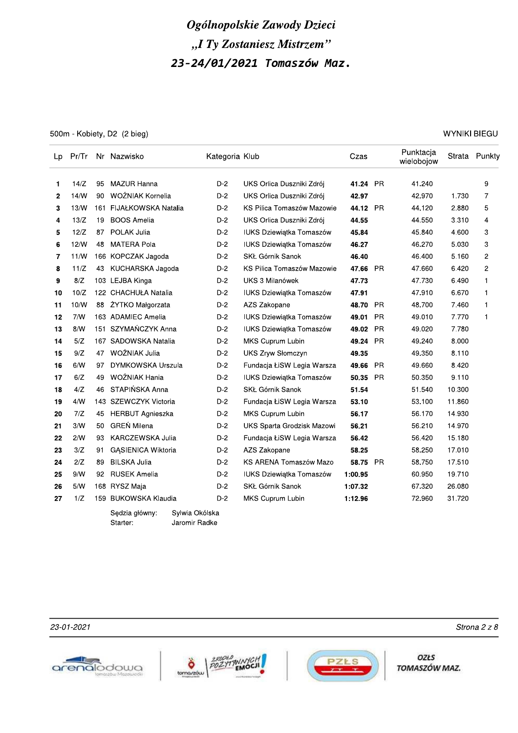|    |       |    |                                                               |                | Ogólnopolskie Zawody Dzieci     |          |           |                         |                     |               |
|----|-------|----|---------------------------------------------------------------|----------------|---------------------------------|----------|-----------|-------------------------|---------------------|---------------|
|    |       |    |                                                               |                |                                 |          |           |                         |                     |               |
|    |       |    |                                                               |                | "I Ty Zostaniesz Mistrzem"      |          |           |                         |                     |               |
|    |       |    |                                                               |                | 23-24/01/2021 Tomaszów Maz.     |          |           |                         |                     |               |
|    |       |    |                                                               |                |                                 |          |           |                         |                     |               |
|    |       |    |                                                               |                |                                 |          |           |                         |                     |               |
|    |       |    |                                                               |                |                                 |          |           |                         |                     |               |
|    |       |    |                                                               |                |                                 |          |           |                         |                     |               |
|    |       |    | 500m - Kobiety, D2 (2 bieg)                                   |                |                                 |          |           |                         | <b>WYNIKI BIEGU</b> |               |
|    |       |    |                                                               |                |                                 |          |           |                         |                     |               |
| Lp | Pr/Tr |    | Nr Nazwisko                                                   | Kategoria Klub |                                 | Czas     |           | Punktacja<br>wielobojow |                     | Strata Punkty |
|    |       |    |                                                               |                |                                 |          |           |                         |                     |               |
| 1. | 14/Z  | 95 | <b>MAZUR Hanna</b>                                            | $D-2$          | UKS Orlica Duszniki Zdrój       | 41.24    | <b>PR</b> | 41.240                  |                     | 9             |
| 2  | 14/N  | 90 | WOŹNIAK Kornelia                                              | $D-2$          | UKS Orlica Duszniki Zdrój       | 42.97    |           | 42.970                  | 1.730               | 7             |
| 3  | 13/N  |    | 161 FIJAŁKOWSKA Natalia                                       | $D-2$          | KS Pilica Tomaszów Mazowie      | 44.12    | <b>PR</b> | 44.120                  | 2.880               | 5             |
| 4  | 13/Z  | 19 | <b>BOOS Amelia</b>                                            | D-2            | UKS Orlica Duszniki Zdrój       | 44.55    |           | 44.550                  | 3.310               | 4             |
| 5  | 12/Z  | 87 | POLAK Julia                                                   | D-2            | <b>IUKS Dziewiątka Tomaszów</b> | 45.84    |           | 45.840                  | 4.600               | 3             |
| 6  | 12/N  | 48 | <b>MATERA Pola</b>                                            | D-2            | IUKS Dziewiątka Tomaszów        | 46.27    |           | 46.270                  | 5.030               | 3             |
| 7  | 11/W  |    | 166 KOPCZAK Jagoda                                            | D-2            | SKŁ Górnik Sanok                | 46.40    |           | 46.400                  | 5.160               | 2             |
| 8  | 11/Z  | 43 | KUCHARSKA Jagoda                                              | $D-2$          | KS Pilica Tomaszów Mazowie      | 47.66    | PR        | 47.660                  | 6.420               | 2             |
| 9  | 8/Z   |    | 103 LEJBA Kinga                                               | $D-2$          | UKS 3 Milanówek                 | 47.73    |           | 47.730                  | 6.490               | 1             |
| 10 | 10/Z  |    | 122 CHACHUŁA Natalia                                          | $D-2$          | IUKS Dziewiątka Tomaszów        | 47.91    |           | 47.910                  | 6.670               | 1             |
| 11 | 10/W  | 88 | ŻYTKO Małgorzata                                              | $D-2$          | AZS Zakopane                    | 48.70    | <b>PR</b> | 48.700                  | 7.460               | 1             |
| 12 | 7/N   |    | 163 ADAMIEC Amelia                                            | $D-2$          | IUKS Dziewiątka Tomaszów        | 49.01    | <b>PR</b> | 49.010                  | 7.770               | 1             |
| 13 | 8/N   |    | 151 SZYMAŃCZYK Anna                                           | $D-2$          | <b>IUKS Dziewiątka Tomaszów</b> | 49.02 PR |           | 49.020                  | 7.780               |               |
| 14 | 5/Z   |    | 167 SADOWSKA Natalia                                          | $D-2$          | MKS Cuprum Lubin                | 49.24 PR |           | 49.240                  | 8.000               |               |
| 15 | 9/Z   | 47 | WOŹNIAK Julia                                                 | $D-2$          | UKS Zryw Słomczyn               | 49.35    |           | 49.350                  | 8.110               |               |
| 16 | 6/N   | 97 | DYMKOWSKA Urszula                                             | $D-2$          | Fundacja ŁiSW Legia Warsza      | 49.66    | PR        | 49.660                  | 8.420               |               |
| 17 | 6/Z   | 49 | WOŹNIAK Hania                                                 | $D-2$          | <b>IUKS Dziewiątka Tomaszów</b> | 50.35 PR |           | 50.350                  | 9.110               |               |
| 18 | 4/Z   | 46 | STAPIŃSKA Anna                                                | $D-2$          | SKŁ Górnik Sanok                | 51.54    |           | 51.540                  | 10.300              |               |
| 19 | 4/N   |    | 143 SZEWCZYK Victoria                                         | $D-2$          | Fundacja ŁiSW Legia Warsza      | 53.10    |           | 53.100                  | 11.860              |               |
| 20 | 7/Z   | 45 | HERBUT Agnieszka                                              | $D-2$          | MKS Cuprum Lubin                | 56.17    |           | 56.170                  | 14.930              |               |
| 21 | 3/N   | 50 | <b>GREŃ Milena</b>                                            | $D-2$          | UKS Sparta Grodzisk Mazowi      | 56.21    |           | 56.210                  | 14.970              |               |
| 22 | 2/N   | 93 | KARCZEWSKA Julia                                              | $D-2$          | Fundacja ŁiSW Legia Warsza      | 56.42    |           | 56.420                  | 15.180              |               |
| 23 | 3/Z   | 91 | GĄSIENICA Wiktoria                                            | $D-2$          | AZS Zakopane                    | 58.25    |           | 58.250                  | 17.010              |               |
| 24 | 2/Z   | 89 | <b>BILSKA Julia</b>                                           | $D-2$          | KS ARENA Tomaszów Mazo          | 58.75 PR |           | 58.750                  | 17.510              |               |
| 25 | 9/N   | 92 | <b>RUSEK Amelia</b>                                           | $D-2$          | IUKS Dziewiątka Tomaszów        | 1:00.95  |           | 60.950                  | 19.710              |               |
| 26 | 5/N   |    | 168 RYSZ Maja                                                 | $D-2$          | SKŁ Górnik Sanok                | 1:07.32  |           | 67.320                  | 26.080              |               |
| 27 | 1/Z   |    | 159 BUKOWSKA Klaudia                                          | D-2            | MKS Cuprum Lubin                | 1:12.96  |           | 72.960                  | 31.720              |               |
|    |       |    | Sędzia główny:<br>Sylwia Okólska<br>Starter:<br>Jaromir Radke |                |                                 |          |           |                         |                     |               |







OZŁS TOMASZÓW MAZ.

23-01-2021 Strona 2 2 8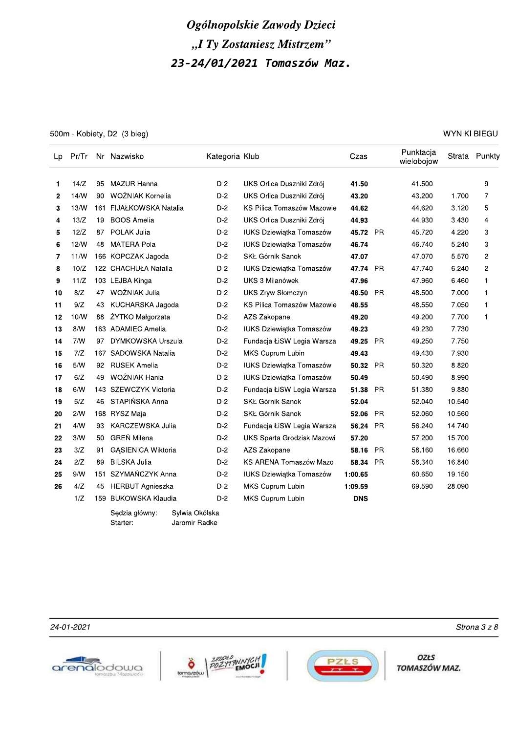500m - Kobiety, D2 (3 bieg)

WYNIKI BIEGU

| Lp |      |    | Pr/Tr Nr Nazwisko          | Kategoria Klub                  |                                 | Czas       |           | Punktacja<br>wielobojow |        | Strata Punkty  |
|----|------|----|----------------------------|---------------------------------|---------------------------------|------------|-----------|-------------------------|--------|----------------|
| 1  | 14/Z | 95 | <b>MAZUR Hanna</b>         | $D-2$                           | UKS Orlica Duszniki Zdrój       | 41.50      |           | 41.500                  |        | 9              |
| 2  | 14/N | 90 | WOŹNIAK Kornelia           | $D-2$                           | UKS Orlica Duszniki Zdrój       | 43.20      |           | 43.200                  | 1.700  | 7              |
| 3  | 13/N |    | 161 FIJAŁKOWSKA Natalia    | $D-2$                           | KS Pilica Tomaszów Mazowie      | 44.62      |           | 44.620                  | 3.120  | 5              |
| 4  | 13/Z | 19 | <b>BOOS Amelia</b>         | $D-2$                           | UKS Orlica Duszniki Zdrój       | 44.93      |           | 44.930                  | 3.430  | 4              |
| 5  | 12/Z | 87 | POLAK Julia                | $D-2$                           | <b>IUKS Dziewiątka Tomaszów</b> | 45.72 PR   |           | 45.720                  | 4.220  | 3              |
| 6  | 12/N | 48 | <b>MATERA Pola</b>         | $D-2$                           | <b>IUKS Dziewiątka Tomaszów</b> | 46.74      |           | 46.740                  | 5.240  | 3              |
| 7  | 11/N |    | 166 KOPCZAK Jagoda         | $D-2$                           | <b>SKŁ Górnik Sanok</b>         | 47.07      |           | 47.070                  | 5.570  | $\overline{c}$ |
| 8  | 10/Z |    | 122 CHACHUŁA Natalia       | $D-2$                           | IUKS Dziewiątka Tomaszów        | 47.74      | PR        | 47.740                  | 6.240  | $\overline{c}$ |
| 9  | 11/Z |    | 103 LEJBA Kinga            | D-2                             | UKS 3 Milanówek                 | 47.96      |           | 47.960                  | 6.460  | 1              |
| 10 | 8/Z  | 47 | WOŹNIAK Julia              | $D-2$                           | <b>UKS Zryw Słomczyn</b>        | 48.50      | <b>PR</b> | 48.500                  | 7.000  | $\mathbf{1}$   |
| 11 | 9/Z  | 43 | KUCHARSKA Jagoda           | $D-2$                           | KS Pilica Tomaszów Mazowie      | 48.55      |           | 48.550                  | 7.050  | $\mathbf 1$    |
| 12 | 10/W | 88 | <b>ŻYTKO Małgorzata</b>    | D-2                             | AZS Zakopane                    | 49.20      |           | 49.200                  | 7.700  | $\mathbf{1}$   |
| 13 | 8/N  |    | 163 ADAMIEC Amelia         | $D-2$                           | <b>IUKS Dziewiątka Tomaszów</b> | 49.23      |           | 49.230                  | 7.730  |                |
| 14 | 7/N  | 97 | <b>DYMKOWSKA Urszula</b>   | $D-2$                           | Fundacja ŁiSW Legia Warsza      | 49.25      | <b>PR</b> | 49.250                  | 7.750  |                |
| 15 | 7/Z  |    | 167 SADOWSKA Natalia       | $D-2$                           | MKS Cuprum Lubin                | 49.43      |           | 49.430                  | 7.930  |                |
| 16 | 5/N  |    | 92 RUSEK Amelia            | D-2                             | <b>IUKS Dziewiątka Tomaszów</b> | 50.32      | PR        | 50.320                  | 8.820  |                |
| 17 | 6/Z  | 49 | WOŹNIAK Hania              | $D-2$                           | <b>IUKS Dziewiatka Tomaszów</b> | 50.49      |           | 50.490                  | 8.990  |                |
| 18 | 6/N  |    | 143 SZEWCZYK Victoria      | $D-2$                           | Fundacja ŁiSW Legia Warsza      | 51.38      | <b>PR</b> | 51.380                  | 9.880  |                |
| 19 | 5/Z  | 46 | STAPIŃSKA Anna             | $D-2$                           | <b>SKŁ Górnik Sanok</b>         | 52.04      |           | 52.040                  | 10.540 |                |
| 20 | 2/N  |    | 168 RYSZ Maja              | $D-2$                           | SKŁ Górnik Sanok                | 52.06      | <b>PR</b> | 52.060                  | 10.560 |                |
| 21 | 4/N  | 93 | KARCZEWSKA Julia           | $D-2$                           | Fundacja ŁiSW Legia Warsza      | 56.24      | <b>PR</b> | 56.240                  | 14.740 |                |
| 22 | 3/N  | 50 | GREŃ Milena                | $D-2$                           | UKS Sparta Grodzisk Mazowi      | 57.20      |           | 57.200                  | 15.700 |                |
| 23 | 3/Z  | 91 | <b>GASIENICA Wiktoria</b>  | $D-2$                           | AZS Zakopane                    | 58.16      | <b>PR</b> | 58.160                  | 16.660 |                |
| 24 | 2/Z  | 89 | <b>BILSKA Julia</b>        | $D-2$                           | KS ARENA Tomaszów Mazo          | 58.34      | <b>PR</b> | 58.340                  | 16.840 |                |
| 25 | 9/N  |    | 151 SZYMAŃCZYK Anna        | $D-2$                           | <b>IUKS Dziewiątka Tomaszów</b> | 1:00.65    |           | 60.650                  | 19.150 |                |
| 26 | 4/Z  | 45 | <b>HERBUT Agnieszka</b>    | $D-2$                           | MKS Cuprum Lubin                | 1:09.59    |           | 69.590                  | 28.090 |                |
|    | 1/Z  |    | 159 BUKOWSKA Klaudia       | $D-2$                           | MKS Cuprum Lubin                | <b>DNS</b> |           |                         |        |                |
|    |      |    | Sedzia główny:<br>Starter: | Sylwia Okólska<br>Jaromir Radke |                                 |            |           |                         |        |                |

24-01-2021







OZŁS TOMASZÓW MAZ.

Strona 3 z 8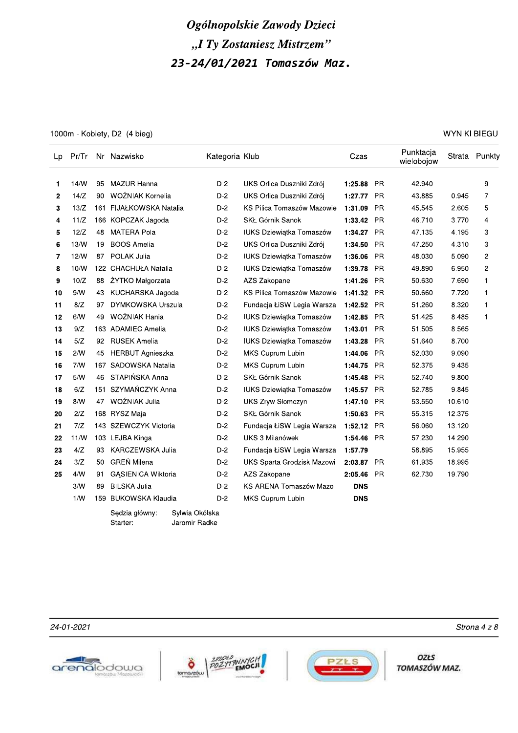1000m - Kobiety, D2 (4 bieg)

WYNIKI BIEGU

| Lp           |      |     | Pr/Tr Nr Nazwisko          | Kategoria Klub                  |                                 | Czas       |           | Punktacja<br>wielobojow |        | Strata Punkty |
|--------------|------|-----|----------------------------|---------------------------------|---------------------------------|------------|-----------|-------------------------|--------|---------------|
| 1            | 14/N | 95  | <b>MAZUR Hanna</b>         | $D-2$                           | UKS Orlica Duszniki Zdrój       | 1:25.88    | <b>PR</b> | 42.940                  |        | 9             |
| $\mathbf{2}$ | 14/Z | 90. | WOŹNIAK Kornelia           | $D-2$                           | UKS Orlica Duszniki Zdrój       | 1:27.77    | <b>PR</b> | 43.885                  | 0.945  | 7             |
| 3            | 13/Z |     | 161 FIJAŁKOWSKA Natalia    | D-2                             | KS Pilica Tomaszów Mazowie      | 1:31.09    | PR        | 45.545                  | 2.605  | 5             |
| 4            | 11/Z |     | 166 KOPCZAK Jagoda         | $D-2$                           | <b>SKŁ Górnik Sanok</b>         | 1:33.42 PR |           | 46.710                  | 3.770  | 4             |
| 5            | 12/Z | 48  | <b>MATERA Pola</b>         | $D-2$                           | <b>IUKS Dziewiątka Tomaszów</b> | 1:34.27 PR |           | 47.135                  | 4.195  | 3             |
| 6            | 13/N | 19  | <b>BOOS Amelia</b>         | $D-2$                           | UKS Orlica Duszniki Zdrój       | 1:34.50    | <b>PR</b> | 47.250                  | 4.310  | 3             |
| 7            | 12/N |     | 87 POLAK Julia             | $D-2$                           | IUKS Dziewiątka Tomaszów        | 1:36.06    | <b>PR</b> | 48.030                  | 5.090  | 2             |
| 8            | 10/W |     | 122 CHACHUŁA Natalia       | $D-2$                           | IUKS Dziewiątka Tomaszów        | 1:39.78    | PR        | 49.890                  | 6.950  | 2             |
| 9            | 10/Z | 88  | ŻYTKO Małgorzata           | $D-2$                           | AZS Zakopane                    | 1:41.26    | <b>PR</b> | 50.630                  | 7.690  | $\mathbf{1}$  |
| 10           | 9/N  | 43  | KUCHARSKA Jagoda           | $D-2$                           | KS Pilica Tomaszów Mazowie      | 1:41.32    | <b>PR</b> | 50.660                  | 7.720  | $\mathbf{1}$  |
| 11           | 8/Z  | 97  | <b>DYMKOWSKA Urszula</b>   | $D-2$                           | Fundacja ŁiSW Legia Warsza      | 1:42.52    | <b>PR</b> | 51.260                  | 8.320  | $\mathbf{1}$  |
| 12           | 6/N  | 49  | WOŹNIAK Hania              | $D-2$                           | <b>IUKS Dziewiątka Tomaszów</b> | 1:42.85    | PR        | 51.425                  | 8.485  | $\mathbf{1}$  |
| 13           | 9/Z  |     | 163 ADAMIEC Amelia         | $D-2$                           | IUKS Dziewiątka Tomaszów        | 1:43.01    | PR        | 51.505                  | 8.565  |               |
| 14           | 5/Z  |     | 92 RUSEK Amelia            | $D-2$                           | IUKS Dziewiątka Tomaszów        | 1:43.28    | <b>PR</b> | 51.640                  | 8.700  |               |
| 15           | 2/N  | 45  | <b>HERBUT Agnieszka</b>    | $D-2$                           | MKS Cuprum Lubin                | 1:44.06    | <b>PR</b> | 52.030                  | 9.090  |               |
| 16           | 7/N  |     | 167 SADOWSKA Natalia       | $D-2$                           | MKS Cuprum Lubin                | 1:44.75    | <b>PR</b> | 52.375                  | 9.435  |               |
| 17           | 5/N  | 46  | STAPIŃSKA Anna             | $D-2$                           | SKŁ Górnik Sanok                | 1:45.48 PR |           | 52.740                  | 9.800  |               |
| 18           | 6/Z  |     | 151 SZYMAŃCZYK Anna        | $D-2$                           | IUKS Dziewiątka Tomaszów        | 1:45.57    | <b>PR</b> | 52.785                  | 9.845  |               |
| 19           | 8/N  | 47  | WOŹNIAK Julia              | $D-2$                           | <b>UKS Zryw Słomczyn</b>        | 1:47.10    | <b>PR</b> | 53.550                  | 10.610 |               |
| 20           | 2/Z  |     | 168 RYSZ Maja              | $D-2$                           | SKŁ Górnik Sanok                | 1:50.63    | <b>PR</b> | 55.315                  | 12.375 |               |
| 21           | 7/Z  |     | 143 SZEWCZYK Victoria      | $D-2$                           | Fundacja ŁiSW Legia Warsza      | 1:52.12    | <b>PR</b> | 56.060                  | 13.120 |               |
| 22           | 11/N |     | 103 LEJBA Kinga            | $D-2$                           | UKS 3 Milanówek                 | 1:54.46 PR |           | 57.230                  | 14.290 |               |
| 23           | 4/Z  | 93  | KARCZEWSKA Julia           | $D-2$                           | Fundacja ŁiSW Legia Warsza      | 1:57.79    |           | 58.895                  | 15.955 |               |
| 24           | 3/Z  | 50  | <b>GREŃ Milena</b>         | $D-2$                           | UKS Sparta Grodzisk Mazowi      | 2:03.87 PR |           | 61.935                  | 18.995 |               |
| 25           | 4/N  | 91  | <b>GASIENICA Wiktoria</b>  | $D-2$                           | AZS Zakopane                    | 2:05.46    | <b>PR</b> | 62.730                  | 19.790 |               |
|              | 3/N  | 89  | <b>BILSKA Julia</b>        | $D-2$                           | KS ARENA Tomaszów Mazo          | <b>DNS</b> |           |                         |        |               |
|              | 1/W  |     | 159 BUKOWSKA Klaudia       | $D-2$                           | MKS Cuprum Lubin                | <b>DNS</b> |           |                         |        |               |
|              |      |     | Sedzia główny:<br>Starter: | Sylwia Okólska<br>Jaromir Radke |                                 |            |           |                         |        |               |

24-01-2021







**OZŁS** TOMASZÓW MAZ.

Strona 4 z 8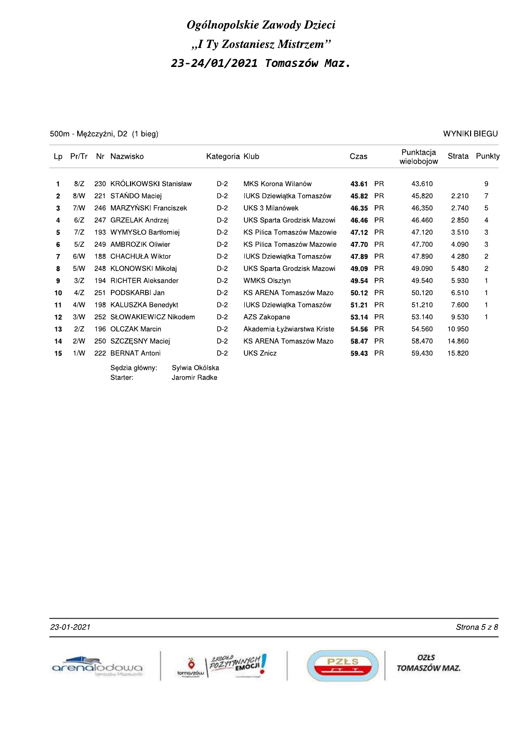500m - Mężczyźni, D2 (1 bieg)

**WYNIKI BIEGU** 

| Lp           | Pr/Tr |     | Nr Nazwisko                |                                 | Kategoria Klub |                                 | Czas     |           | Punktacja<br>wielobojow | Strata | Punkty         |
|--------------|-------|-----|----------------------------|---------------------------------|----------------|---------------------------------|----------|-----------|-------------------------|--------|----------------|
| 1            | 8/Z   |     | 230 KRÓLIKOWSKI Stanisław  |                                 | $D-2$          | MKS Korona Wilanów              | 43.61    | <b>PR</b> | 43.610                  |        | 9              |
| $\mathbf{2}$ | 8/N   | 221 | STAŃDO Maciej              |                                 | $D-2$          | IUKS Dziewiątka Tomaszów        | 45.82    | <b>PR</b> | 45.820                  | 2.210  | 7              |
| 3            | 7/N   |     | 246 MARZYŃSKI Franciszek   |                                 | $D-2$          | UKS 3 Milanówek                 | 46.35    | <b>PR</b> | 46.350                  | 2.740  | 5              |
| 4            | 6/Z   |     | 247 GRZELAK Andrzej        |                                 | $D-2$          | UKS Sparta Grodzisk Mazowi      | 46.46    | <b>PR</b> | 46.460                  | 2.850  | 4              |
| 5            | 7/Z   |     | 193 WYMYSŁO Bartłomiej     |                                 | $D-2$          | KS Pilica Tomaszów Mazowie      | 47.12 PR |           | 47.120                  | 3.510  | 3              |
| 6            | 5/Z   |     | 249 AMBROZIK Oliwier       |                                 | $D-2$          | KS Pilica Tomaszów Mazowie      | 47.70 PR |           | 47.700                  | 4.090  | 3              |
| 7            | 6/N   |     | 188 CHACHUŁA Wiktor        |                                 | $D-2$          | <b>IUKS Dziewiątka Tomaszów</b> | 47.89    | <b>PR</b> | 47.890                  | 4.280  | $\mathbf{2}$   |
| 8            | 5/N   |     | 248 KLONOWSKI Mikołaj      |                                 | $D-2$          | UKS Sparta Grodzisk Mazowi      | 49.09    | <b>PR</b> | 49.090                  | 5.480  | $\overline{c}$ |
| 9            | 3/Z   |     | 194 RICHTER Aleksander     |                                 | $D-2$          | <b>WMKS Olsztyn</b>             | 49.54    | <b>PR</b> | 49.540                  | 5.930  | $\mathbf{1}$   |
| 10           | 4/Z   | 251 | PODSKARBI Jan              |                                 | $D-2$          | KS ARENA Tomaszów Mazo          | 50.12    | <b>PR</b> | 50.120                  | 6.510  | 1              |
| 11           | 4/N   |     | 198 KALUSZKA Benedykt      |                                 | $D-2$          | <b>IUKS Dziewiątka Tomaszów</b> | 51.21    | <b>PR</b> | 51.210                  | 7.600  | $\mathbf{1}$   |
| 12           | 3/N   |     | 252 SŁOWAKIEWICZ Nikodem   |                                 | $D-2$          | AZS Zakopane                    | 53.14    | <b>PR</b> | 53.140                  | 9.530  | $\mathbf 1$    |
| 13           | 2/Z   |     | 196 OLCZAK Marcin          |                                 | $D-2$          | Akademia Łyżwiarstwa Kriste     | 54.56    | <b>PR</b> | 54.560                  | 10.950 |                |
| 14           | 2/N   |     | 250 SZCZESNY Maciej        |                                 | $D-2$          | KS ARENA Tomaszów Mazo          | 58.47    | <b>PR</b> | 58.470                  | 14.860 |                |
| 15           | 1/N   | 222 | <b>BERNAT Antoni</b>       |                                 | $D-2$          | <b>UKS Znicz</b>                | 59.43    | <b>PR</b> | 59.430                  | 15.820 |                |
|              |       |     | Sedzia główny:<br>Starter: | Sylwia Okólska<br>Jaromir Radke |                |                                 |          |           |                         |        |                |

23-01-2021







**OZŁS** TOMASZÓW MAZ.

Strona 5 z 8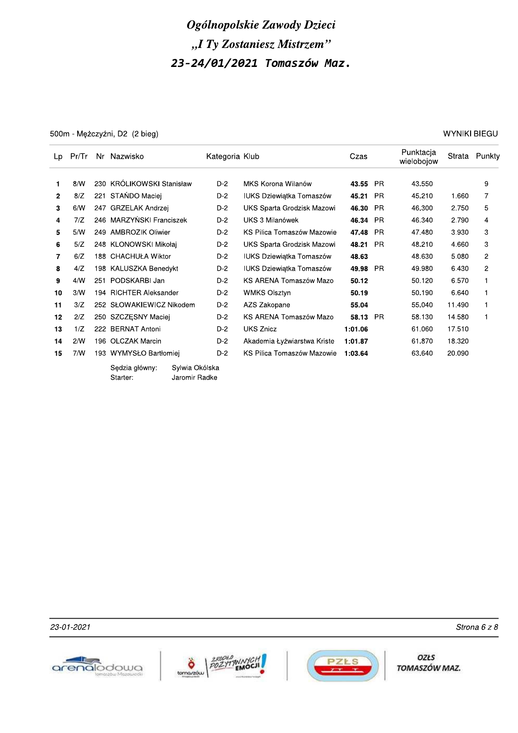500m - Mężczyźni, D2 (2 bieg)

WYNIKI BIEGU

| Lp           | Pr/Tr |     | Nr Nazwisko                |                                 | Kategoria Klub |                                 | Czas    |           | Punktacja<br>wielobojow | Strata | Punkty         |
|--------------|-------|-----|----------------------------|---------------------------------|----------------|---------------------------------|---------|-----------|-------------------------|--------|----------------|
| 1            | 8/N   |     | 230 KRÓLIKOWSKI Stanisław  |                                 | $D-2$          | MKS Korona Wilanów              | 43.55   | <b>PR</b> | 43.550                  |        | 9              |
| $\mathbf{2}$ | 8/Z   | 221 | STAŃDO Maciej              |                                 | $D-2$          | <b>IUKS Dziewiątka Tomaszów</b> | 45.21   | <b>PR</b> | 45.210                  | 1.660  | 7              |
| 3            | 6/N   |     | 247 GRZELAK Andrzej        |                                 | $D-2$          | UKS Sparta Grodzisk Mazowi      | 46.30   | <b>PR</b> | 46.300                  | 2.750  | 5              |
| 4            | 7/Z   |     | 246 MARZYŃSKI Franciszek   |                                 | $D-2$          | UKS 3 Milanówek                 | 46.34   | <b>PR</b> | 46.340                  | 2.790  | 4              |
| 5            | 5/N   |     | 249 AMBROZIK Oliwier       |                                 | $D-2$          | KS Pilica Tomaszów Mazowie      | 47.48   | <b>PR</b> | 47.480                  | 3.930  | 3              |
| 6            | 5/Z   |     | 248 KLONOWSKI Mikołaj      |                                 | $D-2$          | UKS Sparta Grodzisk Mazowi      | 48.21   | <b>PR</b> | 48.210                  | 4.660  | 3              |
| 7            | 6/Z   | 188 | <b>CHACHUŁA Wiktor</b>     |                                 | $D-2$          | <b>IUKS Dziewiątka Tomaszów</b> | 48.63   |           | 48.630                  | 5.080  | $\mathbf{2}$   |
| 8            | 4/Z   |     | 198 KALUSZKA Benedykt      |                                 | $D-2$          | <b>IUKS Dziewiątka Tomaszów</b> | 49.98   | <b>PR</b> | 49.980                  | 6.430  | $\overline{c}$ |
| 9            | 4/N   | 251 | PODSKARBI Jan              |                                 | $D-2$          | KS ARENA Tomaszów Mazo          | 50.12   |           | 50.120                  | 6.570  |                |
| 10           | 3/N   |     | 194 RICHTER Aleksander     |                                 | $D-2$          | <b>WMKS Olsztyn</b>             | 50.19   |           | 50.190                  | 6.640  | 1              |
| 11           | 3/Z   |     | 252 SŁOWAKIEWICZ Nikodem   |                                 | $D-2$          | AZS Zakopane                    | 55.04   |           | 55.040                  | 11.490 |                |
| 12           | 2/Z   |     | 250 SZCZESNY Maciej        |                                 | $D-2$          | KS ARENA Tomaszów Mazo          | 58.13   | <b>PR</b> | 58.130                  | 14.580 | 1              |
| 13           | 1/Z   | 222 | <b>BERNAT Antoni</b>       |                                 | $D-2$          | <b>UKS Znicz</b>                | 1:01.06 |           | 61.060                  | 17.510 |                |
| 14           | 2/N   |     | 196 OLCZAK Marcin          |                                 | $D-2$          | Akademia Łyżwiarstwa Kriste     | 1:01.87 |           | 61.870                  | 18.320 |                |
| 15           | 7/W   |     | 193 WYMYSŁO Bartłomiej     |                                 | $D-2$          | KS Pilica Tomaszów Mazowie      | 1:03.64 |           | 63.640                  | 20.090 |                |
|              |       |     | Sędzia główny:<br>Starter: | Sylwia Okólska<br>Jaromir Radke |                |                                 |         |           |                         |        |                |

23-01-2021







OZŁS TOMASZÓW MAZ.

Strona 6 z 8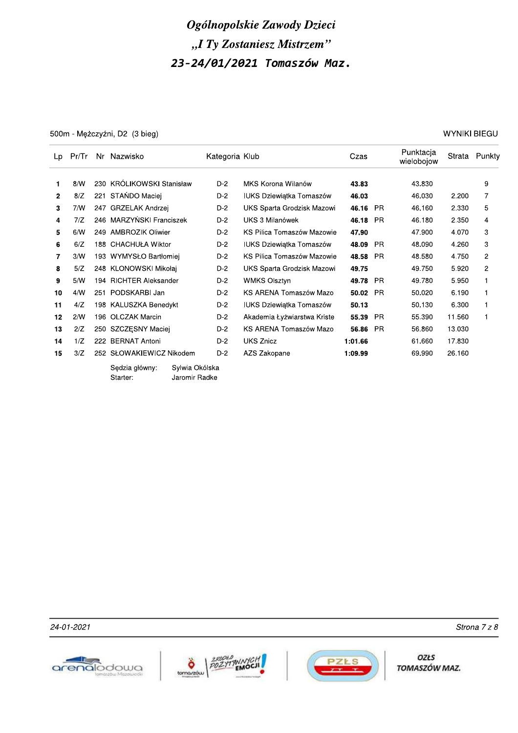500m - Mężczyźni, D2 (3 bieg)

**WYNIKI BIEGU** 

| Lp           | Pr/Tr |     | Nr Nazwisko                                                   | Kategoria Klub |                                 | Czas    |           | Punktacja<br>wielobojow | Strata | Punkty         |
|--------------|-------|-----|---------------------------------------------------------------|----------------|---------------------------------|---------|-----------|-------------------------|--------|----------------|
| 1            | 8/N   |     | 230 KRÓLIKOWSKI Stanisław                                     | $D-2$          | MKS Korona Wilanów              | 43.83   |           | 43.830                  |        | 9              |
| $\mathbf{2}$ | 8/Z   | 221 | STAŃDO Maciej                                                 | $D-2$          | <b>IUKS Dziewiątka Tomaszów</b> | 46.03   |           | 46.030                  | 2.200  | 7              |
| 3            | 7/N   | 247 | GRZELAK Andrzej                                               | $D-2$          | UKS Sparta Grodzisk Mazowi      | 46.16   | <b>PR</b> | 46.160                  | 2.330  | 5              |
| 4            | 7/Z   |     | 246 MARZYŃSKI Franciszek                                      | $D-2$          | UKS 3 Milanówek                 | 46.18   | <b>PR</b> | 46.180                  | 2.350  | 4              |
| 5            | 6/N   |     | 249 AMBROZIK Oliwier                                          | $D-2$          | KS Pilica Tomaszów Mazowie      | 47.90   |           | 47.900                  | 4.070  | 3              |
| 6            | 6/Z   |     | 188 CHACHUŁA Wiktor                                           | $D-2$          | IUKS Dziewiątka Tomaszów        | 48.09   | <b>PR</b> | 48.090                  | 4.260  | 3              |
| 7            | 3/N   |     | 193 WYMYSŁO Bartłomiej                                        | D-2            | KS Pilica Tomaszów Mazowie      | 48.58   | - PR      | 48.580                  | 4.750  | $\overline{2}$ |
| 8            | 5/Z   |     | 248 KLONOWSKI Mikołaj                                         | D-2            | UKS Sparta Grodzisk Mazowi      | 49.75   |           | 49.750                  | 5.920  | $\overline{2}$ |
| 9            | 5/N   | 194 | <b>RICHTER Aleksander</b>                                     | $D-2$          | <b>WMKS Olsztyn</b>             | 49.78   | - PR      | 49.780                  | 5.950  | 1              |
| 10           | 4/N   | 251 | PODSKARBI Jan                                                 | $D-2$          | KS ARENA Tomaszów Mazo          | 50.02   | <b>PR</b> | 50.020                  | 6.190  | 1              |
| 11           | 4/Z   |     | 198 KALUSZKA Benedykt                                         | $D-2$          | <b>IUKS Dziewiątka Tomaszów</b> | 50.13   |           | 50.130                  | 6.300  | 1              |
| 12           | 2/N   | 196 | <b>OLCZAK Marcin</b>                                          | $D-2$          | Akademia Łyżwiarstwa Kriste     | 55.39   | <b>PR</b> | 55.390                  | 11.560 | 1              |
| 13           | 2/Z   |     | 250 SZCZESNY Maciej                                           | $D-2$          | KS ARENA Tomaszów Mazo          | 56.86   | <b>PR</b> | 56.860                  | 13.030 |                |
| 14           | 1/Z   | 222 | <b>BERNAT Antoni</b>                                          | $D-2$          | <b>UKS Znicz</b>                | 1:01.66 |           | 61.660                  | 17.830 |                |
| 15           | 3/Z   |     | 252 SŁOWAKIEWICZ Nikodem                                      | $D-2$          | AZS Zakopane                    | 1:09.99 |           | 69.990                  | 26.160 |                |
|              |       |     | Sedzia główny:<br>Sylwia Okólska<br>Jaromir Radke<br>Starter: |                |                                 |         |           |                         |        |                |

24-01-2021







**OZŁS** TOMASZÓW MAZ.

Strona 7 z 8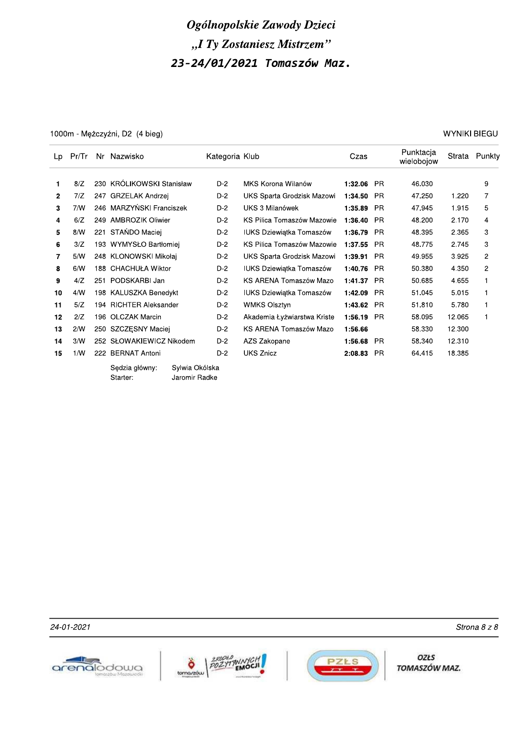1000m - Mężczyźni, D2 (4 bieg)

| WYNIKI BIEGU |  |
|--------------|--|
|--------------|--|

| Lp           | Pr/Tr |     | Nr Nazwisko                |                                 | Kategoria Klub |                                 | Czas    |           | Punktacja<br>wielobojow | Strata | Punkty       |
|--------------|-------|-----|----------------------------|---------------------------------|----------------|---------------------------------|---------|-----------|-------------------------|--------|--------------|
| 1.           | 8/Z   |     | 230 KRÓLIKOWSKI Stanisław  |                                 | $D-2$          | MKS Korona Wilanów              | 1:32.06 | - PR      | 46.030                  |        | 9            |
| $\mathbf{2}$ | 7/Z   |     | 247 GRZELAK Andrzej        |                                 | $D-2$          | UKS Sparta Grodzisk Mazowi      | 1:34.50 | PR        | 47.250                  | 1.220  | 7            |
| 3            | 7/N   |     | 246 MARZYŃSKI Franciszek   |                                 | $D-2$          | UKS 3 Milanówek                 | 1:35.89 | <b>PR</b> | 47.945                  | 1.915  | 5            |
|              | 6/Z   |     | 249 AMBROZIK Oliwier       |                                 | $D-2$          | KS Pilica Tomaszów Mazowie      |         | <b>PR</b> | 48.200                  | 2.170  | 4            |
| 4            |       |     |                            |                                 |                |                                 | 1:36.40 |           |                         |        |              |
| 5            | 8/W   |     | 221 STAŃDO Maciej          |                                 | D-2            | <b>IUKS Dziewiątka Tomaszów</b> | 1:36.79 | <b>PR</b> | 48.395                  | 2.365  | 3            |
| 6            | 3/Z   |     | 193 WYMYSŁO Bartłomiej     |                                 | $D-2$          | KS Pilica Tomaszów Mazowie      | 1:37.55 | <b>PR</b> | 48.775                  | 2.745  | 3            |
| 7            | 5/N   |     | 248 KLONOWSKI Mikołaj      |                                 | $D-2$          | UKS Sparta Grodzisk Mazowi      | 1:39.91 | - PR      | 49.955                  | 3.925  | 2            |
| 8            | 6/N   |     | 188 CHACHUŁA Wiktor        |                                 | $D-2$          | <b>IUKS Dziewiątka Tomaszów</b> | 1:40.76 | <b>PR</b> | 50.380                  | 4.350  | 2            |
| 9            | 4/Z   |     | 251 PODSKARBI Jan          |                                 | $D-2$          | KS ARENA Tomaszów Mazo          | 1:41.37 | <b>PR</b> | 50.685                  | 4.655  | $\mathbf{1}$ |
| 10           | 4/N   |     | 198 KALUSZKA Benedykt      |                                 | $D-2$          | IUKS Dziewiątka Tomaszów        | 1:42.09 | <b>PR</b> | 51.045                  | 5.015  | 1            |
| 11           | 5/Z   |     | 194 RICHTER Aleksander     |                                 | $D-2$          | <b>WMKS Olsztyn</b>             | 1:43.62 | <b>PR</b> | 51.810                  | 5.780  | $\mathbf{1}$ |
| 12           | 2/Z   |     | 196 OLCZAK Marcin          |                                 | $D-2$          | Akademia Łyżwiarstwa Kriste     | 1:56.19 | <b>PR</b> | 58.095                  | 12.065 | 1            |
| 13           | 2/N   |     | 250 SZCZESNY Maciej        |                                 | $D-2$          | KS ARENA Tomaszów Mazo          | 1:56.66 |           | 58.330                  | 12.300 |              |
| 14           | 3/N   |     | 252 SŁOWAKIEWICZ Nikodem   |                                 | $D-2$          | AZS Zakopane                    | 1:56.68 | <b>PR</b> | 58.340                  | 12.310 |              |
| 15           | 1/W   | 222 | BERNAT Antoni              |                                 | $D-2$          | <b>UKS Znicz</b>                | 2:08.83 | <b>PR</b> | 64.415                  | 18.385 |              |
|              |       |     | Sędzia główny:<br>Starter: | Sylwia Okólska<br>Jaromir Radke |                |                                 |         |           |                         |        |              |

24-01-2021





**OZŁS** TOMASZÓW MAZ.

Strona 8 z 8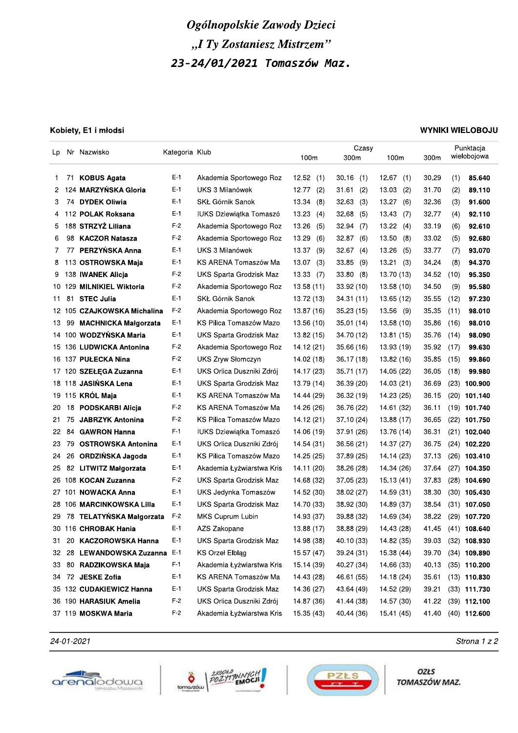|          |          |                                               |                | Ogólnopolskie Zawody Dzieci<br>"I Ty Zostaniesz Mistrzem" |                          |                          |                          |                |      |                                  |
|----------|----------|-----------------------------------------------|----------------|-----------------------------------------------------------|--------------------------|--------------------------|--------------------------|----------------|------|----------------------------------|
|          |          |                                               |                |                                                           |                          |                          |                          |                |      |                                  |
|          |          |                                               |                | 23-24/01/2021 Tomaszów Maz.                               |                          |                          |                          |                |      |                                  |
|          |          |                                               |                |                                                           |                          |                          |                          |                |      |                                  |
|          |          |                                               |                |                                                           |                          |                          |                          |                |      |                                  |
|          |          |                                               |                |                                                           |                          |                          |                          |                |      |                                  |
|          |          |                                               |                |                                                           |                          |                          |                          |                |      |                                  |
|          |          | Kobiety, E1 i młodsi                          |                |                                                           |                          |                          |                          |                |      | <b>WYNIKI WIELOBOJU</b>          |
| Lp       |          | Nr Nazwisko                                   | Kategoria Klub |                                                           |                          | Czasy                    |                          |                |      | Punktacja                        |
|          |          |                                               |                |                                                           | 100m                     | 300m                     | 100m                     | 300m           |      | wielobojowa                      |
| 1.       | 71       | <b>KOBUS Agata</b>                            | $E-1$          | Akademia Sportowego Roz                                   | 12.52<br>(1)             | $30.16$ (1)              | 12.67<br>(1)             | 30.29          | (1)  | 85.640                           |
| 2        |          | 124 MARZYŃSKA Gloria                          | $E-1$          | UKS 3 Milanówek                                           | 12.77<br>(2)             | 31.61(2)                 | 13.03<br>(2)             | 31.70          | (2)  | 89.110                           |
| 3        | 74.      | <b>DYDEK Oliwia</b>                           | $E-1$          | SKŁ Górnik Sanok                                          | 13.34<br>(8)             | 32.63(3)                 | 13.27<br>(6)             | 32.36          | (3)  | 91.600                           |
| 4        |          | 112 POLAK Roksana                             | $E-1$          | IUKS Dziewiątka Tomaszó                                   | 13.23<br>(4)             | 32.68<br>(5)             | 13.43<br>(7)             | 32.77          | (4)  | 92.110                           |
| 5        |          | 188 STRZYŻ Liliana                            | $F-2$          | Akademia Sportowego Roz                                   | 13.26<br>(5)             | 32.94<br>(7)             | 13.22<br>(4)             | 33.19          | (6)  | 92.610                           |
| 6        | 98       | <b>KACZOR Natasza</b>                         | $F-2$          | Akademia Sportowego Roz                                   | 13.29<br>(6)             | 32.87(6)                 | 13.50<br>(8)             | 33.02          | (5)  | 92.680                           |
| 7        | 77       | PERZYŃSKA Anna                                | $E-1$          | UKS 3 Milanówek                                           | 13.37<br>(9)             | 32.67(4)                 | 13.26<br>(5)             | 33.77          | (7)  | 93.070                           |
| 8        |          | 113 OSTROWSKA Maja                            | $E-1$          | KS ARENA Tomaszów Ma                                      | 13.07<br>(3)             | $33.85$ (9)              | 13.21<br>(3)             | 34.24          | (8)  | 94.370                           |
| 9        |          | 138 IWANEK Alicja                             | $F-2$          | UKS Sparta Grodzisk Maz                                   | 13.33<br>(7)             | 33.80(8)                 | 13.70 (13)               | 34.52          | (10) | 95.350                           |
|          |          | 10 129 MILNIKIEL Wiktoria                     | $F-2$          | Akademia Sportowego Roz                                   | 13.58(11)                | 33.92(10)                | 13.58 (10)               | 34.50          | (9)  | 95.580                           |
| 11       | 81       | <b>STEC Julia</b>                             | $E-1$          | SKŁ Górnik Sanok                                          | 13.72 (13)               | 34.31 (11)               | 13.65 (12)               | 35.55          | (12) | 97.230                           |
|          |          | 12 105 CZAJKOWSKA Michalina                   | $F-2$          | Akademia Sportowego Roz                                   | 13.87 (16)               | 35.23(15)                | 13.56 (9)                | 35.35          | (11) | 98.010                           |
|          | 13 99    | <b>MACHNICKA Małgorzata</b>                   | $E-1$          | KS Pilica Tomaszów Mazo                                   | 13.56 (10)               | 35.01 (14)               | 13.58 (10)               | 35.86          | (16) | 98.010                           |
|          |          | 14 100 WODZYŃSKA Maria                        | E-1            | UKS Sparta Grodzisk Maz                                   | 13.82 (15)               | 34.70 (12)               | 13.81 (15)               | 35.76 (14)     |      | 98.090                           |
|          |          | 15 136 LUDWICKA Antonina                      | $F-2$          | Akademia Sportowego Roz                                   | 14.12 (21)               | 35.66 (16)               | 13.93 (19)               | 35.92 (17)     |      | 99.630                           |
|          |          | 16 137 PUŁECKA Nina                           | $F-2$          | UKS Zryw Słomczyn                                         | 14.02 (18)               | 36.17 (18)               | 13.82 (16)               | 35.85          | (15) | 99.860                           |
|          |          | 17 120 SZEŁĘGA Zuzanna                        | $E-1$          | UKS Orlica Duszniki Zdrój                                 | 14.17 (23)               | 35.71 (17)               | 14.05 (22)               | 36.05          | (18) | 99.980                           |
|          |          | 18 118 JASIŃSKA Lena                          | $E-1$          | UKS Sparta Grodzisk Maz                                   | 13.79 (14)               | 36.39(20)                | 14.03 (21)               | 36.69          |      | $(23)$ 100.900                   |
|          |          | 19 115 KRÓL Maja                              | E-1            | KS ARENA Tomaszów Ma                                      | 14.44 (29)               | 36.32 (19)               | 14.23 (25)               | 36.15          |      | $(20)$ 101.140                   |
| 20       | 18       | <b>PODSKARBI Alicja</b>                       | $F-2$          | KS ARENA Tomaszów Ma                                      | 14.26 (26)               | 36.76 (22)               | 14.61 (32)               | 36.11          |      | $(19)$ 101.740                   |
| 21       | 75       | <b>JABRZYK Antonina</b>                       | $F-2$          | KS Pilica Tomaszów Mazo                                   | 14.12 (21)               | 37.10 (24)               | 13.88 (17)               | 36.65          |      | $(22)$ 101.750                   |
| 22       | 84       | <b>GAWRON Hanna</b>                           | $F-1$          | IUKS Dziewiątka Tomaszó<br>UKS Orlica Duszniki Zdrój      | 14.06 (19)               | 37.91 (26)               | 13.76 (14)               | 36.31          |      | $(21)$ 102.040                   |
| 23<br>24 | 79<br>26 | <b>OSTROWSKA Antonina</b><br>ORDZIŃSKA Jagoda | $E-1$<br>$E-1$ | KS Pilica Tomaszów Mazo                                   | 14.54 (31)<br>14.25 (25) | 36.56 (21)<br>37.89 (25) | 14.37 (27)<br>14.14 (23) | 36.75<br>37.13 |      | $(24)$ 102.220<br>$(26)$ 103.410 |
| 25       |          | 82 LITWITZ Małgorzata                         | E-1            | Akademia Łyżwiarstwa Kris                                 | 14.11 (20)               | 38.26 (28)               | 14.34 (26)               | 37.64          |      | $(27)$ 104.350                   |
|          |          | 26 108 KOCAN Zuzanna                          | $F-2$          | UKS Sparta Grodzisk Maz                                   | 14.68 (32)               | 37.05 (23)               | 15.13 (41)               | 37.83          |      | $(28)$ 104.690                   |
|          |          | 27 101 NOWACKA Anna                           | $E-1$          | UKS Jedynka Tomaszów                                      | 14.52 (30)               | 38.02 (27)               | 14.59 (31)               | 38.30          |      | $(30)$ 105.430                   |
|          |          | 28 106 MARCINKOWSKA Lilla                     | $E-1$          | UKS Sparta Grodzisk Maz                                   | 14.70 (33)               | 38.92 (30)               | 14.89 (37)               | 38.54          |      | $(31)$ 107.050                   |
| 29       |          | 78 TELATYŃSKA Małgorzata                      | $F-2$          | MKS Cuprum Lubin                                          | 14.93 (37)               | 39.88 (32)               | 14.69 (34)               | 38.22          |      | $(29)$ 107.720                   |
|          |          | 30 116 CHROBAK Hania                          | $E-1$          | AZS Zakopane                                              | 13.88 (17)               | 38.88 (29)               | 14.43 (28)               | 41.45          |      | $(41)$ 108.640                   |
| 31       | 20       | <b>KACZOROWSKA Hanna</b>                      | $E-1$          | UKS Sparta Grodzisk Maz                                   | 14.98 (38)               | 40.10 (33)               | 14.82 (35)               | 39.03          |      | $(32)$ 108.930                   |
| 32       | 28       | LEWANDOWSKA Zuzanna E-1                       |                | KS Orzeł Elbląg                                           | 15.57 (47)               | 39.24 (31)               | 15.38 (44)               | 39.70          |      | $(34)$ 109.890                   |
| 33       | 80       | <b>RADZIKOWSKA Maja</b>                       | $F-1$          | Akademia Łyżwiarstwa Kris                                 | 15.14 (39)               | 40.27 (34)               | 14.66 (33)               | 40.13          |      | $(35)$ 110.200                   |
| 34       |          | 72 JESKE Zofia                                | $E-1$          | KS ARENA Tomaszów Ma                                      | 14.43 (28)               | 46.61 (55)               | 14.18 (24)               | 35.61          |      | $(13)$ 110.830                   |
|          |          | 35 132 CUDAKIEWICZ Hanna                      | $E-1$          | UKS Sparta Grodzisk Maz                                   | 14.36 (27)               | 43.64 (49)               | 14.52 (29)               | 39.21          |      | $(33)$ 111.730                   |
|          |          | 36 190 HARASIUK Amelia                        | $F-2$          | UKS Orlica Duszniki Zdrój                                 | 14.87 (36)               | 41.44 (38)               | 14.57 (30)               | 41.22          |      | $(39)$ 112.100                   |
|          |          | 37 119 MOSKWA Maria                           | $F-2$          | Akademia Łyżwiarstwa Kris                                 | 15.35 (43)               | 40.44 (36)               | 15.41 (45)               | 41.40          |      | $(40)$ 112.600                   |
|          |          |                                               |                |                                                           |                          |                          |                          |                |      |                                  |







 $24$ -01-2021 Strona 1 z 2

OZŁS TOMASZÓW MAZ.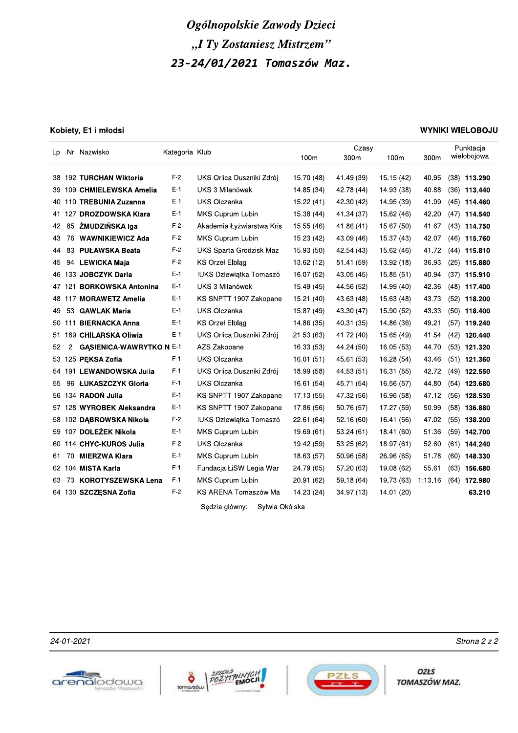### Kobiety, E1 i młodsi

### **WYNIKI WIELOBOJU**

|        |    | Lp Nr Nazwisko                  | Kategoria Klub |                                |            | Czasy      |            |         | Punktacia      |
|--------|----|---------------------------------|----------------|--------------------------------|------------|------------|------------|---------|----------------|
|        |    |                                 |                |                                | 100m       | 300m       | 100m       | 300m    | wielobojowa    |
|        |    | 38 192 TURCHAN Wiktoria         | $F-2$          | UKS Orlica Duszniki Zdrój      | 15.70 (48) | 41.49 (39) | 15.15(42)  | 40.95   | $(38)$ 113.290 |
|        |    | 39 109 CHMIELEWSKA Amelia       | E-1            | UKS 3 Milanówek                | 14.85 (34) | 42.78 (44) | 14.93 (38) | 40.88   | $(36)$ 113.440 |
|        |    |                                 | $E-1$          |                                |            |            |            |         |                |
|        |    | 40 110 TREBUNIA Zuzanna         |                | UKS Olczanka                   | 15.22 (41) | 42.30 (42) | 14.95 (39) | 41.99   | $(45)$ 114.460 |
|        |    | 41 127 DROZDOWSKA Klara         | E-1            | <b>MKS Cuprum Lubin</b>        | 15.38 (44) | 41.34 (37) | 15.62 (46) | 42.20   | $(47)$ 114.540 |
| 42     | 85 | ŻMUDZIŃSKA Iga                  | $F-2$          | Akademia Łyżwiarstwa Kris      | 15.55 (46) | 41.86 (41) | 15.67 (50) | 41.67   | $(43)$ 114.750 |
| 43     | 76 | <b>WAWNIKIEWICZ Ada</b>         | $F-2$          | <b>MKS Cuprum Lubin</b>        | 15.23 (42) | 43.09 (46) | 15.37 (43) | 42.07   | $(46)$ 115.760 |
| 44     | 83 | <b>PUŁAWSKA Beata</b>           | $F-2$          | UKS Sparta Grodzisk Maz        | 15.93 (50) | 42.54 (43) | 15.62 (46) | 41.72   | $(44)$ 115.810 |
| 45     |    | 94 LEWICKA Maja                 | F-2            | <b>KS Orzel Elblag</b>         | 13.62 (12) | 51.41 (59) | 13.92 (18) | 36.93   | $(25)$ 115.880 |
|        |    | 46 133 JOBCZYK Daria            | E-1            | IUKS Dziewiątka Tomaszó        | 16.07 (52) | 43.05 (45) | 15.85 (51) | 40.94   | $(37)$ 115.910 |
| 47 121 |    | <b>BORKOWSKA Antonina</b>       | E-1            | UKS 3 Milanówek                | 15.49 (45) | 44.56 (52) | 14.99 (40) | 42.36   | $(48)$ 117.400 |
|        |    | 48 117 MORAWETZ Amelia          | E-1            | KS SNPTT 1907 Zakopane         | 15.21 (40) | 43.63 (48) | 15.63 (48) | 43.73   | $(52)$ 118.200 |
| 49     | 53 | <b>GAWLAK Maria</b>             | $E-1$          | UKS Olczanka                   | 15.87 (49) | 43.30 (47) | 15.90 (52) | 43.33   | $(50)$ 118.400 |
| 50 111 |    | <b>BIERNACKA Anna</b>           | E-1            | <b>KS Orzel Elblag</b>         | 14.86 (35) | 40.31 (35) | 14.86 (36) | 49.21   | $(57)$ 119.240 |
|        |    | 51 189 CHILARSKA Oliwia         | E-1            | UKS Orlica Duszniki Zdrój      | 21.53(63)  | 41.72 (40) | 15.65 (49) | 41.54   | $(42)$ 120.440 |
| 52     | 2  | <b>GASIENICA-WAWRYTKO N E-1</b> |                | AZS Zakopane                   | 16.33 (53) | 44.24 (50) | 16.05 (53) | 44.70   | $(53)$ 121.320 |
|        |    | 53 125 PEKSA Zofia              | F-1            | UKS Olczanka                   | 16.01(51)  | 45.61 (53) | 16.28 (54) | 43.46   | $(51)$ 121.360 |
|        |    | 54 191 LEWANDOWSKA Julia        | $F-1$          | UKS Orlica Duszniki Zdrój      | 18.99 (58) | 44.53 (51) | 16.31 (55) | 42.72   | $(49)$ 122.550 |
| 55     |    | 96 ŁUKASZCZYK Gloria            | F-1            | <b>UKS Olczanka</b>            | 16.61 (54) | 45.71 (54) | 16.56 (57) | 44.80   | $(54)$ 123.680 |
|        |    | 56 134 RADOŃ Julia              | E-1            | KS SNPTT 1907 Zakopane         | 17.13 (55) | 47.32 (56) | 16.96 (58) | 47.12   | $(56)$ 128.530 |
|        |    | 57 128 WYROBEK Aleksandra       | E-1            | KS SNPTT 1907 Zakopane         | 17.86 (56) | 50.76 (57) | 17.27 (59) | 50.99   | $(58)$ 136.880 |
| 58 1   |    | 02 DABROWSKA Nikola             | $F-2$          | <b>IUKS Dziewiątka Tomaszó</b> | 22.61 (64) | 52.16 (60) | 16.41 (56) | 47.02   | $(55)$ 138.200 |
|        |    | 59 107 DOLEŻEK Nikola           | E-1            | MKS Cuprum Lubin               | 19.69 (61) | 53.24 (61) | 18.41 (60) | 51.36   | $(59)$ 142.700 |
|        |    | 60 114 CHYC-KUROS Julia         | F-2            | UKS Olczanka                   | 19.42 (59) | 53.25 (62) | 18.97 (61) | 52.60   | $(61)$ 144.240 |
| 61.    | 70 | <b>MIERZWA Klara</b>            | $E-1$          | MKS Cuprum Lubin               | 18.63 (57) | 50.96 (58) | 26.96 (65) | 51.78   | $(60)$ 148.330 |
|        |    | 62 104 MISTA Karla              | $F-1$          | Fundacja ŁiSW Legia War        | 24.79 (65) | 57.20 (63) | 19.08 (62) | 55.61   | $(63)$ 156.680 |
| 63     | 73 | <b>KOROTYSZEWSKA Lena</b>       | F-1            | MKS Cuprum Lubin               | 20.91 (62) | 59.18 (64) | 19.73 (63) | 1:13.16 | $(64)$ 172.980 |
|        |    |                                 |                |                                |            |            |            |         |                |
|        |    | 64 130 SZCZESNA Zofia           | $F-2$          | KS ARENA Tomaszów Ma           | 14.23 (24) | 34.97 (13) | 14.01 (20) |         | 63.210         |

24-01-2021







OZŁS TOMASZÓW MAZ.

Strona 2 z 2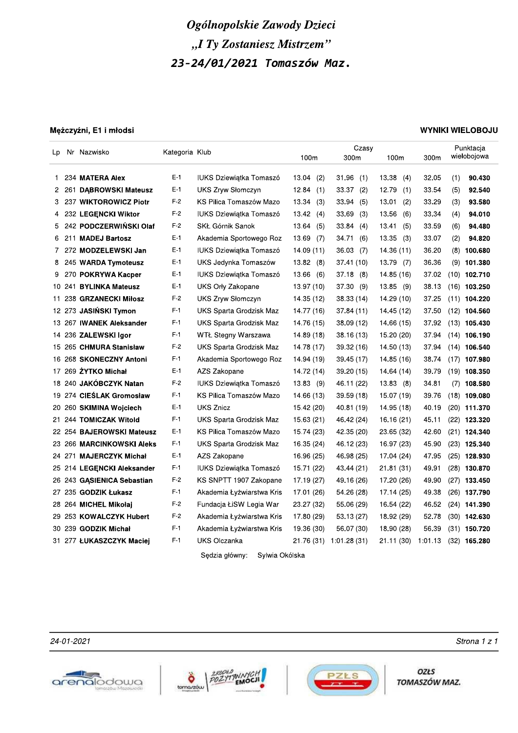|    |       |                            |                | Ogólnopolskie Zawody Dzieci      |              |                         |                    |       |     |                         |
|----|-------|----------------------------|----------------|----------------------------------|--------------|-------------------------|--------------------|-------|-----|-------------------------|
|    |       |                            |                |                                  |              |                         |                    |       |     |                         |
|    |       |                            |                | "I Ty Zostaniesz Mistrzem"       |              |                         |                    |       |     |                         |
|    |       |                            |                | 23-24/01/2021 Tomaszów Maz.      |              |                         |                    |       |     |                         |
|    |       |                            |                |                                  |              |                         |                    |       |     |                         |
|    |       |                            |                |                                  |              |                         |                    |       |     |                         |
|    |       |                            |                |                                  |              |                         |                    |       |     |                         |
|    |       |                            |                |                                  |              |                         |                    |       |     |                         |
|    |       | Mężczyźni, E1 i młodsi     |                |                                  |              |                         |                    |       |     | <b>WYNIKI WIELOBOJU</b> |
| Lp |       | Nr Nazwisko                | Kategoria Klub |                                  |              | Czasy                   |                    |       |     | Punktacja               |
|    |       |                            |                |                                  | 100m         | 300m                    | 100m               | 300m  |     | wielobojowa             |
| 1. |       | 234 MATERA Alex            | $E-1$          | <b>IUKS Dziewiątka Tomaszó</b>   | 13.04<br>(2) | $31.96$ (1)             | 13.38<br>(4)       | 32.05 | (1) | 90.430                  |
|    | 2 261 | <b>DABROWSKI Mateusz</b>   | $E-1$          | UKS Zryw Słomczyn                | 12.84<br>(1) | 33.37(2)                | 12.79<br>(1)       | 33.54 | (5) | 92.540                  |
| 3  |       | 237 WIKTOROWICZ Piotr      | $F-2$          | KS Pilica Tomaszów Mazo          | 13.34<br>(3) | 33.94(5)                | 13.01<br>(2)       | 33.29 | (3) | 93.580                  |
| 4  |       | 232 LEGENCKI Wiktor        | $F-2$          | IUKS Dziewiątka Tomaszó          | 13.42(4)     | 33.69<br>(3)            | 13.56<br>(6)       | 33.34 | (4) | 94.010                  |
| 5. |       | 242 PODCZERWIŃSKI Olaf     | $F-2$          | SKŁ Górnik Sanok                 | 13.64<br>(5) | 33.84(4)                | 13.41<br>(5)       | 33.59 | (6) | 94.480                  |
|    | 6 211 | <b>MADEJ Bartosz</b>       | $E-1$          | Akademia Sportowego Roz          | 13.69<br>(7) | 34.71<br>(6)            | 13.35<br>(3)       | 33.07 | (2) | 94.820                  |
|    |       | 7 272 MODZELEWSKI Jan      | $E-1$          | <b>IUKS Dziewiątka Tomaszó</b>   | 14.09 (11)   | 36.03(7)                | 14.36 (11)         | 36.20 |     | $(8)$ 100.680           |
|    |       | 8 245 WARDA Tymoteusz      | E-1            | UKS Jedynka Tomaszów             | 13.82(8)     | 37.41(10)               | 13.79 (7)          | 36.36 |     | $(9)$ 101.380           |
|    |       | 9 270 POKRYWA Kacper       | $E-1$          | <b>IUKS Dziewiątka Tomaszó</b>   | 13.66(6)     | 37.18(8)                | 14.85 (16)         | 37.02 |     | $(10)$ 102.710          |
|    |       | 10 241 BYLINKA Mateusz     | $E-1$          | UKS Orly Zakopane                | 13.97 (10)   | 37.30(9)                | 13.85 (9)          | 38.13 |     | $(16)$ 103.250          |
|    |       | 11 238 GRZANECKI Miłosz    | $F-2$          | <b>UKS Zryw Słomczyn</b>         | 14.35 (12)   | 38.33(14)               | 14.29 (10)         | 37.25 |     | $(11)$ 104.220          |
|    |       | 12 273 JASIŃSKI Tymon      | $F-1$          | UKS Sparta Grodzisk Maz          | 14.77 (16)   | 37.84(11)               | 14.45 (12)         | 37.50 |     | $(12)$ 104.560          |
|    |       | 13 267 IWANEK Aleksander   | $F-1$          | UKS Sparta Grodzisk Maz          | 14.76 (15)   | 38.09 (12)              | 14.66 (15)         | 37.92 |     | $(13)$ 105.430          |
|    |       | 14 236 ZALEWSKI Igor       | F-1            | WTŁ Stegny Warszawa              | 14.89 (18)   | 38.16 (13)              | 15.20 (20)         |       |     | 37.94 (14) 106.190      |
|    |       | 15 265 CHMURA Stanisław    | $F-2$          | UKS Sparta Grodzisk Maz          | 14.78 (17)   | 39.32 (16)              | 14.50 (13)         | 37.94 |     | $(14)$ 106.540          |
|    |       | 16 268 SKONECZNY Antoni    | $F-1$          | Akademia Sportowego Roz          | 14.94 (19)   | 39.45 (17)              | 14.85 (16)         | 38.74 |     | $(17)$ 107.980          |
|    |       | 17 269 ŻYTKO Michał        | $E-1$          | AZS Zakopane                     | 14.72 (14)   | 39.20 (15)              | 14.64 (14)         | 39.79 |     | $(19)$ 108.350          |
|    |       | 18 240 JAKÓBCZYK Natan     | $F-2$          | <b>IUKS Dziewiątka Tomaszó</b>   | 13.83(9)     | 46.11 (22)              | 13.83(8)           | 34.81 |     | $(7)$ 108.580           |
|    |       | 19 274 CIEŚLAK Gromosław   | $F-1$          | KS Pilica Tomaszów Mazo          | 14.66 (13)   | 39.59(18)               | 15.07 (19)         | 39.76 |     | $(18)$ 109.080          |
|    |       | 20 260 SKIMINA Wojciech    | $E-1$          | UKS Znicz                        | 15.42 (20)   | 40.81 (19)              | 14.95 (18)         | 40.19 |     | $(20)$ 111.370          |
|    |       | 21 244 TOMICZAK Witold     | $F-1$          | UKS Sparta Grodzisk Maz          | 15.63 (21)   | 46.42 (24)              | 16.16 (21)         | 45.11 |     | $(22)$ 123.320          |
|    |       | 22 254 BAJEROWSKI Mateusz  | $E-1$          | KS Pilica Tomaszów Mazo          | 15.74 (23)   | 42.35 (20)              | 23.65 (32)         | 42.60 |     | $(21)$ 124.340          |
|    |       | 23 266 MARCINKOWSKI Aleks  | $F-1$          | UKS Sparta Grodzisk Maz          | 16.35 (24)   | 46.12 (23)              | 16.97 (23)         | 45.90 |     | $(23)$ 125.340          |
|    |       | 24 271 MAJERCZYK Michał    | $E-1$          | AZS Zakopane                     | 16.96 (25)   | 46.98 (25)              | 17.04 (24)         | 47.95 |     | $(25)$ 128.930          |
|    |       | 25 214 LEGENCKI Aleksander | $F-1$          | IUKS Dziewiątka Tomaszó          | 15.71 (22)   | 43.44 (21)              | 21.81(31)          | 49.91 |     | $(28)$ 130.870          |
|    |       | 26 243 GASIENICA Sebastian | $F-2$          | KS SNPTT 1907 Zakopane           | 17.19 (27)   | 49.16 (26)              | 17.20 (26)         | 49.90 |     | $(27)$ 133.450          |
|    |       | 27 235 GODZIK Łukasz       | $F-1$          | Akademia Łyżwiarstwa Kris        | 17.01 (26)   | 54.26 (28)              | 17.14 (25)         | 49.38 |     | $(26)$ 137.790          |
|    |       | 28 264 MICHEL Mikołaj      | $F-2$          | Fundacja ŁiSW Legia War          | 23.27 (32)   | 55.06 (29)              | 16.54 (22)         | 46.52 |     | $(24)$ 141.390          |
|    |       | 29 253 KOWALCZYK Hubert    | $F-2$          | Akademia Łyżwiarstwa Kris        | 17.80 (29)   | 53.13 (27)              | 18.92 (29)         | 52.78 |     | $(30)$ 142.630          |
|    |       | 30 239 GODZIK Michał       | $F-1$          | Akademia Łyżwiarstwa Kris        | 19.36 (30)   | 56.07 (30)              | 18.90 (28)         | 56.39 |     | $(31)$ 150.720          |
|    |       | 31 277 ŁUKASZCZYK Maciej   | $F-1$          | UKS Olczanka                     |              | 21.76 (31) 1:01.28 (31) | 21.11 (30) 1:01.13 |       |     | $(32)$ 165.280          |
|    |       |                            |                | Sędzia główny:<br>Sylwia Okólska |              |                         |                    |       |     |                         |







OZŁS TOMASZÓW MAZ.

 $\frac{24-01-2021}{24}$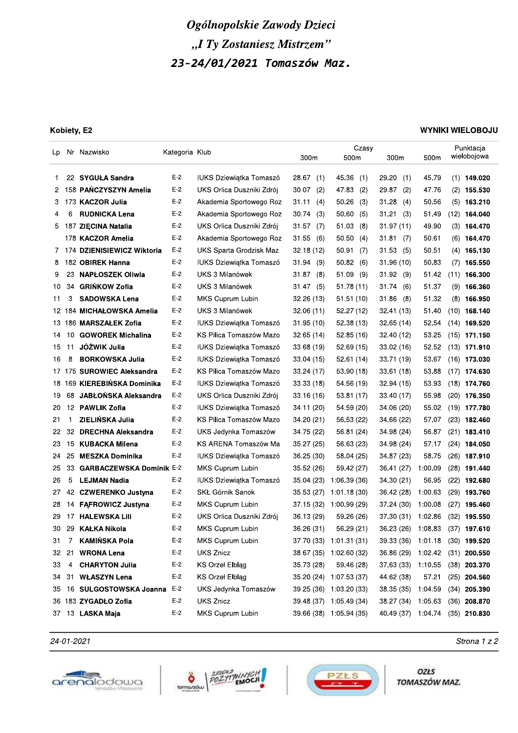### Kobiety, E2

### **WYNIKI WIELOBOJU**

| Lp.  |    | Nr Nazwisko                  | Kategoria Klub |                                | 300m         | Czasy<br>500m           | 300m               | 500m    | Punktacja<br>wielobojowa        |
|------|----|------------------------------|----------------|--------------------------------|--------------|-------------------------|--------------------|---------|---------------------------------|
| 1.   |    | 22 SYGUŁA Sandra             | $E-2$          | IUKS Dziewiątka Tomaszó        | 28.67<br>(1) | 45.36<br>(1)            | 29.20<br>(1)       | 45.79   | $(1)$ 149.020                   |
| 2    |    | 158 PANCZYSZYN Amelia        | $E-2$          | UKS Orlica Duszniki Zdrój      | 30.07<br>(2) | 47.83<br>(2)            | 29.87<br>(2)       | 47.76   | $(2)$ 155.530                   |
| 3    |    | 173 KACZOR Julia             | $E-2$          | Akademia Sportowego Roz        | 31.11<br>(4) | 50.26<br>(3)            | 31.28<br>(4)       | 50.56   | $(5)$ 163.210                   |
| 4    | 6  | <b>RUDNICKA Lena</b>         | $E-2$          | Akademia Sportowego Roz        | 30.74<br>(3) | 50.60<br>(5)            | 31.21<br>(3)       | 51.49   | $(12)$ 164.040                  |
| 5    |    | 187 ZIECINA Natalia          | $E-2$          | UKS Orlica Duszniki Zdrój      | 31.57<br>(7) | 51.03<br>(8)            | 31.97 (11)         | 49.90   | $(3)$ 164.470                   |
|      |    | 178 KACZOR Amelia            | $E-2$          | Akademia Sportowego Roz        | 31.55<br>(6) | 50.50<br>(4)            | 31.81<br>(7)       | 50.61   | $(6)$ 164.470                   |
|      |    | 7 174 DZIENISIEWICZ Wiktoria | $E-2$          | UKS Sparta Grodzisk Maz        | 32.18(12)    | 50.91<br>(7)            | 31.53<br>(5)       | 50.51   | $(4)$ 165.130                   |
| 8    |    | 182 OBIREK Hanna             | $E-2$          | <b>IUKS Dziewiątka Tomaszó</b> | 31.94<br>(9) | 50.82<br>(6)            | 31.96(10)          | 50.83   | $(7)$ 165.550                   |
| 9    | 23 | <b>NAPŁOSZEK Oliwia</b>      | $E-2$          | UKS 3 Milanówek                | 31.87<br>(8) | 51.09<br>(9)            | 31.92<br>(9)       | 51.42   | $(11)$ 166.300                  |
| 10   | 34 | <b>GRIŃKOW Zofia</b>         | $E-2$          | UKS 3 Milanówek                | 31.47<br>(5) | 51.78(11)               | 31.74<br>(6)       | 51.37   | $(9)$ 166.360                   |
| 11   | 3  | <b>SADOWSKA Lena</b>         | $E-2$          | MKS Cuprum Lubin               | 32.26(13)    | 51.51 (10)              | 31.86<br>(8)       | 51.32   | $(8)$ 166.950                   |
|      |    | 12 184 MICHAŁOWSKA Amelia    | $E-2$          | UKS 3 Milanówek                | 32.06(11)    | 52.27(12)               | 32.41 (13)         | 51.40   | $(10)$ 168.140                  |
|      |    | 13 186 MARSZAŁEK Zofia       | $E-2$          | <b>IUKS Dziewiątka Tomaszó</b> | 31.95(10)    | 52.38(13)               | 32.65(14)          | 52.54   | $(14)$ 169.520                  |
| 14   | 10 | <b>GOWOREK Michalina</b>     | $E-2$          | KS Pilica Tomaszów Mazo        | 32.65(14)    | 52.85 (16)              | 32.40 (12)         | 53.25   | $(15)$ 171.150                  |
| 15   | 11 | JÓŹWIK Julia                 | $E-2$          | IUKS Dziewiątka Tomaszó        | 33.68 (19)   | 52.69(15)               | 33.02 (16)         | 52.52   | $(13)$ 171.910                  |
| 16   | 8  | <b>BORKOWSKA Julia</b>       | $E-2$          | IUKS Dziewiątka Tomaszó        | 33.04 (15)   | 52.61(14)               | 33.71 (19)         | 53.67   | $(16)$ 173.030                  |
|      |    | 17 175 SUROWIEC Aleksandra   | $E-2$          | KS Pilica Tomaszów Mazo        | 33.24 (17)   | 53.90 (18)              | 33.61(18)          | 53.88   | $(17)$ 174.630                  |
| 18   |    | 169 KIEREBIŃSKA Dominika     | $E-2$          | IUKS Dziewiątka Tomaszó        | 33.33 (18)   | 54.56 (19)              | 32.94 (15)         | 53.93   | $(18)$ 174.760                  |
| 19   | 68 | JABŁOŃSKA Aleksandra         | $E-2$          | UKS Orlica Duszniki Zdrój      | 33.16(16)    | 53.81 (17)              | 33.40 (17)         | 55.98   | $(20)$ 176.350                  |
| 20   |    | 12 PAWLIK Zofia              | $E-2$          | <b>IUKS Dziewiątka Tomaszó</b> | 34.11 (20)   | 54.59 (20)              | 34.06 (20)         | 55.02   | $(19)$ 177.780                  |
| 21   | 1  | ZIELIŃSKA Julia              | $E-2$          | KS Pilica Tomaszów Mazo        | 34.20 (21)   | 56.53 (22)              | 34.66 (22)         | 57.07   | $(23)$ 182.460                  |
| 22   | 32 | <b>DRECHNA Aleksandra</b>    | $E-2$          | UKS Jedynka Tomaszów           | 34.75 (22)   | 56.81 (24)              | 34.98 (24)         | 56.87   | $(21)$ 183.410                  |
| 23   | 15 | KUBACKA Milena               | $E-2$          | KS ARENA Tomaszów Ma           | 35.27 (25)   | 56.63 (23)              | 34.98 (24)         | 57.17   | $(24)$ 184.050                  |
| 24   | 25 | <b>MESZKA Dominika</b>       | $E-2$          | <b>IUKS Dziewiątka Tomaszó</b> | 36.25 (30)   | 58.04 (25)              | 34.87 (23)         | 58.75   | $(26)$ 187.910                  |
| 25   | 33 | GARBACZEWSKA Dominik E-2     |                | MKS Cuprum Lubin               | 35.52 (26)   | 59.42 (27)              | 36.41 (27)         | 1:00.09 | $(28)$ 191.440                  |
| 26   | 5  | <b>LEJMAN Nadia</b>          | $E-2$          | <b>IUKS Dziewiątka Tomaszó</b> | 35.04 (23)   | 1:06.39 (36)            | 34.30 (21)         | 56.95   | $(22)$ 192.680                  |
| 27   |    | 42 CZWERENKO Justyna         | $E-2$          | SKŁ Górnik Sanok               | 35.53 (27)   | 1:01.18 (30)            | 36.42 (28)         | 1:00.63 | $(29)$ 193.760                  |
| 28   |    | 14 FAFROWICZ Justyna         | E-2            | MKS Cuprum Lubin               | 37.15 (32)   | 1:00.99 (29)            | 37.24 (30)         | 1:00.08 | $(27)$ 195.460                  |
| 29   | 17 | <b>HALEWSKA Lili</b>         | $E-2$          | UKS Orlica Duszniki Zdrój      | 36.13 (29)   | 59.26 (26)              | 37.30 (31)         | 1:02.86 | $(32)$ 195.550                  |
| 30   | 29 | KAŁKA Nikola                 | $E-2$          | MKS Cuprum Lubin               | 36.26 (31)   | 56.29 (21)              | 36.23 (26) 1:08.83 |         | $(37)$ 197.610                  |
| 31   | 7. | <b>KAMIŃSKA Pola</b>         | $E-2$          | MKS Cuprum Lubin               |              | 37.70 (33) 1:01.31 (31) |                    |         | 39.33 (36) 1:01.18 (30) 199.520 |
| 32   | 21 | <b>WRONA Lena</b>            | $E-2$          | UKS Znicz                      |              | 38.67 (35) 1:02.60 (32) | 36.86 (29) 1:02.42 |         | $(31)$ 200.550                  |
| 33   | 4  | <b>CHARYTON Julia</b>        | $E-2$          | <b>KS Orzel Elbląg</b>         | 35.73 (28)   | 59.46 (28)              | 37.63 (33) 1:10.55 |         | $(38)$ 203.370                  |
| 34   | 31 | <b>WŁASZYN Lena</b>          | $E-2$          | <b>KS Orzel Elbląg</b>         |              | 35.20 (24) 1:07.53 (37) | 44.62 (38)         | 57.21   | $(25)$ 204.560                  |
| 35   |    | 16 SULGOSTOWSKA Joanna       | $E-2$          | UKS Jedynka Tomaszów           |              | 39.25 (36) 1:03.20 (33) | 38.35 (35) 1:04.59 |         | $(34)$ 205.390                  |
|      |    | 36 183 ZYGADŁO Zofia         | $E-2$          | <b>UKS Znicz</b>               | 39.48 (37)   | 1:05.49 (34)            | 38.27 (34) 1:05.63 |         | $(36)$ 208.870                  |
| 37 - |    | 13 LASKA Maja                | $E-2$          | MKS Cuprum Lubin               |              | 39.66 (38) 1:05.94 (35) | 40.49 (37) 1:04.74 |         | $(35)$ 210.830                  |
|      |    |                              |                |                                |              |                         |                    |         |                                 |

24-01-2021







OZŁS TOMASZÓW MAZ.

Strona 1 z 2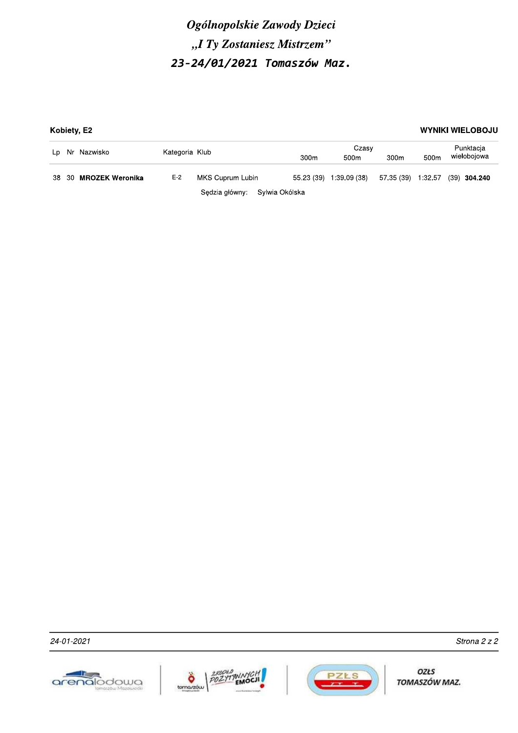|    |                   | Kobiety, E2            |       |                               |                  |                           |                    |                  | <b>WYNIKI WIELOBOJU</b>  |
|----|-------------------|------------------------|-------|-------------------------------|------------------|---------------------------|--------------------|------------------|--------------------------|
|    | Nr Nazwisko<br>Lp |                        |       | Kategoria Klub                |                  | Czasy<br>500 <sub>m</sub> | 300 <sub>m</sub>   | 500 <sub>m</sub> | Punktacja<br>wielobojowa |
|    |                   |                        |       |                               | 300 <sub>m</sub> |                           |                    |                  |                          |
| 38 | -30               | <b>MROZEK Weronika</b> | $E-2$ | MKS Cuprum Lubin              | 55.23 (39)       | 1:39.09 (38)              | 57.35 (39) 1:32.57 |                  | $(39)$ 304.240           |
|    |                   |                        |       | Sedzia główny: Sylwia Okólska |                  |                           |                    |                  |                          |







OZŁS TOMASZÓW MAZ.

Strona 2 z 2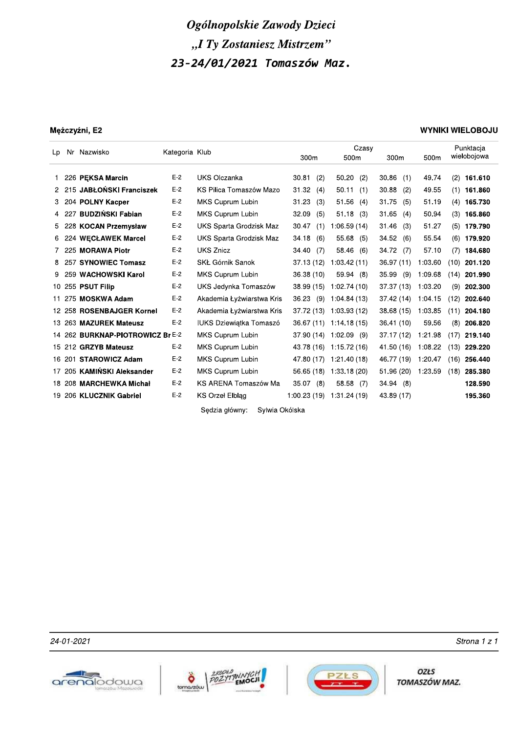|    |                                  |                | Ogólnopolskie Zawody Dzieci      |            |     |                           |             |     |                                 |      |                          |
|----|----------------------------------|----------------|----------------------------------|------------|-----|---------------------------|-------------|-----|---------------------------------|------|--------------------------|
|    |                                  |                | "I Ty Zostaniesz Mistrzem"       |            |     |                           |             |     |                                 |      |                          |
|    |                                  |                | 23-24/01/2021 Tomaszów Maz.      |            |     |                           |             |     |                                 |      |                          |
|    |                                  |                |                                  |            |     |                           |             |     |                                 |      |                          |
|    | Mężczyźni, E2                    |                |                                  |            |     |                           |             |     |                                 |      | <b>WYNIKI WIELOBOJU</b>  |
| Lp | Nr Nazwisko                      | Kategoria Klub |                                  | 300m       |     | Czasy<br>500m             | 300m        |     | 500m                            |      | Punktacja<br>wielobojowa |
| 1. | 226 PEKSA Marcin                 | $E-2$          | UKS Olczanka                     | 30.81      | (2) | 50.20<br>(2)              | 30.86       | (1) | 49.74                           | (2)  | 161.610                  |
|    | 2 215 JABŁOŃSKI Franciszek       | $E-2$          | KS Pilica Tomaszów Mazo          | 31.32      | (4) | 50.11(1)                  | 30.88       | (2) | 49.55                           |      | $(1)$ 161.860            |
| З. | 204 POLNY Kacper                 | $E-2$          | MKS Cuprum Lubin                 | 31.23      | (3) | 51.56(4)                  | 31.75       | (5) | 51.19                           |      | $(4)$ 165.730            |
|    | 4 227 BUDZIŃSKI Fabian           | $E-2$          | MKS Cuprum Lubin                 | 32.09      | (5) | 51.18 (3)                 | 31.65       | (4) | 50.94                           |      | $(3)$ 165.860            |
| 5  | 228 KOCAN Przemysław             | $E-2$          | UKS Sparta Grodzisk Maz          | 30.47      |     | $(1)$ 1:06.59 (14)        | 31.46       | (3) | 51.27                           |      | $(5)$ 179.790            |
|    | 6 224 WECŁAWEK Marcel            | $E-2$          | UKS Sparta Grodzisk Maz          | 34.18      | (6) | 55.68 (5)                 | 34.52       | (6) | 55.54                           |      | $(6)$ 179.920            |
|    | 7 225 MORAWA Piotr               | $E-2$          | <b>UKS Znicz</b>                 | 34.40 (7)  |     | 58.46 (6)                 | 34.72 (7)   |     | 57.10                           |      | $(7)$ 184.680            |
|    | 8 257 SYNOWIEC Tomasz            | $E-2$          | SKŁ Górnik Sanok                 |            |     | 37.13 (12) 1:03.42 (11)   | 36.97 (11)  |     | 1:03.60                         |      | $(10)$ 201.120           |
| 9  | 259 WACHOWSKI Karol              | $E-2$          | MKS Cuprum Lubin                 | 36.38 (10) |     | 59.94(8)                  | $35.99$ (9) |     | 1:09.68                         |      | $(14)$ 201.990           |
|    | 10 255 PSUT Filip                | $E-2$          | UKS Jedynka Tomaszów             |            |     | 38.99 (15) 1:02.74 (10)   | 37.37 (13)  |     | 1:03.20                         |      | $(9)$ 202.300            |
|    | 11 275 MOSKWA Adam               | $E-2$          | Akademia Łyżwiarstwa Kris        |            |     | 36.23 (9) 1:04.84 (13)    | 37.42 (14)  |     | 1:04.15                         | (12) | 202.640                  |
|    | 12 258 ROSENBAJGER Kornel        | $E-2$          | Akademia Łyżwiarstwa Kris        |            |     | 37.72 (13) 1:03.93 (12)   |             |     | 38.68 (15) 1:03.85              |      | $(11)$ 204.180           |
|    | 13 263 MAZUREK Mateusz           | $E-2$          | <b>IUKS Dziewiątka Tomaszó</b>   |            |     | 36.67 (11) 1:14.18 (15)   | 36.41 (10)  |     | 59.56                           |      | $(8)$ 206.820            |
|    | 14 262 BURKNAP-PIOTROWICZ Br E-2 |                | MKS Cuprum Lubin                 |            |     | 37.90 (14) 1:02.09 (9)    |             |     | 37.17 (12) 1:21.98 (17) 219.140 |      |                          |
|    | 15 212 GRZYB Mateusz             | $E-2$          | MKS Cuprum Lubin                 |            |     | 43.78 (16) 1:15.72 (16)   |             |     | 41.50 (16) 1:08.22 (13) 229.220 |      |                          |
|    | 16 201 STAROWICZ Adam            | $E-2$          | MKS Cuprum Lubin                 |            |     | 47.80 (17) 1:21.40 (18)   |             |     | 46.77 (19) 1:20.47 (16) 256.440 |      |                          |
|    | 17 205 KAMIŃSKI Aleksander       | $E-2$          | MKS Cuprum Lubin                 |            |     | 56.65 (18) 1:33.18 (20)   |             |     | 51.96 (20) 1:23.59              |      | $(18)$ 285.380           |
|    | 18 208 MARCHEWKA Michał          | $E-2$          | KS ARENA Tomaszów Ma             | 35.07 (8)  |     | 58.58 (7)                 | 34.94(8)    |     |                                 |      | 128.590                  |
|    | 19 206 KLUCZNIK Gabriel          | $E-2$          | KS Orzeł Elbląg                  |            |     | 1.00.23 (19) 1:31.24 (19) | 43.89 (17)  |     |                                 |      | 195.360                  |
|    |                                  |                | Sędzia główny:<br>Sylwia Okólska |            |     |                           |             |     |                                 |      |                          |







 $24$ -01-2021  $24$ -01-2021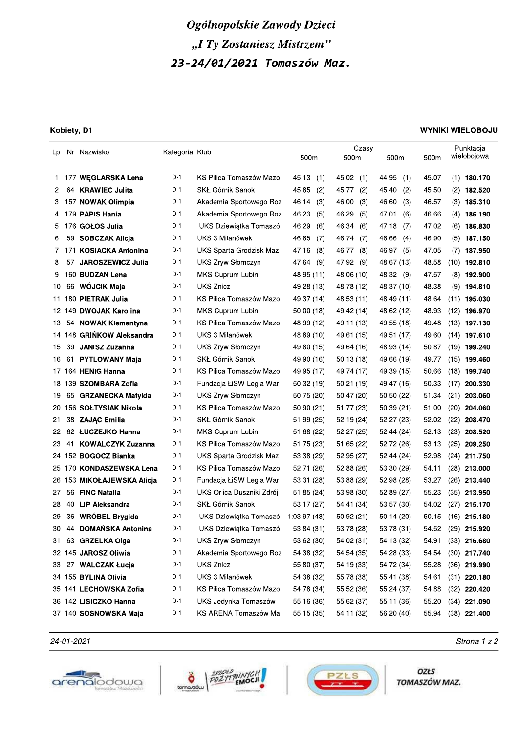### Kobiety, D1

### **WYNIKI WIELOBOJU**

| Lp. |     | Nr Nazwisko               | Kategoria Klub |                                |              | Czasy        |              |       | Punktacja       |
|-----|-----|---------------------------|----------------|--------------------------------|--------------|--------------|--------------|-------|-----------------|
|     |     |                           |                |                                | 500m         | 500m         | 500m         | 500m  | wielobojowa     |
| 1.  |     | 177 WEGLARSKA Lena        | D-1            | KS Pilica Tomaszów Mazo        | 45.13<br>(1) | 45.02<br>(1) | 44.95<br>(1) | 45.07 | $(1)$ 180.170   |
| 2   |     | 64 KRAWIEC Julita         | D-1            | SKŁ Górnik Sanok               | 45.85<br>(2) | 45.77<br>(2) | 45.40<br>(2) | 45.50 | $(2)$ 182.520   |
| 3   |     | 157 NOWAK Olimpia         | D-1            | Akademia Sportowego Roz        | 46.14<br>(3) | 46.00<br>(3) | 46.60<br>(3) | 46.57 | $(3)$ 185.310   |
| 4   |     | 179 PAPIS Hania           | D-1            | Akademia Sportowego Roz        | 46.23<br>(5) | 46.29<br>(5) | 47.01<br>(6) | 46.66 | $(4)$ 186.190   |
| 5   |     | 176 GOŁOS Julia           | D-1            | IUKS Dziewiątka Tomaszó        | 46.29<br>(6) | 46.34<br>(6) | 47.18<br>(7) | 47.02 | $(6)$ 186.830   |
| 6   | 59  | <b>SOBCZAK Alicja</b>     | D-1            | UKS 3 Milanówek                | 46.85<br>(7) | 46.74<br>(7) | 46.66<br>(4) | 46.90 | $(5)$ 187.150   |
| 7.  | 171 | <b>KOSIACKA Antonina</b>  | D-1            | UKS Sparta Grodzisk Maz        | 47.16<br>(8) | 46.77<br>(8) | 46.97<br>(5) | 47.05 | $(7)$ 187.950   |
| 8   | 57  | JAROSZEWICZ Julia         | D-1            | <b>UKS Zryw Słomczyn</b>       | 47.64<br>(9) | 47.92 (9)    | 48.67 (13)   | 48.58 | (10) 192.810    |
| 9   |     | 160 BUDZAN Lena           | D-1            | MKS Cuprum Lubin               | 48.95 (11)   | 48.06 (10)   | 48.32 (9)    | 47.57 | $(8)$ 192.900   |
| 10  | 66  | WÓJCIK Maja               | D-1            | <b>UKS Znicz</b>               | 49.28 (13)   | 48.78 (12)   | 48.37 (10)   | 48.38 | $(9)$ 194.810   |
| 11  |     | 180 PIETRAK Julia         | D-1            | KS Pilica Tomaszów Mazo        | 49.37 (14)   | 48.53 (11)   | 48.49 (11)   | 48.64 | $(11)$ 195.030  |
|     |     | 12 149 DWOJAK Karolina    | D-1            | MKS Cuprum Lubin               | 50.00(18)    | 49.42 (14)   | 48.62 (12)   | 48.93 | $(12)$ 196.970  |
| 13  | 54  | <b>NOWAK Klementyna</b>   | $D-1$          | KS Pilica Tomaszów Mazo        | 48.99 (12)   | 49.11 (13)   | 49.55 (18)   | 49.48 | $(13)$ 197.130  |
|     |     | 14 148 GRINKOW Aleksandra | D-1            | UKS 3 Milanówek                | 48.89 (10)   | 49.61 (15)   | 49.51 (17)   | 49.60 | $(14)$ 197.610  |
| 15  | 39  | <b>JANISZ Zuzanna</b>     | D-1            | <b>UKS Zryw Słomczyn</b>       | 49.80 (15)   | 49.64 (16)   | 48.93 (14)   | 50.87 | $(19)$ 199.240  |
| 16  | 61  | <b>PYTLOWANY Maja</b>     | D-1            | SKŁ Górnik Sanok               | 49.90 (16)   | 50.13(18)    | 49.66 (19)   | 49.77 | $(15)$ 199.460  |
|     |     | 17 164 HENIG Hanna        | D-1            | KS Pilica Tomaszów Mazo        | 49.95 (17)   | 49.74 (17)   | 49.39 (15)   | 50.66 | $(18)$ 199.740  |
|     |     | 18 139 SZOMBARA Zofia     | D-1            | Fundacja ŁiSW Legia War        | 50.32 (19)   | 50.21 (19)   | 49.47 (16)   | 50.33 | $(17)$ 200.330  |
| 19  | 65  | <b>GRZANECKA Matylda</b>  | D-1            | UKS Zryw Słomczyn              | 50.75 (20)   | 50.47 (20)   | 50.50 (22)   | 51.34 | (21)<br>203.060 |
| 20  |     | 156 SOŁTYSIAK Nikola      | D-1            | KS Pilica Tomaszów Mazo        | 50.90 (21)   | 51.77 (23)   | 50.39(21)    | 51.00 | $(20)$ 204.060  |
| 21  |     | 38 ZAJĄC Emilia           | D-1            | SKŁ Górnik Sanok               | 51.99 (25)   | 52.19 (24)   | 52.27 (23)   | 52.02 | $(22)$ 208.470  |
| 22  |     | 62 ŁUCZEJKO Hanna         | D-1            | MKS Cuprum Lubin               | 51.68 (22)   | 52.27 (25)   | 52.44 (24)   | 52.13 | $(23)$ 208.520  |
| 23  | 41  | <b>KOWALCZYK Zuzanna</b>  | D-1            | KS Pilica Tomaszów Mazo        | 51.75 (23)   | 51.65 (22)   | 52.72 (26)   | 53.13 | (25)<br>209.250 |
|     |     | 24 152 BOGOCZ Bianka      | D-1            | UKS Sparta Grodzisk Maz        | 53.38 (29)   | 52.95 (27)   | 52.44 (24)   | 52.98 | $(24)$ 211.750  |
|     |     | 25 170 KONDASZEWSKA Lena  | $D-1$          | KS Pilica Tomaszów Mazo        | 52.71 (26)   | 52.88 (26)   | 53.30 (29)   | 54.11 | $(28)$ 213.000  |
| 26  |     | 153 MIKOŁAJEWSKA Alicja   | D-1            | Fundacja ŁiSW Legia War        | 53.31 (28)   | 53.88 (29)   | 52.98 (28)   | 53.27 | $(26)$ 213.440  |
| 27  | 56  | <b>FINC Natalia</b>       | D-1            | UKS Orlica Duszniki Zdrój      | 51.85 (24)   | 53.98 (30)   | 52.89 (27)   | 55.23 | $(35)$ 213.950  |
| 28  | 40  | <b>LIP Aleksandra</b>     | D-1            | SKŁ Górnik Sanok               | 53.17 (27)   | 54.41 (34)   | 53.57 (30)   | 54.02 | (27)<br>215.170 |
| 29  | 36  | WRÓBEL Brygida            | D-1            | <b>IUKS Dziewiątka Tomaszó</b> | 1:03.97 (48) | 50.92(21)    | 50.14 (20)   | 50.15 | $(16)$ 215.180  |
| 30  | 44  | <b>DOMAŃSKA Antonina</b>  | D-1            | IUKS Dziewiątka Tomaszó        | 53.84 (31)   | 53.78 (28)   | 53.78 (31)   | 54.52 | $(29)$ 215.920  |
| 31. |     | 63 GRZELKA Olga           | D-1            | UKS Zryw Słomczyn              | 53.62 (30)   | 54.02 (31)   | 54.13 (32)   | 54.91 | $(33)$ 216.680  |
|     |     | 32 145 JAROSZ Oliwia      | D-1            | Akademia Sportowego Roz        | 54.38 (32)   | 54.54 (35)   | 54.28 (33)   | 54.54 | $(30)$ 217.740  |
| 33  |     | 27 WALCZAK Łucja          | D-1            | <b>UKS Znicz</b>               | 55.80 (37)   | 54.19 (33)   | 54.72 (34)   | 55.28 | $(36)$ 219.990  |
|     |     | 34 155 BYLINA Olivia      | D-1            | UKS 3 Milanówek                | 54.38 (32)   | 55.78 (38)   | 55.41 (38)   | 54.61 | $(31)$ 220.180  |
|     |     | 35 141 LECHOWSKA Zofia    | D-1            | KS Pilica Tomaszów Mazo        | 54.78 (34)   | 55.52 (36)   | 55.24 (37)   | 54.88 | $(32)$ 220.420  |
|     |     | 36 142 LISICZKO Hanna     | D-1            | UKS Jedynka Tomaszów           | 55.16 (36)   | 55.62 (37)   | 55.11 (36)   | 55.20 | $(34)$ 221.090  |
|     |     | 37 140 SOSNOWSKA Maja     | D-1            | KS ARENA Tomaszów Ma           | 55.15 (35)   | 54.11 (32)   | 56.20 (40)   | 55.94 | $(38)$ 221.400  |
|     |     |                           |                |                                |              |              |              |       |                 |

24-01-2021







Strona 1 z 2

OZŁS TOMASZÓW MAZ.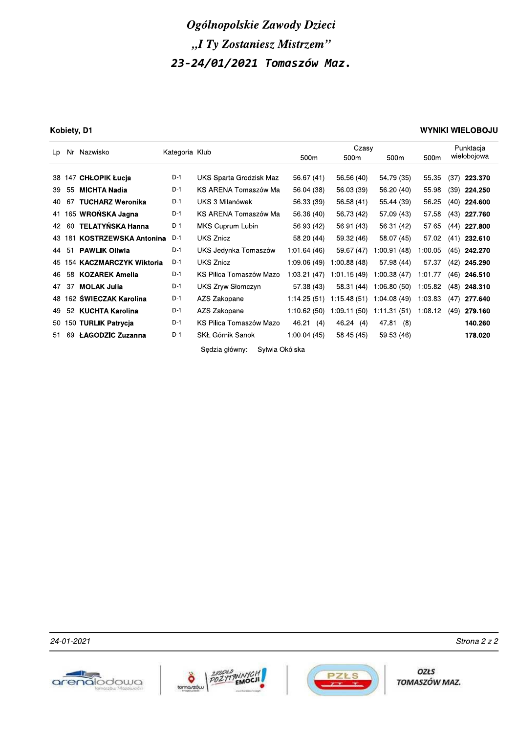### Kobiety, D1

### **WYNIKI WIELOBOJU**

| Nazwisko<br>Nr<br>Lp |        | Kategoria Klub              |       | Czasy                            |              |             | Punktacja        |         |                 |  |
|----------------------|--------|-----------------------------|-------|----------------------------------|--------------|-------------|------------------|---------|-----------------|--|
|                      |        |                             |       |                                  | 500m         | 500m        | 500 <sub>m</sub> | 500m    | wielobojowa     |  |
|                      |        | 38 147 CHŁOPIK Łucja        | $D-1$ | UKS Sparta Grodzisk Maz          | 56.67 (41)   | 56.56 (40)  | 54.79 (35)       | 55.35   | (37)<br>223.370 |  |
|                      |        |                             |       |                                  |              |             |                  |         |                 |  |
| 39                   | 55     | <b>MICHTA Nadia</b>         | $D-1$ | KS ARENA Tomaszów Ma             | 56.04 (38)   | 56.03 (39)  | 56.20 (40)       | 55.98   | $(39)$ 224.250  |  |
| 40                   | 67     | <b>TUCHARZ Weronika</b>     | $D-1$ | UKS 3 Milanówek                  | 56.33 (39)   | 56.58 (41)  | 55.44 (39)       | 56.25   | (40)<br>224.600 |  |
|                      |        | 41 165 WRONSKA Jagna        | $D-1$ | KS ARENA Tomaszów Ma             | 56.36 (40)   | 56.73 (42)  | 57.09 (43)       | 57.58   | (43)<br>227.760 |  |
| 42                   | 60     | <b>TELATYŃSKA Hanna</b>     | D-1   | MKS Cuprum Lubin                 | 56.93 (42)   | 56.91 (43)  | 56.31 (42)       | 57.65   | 227.800<br>(44) |  |
|                      | 43 181 | <b>KOSTRZEWSKA Antonina</b> | $D-1$ | <b>UKS Znicz</b>                 | 58.20 (44)   | 59.32 (46)  | 58.07 (45)       | 57.02   | $(41)$ 232.610  |  |
| 44 51                |        | <b>PAWLIK Oliwia</b>        | $D-1$ | UKS Jedynka Tomaszów             | 1:01.64(46)  | 59.67 (47)  | 1:00.91(48)      | 1:00.05 | (45)<br>242.270 |  |
|                      |        | 45 154 KACZMARCZYK Wiktoria | D-1   | <b>UKS Znicz</b>                 | 1:09.06 (49) | 1:00.88(48) | 57.98 (44)       | 57.37   | 245.290<br>(42) |  |
| 46                   | 58     | <b>KOZAREK Amelia</b>       | $D-1$ | KS Pilica Tomaszów Mazo          | 1:03.21 (47) | 1:01.15(49) | 1:00.38(47)      | 1:01.77 | (46)<br>246.510 |  |
| 47                   | 37     | <b>MOLAK Julia</b>          | $D-1$ | UKS Zryw Słomczyn                | 57.38 (43)   | 58.31 (44)  | 1:06.80 (50)     | 1:05.82 | (48)<br>248.310 |  |
| 48 1                 |        | 62 ŚWIECZAK Karolina        | $D-1$ | AZS Zakopane                     | 1:14.25 (51) | 1:15.48(51) | 1:04.08(49)      | 1:03.83 | (47)<br>277.640 |  |
| 49                   | 52     | <b>KUCHTA Karolina</b>      | D-1   | AZS Zakopane                     | 1:10.62 (50) | 1:09.11(50) | 1:11.31(51)      | 1:08.12 | (49)<br>279.160 |  |
|                      |        | 50 150 TURLIK Patrycja      | $D-1$ | KS Pilica Tomaszów Mazo          | 46.21<br>(4) | 46.24(4)    | 47.81 (8)        |         | 140.260         |  |
| 51                   | 69     | ŁAGODZIC Zuzanna            | $D-1$ | SKŁ Górnik Sanok                 | 1:00.04(45)  | 58.45 (45)  | 59.53 (46)       |         | 178.020         |  |
|                      |        |                             |       | Sedzia główny:<br>Sylwia Okólska |              |             |                  |         |                 |  |







Strona 2 z 2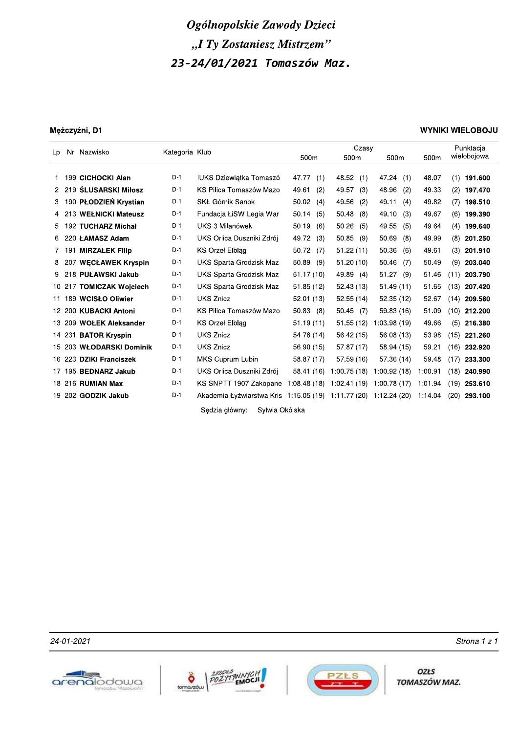### Mężczyźni, D1

### **WYNIKI WIELOBOJU**

| Lp | Nr Nazwisko              | Kategoria Klub |                                                     |              | Czasy        |              |         | Punktacja       |
|----|--------------------------|----------------|-----------------------------------------------------|--------------|--------------|--------------|---------|-----------------|
|    |                          |                |                                                     | 500m         | 500m         | 500m         | 500m    | wielobojowa     |
|    | 199 CICHOCKI Alan        | $D-1$          | <b>IUKS Dziewiatka Tomaszó</b>                      | 47.77<br>(1) | 48.52 (1)    | 47.24 (1)    | 48.07   | $(1)$ 191.600   |
|    | 2 219 SLUSARSKI Miłosz   | $D-1$          | KS Pilica Tomaszów Mazo                             | 49.61<br>(2) | 49.57<br>(3) | 48.96<br>(2) | 49.33   | (2)<br>197.470  |
| 3  | 190 PŁODZIEŃ Krystian    | $D-1$          | SKŁ Górnik Sanok                                    | 50.02<br>(4) | 49.56<br>(2) | 49.11<br>(4) | 49.82   | 198.510<br>(7)  |
|    | 4 213 WEŁNICKI Mateusz   | D-1            | Fundacja ŁiSW Legia War                             | 50.14<br>(5) | 50.48<br>(8) | 49.10<br>(3) | 49.67   | (6)<br>199.390  |
| 5. | 192 TUCHARZ Michał       | $D-1$          | UKS 3 Milanówek                                     | 50.19<br>(6) | 50.26<br>(5) | 49.55<br>(5) | 49.64   | (4)<br>199.640  |
|    | 6 220 LAMASZ Adam        | D-1            | UKS Orlica Duszniki Zdrój                           | 49.72<br>(3) | 50.85<br>(9) | 50.69<br>(8) | 49.99   | 201.250<br>(8)  |
|    | 7 191 MIRZAŁEK Filip     | D-1            | <b>KS Orzel Elblag</b>                              | 50.72<br>(7) | 51.22(11)    | 50.36<br>(6) | 49.61   | (3)<br>201.910  |
| 8  | 207 WECŁAWEK Kryspin     | $D-1$          | UKS Sparta Grodzisk Maz                             | 50.89<br>(9) | 51.20(10)    | 50.46<br>(7) | 50.49   | (9)<br>203.040  |
| 9  | 218 PUŁAWSKI Jakub       | D-1            | UKS Sparta Grodzisk Maz                             | 51.17 (10)   | 49.89 (4)    | 51.27<br>(9) | 51.46   | (11)<br>203.790 |
|    | 10 217 TOMICZAK Wojciech | $D-1$          | UKS Sparta Grodzisk Maz                             | 51.85(12)    | 52.43(13)    | 51.49(11)    | 51.65   | (13)<br>207.420 |
|    | 11 189 WCISŁO Oliwier    | $D-1$          | <b>UKS Znicz</b>                                    | 52.01(13)    | 52.55(14)    | 52.35 (12)   | 52.67   | (14)<br>209.580 |
|    | 12 200 KUBACKI Antoni    | $D-1$          | KS Pilica Tomaszów Mazo                             | 50.83<br>(8) | $50.45$ (7)  | 59.83 (16)   | 51.09   | 212.200<br>(10) |
|    | 13 209 WOŁEK Aleksander  | D-1            | KS Orzeł Elblag                                     | 51.19(11)    | 51.55(12)    | 1:03.98(19)  | 49.66   | (5)<br>216.380  |
|    | 14 231 BATOR Kryspin     | $D-1$          | <b>UKS Znicz</b>                                    | 54.78 (14)   | 56.42(15)    | 56.08 (13)   | 53.98   | (15)<br>221.260 |
|    | 15 203 WŁODARSKI Dominik | D-1            | <b>UKS Znicz</b>                                    | 56.90 (15)   | 57.87 (17)   | 58.94 (15)   | 59.21   | (16)<br>232.920 |
|    | 16 223 DZIKI Franciszek  | $D-1$          | MKS Cuprum Lubin                                    | 58.87 (17)   | 57.59 (16)   | 57.36 (14)   | 59.48   | (17)<br>233.300 |
|    | 17 195 BEDNARZ Jakub     | $D-1$          | UKS Orlica Duszniki Zdrój                           | 58.41 (16)   | 1:00.75(18)  | 1:00.92(18)  | 1:00.91 | (18)<br>240.990 |
|    | 18 216 RUMIAN Max        | D-1            | KS SNPTT 1907 Zakopane                              | 1:08.48(18)  | 1:02.41(19)  | 1:00.78(17)  | 1:01.94 | (19)<br>253.610 |
|    | 19 202 GODZIK Jakub      | D-1            | Akademia Łyżwiarstwa Kris 1:15.05 (19) 1:11.77 (20) |              |              | 1:12.24 (20) | 1:14.04 | (20)<br>293.100 |
|    |                          |                | Sedzia główny:<br>Svlwia Okólska                    |              |              |              |         |                 |

24-01-2021







OZŁS TOMASZÓW MAZ.

Strona 1 z 1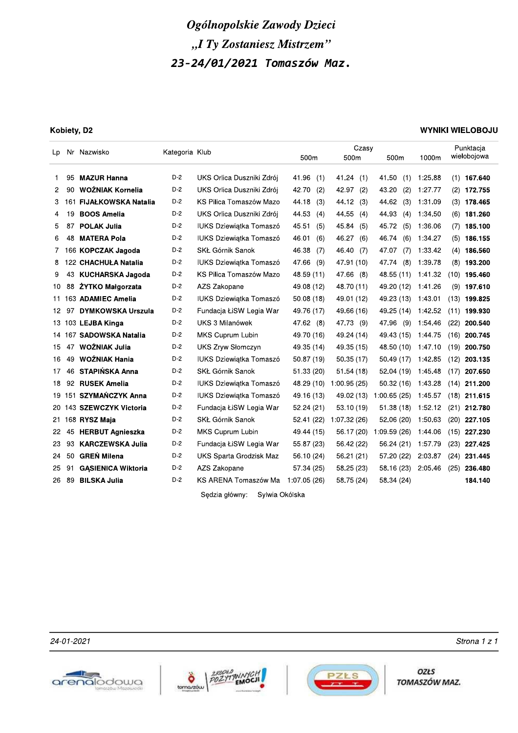|                |          |                                                |                | Ogólnopolskie Zawody Dzieci                 |                          |                         |                          |                    |                                  |
|----------------|----------|------------------------------------------------|----------------|---------------------------------------------|--------------------------|-------------------------|--------------------------|--------------------|----------------------------------|
|                |          |                                                |                | "I Ty Zostaniesz Mistrzem"                  |                          |                         |                          |                    |                                  |
|                |          |                                                |                |                                             |                          |                         |                          |                    |                                  |
|                |          |                                                |                | 23-24/01/2021 Tomaszów Maz.                 |                          |                         |                          |                    |                                  |
|                |          |                                                |                |                                             |                          |                         |                          |                    |                                  |
|                |          |                                                |                |                                             |                          |                         |                          |                    |                                  |
|                |          |                                                |                |                                             |                          |                         |                          |                    |                                  |
|                |          |                                                |                |                                             |                          |                         |                          |                    |                                  |
|                |          | Kobiety, D2                                    |                |                                             |                          |                         |                          |                    | <b>WYNIKI WIELOBOJU</b>          |
| Lp             |          | Nr Nazwisko                                    | Kategoria Klub |                                             |                          | Czasy                   |                          |                    | Punktacja                        |
|                |          |                                                |                |                                             | 500m                     | 500m                    | 500m                     | 1000m              | wielobojowa                      |
| 1              | 95       | <b>MAZUR Hanna</b>                             | D-2            | UKS Orlica Duszniki Zdrój                   | 41.96<br>(1)             | 41.24(1)                | 41.50<br>(1)             | 1:25.88            | (1)<br>167.640                   |
| 2              | 90       | WOŹNIAK Kornelia                               | D-2            | UKS Orlica Duszniki Zdrój                   | 42.70<br>(2)             | 42.97 (2)               | 43.20<br>(2)             | 1:27.77            | $(2)$ 172.755                    |
| 3              | 161      | <b>FIJAŁKOWSKA Natalia</b>                     | D-2            | KS Pilica Tomaszów Mazo                     | 44.18<br>(3)             | 44.12 (3)               | 44.62<br>(3)             | 1:31.09            | $(3)$ 178.465                    |
| 4              | 19.      | <b>BOOS Amelia</b>                             | $D-2$          | UKS Orlica Duszniki Zdrój                   | 44.53<br>(4)             | 44.55 (4)               | 44.93<br>(4)             | 1:34.50            | $(6)$ 181.260                    |
| 5              | 87       | <b>POLAK Julia</b>                             | D-2            | IUKS Dziewiątka Tomaszó                     | 45.51<br>(5)             | 45.84 (5)               | 45.72<br>(5)             | 1:36.06            | 185.100<br>(7)                   |
| 6              | 48       | <b>MATERA Pola</b>                             | D-2            | <b>IUKS Dziewiątka Tomaszó</b>              | 46.01<br>(6)             | 46.27 (6)               | 46.74<br>(6)             | 1:34.27            | $(5)$ 186.155                    |
| 7 <sup>7</sup> |          | 166 KOPCZAK Jagoda                             | D-2            | SKŁ Górnik Sanok                            | 46.38<br>(7)             | 46.40 (7)               | 47.07<br>(7)             | 1:33.42            | $(4)$ 186.560                    |
| 8              |          | 122 CHACHUŁA Natalia                           | D-2            | <b>IUKS Dziewiątka Tomaszó</b>              | 47.66<br>(9)             | 47.91 (10)              | (8)<br>47.74             | 1:39.78            | $(8)$ 193.200                    |
| 9              | 43       | KUCHARSKA Jagoda                               | D-2            | KS Pilica Tomaszów Mazo                     | 48.59 (11)               | 47.66 (8)               | 48.55 (11) 1:41.32       |                    | $(10)$ 195.460                   |
| 10.            | 88       | ŻYTKO Małgorzata                               | D-2            | AZS Zakopane                                | 49.08 (12)               | 48.70 (11)              | 49.20 (12)               | 1:41.26            | $(9)$ 197.610                    |
|                |          | 11 163 ADAMIEC Amelia                          | D-2            | IUKS Dziewiątka Tomaszó                     | 50.08 (18)               | 49.01 (12)              | 49.23 (13)               | 1:43.01            | $(13)$ 199.825                   |
|                |          | 12 97 DYMKOWSKA Urszula                        | $D-2$          | Fundacja ŁiSW Legia War                     | 49.76 (17)               | 49.66 (16)              | 49.25 (14) 1:42.52       |                    | $(11)$ 199.930                   |
|                |          | 13 103 LEJBA Kinga                             | $D-2$          | UKS 3 Milanówek                             | 47.62 (8)                | 47.73 (9)               | 47.96 (9) 1:54.46        |                    | $(22)$ 200.540                   |
|                |          | 14 167 SADOWSKA Natalia                        | $D-2$          | MKS Cuprum Lubin                            | 49.70 (16)               | 49.24 (14)              |                          |                    | 49.43 (15) 1:44.75 (16) 200.745  |
|                |          | 15 47 WOŻNIAK Julia                            | D-2            | UKS Zryw Słomczyn                           | 49.35 (14)               | 49.35 (15)              |                          |                    | 48.50 (10) 1:47.10 (19) 200.750  |
| 16             | 49       | WOŹNIAK Hania                                  | D-2            | IUKS Dziewiątka Tomaszó                     | 50.87 (19)               | 50.35 (17)              | 50.49 (17) 1:42.85       |                    | $(12)$ 203.135                   |
| 17             |          | 46 STAPIŃSKA Anna                              | D-2            | SKŁ Górnik Sanok                            | 51.33 (20)               | 51.54 (18)              | 52.04 (19) 1:45.48       |                    | $(17)$ 207.650                   |
|                |          | 18 92 RUSEK Amelia                             | D-2            | IUKS Dziewiątka Tomaszó                     |                          | 48.29 (10) 1:00.95 (25) | 50.32 (16) 1:43.28       |                    | $(14)$ 211.200                   |
|                |          | 19 151 SZYMAŃCZYK Anna                         | D-2            | <b>IUKS Dziewiątka Tomaszó</b>              | 49.16 (13)               | 49.02 (13)              | 1:00.65(25)              | 1:45.57            | $(18)$ 211.615                   |
|                |          | 20 143 SZEWCZYK Victoria                       | $D-2$          | Fundacja ŁiSW Legia War                     | 52.24(21)                | 53.10 (19)              | 51.38(18)                | 1:52.12            | $(21)$ 212.780                   |
|                |          | 21 168 RYSZ Maja                               | D-2<br>D-2     | SKŁ Górnik Sanok                            | 52.41 (22)               | 1:07.32(26)             | 52.06 (20)               | 1:50.63            | $(20)$ 227.105                   |
| 22             |          | 45 HERBUT Agnieszka<br><b>KARCZEWSKA Julia</b> | $D-2$          | MKS Cuprum Lubin<br>Fundacja ŁiSW Legia War | 49.44 (15)<br>55.87 (23) | 56.17 (20)              | 1:09.59(26)              | 1:44.06            | $(15)$ 227.230                   |
| 23<br>24       | 93<br>50 | <b>GREN Milena</b>                             | D-2            | UKS Sparta Grodzisk Maz                     | 56.10 (24)               | 56.42 (22)<br>56.21(21) | 56.24 (21)<br>57.20 (22) | 1:57.79<br>2:03.87 | $(23)$ 227.425<br>$(24)$ 231.445 |
| 25             | 91       | <b>GASIENICA Wiktoria</b>                      | $D-2$          | AZS Zakopane                                | 57.34 (25)               | 58.25 (23)              | 58.16 (23)               | 2:05.46            | $(25)$ 236.480                   |
|                | 26 89    | <b>BILSKA Julia</b>                            | $D-2$          | KS ARENA Tomaszów Ma 1:07.05 (26)           |                          | 58.75 (24)              | 58.34 (24)               |                    | 184.140                          |
|                |          |                                                |                | Sędzia główny:                              | Sylwia Okólska           |                         |                          |                    |                                  |
|                |          |                                                |                |                                             |                          |                         |                          |                    |                                  |







OZŁS TOMASZÓW MAZ.

³´µ¶±µ³¶³± ª«¬®¯°±°²°±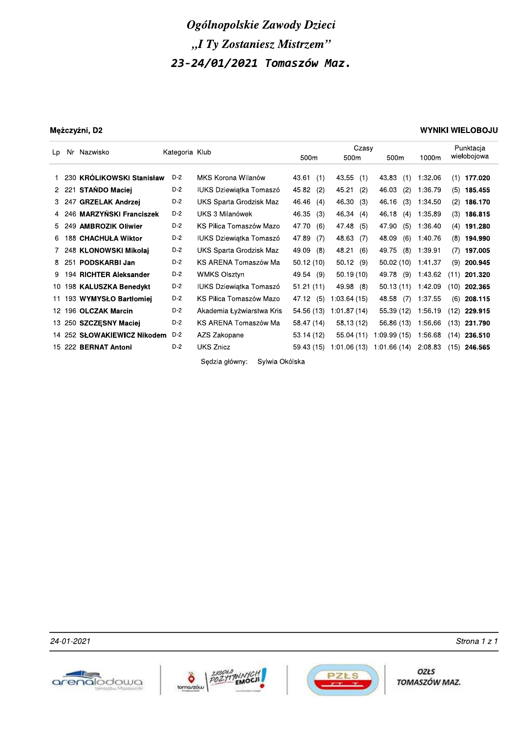### Mężczyźni, D2

### **WYNIKI WIELOBOJU**

| Nr Nazwisko<br>Lp |       |                             | Kategoria Klub |                                  | Czasy        |              |                  | Punktacia |                 |
|-------------------|-------|-----------------------------|----------------|----------------------------------|--------------|--------------|------------------|-----------|-----------------|
|                   |       |                             |                |                                  | 500m         | 500m         | 500 <sub>m</sub> | 1000m     | wielobojowa     |
|                   |       |                             |                |                                  |              |              |                  |           |                 |
|                   |       | 1 230 KRÓLIKOWSKI Stanisław | D-2            | MKS Korona Wilanów               | 43.61<br>(1) | 43.55<br>(1) | 43.83<br>(1)     | 1:32.06   | (1)<br>177.020  |
|                   |       | 2 221 STAŃDO Maciej         | $D-2$          | IUKS Dziewiątka Tomaszó          | 45.82<br>(2) | 45.21<br>(2) | 46.03<br>(2)     | 1:36.79   | (5)<br>185.455  |
|                   | 3 247 | <b>GRZELAK Andrzej</b>      | D-2            | UKS Sparta Grodzisk Maz          | 46.46<br>(4) | 46.30 (3)    | 46.16<br>(3)     | 1:34.50   | (2)<br>186.170  |
|                   |       | 4 246 MARZYŃSKI Franciszek  | D-2            | UKS 3 Milanówek                  | 46.35<br>(3) | 46.34 (4)    | 46.18<br>(4)     | 1:35.89   | (3)<br>186.815  |
|                   |       | 5 249 AMBROZIK Oliwier      | $D-2$          | KS Pilica Tomaszów Mazo          | 47.70<br>(6) | 47.48<br>(5) | 47.90<br>(5)     | 1:36.40   | 191.280<br>(4)  |
|                   |       | 6 188 CHACHUŁA Wiktor       | D-2            | IUKS Dziewiątka Tomaszó          | 47.89<br>(7) | 48.63<br>(7) | 48.09<br>(6)     | 1:40.76   | (8)<br>194.990  |
|                   |       | 7 248 KLONOWSKI Mikołaj     | $D-2$          | UKS Sparta Grodzisk Maz          | 49.09<br>(8) | 48.21<br>(6) | 49.75<br>(8)     | 1:39.91   | (7)<br>197.005  |
|                   |       | 8 251 PODSKARBI Jan         | $D-2$          | KS ARENA Tomaszów Ma             | 50.12(10)    | 50.12(9)     | 50.02(10)        | 1:41.37   | (9)<br>200.945  |
| 9                 |       | 194 RICHTER Aleksander      | $D-2$          | <b>WMKS Olsztyn</b>              | 49.54 (9)    | 50.19(10)    | 49.78<br>(9)     | 1:43.62   | 201.320<br>(11) |
|                   |       | 10 198 KALUSZKA Benedykt    | $D-2$          | IUKS Dziewiątka Tomaszó          | 51.21(11)    | 49.98 (8)    | 50.13(11)        | 1:42.09   | (10)<br>202.365 |
|                   |       | 11 193 WYMYSŁO Bartłomiej   | $D-2$          | KS Pilica Tomaszów Mazo          | 47.12 (5)    | 1:03.64 (15) | 48.58<br>(7)     | 1:37.55   | (6)<br>208.115  |
|                   |       | 12 196 OLCZAK Marcin        | $D-2$          | Akademia Łyżwiarstwa Kris        | 54.56 (13)   | 1:01.87(14)  | 55.39 (12)       | 1:56.19   | (12)<br>229.915 |
|                   |       | 13 250 SZCZĘSNY Maciej      | D-2            | KS ARENA Tomaszów Ma             | 58.47 (14)   | 58.13 (12)   | 56.86 (13)       | 1:56.66   | (13)<br>231.790 |
|                   |       | 14 252 SŁOWAKIEWICZ Nikodem | D-2            | AZS Zakopane                     | 53.14 (12)   | 55.04(11)    | 1:09.99 (15)     | 1:56.68   | (14)<br>236.510 |
|                   |       | 15 222 BERNAT Antoni        | $D-2$          | <b>UKS Znicz</b>                 | 59.43 (15)   | 1:01.06 (13) | 1:01.66 (14)     | 2:08.83   | (15)<br>246.565 |
|                   |       |                             |                | Sedzia główny:<br>Sylwia Okólska |              |              |                  |           |                 |

24-01-2021







OZŁS TOMASZÓW MAZ.

Strona 1 z 1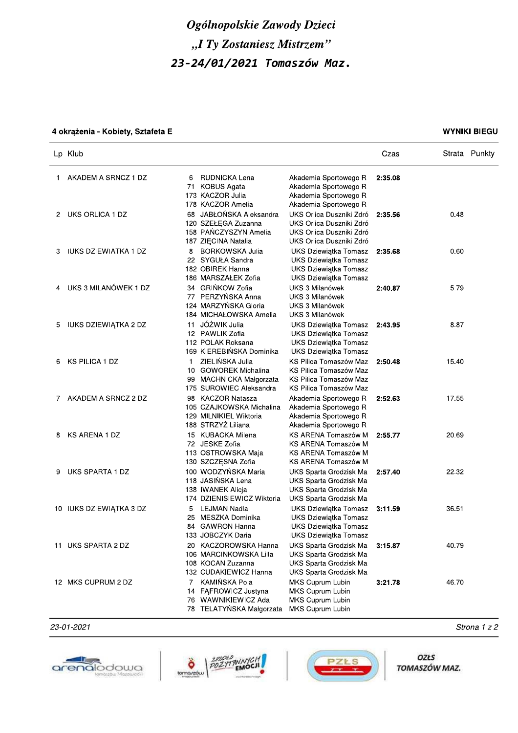| Ogólnopolskie Zawody Dzieci                              |                             |                                                                                                                         |                                                                                                                                       |         |               |  |  |  |
|----------------------------------------------------------|-----------------------------|-------------------------------------------------------------------------------------------------------------------------|---------------------------------------------------------------------------------------------------------------------------------------|---------|---------------|--|--|--|
|                                                          | "I Ty Zostaniesz Mistrzem"  |                                                                                                                         |                                                                                                                                       |         |               |  |  |  |
|                                                          |                             | 23-24/01/2021 Tomaszów Maz.                                                                                             |                                                                                                                                       |         |               |  |  |  |
|                                                          |                             |                                                                                                                         |                                                                                                                                       |         |               |  |  |  |
|                                                          |                             |                                                                                                                         |                                                                                                                                       |         |               |  |  |  |
| <b>WYNIKI BIEGU</b><br>4 okrążenia - Kobiety, Sztafeta E |                             |                                                                                                                         |                                                                                                                                       |         |               |  |  |  |
|                                                          | Lp Klub                     |                                                                                                                         |                                                                                                                                       | Czas    | Strata Punkty |  |  |  |
| 1.                                                       | AKADEMIA SRNCZ 1 DZ         | RUDNICKA Lena<br>6<br>71 KOBUS Agata<br>173 KACZOR Julia                                                                | Akademia Sportowego R<br>Akademia Sportowego R<br>Akademia Sportowego R                                                               | 2:35.08 |               |  |  |  |
| 2                                                        | UKS ORLICA 1 DZ             | 178 KACZOR Amelia<br>68 JABŁOŃSKA Aleksandra<br>120 SZEŁĘGA Zuzanna<br>158 PAŃCZYSZYN Amelia<br>187 ZIĘCINA Natalia     | Akademia Sportowego R<br>UKS Orlica Duszniki Zdró<br>UKS Orlica Duszniki Zdró<br>UKS Orlica Duszniki Zdró<br>UKS Orlica Duszniki Zdró | 2:35.56 | 0.48          |  |  |  |
| 3                                                        | <b>IUKS DZIEWIATKA 1 DZ</b> | <b>BORKOWSKA Julia</b><br>8<br>22 SYGUŁA Sandra<br>182 OBIREK Hanna<br>186 MARSZAŁEK Zofia                              | <b>IUKS Dziewiątka Tomasz</b><br><b>IUKS Dziewiątka Tomasz</b><br><b>IUKS Dziewiątka Tomasz</b><br><b>IUKS Dziewiątka Tomasz</b>      | 2:35.68 | 0.60          |  |  |  |
| 4                                                        | UKS 3 MILANÓWEK 1 DZ        | 34 GRIŃKOW Zofia<br>77 PERZYŃSKA Anna<br>124 MARZYŃSKA Gloria<br>184 MICHAŁOWSKA Amelia                                 | UKS 3 Milanówek<br>UKS 3 Milanówek<br>UKS 3 Milanówek<br>UKS 3 Milanówek                                                              | 2:40.87 | 5.79          |  |  |  |
| 5.                                                       | IUKS DZIEWIĄTKA 2 DZ        | JÓŹWIK Julia<br>11<br>12 PAWLIK Zofia<br>112 POLAK Roksana<br>169 KIEREBIŃSKA Dominika                                  | <b>IUKS Dziewiątka Tomasz</b><br>IUKS Dziewiątka Tomasz<br><b>IUKS Dziewiątka Tomasz</b><br><b>IUKS Dziewiątka Tomasz</b>             | 2:43.95 | 8.87          |  |  |  |
| 6                                                        | <b>KS PILICA 1 DZ</b>       | ZIELIŃSKA Julia<br>$\mathbf{1}$<br><b>GOWOREK Michalina</b><br>10<br>99 MACHNICKA Małgorzata<br>175 SUROWIEC Aleksandra | KS Pilica Tomaszów Maz<br>KS Pilica Tomaszów Maz<br>KS Pilica Tomaszów Maz<br>KS Pilica Tomaszów Maz                                  | 2:50.48 | 15.40         |  |  |  |
| 7                                                        | AKADEMIA SRNCZ 2 DZ         | 98 KACZOR Natasza<br>105 CZAJKOWSKA Michalina<br>129 MILNIKIEL Wiktoria<br>188 STRZYZ Liliana                           | Akademia Sportowego R<br>Akademia Sportowego R<br>Akademia Sportowego R<br>Akademia Sportowego R                                      | 2:52.63 | 17.55         |  |  |  |
| 8                                                        | <b>KS ARENA 1 DZ</b>        | 15 KUBACKA Milena<br>72 JESKE Zofia<br>113 OSTROWSKA Maja<br>130 SZCZĘSNA Zofia                                         | KS ARENA Tomaszów M<br>KS ARENA Tomaszów M<br>KS ARENA Tomaszów M<br><b>KS ARENA Tomaszów M</b>                                       | 2:55.77 | 20.69         |  |  |  |
| 9                                                        | UKS SPARTA 1 DZ             | 100 WODZYŃSKA Maria<br>118 JASIŃSKA Lena<br>138 IWANEK Alicja<br>174 DZIENISIEWICZ Wiktoria                             | UKS Sparta Grodzisk Ma<br>UKS Sparta Grodzisk Ma<br>UKS Sparta Grodzisk Ma<br>UKS Sparta Grodzisk Ma                                  | 2:57.40 | 22.32         |  |  |  |
|                                                          | 10 IUKS DZIEWIĄTKA 3 DZ     | LEJMAN Nadia<br>5<br>MESZKA Dominika<br>25<br>84 GAWRON Hanna<br>133 JOBCZYK Daria                                      | <b>IUKS Dziewiątka Tomasz</b><br><b>IUKS Dziewiątka Tomasz</b><br><b>IUKS Dziewiątka Tomasz</b><br><b>IUKS Dziewiątka Tomasz</b>      | 3:11.59 | 36.51         |  |  |  |
|                                                          | 11 UKS SPARTA 2 DZ          | 20 KACZOROWSKA Hanna<br>106 MARCINKOWSKA Lilla<br>108 KOCAN Zuzanna<br>132 CUDAKIEWICZ Hanna                            | UKS Sparta Grodzisk Ma<br>UKS Sparta Grodzisk Ma<br>UKS Sparta Grodzisk Ma<br>UKS Sparta Grodzisk Ma                                  | 3:15.87 | 40.79         |  |  |  |
|                                                          | 12 MKS CUPRUM 2 DZ          | 7 KAMIŃSKA Pola<br>14 FAFROWICZ Justyna<br>76 WAWNIKIEWICZ Ada<br>78 TELATYŃSKA Małgorzata                              | MKS Cuprum Lubin<br>MKS Cuprum Lubin<br>MKS Cuprum Lubin<br>MKS Cuprum Lubin                                                          | 3:21.78 | 46.70         |  |  |  |







OZŁS TOMASZÓW MAZ.

¤¥¦§¢¦¤§¤¢ ¡¢¡£¡¤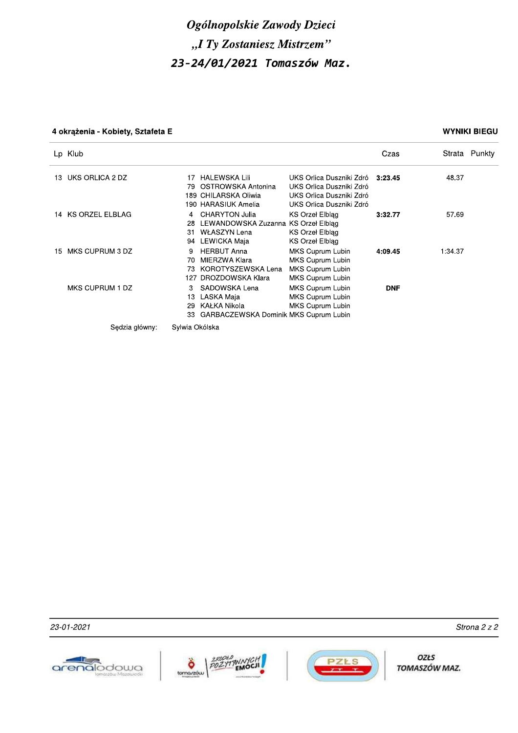### 4 okrążenia - Kobiety, Sztafeta E

### **WYNIKI BIEGU**

|     | Lp Klub            |                                                                                                                                                                                                                                | Czas       | Strata Punkty |
|-----|--------------------|--------------------------------------------------------------------------------------------------------------------------------------------------------------------------------------------------------------------------------|------------|---------------|
| 13. | UKS ORLICA 2 DZ    | <b>HALEWSKA Lili</b><br>UKS Orlica Duszniki Zdró 3:23.45<br>17<br>OSTROWSKA Antonina<br>UKS Orlica Duszniki Zdró<br>79.<br>189 CHILARSKA Oliwia<br>UKS Orlica Duszniki Zdró<br>190 HARASIUK Amelia<br>UKS Orlica Duszniki Zdró |            | 48.37         |
|     | 14 KS ORZEL ELBLAG | CHARYTON Julia<br>KS Orzeł Elblag<br>4<br>LEWANDOWSKA Zuzanna KS Orzeł Elbląg<br>28<br><b>WŁASZYN Lena</b><br>KS Orzeł Elbląg<br>31<br>94 LEWICKA Maja<br>KS Orzeł Elbląg                                                      | 3:32.77    | 57.69         |
| 15  | MKS CUPRUM 3 DZ    | <b>HERBUT Anna</b><br>MKS Cuprum Lubin<br>MIERZWA Klara<br>MKS Cuprum Lubin<br>70<br>KOROTYSZEWSKA Lena<br><b>MKS Cuprum Lubin</b><br>73<br>DROZDOWSKA Klara<br>MKS Cuprum Lubin<br>127                                        | 4:09.45    | 1:34.37       |
|     | MKS CUPRUM 1 DZ    | MKS Cuprum Lubin<br>SADOWSKA Lena<br>3<br>MKS Cuprum Lubin<br>LASKA Maja<br>13<br>KAŁKA Nikola<br>MKS Cuprum Lubin<br>29<br><b>GARBACZEWSKA Dominik MKS Cuprum Lubin</b><br>33                                                 | <b>DNF</b> |               |
|     | Sędzia główny:     | Sylwia Okólska                                                                                                                                                                                                                 |            |               |

23-01-2021





OZŁS TOMASZÓW MAZ.

Strona 2 z 2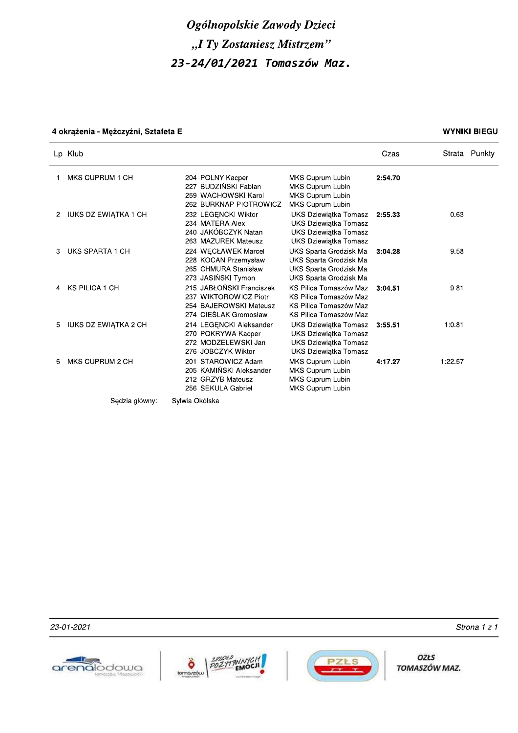# Ogólnopolskie Zawody Dzieci "I Ty Zostaniesz Mistrzem" 23-24/01/2021 Tomaszów Maz.

## 4 okrążenia - Mężczyźni, Sztafeta E

### **WYNIKI BIEGU**

|   | Lp Klub                     |                                                                                                      |                                                                                                                                  | Czas    |         | Strata Punkty |
|---|-----------------------------|------------------------------------------------------------------------------------------------------|----------------------------------------------------------------------------------------------------------------------------------|---------|---------|---------------|
|   | MKS CUPRUM 1 CH             | 204 POLNY Kacper<br>227 BUDZIŃSKI Fabian<br>259 WACHOWSKI Karol<br>262 BURKNAP-PIOTROWICZ            | <b>MKS Cuprum Lubin</b><br>MKS Cuprum Lubin<br>MKS Cuprum Lubin<br><b>MKS Cuprum Lubin</b>                                       | 2:54.70 |         |               |
| 2 | <b>IUKS DZIEWIĄTKA 1 CH</b> | 232 LEGENCKI Wiktor<br>234 MATERA Alex<br>240 JAKÓBCZYK Natan<br>263 MAZUREK Mateusz                 | <b>IUKS Dziewiątka Tomasz</b><br><b>IUKS Dziewiątka Tomasz</b><br><b>IUKS Dziewiątka Tomasz</b><br><b>IUKS Dziewiątka Tomasz</b> | 2:55.33 | 0.63    |               |
| 3 | UKS SPARTA 1 CH             | 224 WECŁAWEK Marcel<br>228 KOCAN Przemysław<br>265 CHMURA Stanisław<br>273 JASIŃSKI Tymon            | UKS Sparta Grodzisk Ma<br>UKS Sparta Grodzisk Ma<br>UKS Sparta Grodzisk Ma<br>UKS Sparta Grodzisk Ma                             | 3:04.28 | 9.58    |               |
| 4 | <b>KS PILICA 1 CH</b>       | 215 JABŁOŃSKI Franciszek<br>237 WIKTOROWICZ Piotr<br>254 BAJEROWSKI Mateusz<br>274 CIEŚLAK Gromosław | KS Pilica Tomaszów Maz<br>KS Pilica Tomaszów Maz<br>KS Pilica Tomaszów Maz<br>KS Pilica Tomaszów Maz                             | 3:04.51 | 9.81    |               |
| 5 | <b>IUKS DZIEWIĄTKA 2 CH</b> | 214 LEGENCKI Aleksander<br>270 POKRYWA Kacper<br>272 MODZELEWSKI Jan<br>276 JOBCZYK Wiktor           | <b>IUKS Dziewiątka Tomasz</b><br><b>IUKS Dziewiątka Tomasz</b><br><b>IUKS Dziewiątka Tomasz</b><br><b>IUKS Dziewiątka Tomasz</b> | 3:55.51 | 1:0.81  |               |
| 6 | MKS CUPRUM 2 CH             | 201 STAROWICZ Adam<br>205 KAMIŃSKI Aleksander<br>212 GRZYB Mateusz<br>256 SEKULA Gabriel             | MKS Cuprum Lubin<br>MKS Cuprum Lubin<br>MKS Cuprum Lubin<br>MKS Cuprum Lubin                                                     | 4:17.27 | 1.22.57 |               |
|   | Sedzia główny:              | Sylwia Okólska                                                                                       |                                                                                                                                  |         |         |               |

23-01-2021







OZŁS TOMASZÓW MAZ.

Strona 1 z 1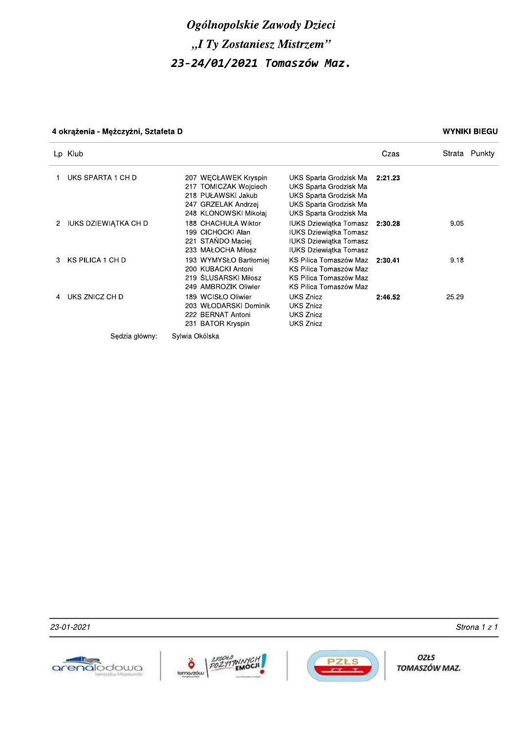# Ogólnopolskie Zawody Dzieci "I Ty Zostaniesz Mistrzem" 23-24/01/2021 Tomaszów Maz.

## 4 okrążenia - Mężczyźni, Sztafeta D

### **WYNIKI BIEGU**

|   | Lp Klub              |                                                                                                                     |                                                                                                                                          | Czas    |       | Strata Punkty |
|---|----------------------|---------------------------------------------------------------------------------------------------------------------|------------------------------------------------------------------------------------------------------------------------------------------|---------|-------|---------------|
|   | UKS SPARTA 1 CH D    | 207 WECŁAWEK Kryspin<br>217 TOMICZAK Wojciech<br>218 PUŁAWSKI Jakub<br>247 GRZELAK Andrzej<br>248 KLONOWSKI Mikołaj | UKS Sparta Grodzisk Ma<br>UKS Sparta Grodzisk Ma<br>UKS Sparta Grodzisk Ma<br>UKS Sparta Grodzisk Ma<br>UKS Sparta Grodzisk Ma           | 2:21.23 |       |               |
| 2 | IUKS DZIEWIĄTKA CH D | 188 CHACHUŁA Wiktor<br>199 CICHOCKI Alan<br>221 STAŃDO Maciej<br>233 MAŁOCHA Miłosz                                 | <b>IUKS Dziewiatka Tomasz</b> 2:30.28<br><b>IUKS Dziewiatka Tomasz</b><br><b>IUKS Dziewiątka Tomasz</b><br><b>IUKS Dziewiątka Tomasz</b> |         | 9.05  |               |
|   | KS PILICA 1 CH D     | 193 WYMYSŁO Bartłomiej<br>200 KUBACKI Antoni<br>219 ŚLUSARSKI Miłosz<br>249 AMBROZIK Oliwier                        | KS Pilica Tomaszów Maz 2:30.41<br>KS Pilica Tomaszów Maz<br>KS Pilica Tomaszów Maz<br>KS Pilica Tomaszów Maz                             |         | 9.18  |               |
|   | UKS ZNICZ CH D       | 189 WCISŁO Oliwier<br>203 WŁODARSKI Dominik<br>222 BERNAT Antoni<br>231 BATOR Kryspin                               | UKS Znicz<br><b>UKS Znicz</b><br><b>UKS Znicz</b><br><b>UKS Znicz</b>                                                                    | 2:46.52 | 25.29 |               |
|   | Sedzia główny:       | Sylwia Okólska                                                                                                      |                                                                                                                                          |         |       |               |

23-01-2021







OZŁS TOMASZÓW MAZ.

Strona 1 z 1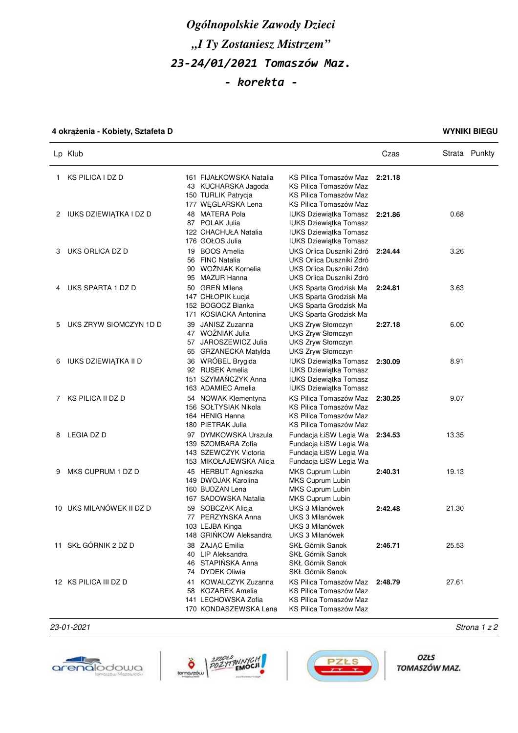# *Ogólnopolskie Zawody Dzieci "I Ty Zostaniesz Mistrzem" 23-24/01/2021 Tomaszów Maz. - korekta -*

## **4 okrążenia - Kobiety, Sztafeta D WYNIKI BIEGU**

|    | Lp Klub                  |                                                                                                     |                                                                                                                                  | Czas    |       | Strata Punkty |
|----|--------------------------|-----------------------------------------------------------------------------------------------------|----------------------------------------------------------------------------------------------------------------------------------|---------|-------|---------------|
| 1. | KS PILICA I DZ D         | 161 FIJAŁKOWSKA Natalia<br>43 KUCHARSKA Jagoda<br>150 TURLIK Patrycja<br>177 WEGLARSKA Lena         | KS Pilica Tomaszów Maz<br>KS Pilica Tomaszów Maz<br>KS Pilica Tomaszów Maz<br>KS Pilica Tomaszów Maz                             | 2:21.18 |       |               |
| 2  | IUKS DZIEWIĄTKA I DZ D   | 48 MATERA Pola<br>87 POLAK Julia<br>122 CHACHUŁA Natalia<br>176 GOŁOS Julia                         | <b>IUKS Dziewiątka Tomasz</b><br><b>IUKS Dziewiątka Tomasz</b><br><b>IUKS Dziewiątka Tomasz</b><br><b>IUKS Dziewiątka Tomasz</b> | 2:21.86 | 0.68  |               |
| 3  | UKS ORLICA DZ D          | 19 BOOS Amelia<br>56 FINC Natalia<br>90 WOŹNIAK Kornelia<br>95 MAZUR Hanna                          | UKS Orlica Duszniki Zdró<br>UKS Orlica Duszniki Zdró<br>UKS Orlica Duszniki Zdró<br>UKS Orlica Duszniki Zdró                     | 2:24.44 | 3.26  |               |
| 4  | UKS SPARTA 1 DZ D        | 50 GREŃ Milena<br>147 CHŁOPIK Łucja<br>152 BOGOCZ Bianka<br>171 KOSIACKA Antonina                   | UKS Sparta Grodzisk Ma<br>UKS Sparta Grodzisk Ma<br>UKS Sparta Grodzisk Ma<br>UKS Sparta Grodzisk Ma                             | 2:24.81 | 3.63  |               |
| 5  | UKS ZRYW SIOMCZYN 1D D   | 39 JANISZ Zuzanna<br>47 WOŹNIAK Julia<br>57 JAROSZEWICZ Julia<br>65 GRZANECKA Matylda               | UKS Zryw Słomczyn<br>UKS Zryw Słomczyn<br>UKS Zryw Słomczyn<br><b>UKS Zryw Słomczyn</b>                                          | 2:27.18 | 6.00  |               |
| 6  | IUKS DZIEWIĄTKA II D     | 36 WRÓBEL Brygida<br>92 RUSEK Amelia<br>151 SZYMAŃCZYK Anna<br>163 ADAMIEC Amelia                   | <b>IUKS Dziewiątka Tomasz</b><br><b>IUKS Dziewiątka Tomasz</b><br><b>IUKS Dziewiątka Tomasz</b><br><b>IUKS Dziewiątka Tomasz</b> | 2:30.09 | 8.91  |               |
| 7  | KS PILICA II DZ D        | 54 NOWAK Klementyna<br>156 SOŁTYSIAK Nikola<br>164 HENIG Hanna<br>180 PIETRAK Julia                 | KS Pilica Tomaszów Maz<br>KS Pilica Tomaszów Maz<br>KS Pilica Tomaszów Maz<br>KS Pilica Tomaszów Maz                             | 2:30.25 | 9.07  |               |
| 8  | <b>LEGIA DZ D</b>        | 97 DYMKOWSKA Urszula<br>139 SZOMBARA Zofia<br>143 SZEWCZYK Victoria<br>153 MIKOŁAJEWSKA Alicja      | Fundacja ŁiSW Legia Wa<br>Fundacja ŁiSW Legia Wa<br>Fundacja ŁiSW Legia Wa<br>Fundacja ŁiSW Legia Wa                             | 2:34.53 | 13.35 |               |
| 9  | MKS CUPRUM 1 DZ D        | 45 HERBUT Agnieszka<br>149 DWOJAK Karolina<br>160 BUDZAN Lena<br>167 SADOWSKA Natalia               | MKS Cuprum Lubin<br>MKS Cuprum Lubin<br>MKS Cuprum Lubin<br>MKS Cuprum Lubin                                                     | 2:40.31 | 19.13 |               |
|    | 10 UKS MILANÓWEK II DZ D | 59 SOBCZAK Alicia<br>77 PERZYŃSKA Anna<br>103 LEJBA Kinga<br>148 GRINKOW Aleksandra                 | UKS 3 Milanówek<br>UKS 3 Milanówek<br>UKS 3 Milanówek<br>UKS 3 Milanówek                                                         | 2:42.48 | 21.30 |               |
|    | 11 SKŁ GÓRNIK 2 DZ D     | 38 ZAJĄC Emilia<br>40 LIP Aleksandra<br>46 STAPIŃSKA Anna<br>74 DYDEK Oliwia                        | SKŁ Górnik Sanok<br>SKŁ Górnik Sanok<br>SKŁ Górnik Sanok<br>SKŁ Górnik Sanok                                                     | 2:46.71 | 25.53 |               |
|    | 12 KS PILICA III DZ D    | <b>KOWALCZYK Zuzanna</b><br>41<br>58 KOZAREK Amelia<br>141 LECHOWSKA Zofia<br>170 KONDASZEWSKA Lena | KS Pilica Tomaszów Maz<br>KS Pilica Tomaszów Maz<br>KS Pilica Tomaszów Maz<br>KS Pilica Tomaszów Maz                             | 2:48.79 | 27.61 |               |

23-01-2021 Strona 1 z 2







**OZŁS** TOMASZÓW MAZ.